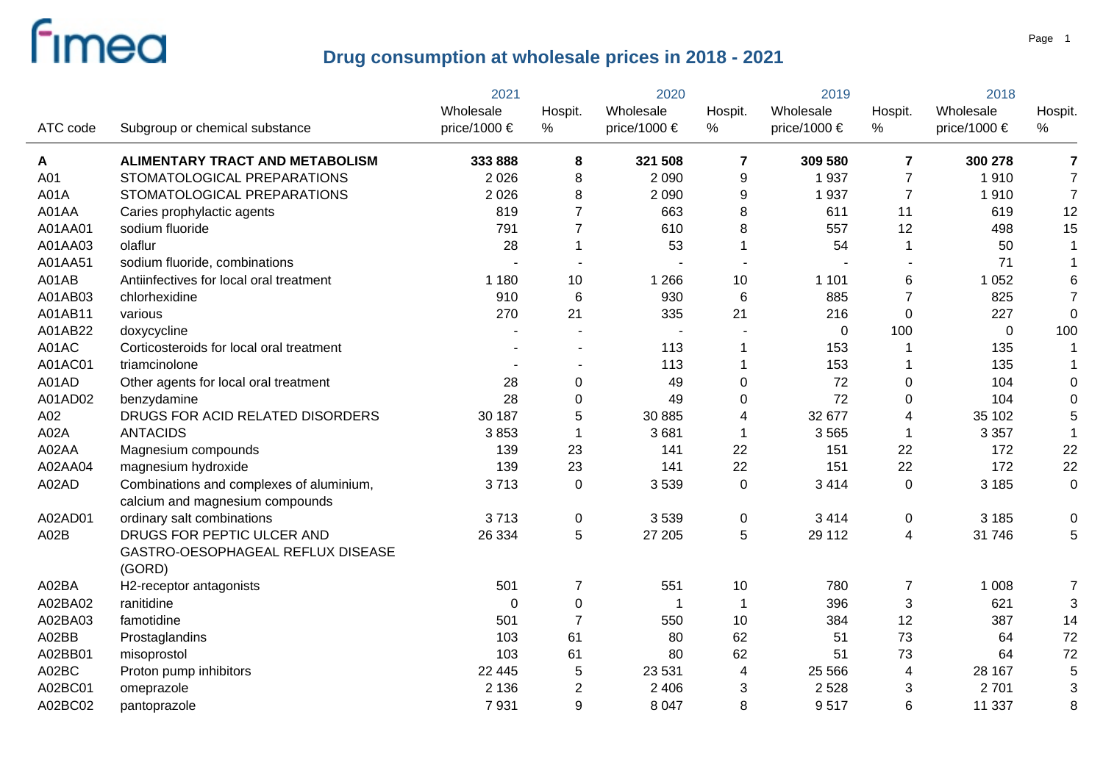|          |                                                                             | 2021                      | 2020            |                               | 2019           |                           | 2018                    |                           |                |
|----------|-----------------------------------------------------------------------------|---------------------------|-----------------|-------------------------------|----------------|---------------------------|-------------------------|---------------------------|----------------|
| ATC code | Subgroup or chemical substance                                              | Wholesale<br>price/1000 € | Hospit.<br>%    | Wholesale<br>price/1000 $\in$ | Hospit.<br>%   | Wholesale<br>price/1000 € | Hospit.<br>%            | Wholesale<br>price/1000 € | Hospit.<br>%   |
| Α        | <b>ALIMENTARY TRACT AND METABOLISM</b>                                      | 333 888                   | 8               | 321 508                       | $\overline{7}$ | 309 580                   | $\overline{\mathbf{z}}$ | 300 278                   | 7              |
| A01      | STOMATOLOGICAL PREPARATIONS                                                 | 2 0 2 6                   | 8               | 2 0 9 0                       | 9              | 1937                      | $\overline{7}$          | 1910                      | $\overline{7}$ |
| A01A     | STOMATOLOGICAL PREPARATIONS                                                 | 2 0 2 6                   | 8               | 2 0 9 0                       | 9              | 1937                      | $\overline{7}$          | 1910                      | $\overline{7}$ |
| A01AA    | Caries prophylactic agents                                                  | 819                       | $\overline{7}$  | 663                           | 8              | 611                       | 11                      | 619                       | 12             |
| A01AA01  | sodium fluoride                                                             | 791                       | 7               | 610                           | 8              | 557                       | 12                      | 498                       | 15             |
| A01AA03  | olaflur                                                                     | 28                        |                 | 53                            | 1              | 54                        | $\overline{1}$          | 50                        | 1              |
| A01AA51  | sodium fluoride, combinations                                               |                           |                 |                               |                |                           |                         | 71                        |                |
| A01AB    | Antiinfectives for local oral treatment                                     | 1 1 8 0                   | 10              | 1 2 6 6                       | 10             | 1 1 0 1                   | 6                       | 1 0 5 2                   | 6              |
| A01AB03  | chlorhexidine                                                               | 910                       | $6\phantom{1}6$ | 930                           | 6              | 885                       | $\overline{7}$          | 825                       | $\overline{7}$ |
| A01AB11  | various                                                                     | 270                       | 21              | 335                           | 21             | 216                       | $\mathbf 0$             | 227                       | $\mathbf 0$    |
| A01AB22  | doxycycline                                                                 |                           |                 |                               |                | $\mathbf 0$               | 100                     | $\mathbf 0$               | 100            |
| A01AC    | Corticosteroids for local oral treatment                                    |                           |                 | 113                           | 1              | 153                       | $\mathbf 1$             | 135                       | $\mathbf{1}$   |
| A01AC01  | triamcinolone                                                               |                           |                 | 113                           | 1              | 153                       | $\overline{1}$          | 135                       |                |
| A01AD    | Other agents for local oral treatment                                       | 28                        | $\Omega$        | 49                            | 0              | 72                        | 0                       | 104                       | 0              |
| A01AD02  | benzydamine                                                                 | 28                        | $\Omega$        | 49                            | 0              | 72                        | 0                       | 104                       | 0              |
| A02      | DRUGS FOR ACID RELATED DISORDERS                                            | 30 187                    | 5               | 30 885                        | 4              | 32 677                    | 4                       | 35 102                    | 5              |
| A02A     | <b>ANTACIDS</b>                                                             | 3853                      |                 | 3681                          | 1              | 3565                      | -1                      | 3 3 5 7                   |                |
| A02AA    | Magnesium compounds                                                         | 139                       | 23              | 141                           | 22             | 151                       | 22                      | 172                       | 22             |
| A02AA04  | magnesium hydroxide                                                         | 139                       | 23              | 141                           | 22             | 151                       | 22                      | 172                       | 22             |
| A02AD    | Combinations and complexes of aluminium,<br>calcium and magnesium compounds | 3713                      | $\mathbf 0$     | 3539                          | $\mathbf 0$    | 3 4 1 4                   | 0                       | 3 1 8 5                   | $\mathbf 0$    |
| A02AD01  | ordinary salt combinations                                                  | 3713                      | $\pmb{0}$       | 3539                          | 0              | 3 4 1 4                   | 0                       | 3 1 8 5                   | 0              |
| A02B     | DRUGS FOR PEPTIC ULCER AND<br>GASTRO-OESOPHAGEAL REFLUX DISEASE<br>(GORD)   | 26 334                    | 5               | 27 205                        | 5              | 29 112                    | $\overline{4}$          | 31 746                    | 5              |
| A02BA    | H2-receptor antagonists                                                     | 501                       | $\overline{7}$  | 551                           | 10             | 780                       | $\overline{7}$          | 1 0 0 8                   | $\overline{7}$ |
| A02BA02  | ranitidine                                                                  | $\mathbf{0}$              | $\mathbf 0$     | -1                            | $\mathbf 1$    | 396                       | 3                       | 621                       | 3              |
| A02BA03  | famotidine                                                                  | 501                       | $\overline{7}$  | 550                           | 10             | 384                       | 12                      | 387                       | 14             |
| A02BB    | Prostaglandins                                                              | 103                       | 61              | 80                            | 62             | 51                        | 73                      | 64                        | 72             |
| A02BB01  | misoprostol                                                                 | 103                       | 61              | 80                            | 62             | 51                        | 73                      | 64                        | 72             |
| A02BC    | Proton pump inhibitors                                                      | 22 4 4 5                  | 5               | 23 5 31                       | 4              | 25 5 66                   | 4                       | 28 167                    | 5              |
| A02BC01  | omeprazole                                                                  | 2 1 3 6                   | $\overline{2}$  | 2 4 0 6                       | 3              | 2 5 2 8                   | 3                       | 2701                      | 3              |
| A02BC02  | pantoprazole                                                                | 7931                      | 9               | 8 0 4 7                       | 8              | 9517                      | 6                       | 11 337                    | 8              |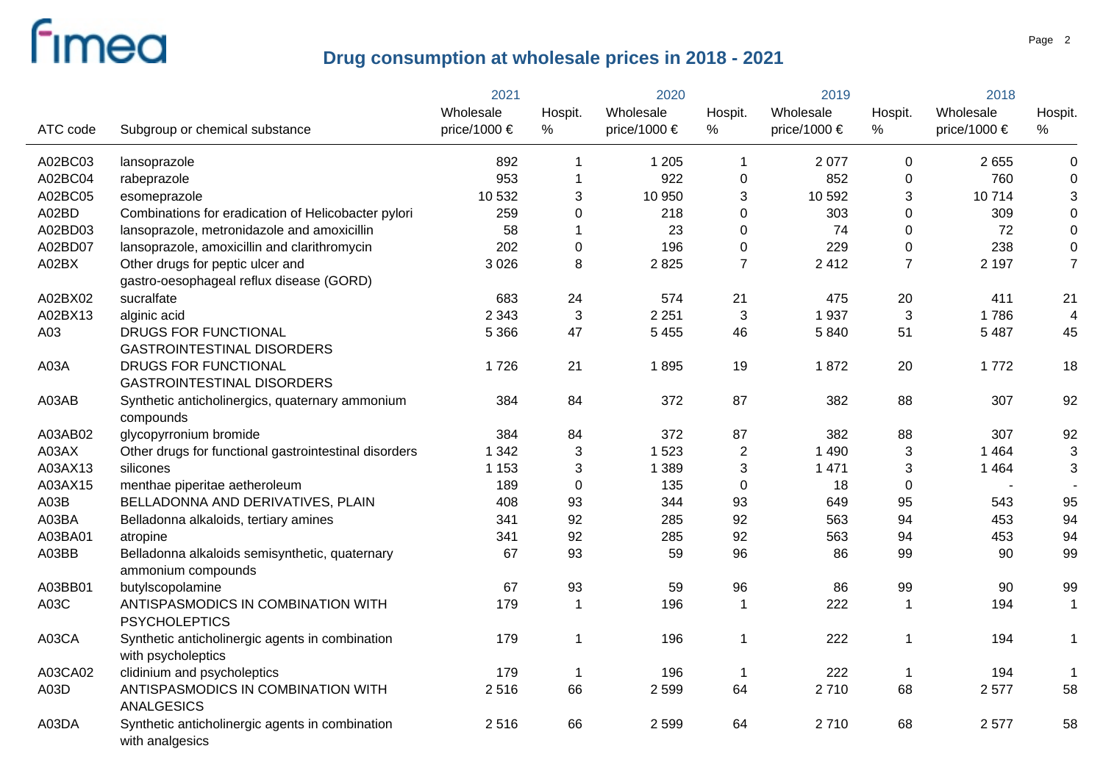|          |                                                                    | 2021         |                  | 2020             |                | 2019         |                  | 2018         |                  |  |
|----------|--------------------------------------------------------------------|--------------|------------------|------------------|----------------|--------------|------------------|--------------|------------------|--|
|          |                                                                    | Wholesale    | Hospit.          | Wholesale        | Hospit.        | Wholesale    | Hospit.          | Wholesale    | Hospit.          |  |
| ATC code | Subgroup or chemical substance                                     | price/1000 € | $\%$             | price/1000 $\in$ | %              | price/1000 € | %                | price/1000 € | $\%$             |  |
| A02BC03  | lansoprazole                                                       | 892          | 1                | 1 2 0 5          | 1              | 2 0 7 7      | $\mathbf 0$      | 2 6 5 5      | $\pmb{0}$        |  |
| A02BC04  | rabeprazole                                                        | 953          | 1                | 922              | 0              | 852          | $\mathbf 0$      | 760          | $\pmb{0}$        |  |
| A02BC05  | esomeprazole                                                       | 10 532       | 3                | 10 950           | 3              | 10 592       | $\mathbf{3}$     | 10714        | 3                |  |
| A02BD    | Combinations for eradication of Helicobacter pylori                | 259          | $\boldsymbol{0}$ | 218              | 0              | 303          | $\boldsymbol{0}$ | 309          | $\boldsymbol{0}$ |  |
| A02BD03  | lansoprazole, metronidazole and amoxicillin                        | 58           |                  | 23               | 0              | 74           | $\pmb{0}$        | 72           | $\boldsymbol{0}$ |  |
| A02BD07  | lansoprazole, amoxicillin and clarithromycin                       | 202          | $\boldsymbol{0}$ | 196              | 0              | 229          | $\boldsymbol{0}$ | 238          | $\boldsymbol{0}$ |  |
| A02BX    | Other drugs for peptic ulcer and                                   | 3 0 2 6      | 8                | 2825             | $\overline{7}$ | 2 4 1 2      | $\overline{7}$   | 2 1 9 7      | $\overline{7}$   |  |
|          | gastro-oesophageal reflux disease (GORD)                           |              |                  |                  |                |              |                  |              |                  |  |
| A02BX02  | sucralfate                                                         | 683          | 24               | 574              | 21             | 475          | 20               | 411          | 21               |  |
| A02BX13  | alginic acid                                                       | 2 3 4 3      | 3                | 2 2 5 1          | 3              | 1937         | $\sqrt{3}$       | 1786         | $\overline{4}$   |  |
| A03      | DRUGS FOR FUNCTIONAL                                               | 5 3 6 6      | 47               | 5 4 5 5          | 46             | 5840         | 51               | 5 4 8 7      | 45               |  |
|          | <b>GASTROINTESTINAL DISORDERS</b>                                  |              |                  |                  |                |              |                  |              |                  |  |
| A03A     | DRUGS FOR FUNCTIONAL                                               | 1726         | 21               | 1895             | 19             | 1872         | 20               | 1772         | 18               |  |
|          | <b>GASTROINTESTINAL DISORDERS</b>                                  |              |                  |                  |                |              |                  |              |                  |  |
| A03AB    | Synthetic anticholinergics, quaternary ammonium                    | 384          | 84               | 372              | 87             | 382          | 88               | 307          | 92               |  |
|          | compounds                                                          |              |                  |                  |                |              |                  |              |                  |  |
| A03AB02  | glycopyrronium bromide                                             | 384          | 84               | 372              | 87             | 382          | 88               | 307          | 92               |  |
| A03AX    | Other drugs for functional gastrointestinal disorders              | 1 3 4 2      | 3                | 1523             | $\mathbf{2}$   | 1 4 9 0      | 3                | 1 4 6 4      | 3                |  |
| A03AX13  | silicones                                                          | 1 1 5 3      | 3                | 1 3 8 9          | $\mathbf{3}$   | 1 4 7 1      | $\sqrt{3}$       | 1 4 6 4      | 3                |  |
| A03AX15  | menthae piperitae aetheroleum                                      | 189          | $\boldsymbol{0}$ | 135              | $\pmb{0}$      | 18           | $\pmb{0}$        |              |                  |  |
| A03B     | BELLADONNA AND DERIVATIVES, PLAIN                                  | 408          | 93               | 344              | 93             | 649          | 95               | 543          | 95               |  |
| A03BA    | Belladonna alkaloids, tertiary amines                              | 341          | 92               | 285              | 92             | 563          | 94               | 453          | 94               |  |
| A03BA01  | atropine                                                           | 341          | 92               | 285              | 92             | 563          | 94               | 453          | 94               |  |
| A03BB    | Belladonna alkaloids semisynthetic, quaternary                     | 67           | 93               | 59               | 96             | 86           | 99               | 90           | 99               |  |
|          | ammonium compounds                                                 |              |                  |                  |                |              |                  |              |                  |  |
| A03BB01  | butylscopolamine                                                   | 67           | 93               | 59               | 96             | 86           | 99               | 90           | 99               |  |
| A03C     | ANTISPASMODICS IN COMBINATION WITH                                 | 179          | $\mathbf 1$      | 196              | $\mathbf 1$    | 222          | $\overline{1}$   | 194          | $\mathbf{1}$     |  |
|          | <b>PSYCHOLEPTICS</b>                                               |              |                  |                  |                |              |                  |              |                  |  |
| A03CA    | Synthetic anticholinergic agents in combination                    | 179          | $\mathbf{1}$     | 196              | 1              | 222          | $\overline{1}$   | 194          | $\mathbf 1$      |  |
|          | with psycholeptics                                                 |              |                  |                  |                |              |                  |              |                  |  |
| A03CA02  | clidinium and psycholeptics                                        | 179          | 1                | 196              | $\overline{1}$ | 222          | $\overline{1}$   | 194          | $\mathbf 1$      |  |
| A03D     | ANTISPASMODICS IN COMBINATION WITH                                 | 2516         | 66               | 2 5 9 9          | 64             | 2710         | 68               | 2577         | 58               |  |
|          | <b>ANALGESICS</b>                                                  |              |                  |                  |                |              |                  |              |                  |  |
| A03DA    | Synthetic anticholinergic agents in combination<br>with analgesics | 2516         | 66               | 2599             | 64             | 2710         | 68               | 2577         | 58               |  |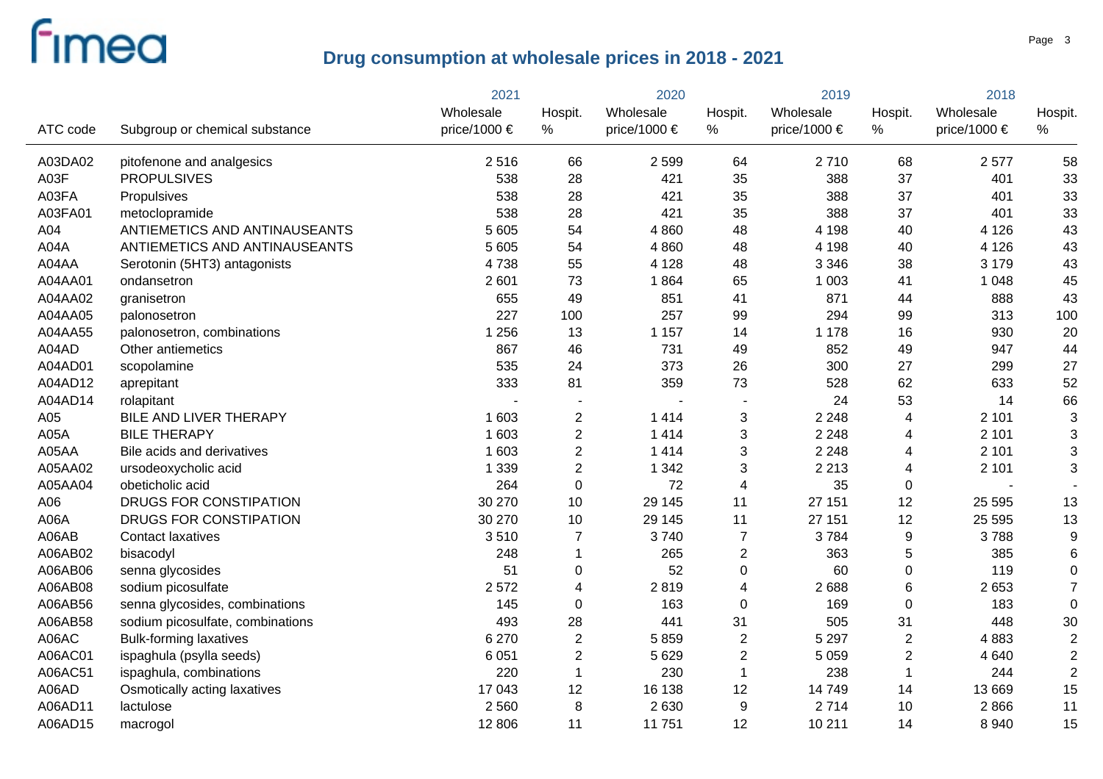|          |                                  | 2021         | 2020           |              | 2019                    |                  | 2018           |              |                |
|----------|----------------------------------|--------------|----------------|--------------|-------------------------|------------------|----------------|--------------|----------------|
|          |                                  | Wholesale    | Hospit.        | Wholesale    | Hospit.                 | Wholesale        | Hospit.        | Wholesale    | Hospit.        |
| ATC code | Subgroup or chemical substance   | price/1000 € | $\%$           | price/1000 € | %                       | price/1000 $\in$ | $\%$           | price/1000 € | $\%$           |
| A03DA02  | pitofenone and analgesics        | 2516         | 66             | 2 5 9 9      | 64                      | 2710             | 68             | 2577         | 58             |
| A03F     | <b>PROPULSIVES</b>               | 538          | 28             | 421          | 35                      | 388              | 37             | 401          | 33             |
| A03FA    | Propulsives                      | 538          | 28             | 421          | 35                      | 388              | 37             | 401          | 33             |
| A03FA01  | metoclopramide                   | 538          | 28             | 421          | 35                      | 388              | 37             | 401          | 33             |
| A04      | ANTIEMETICS AND ANTINAUSEANTS    | 5 605        | 54             | 4 8 6 0      | 48                      | 4 1 9 8          | 40             | 4 1 2 6      | 43             |
| A04A     | ANTIEMETICS AND ANTINAUSEANTS    | 5 6 0 5      | 54             | 4 8 6 0      | 48                      | 4 1 9 8          | 40             | 4 1 2 6      | 43             |
| A04AA    | Serotonin (5HT3) antagonists     | 4738         | 55             | 4 1 2 8      | 48                      | 3 3 4 6          | 38             | 3 1 7 9      | 43             |
| A04AA01  | ondansetron                      | 2 601        | 73             | 1864         | 65                      | 1 0 0 3          | 41             | 1 0 4 8      | 45             |
| A04AA02  | granisetron                      | 655          | 49             | 851          | 41                      | 871              | 44             | 888          | 43             |
| A04AA05  | palonosetron                     | 227          | 100            | 257          | 99                      | 294              | 99             | 313          | 100            |
| A04AA55  | palonosetron, combinations       | 1 2 5 6      | 13             | 1 1 5 7      | 14                      | 1 1 7 8          | 16             | 930          | 20             |
| A04AD    | Other antiemetics                | 867          | 46             | 731          | 49                      | 852              | 49             | 947          | 44             |
| A04AD01  | scopolamine                      | 535          | 24             | 373          | 26                      | 300              | 27             | 299          | 27             |
| A04AD12  | aprepitant                       | 333          | 81             | 359          | 73                      | 528              | 62             | 633          | 52             |
| A04AD14  | rolapitant                       |              |                |              | $\blacksquare$          | 24               | 53             | 14           | 66             |
| A05      | BILE AND LIVER THERAPY           | 1 603        | $\overline{c}$ | 1414         | 3                       | 2 2 4 8          | 4              | 2 1 0 1      | 3              |
| A05A     | <b>BILE THERAPY</b>              | 1 603        | $\overline{2}$ | 1414         | 3                       | 2 2 4 8          | 4              | 2 1 0 1      | 3              |
| A05AA    | Bile acids and derivatives       | 1 603        | $\overline{2}$ | 1414         | 3                       | 2 2 4 8          | 4              | 2 1 0 1      | 3              |
| A05AA02  | ursodeoxycholic acid             | 1 3 3 9      | $\overline{2}$ | 1 3 4 2      | 3                       | 2 2 1 3          | 4              | 2 1 0 1      | 3              |
| A05AA04  | obeticholic acid                 | 264          | $\mathbf 0$    | 72           | 4                       | 35               | $\mathbf 0$    |              |                |
| A06      | DRUGS FOR CONSTIPATION           | 30 270       | 10             | 29 145       | 11                      | 27 151           | 12             | 25 5 95      | 13             |
| A06A     | DRUGS FOR CONSTIPATION           | 30 270       | 10             | 29 145       | 11                      | 27 151           | 12             | 25 5 95      | 13             |
| A06AB    | <b>Contact laxatives</b>         | 3510         | 7              | 3740         | $\overline{7}$          | 3784             | 9              | 3788         | 9              |
| A06AB02  | bisacodyl                        | 248          | 1              | 265          | $\overline{2}$          | 363              | 5              | 385          | 6              |
| A06AB06  | senna glycosides                 | 51           | 0              | 52           | 0                       | 60               | 0              | 119          | 0              |
| A06AB08  | sodium picosulfate               | 2572         | 4              | 2819         | $\overline{\mathbf{4}}$ | 2688             | 6              | 2653         | $\overline{7}$ |
| A06AB56  | senna glycosides, combinations   | 145          | $\mathbf 0$    | 163          | $\mathbf 0$             | 169              | $\mathbf 0$    | 183          | $\overline{0}$ |
| A06AB58  | sodium picosulfate, combinations | 493          | 28             | 441          | 31                      | 505              | 31             | 448          | 30             |
| A06AC    | <b>Bulk-forming laxatives</b>    | 6 2 7 0      | $\overline{2}$ | 5859         | $\overline{2}$          | 5 2 9 7          | $\overline{2}$ | 4883         | $\overline{2}$ |
| A06AC01  | ispaghula (psylla seeds)         | 6 0 5 1      | $\overline{c}$ | 5 6 2 9      | $\overline{c}$          | 5 0 5 9          | $\sqrt{2}$     | 4 6 4 0      | $\overline{c}$ |
| A06AC51  | ispaghula, combinations          | 220          | $\mathbf{1}$   | 230          | $\mathbf{1}$            | 238              | $\overline{1}$ | 244          | $\overline{2}$ |
| A06AD    | Osmotically acting laxatives     | 17 043       | 12             | 16 138       | 12                      | 14 749           | 14             | 13 6 69      | 15             |
| A06AD11  | lactulose                        | 2 5 6 0      | 8              | 2630         | 9                       | 2714             | 10             | 2866         | 11             |
| A06AD15  | macrogol                         | 12 806       | 11             | 11751        | 12                      | 10 211           | 14             | 8 9 4 0      | 15             |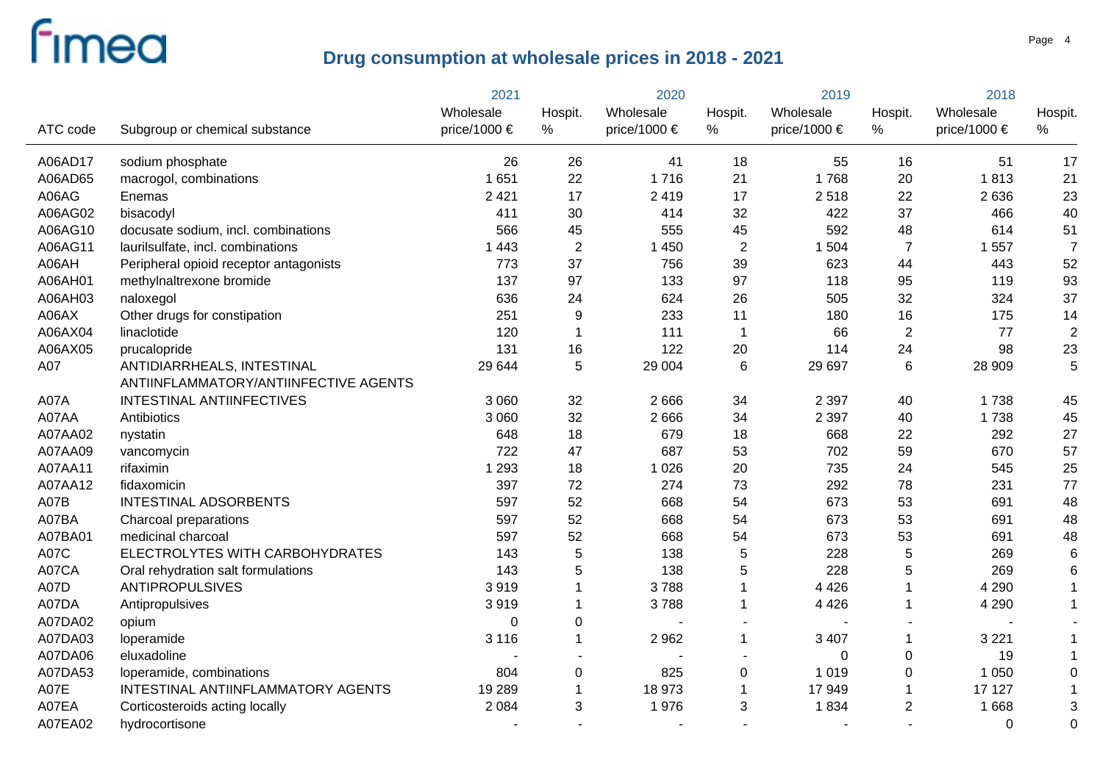|          |                                                                     | 2021         | 2020           |              | 2019           |              | 2018             |              |                 |
|----------|---------------------------------------------------------------------|--------------|----------------|--------------|----------------|--------------|------------------|--------------|-----------------|
|          |                                                                     | Wholesale    | Hospit.        | Wholesale    | Hospit.        | Wholesale    | Hospit.          | Wholesale    | Hospit.         |
| ATC code | Subgroup or chemical substance                                      | price/1000 € | %              | price/1000 € | %              | price/1000 € | %                | price/1000 € | %               |
| A06AD17  | sodium phosphate                                                    | 26           | 26             | 41           | 18             | 55           | 16               | 51           | 17              |
| A06AD65  | macrogol, combinations                                              | 1651         | 22             | 1716         | 21             | 1768         | 20               | 1813         | 21              |
| A06AG    | Enemas                                                              | 2 4 2 1      | 17             | 2 4 1 9      | 17             | 2518         | 22               | 2 6 3 6      | 23              |
| A06AG02  | bisacodyl                                                           | 411          | 30             | 414          | 32             | 422          | 37               | 466          | 40              |
| A06AG10  | docusate sodium, incl. combinations                                 | 566          | 45             | 555          | 45             | 592          | 48               | 614          | 51              |
| A06AG11  | laurilsulfate, incl. combinations                                   | 1 4 4 3      | $\overline{2}$ | 1 4 5 0      | $\overline{2}$ | 1 504        | $\overline{7}$   | 1557         | $\overline{7}$  |
| A06AH    | Peripheral opioid receptor antagonists                              | 773          | 37             | 756          | 39             | 623          | 44               | 443          | 52              |
| A06AH01  | methylnaltrexone bromide                                            | 137          | 97             | 133          | 97             | 118          | 95               | 119          | 93              |
| A06AH03  | naloxegol                                                           | 636          | 24             | 624          | 26             | 505          | 32               | 324          | 37              |
| A06AX    | Other drugs for constipation                                        | 251          | $9\,$          | 233          | 11             | 180          | 16               | 175          | 14              |
| A06AX04  | linaclotide                                                         | 120          |                | 111          | 1              | 66           | $\boldsymbol{2}$ | 77           | $\overline{2}$  |
| A06AX05  | prucalopride                                                        | 131          | 16             | 122          | 20             | 114          | 24               | 98           | 23              |
| A07      | ANTIDIARRHEALS, INTESTINAL<br>ANTIINFLAMMATORY/ANTIINFECTIVE AGENTS | 29 644       | 5              | 29 004       | 6              | 29 697       | 6                | 28 909       | 5               |
| A07A     | INTESTINAL ANTIINFECTIVES                                           | 3 0 6 0      | 32             | 2666         | 34             | 2 3 9 7      | 40               | 1738         | 45              |
| A07AA    | Antibiotics                                                         | 3 0 6 0      | 32             | 2666         | 34             | 2 3 9 7      | 40               | 1738         | 45              |
| A07AA02  | nystatin                                                            | 648          | 18             | 679          | 18             | 668          | 22               | 292          | 27              |
| A07AA09  | vancomycin                                                          | 722          | 47             | 687          | 53             | 702          | 59               | 670          | 57              |
| A07AA11  | rifaximin                                                           | 1 2 9 3      | 18             | 1 0 2 6      | 20             | 735          | 24               | 545          | 25              |
| A07AA12  | fidaxomicin                                                         | 397          | 72             | 274          | 73             | 292          | 78               | 231          | 77              |
| A07B     | <b>INTESTINAL ADSORBENTS</b>                                        | 597          | 52             | 668          | 54             | 673          | 53               | 691          | 48              |
| A07BA    | Charcoal preparations                                               | 597          | 52             | 668          | 54             | 673          | 53               | 691          | 48              |
| A07BA01  | medicinal charcoal                                                  | 597          | 52             | 668          | 54             | 673          | 53               | 691          | 48              |
| A07C     | ELECTROLYTES WITH CARBOHYDRATES                                     | 143          | 5              | 138          | 5              | 228          | 5                | 269          | $6\phantom{1}6$ |
| A07CA    | Oral rehydration salt formulations                                  | 143          | 5              | 138          | 5              | 228          | 5                | 269          | 6               |
| A07D     | <b>ANTIPROPULSIVES</b>                                              | 3919         |                | 3788         | 1              | 4 4 2 6      | 1                | 4 2 9 0      |                 |
| A07DA    | Antipropulsives                                                     | 3919         |                | 3788         | 1              | 4 4 2 6      | 1                | 4 2 9 0      |                 |
| A07DA02  | opium                                                               | $\mathbf{0}$ | $\Omega$       |              |                |              |                  |              |                 |
| A07DA03  | loperamide                                                          | 3 1 1 6      |                | 2962         | $\mathbf{1}$   | 3 4 0 7      | $\mathbf 1$      | 3 2 2 1      |                 |
| A07DA06  | eluxadoline                                                         |              |                |              |                | $\mathbf 0$  | $\mathbf 0$      | 19           |                 |
| A07DA53  | loperamide, combinations                                            | 804          | 0              | 825          | 0              | 1 0 1 9      | 0                | 1 0 5 0      | 0               |
| A07E     | INTESTINAL ANTIINFLAMMATORY AGENTS                                  | 19 289       |                | 18 973       | $\mathbf 1$    | 17949        | -1               | 17 127       |                 |
| A07EA    | Corticosteroids acting locally                                      | 2 0 8 4      | 3              | 1976         | 3              | 1834         | $\overline{2}$   | 1 6 6 8      | 3               |
| A07EA02  | hydrocortisone                                                      |              |                |              |                |              |                  | $\Omega$     | $\overline{0}$  |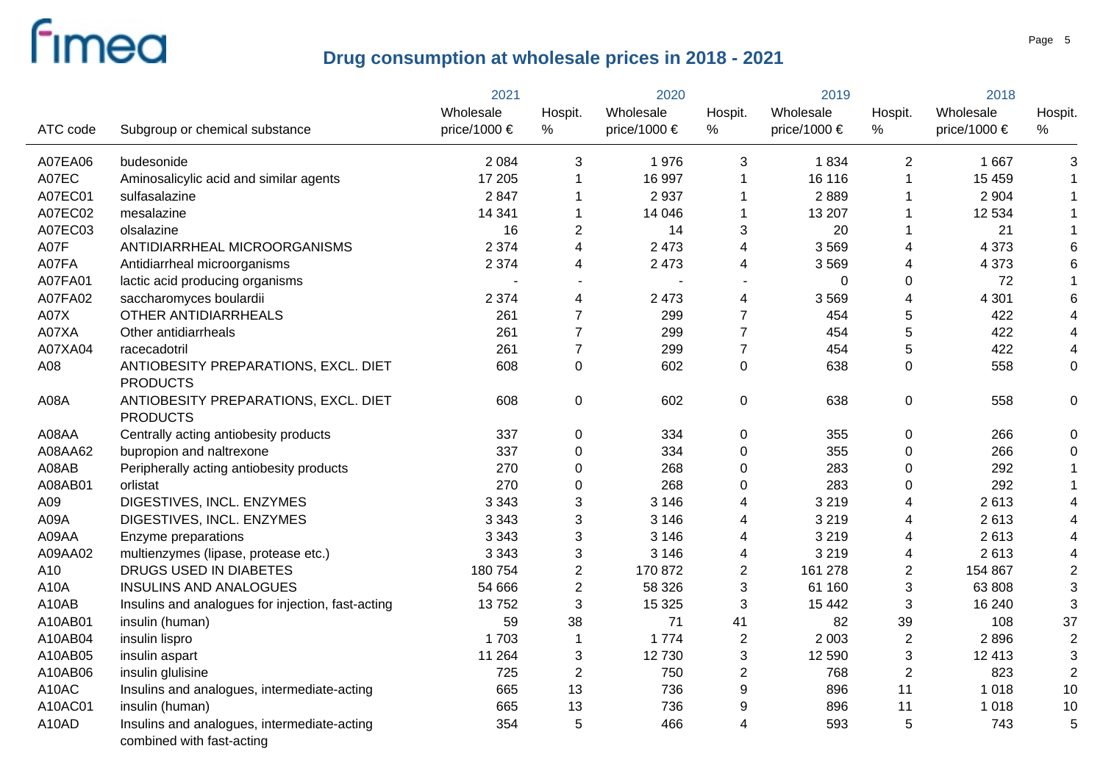|          |                                                                          | 2021         |                | 2020         |                | 2019             |                         | 2018         |                         |
|----------|--------------------------------------------------------------------------|--------------|----------------|--------------|----------------|------------------|-------------------------|--------------|-------------------------|
|          |                                                                          | Wholesale    | Hospit.        | Wholesale    | Hospit.        | Wholesale        | Hospit.                 | Wholesale    | Hospit.                 |
| ATC code | Subgroup or chemical substance                                           | price/1000 € | $\%$           | price/1000 € | $\%$           | price/1000 $\in$ | $\%$                    | price/1000 € | $\%$                    |
| A07EA06  | budesonide                                                               | 2 0 8 4      | 3              | 1976         | 3              | 1834             | 2                       | 1 6 6 7      | 3                       |
| A07EC    | Aminosalicylic acid and similar agents                                   | 17 205       |                | 16 997       | $\mathbf 1$    | 16 116           | $\mathbf 1$             | 15 4 5 9     |                         |
| A07EC01  | sulfasalazine                                                            | 2847         |                | 2937         | 1              | 2889             | -1                      | 2 9 0 4      |                         |
| A07EC02  | mesalazine                                                               | 14 341       |                | 14 04 6      | $\mathbf 1$    | 13 207           | -1                      | 12 5 34      |                         |
| A07EC03  | olsalazine                                                               | 16           | 2              | 14           | 3              | 20               | 1                       | 21           |                         |
| A07F     | ANTIDIARRHEAL MICROORGANISMS                                             | 2 3 7 4      | 4              | 2 4 7 3      | 4              | 3569             | $\overline{\mathbf{4}}$ | 4 3 7 3      | 6                       |
| A07FA    | Antidiarrheal microorganisms                                             | 2 3 7 4      | 4              | 2 4 7 3      | 4              | 3569             | 4                       | 4 3 7 3      | 6                       |
| A07FA01  | lactic acid producing organisms                                          |              |                |              |                | $\mathbf 0$      | 0                       | 72           | $\mathbf{1}$            |
| A07FA02  | saccharomyces boulardii                                                  | 2 3 7 4      | 4              | 2 4 7 3      | 4              | 3569             | 4                       | 4 3 0 1      | 6                       |
| A07X     | OTHER ANTIDIARRHEALS                                                     | 261          | $\overline{7}$ | 299          | $\overline{7}$ | 454              | 5                       | 422          | $\overline{\mathbf{4}}$ |
| A07XA    | Other antidiarrheals                                                     | 261          | $\overline{7}$ | 299          | $\overline{7}$ | 454              | 5                       | 422          | $\overline{\mathbf{4}}$ |
| A07XA04  | racecadotril                                                             | 261          | $\overline{7}$ | 299          | $\overline{7}$ | 454              | 5                       | 422          | 4                       |
| A08      | ANTIOBESITY PREPARATIONS, EXCL. DIET<br><b>PRODUCTS</b>                  | 608          | 0              | 602          | 0              | 638              | $\mathbf 0$             | 558          | $\pmb{0}$               |
| A08A     | ANTIOBESITY PREPARATIONS, EXCL. DIET<br><b>PRODUCTS</b>                  | 608          | 0              | 602          | 0              | 638              | $\mathbf 0$             | 558          | 0                       |
| A08AA    | Centrally acting antiobesity products                                    | 337          | 0              | 334          | 0              | 355              | 0                       | 266          | 0                       |
| A08AA62  | bupropion and naltrexone                                                 | 337          | 0              | 334          | 0              | 355              | $\boldsymbol{0}$        | 266          | $\mathbf 0$             |
| A08AB    | Peripherally acting antiobesity products                                 | 270          | 0              | 268          | 0              | 283              | $\pmb{0}$               | 292          |                         |
| A08AB01  | orlistat                                                                 | 270          | 0              | 268          | 0              | 283              | $\pmb{0}$               | 292          |                         |
| A09      | DIGESTIVES, INCL. ENZYMES                                                | 3 3 4 3      | 3              | 3 1 4 6      | 4              | 3 2 1 9          | 4                       | 2613         | $\overline{4}$          |
| A09A     | DIGESTIVES, INCL. ENZYMES                                                | 3 3 4 3      | 3              | 3 1 4 6      | 4              | 3 2 1 9          | 4                       | 2613         | 4                       |
| A09AA    | Enzyme preparations                                                      | 3 3 4 3      | 3              | 3 1 4 6      | 4              | 3 2 1 9          | 4                       | 2613         | $\overline{4}$          |
| A09AA02  | multienzymes (lipase, protease etc.)                                     | 3 3 4 3      | 3              | 3 1 4 6      | 4              | 3 2 1 9          | 4                       | 2613         | 4                       |
| A10      | DRUGS USED IN DIABETES                                                   | 180 754      | $\overline{2}$ | 170 872      | $\overline{2}$ | 161 278          | $\overline{2}$          | 154 867      | $\overline{2}$          |
| A10A     | <b>INSULINS AND ANALOGUES</b>                                            | 54 666       | $\overline{2}$ | 58 326       | 3              | 61 160           | 3                       | 63 808       | 3                       |
| A10AB    | Insulins and analogues for injection, fast-acting                        | 13752        | 3              | 15 3 25      | 3              | 15 4 42          | 3                       | 16 240       | 3                       |
| A10AB01  | insulin (human)                                                          | 59           | 38             | 71           | 41             | 82               | 39                      | 108          | 37                      |
| A10AB04  | insulin lispro                                                           | 1703         | 1              | 1774         | $\overline{c}$ | 2 0 0 3          | $\sqrt{2}$              | 2896         | $\mathbf 2$             |
| A10AB05  | insulin aspart                                                           | 11 264       | 3              | 12730        | 3              | 12 590           | 3                       | 12 413       | 3                       |
| A10AB06  | insulin glulisine                                                        | 725          | $\overline{2}$ | 750          | $\overline{c}$ | 768              | $\overline{2}$          | 823          | $\overline{2}$          |
| A10AC    | Insulins and analogues, intermediate-acting                              | 665          | 13             | 736          | 9              | 896              | 11                      | 1 0 1 8      | 10                      |
| A10AC01  | insulin (human)                                                          | 665          | 13             | 736          | 9              | 896              | 11                      | 1 0 1 8      | 10                      |
| A10AD    | Insulins and analogues, intermediate-acting<br>combined with fast-acting | 354          | 5              | 466          | 4              | 593              | 5                       | 743          | 5                       |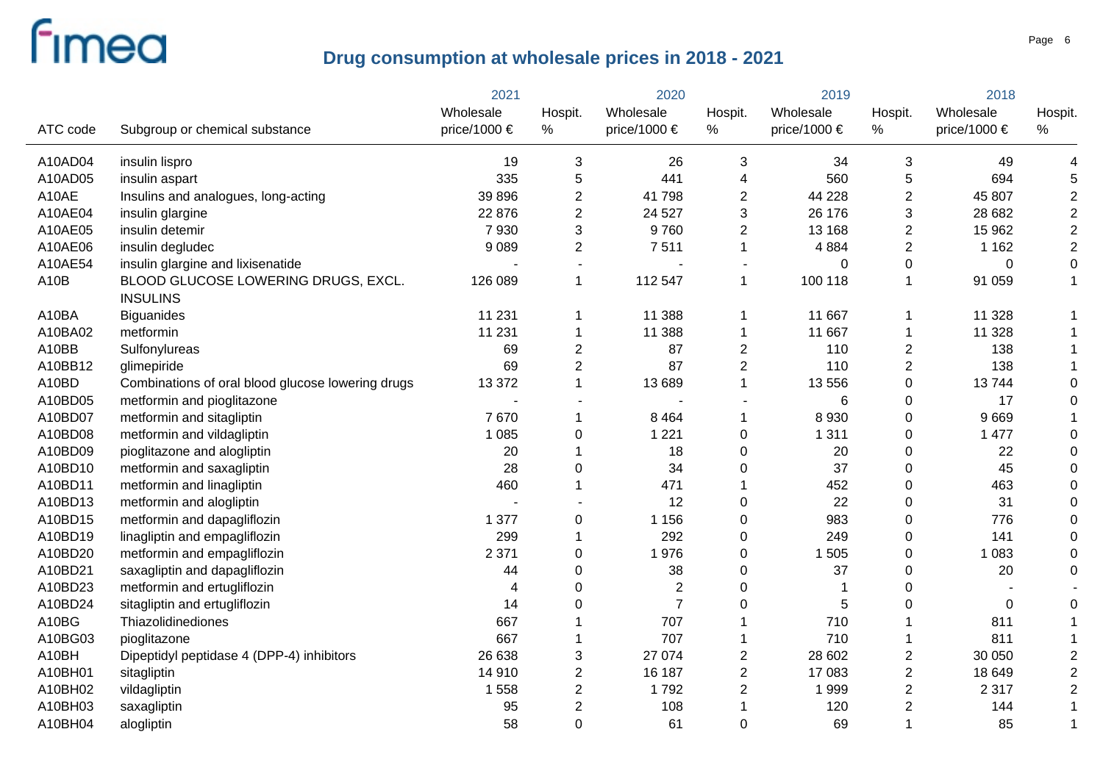|                   |                                                        | 2021         |                | 2020             |                         | 2019         |                           | 2018         |                  |
|-------------------|--------------------------------------------------------|--------------|----------------|------------------|-------------------------|--------------|---------------------------|--------------|------------------|
|                   |                                                        | Wholesale    | Hospit.        | Wholesale        | Hospit.                 | Wholesale    | Hospit.                   | Wholesale    | Hospit.          |
| ATC code          | Subgroup or chemical substance                         | price/1000 € | $\%$           | price/1000 $\in$ | %                       | price/1000 € | $\%$                      | price/1000 € | $\%$             |
| A10AD04           | insulin lispro                                         | 19           | 3              | 26               | 3                       | 34           | 3                         | 49           | 4                |
| A10AD05           | insulin aspart                                         | 335          | 5              | 441              | 4                       | 560          | $\sqrt{5}$                | 694          | 5                |
| A10AE             | Insulins and analogues, long-acting                    | 39 896       | $\overline{2}$ | 41798            | $\overline{2}$          | 44 228       | $\overline{2}$            | 45 807       | $\overline{2}$   |
| A10AE04           | insulin glargine                                       | 22 876       | $\overline{2}$ | 24 5 27          | 3                       | 26 176       | $\ensuremath{\mathsf{3}}$ | 28 682       | $\mathbf 2$      |
| A10AE05           | insulin detemir                                        | 7930         | 3              | 9760             | $\overline{2}$          | 13 168       | $\sqrt{2}$                | 15 962       | $\mathbf 2$      |
| A10AE06           | insulin degludec                                       | 9 0 8 9      | $\overline{2}$ | 7511             | $\mathbf 1$             | 4 8 8 4      | $\overline{2}$            | 1 1 6 2      | $\mathbf 2$      |
| A10AE54           | insulin glargine and lixisenatide                      |              | $\sim$         |                  |                         | $\Omega$     | 0                         | 0            | $\boldsymbol{0}$ |
| A <sub>10</sub> B | BLOOD GLUCOSE LOWERING DRUGS, EXCL.<br><b>INSULINS</b> | 126 089      | $\mathbf{1}$   | 112 547          | $\mathbf 1$             | 100 118      | $\mathbf{1}$              | 91 059       | $\mathbf{1}$     |
| A10BA             | <b>Biguanides</b>                                      | 11 231       | 1              | 11 388           | 1                       | 11 667       | -1                        | 11 328       |                  |
| A10BA02           | metformin                                              | 11 231       | 1              | 11 388           | 1                       | 11 667       | $\mathbf 1$               | 11 328       |                  |
| A10BB             | Sulfonylureas                                          | 69           | $\overline{2}$ | 87               | $\overline{2}$          | 110          | $\overline{2}$            | 138          | 1                |
| A10BB12           | glimepiride                                            | 69           | $\overline{2}$ | 87               | $\overline{2}$          | 110          | $\overline{2}$            | 138          |                  |
| A10BD             | Combinations of oral blood glucose lowering drugs      | 13 372       | 1              | 13 6 89          | $\mathbf{1}$            | 13 556       | $\mathbf 0$               | 13744        | $\overline{0}$   |
| A10BD05           | metformin and pioglitazone                             |              | $\blacksquare$ |                  |                         | 6            | $\mathbf 0$               | 17           | 0                |
| A10BD07           | metformin and sitagliptin                              | 7670         | 1              | 8 4 6 4          | 1                       | 8 9 3 0      | $\mathbf 0$               | 9669         |                  |
| A10BD08           | metformin and vildagliptin                             | 1 0 8 5      | 0              | 1 2 2 1          | 0                       | 1 3 1 1      | $\mathbf 0$               | 1 477        | 0                |
| A10BD09           | pioglitazone and alogliptin                            | 20           |                | 18               | 0                       | 20           | $\mathbf 0$               | 22           | 0                |
| A10BD10           | metformin and saxagliptin                              | 28           | 0              | 34               | 0                       | 37           | $\mathbf 0$               | 45           | $\Omega$         |
| A10BD11           | metformin and linagliptin                              | 460          | 1              | 471              | 1                       | 452          | $\boldsymbol{0}$          | 463          | 0                |
| A10BD13           | metformin and alogliptin                               |              |                | 12               | 0                       | 22           | $\boldsymbol{0}$          | 31           | 0                |
| A10BD15           | metformin and dapagliflozin                            | 1 377        | 0              | 1 1 5 6          | 0                       | 983          | $\mathbf 0$               | 776          | 0                |
| A10BD19           | linagliptin and empagliflozin                          | 299          | 1              | 292              | 0                       | 249          | $\mathsf 0$               | 141          | $\Omega$         |
| A10BD20           | metformin and empagliflozin                            | 2 3 7 1      | 0              | 1976             | 0                       | 1 505        | $\mathsf 0$               | 1 0 8 3      | 0                |
| A10BD21           | saxagliptin and dapagliflozin                          | 44           | 0              | 38               | 0                       | 37           | $\boldsymbol{0}$          | 20           | $\Omega$         |
| A10BD23           | metformin and ertugliflozin                            | 4            | 0              | $\mathbf{2}$     | $\mathbf 0$             | $\mathbf 1$  | $\boldsymbol{0}$          |              |                  |
| A10BD24           | sitagliptin and ertugliflozin                          | 14           | 0              | $\overline{7}$   | 0                       | 5            | $\boldsymbol{0}$          | $\mathbf 0$  | 0                |
| A10BG             | Thiazolidinediones                                     | 667          |                | 707              |                         | 710          |                           | 811          |                  |
| A10BG03           | pioglitazone                                           | 667          |                | 707              |                         | 710          |                           | 811          |                  |
| A10BH             | Dipeptidyl peptidase 4 (DPP-4) inhibitors              | 26 638       | 3              | 27 074           | $\overline{2}$          | 28 602       | $\overline{c}$            | 30 050       | $\overline{2}$   |
| A10BH01           | sitagliptin                                            | 14 910       | $\overline{c}$ | 16 187           | $\overline{2}$          | 17 083       | $\sqrt{2}$                | 18 649       | 2                |
| A10BH02           | vildagliptin                                           | 1 5 5 8      | 2              | 1792             | $\overline{\mathbf{c}}$ | 1999         | $\sqrt{2}$                | 2 3 1 7      | $\overline{2}$   |
| A10BH03           | saxagliptin                                            | 95           | $\overline{2}$ | 108              |                         | 120          | $\overline{c}$            | 144          |                  |
| A10BH04           | alogliptin                                             | 58           | 0              | 61               | 0                       | 69           | $\overline{1}$            | 85           |                  |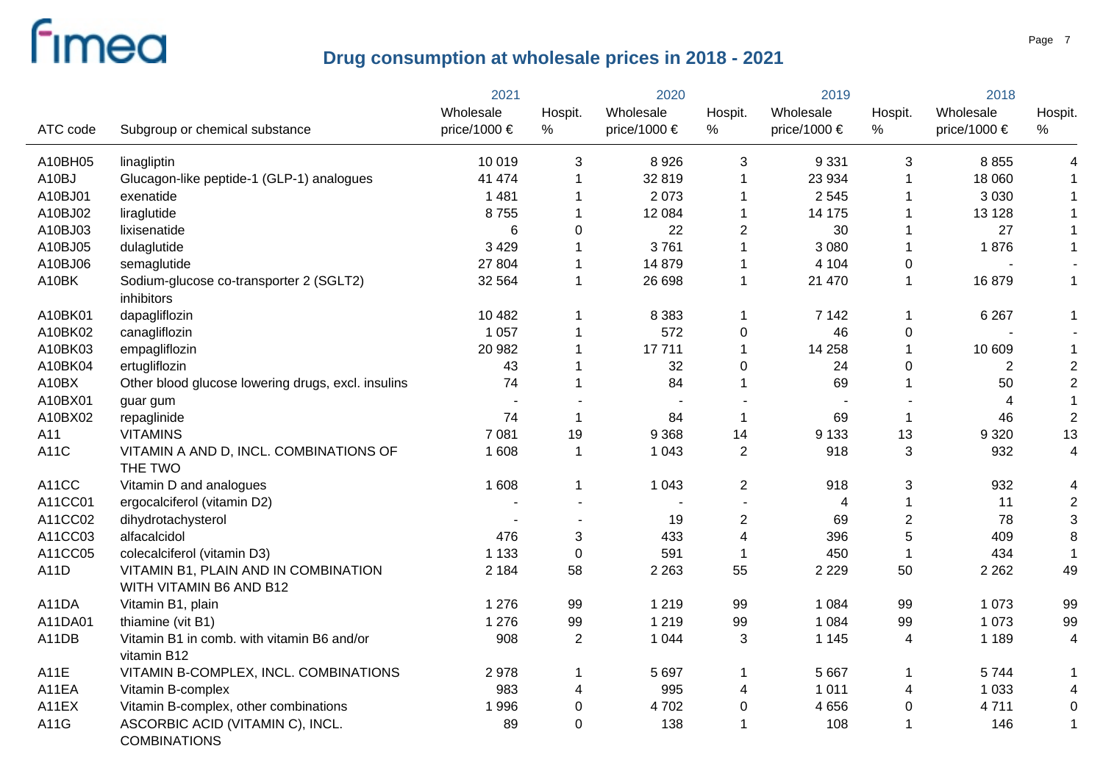|          |                                                                 | 2021             |                      | 2020         |                         | 2019             |                | 2018           |                |
|----------|-----------------------------------------------------------------|------------------|----------------------|--------------|-------------------------|------------------|----------------|----------------|----------------|
|          |                                                                 | Wholesale        | Hospit.              | Wholesale    | Hospit.                 | Wholesale        | Hospit.        | Wholesale      | Hospit.        |
| ATC code | Subgroup or chemical substance                                  | price/1000 $\in$ | $\%$                 | price/1000 € | $\%$                    | price/1000 $\in$ | $\%$           | price/1000 €   | %              |
| A10BH05  | linagliptin                                                     | 10 019           | 3                    | 8926         | 3                       | 9 3 3 1          | $\mathbf{3}$   | 8 8 5 5        |                |
| A10BJ    | Glucagon-like peptide-1 (GLP-1) analogues                       | 41 474           |                      | 32 819       | 1                       | 23 934           | $\mathbf{1}$   | 18 060         |                |
| A10BJ01  | exenatide                                                       | 1 4 8 1          |                      | 2073         | 1                       | 2 5 4 5          | 1              | 3 0 3 0        |                |
| A10BJ02  | liraglutide                                                     | 8755             |                      | 12 0 84      | 1                       | 14 175           |                | 13 1 28        |                |
| A10BJ03  | lixisenatide                                                    | 6                | 0                    | 22           | $\overline{2}$          | 30               | 1              | 27             |                |
| A10BJ05  | dulaglutide                                                     | 3 4 2 9          |                      | 3761         | 1                       | 3 0 8 0          | $\overline{1}$ | 1876           |                |
| A10BJ06  | semaglutide                                                     | 27 804           |                      | 14 879       | 1                       | 4 104            | $\pmb{0}$      |                |                |
| A10BK    | Sodium-glucose co-transporter 2 (SGLT2)<br>inhibitors           | 32 564           | $\mathbf 1$          | 26 698       | $\mathbf{1}$            | 21 470           | $\mathbf{1}$   | 16879          | $\mathbf{1}$   |
| A10BK01  | dapagliflozin                                                   | 10 482           |                      | 8 3 8 3      | 1                       | 7 1 4 2          | $\mathbf 1$    | 6 2 6 7        | 1              |
| A10BK02  | canagliflozin                                                   | 1 0 5 7          |                      | 572          | 0                       | 46               | $\pmb{0}$      |                |                |
| A10BK03  | empagliflozin                                                   | 20 982           |                      | 17711        | 1                       | 14 258           | $\overline{1}$ | 10 609         | $\mathbf 1$    |
| A10BK04  | ertugliflozin                                                   | 43               |                      | 32           | 0                       | 24               | 0              | $\overline{2}$ | $\overline{c}$ |
| A10BX    | Other blood glucose lowering drugs, excl. insulins              | 74               |                      | 84           | 1                       | 69               | $\overline{1}$ | 50             | $\overline{c}$ |
| A10BX01  | guar gum                                                        |                  |                      |              |                         |                  |                |                | $\mathbf{1}$   |
| A10BX02  | repaglinide                                                     | 74               | 1                    | 84           | $\mathbf 1$             | 69               | $\overline{1}$ | 46             | $\overline{2}$ |
| A11      | <b>VITAMINS</b>                                                 | 7 0 8 1          | 19                   | 9 3 6 8      | 14                      | 9 1 3 3          | 13             | 9 3 2 0        | 13             |
| A11C     | VITAMIN A AND D, INCL. COMBINATIONS OF<br>THE TWO               | 1 608            | $\blacktriangleleft$ | 1 0 4 3      | $\overline{2}$          | 918              | 3              | 932            | 4              |
| A11CC    | Vitamin D and analogues                                         | 1 608            | 1                    | 1 0 4 3      | $\overline{c}$          | 918              | $\sqrt{3}$     | 932            |                |
| A11CC01  | ergocalciferol (vitamin D2)                                     |                  |                      |              |                         | $\overline{4}$   | $\mathbf{1}$   | 11             | $\overline{c}$ |
| A11CC02  | dihydrotachysterol                                              |                  |                      | 19           | $\overline{c}$          | 69               | $\sqrt{2}$     | 78             | 3              |
| A11CC03  | alfacalcidol                                                    | 476              | 3                    | 433          | $\overline{\mathbf{4}}$ | 396              | 5              | 409            | 8              |
| A11CC05  | colecalciferol (vitamin D3)                                     | 1 1 3 3          | $\mathbf{0}$         | 591          | $\mathbf 1$             | 450              | $\overline{1}$ | 434            | 1              |
| A11D     | VITAMIN B1, PLAIN AND IN COMBINATION<br>WITH VITAMIN B6 AND B12 | 2 1 8 4          | 58                   | 2 2 6 3      | 55                      | 2 2 2 9          | 50             | 2 2 6 2        | 49             |
| A11DA    | Vitamin B1, plain                                               | 1 2 7 6          | 99                   | 1 2 1 9      | 99                      | 1 0 8 4          | 99             | 1 0 7 3        | 99             |
| A11DA01  | thiamine (vit B1)                                               | 1 2 7 6          | 99                   | 1 2 1 9      | 99                      | 1 0 8 4          | 99             | 1 0 7 3        | 99             |
| A11DB    | Vitamin B1 in comb. with vitamin B6 and/or<br>vitamin B12       | 908              | $\overline{2}$       | 1 0 4 4      | 3                       | 1 1 4 5          | 4              | 1 1 8 9        | 4              |
| A11E     | VITAMIN B-COMPLEX, INCL. COMBINATIONS                           | 2978             |                      | 5 6 9 7      | 1                       | 5 6 6 7          | $\mathbf{1}$   | 5744           | $\mathbf 1$    |
| A11EA    | Vitamin B-complex                                               | 983              | 4                    | 995          | 4                       | 1 0 1 1          | 4              | 1 0 3 3        | 4              |
| A11EX    | Vitamin B-complex, other combinations                           | 1996             | 0                    | 4702         | 0                       | 4 6 5 6          | $\mathbf 0$    | 4711           | 0              |
| A11G     | ASCORBIC ACID (VITAMIN C), INCL.<br><b>COMBINATIONS</b>         | 89               | $\mathbf 0$          | 138          | 1                       | 108              | $\overline{1}$ | 146            |                |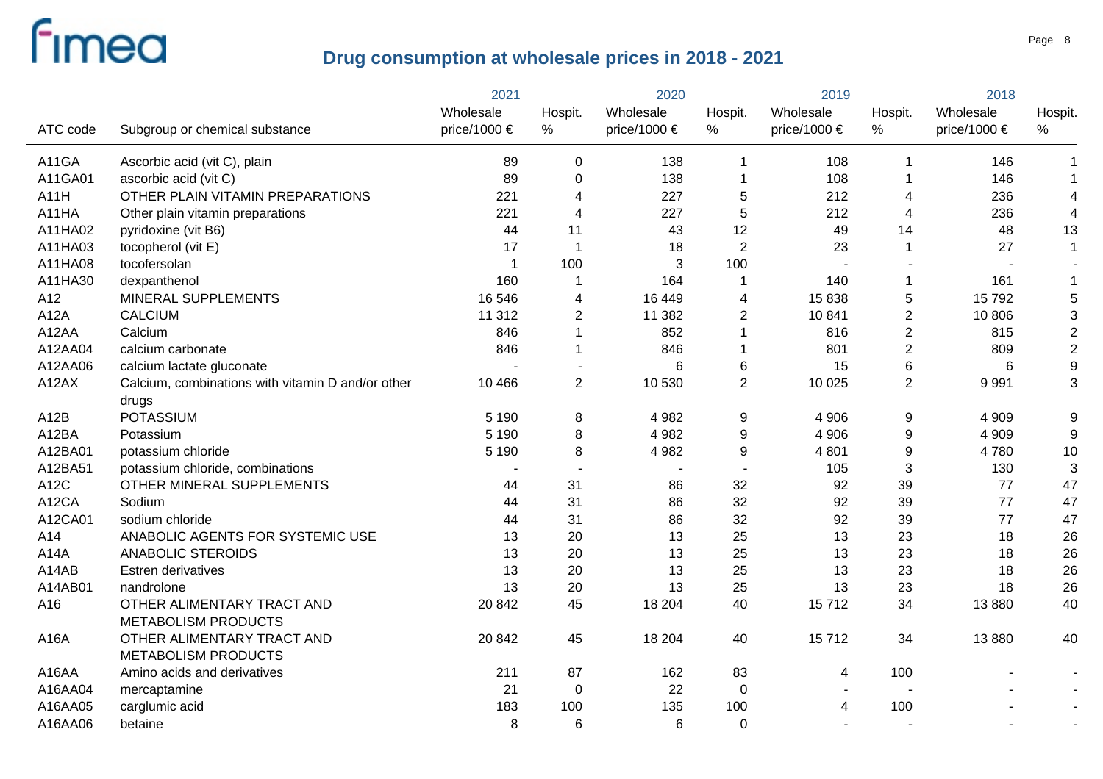|                   |                                                   | 2021                    |                | 2020                  |                | 2019           |                | 2018         |                         |
|-------------------|---------------------------------------------------|-------------------------|----------------|-----------------------|----------------|----------------|----------------|--------------|-------------------------|
|                   |                                                   | Wholesale               | Hospit.        | Wholesale             | Hospit.        | Wholesale      | Hospit.        | Wholesale    | Hospit.                 |
| ATC code          | Subgroup or chemical substance                    | price/1000 €            | %              | price/1000 $\epsilon$ | %              | price/1000 €   | %              | price/1000 € | $\%$                    |
| A11GA             | Ascorbic acid (vit C), plain                      | 89                      | 0              | 138                   | 1              | 108            | -1             | 146          | $\mathbf 1$             |
| A11GA01           | ascorbic acid (vit C)                             | 89                      | 0              | 138                   | -1             | 108            | -1             | 146          | $\mathbf{1}$            |
| A11H              | OTHER PLAIN VITAMIN PREPARATIONS                  | 221                     | 4              | 227                   | 5              | 212            | 4              | 236          | $\overline{\mathbf{4}}$ |
| A11HA             | Other plain vitamin preparations                  | 221                     | 4              | 227                   | 5              | 212            | 4              | 236          | $\overline{\mathbf{4}}$ |
| A11HA02           | pyridoxine (vit B6)                               | 44                      | 11             | 43                    | 12             | 49             | 14             | 48           | 13                      |
| A11HA03           | tocopherol (vit E)                                | 17                      | 1              | 18                    | $\overline{2}$ | 23             | $\overline{1}$ | 27           | $\mathbf{1}$            |
| A11HA08           | tocofersolan                                      | $\overline{\mathbf{1}}$ | 100            | 3                     | 100            |                |                |              |                         |
| A11HA30           | dexpanthenol                                      | 160                     | 1              | 164                   | -1             | 140            | $\mathbf 1$    | 161          | $\mathbf 1$             |
| A12               | MINERAL SUPPLEMENTS                               | 16 546                  | 4              | 16 449                | 4              | 15 838         | $\sqrt{5}$     | 15792        | $\mathbf 5$             |
| A12A              | <b>CALCIUM</b>                                    | 11 312                  | $\overline{2}$ | 11 3 8 2              | $\overline{2}$ | 10 841         | $\sqrt{2}$     | 10 806       | 3                       |
| A12AA             | Calcium                                           | 846                     | 1              | 852                   |                | 816            | $\overline{2}$ | 815          | $\overline{2}$          |
| A12AA04           | calcium carbonate                                 | 846                     |                | 846                   |                | 801            | $\overline{2}$ | 809          | $\mathbf 2$             |
| A12AA06           | calcium lactate gluconate                         |                         | $\blacksquare$ | 6                     | 6              | 15             | $\,6\,$        |              | $\boldsymbol{9}$        |
| A12AX             | Calcium, combinations with vitamin D and/or other | 10 4 66                 | $\overline{2}$ | 10 530                | $\overline{2}$ | 10 0 25        | $\overline{2}$ | 9991         | 3                       |
|                   | drugs                                             |                         |                |                       |                |                |                |              |                         |
| A <sub>12</sub> B | <b>POTASSIUM</b>                                  | 5 1 9 0                 | 8              | 4 9 8 2               | 9              | 4 9 0 6        | 9              | 4 9 0 9      | 9                       |
| A12BA             | Potassium                                         | 5 1 9 0                 | 8              | 4 9 8 2               | 9              | 4 9 0 6        | 9              | 4 9 0 9      | $\boldsymbol{9}$        |
| A12BA01           | potassium chloride                                | 5 1 9 0                 | 8              | 4 9 8 2               | 9              | 4 8 0 1        | 9              | 4780         | 10                      |
| A12BA51           | potassium chloride, combinations                  |                         |                |                       |                | 105            | $\sqrt{3}$     | 130          | 3                       |
| A12C              | OTHER MINERAL SUPPLEMENTS                         | 44                      | 31             | 86                    | 32             | 92             | 39             | 77           | 47                      |
| A12CA             | Sodium                                            | 44                      | 31             | 86                    | 32             | 92             | 39             | 77           | 47                      |
| A12CA01           | sodium chloride                                   | 44                      | 31             | 86                    | 32             | 92             | 39             | 77           | 47                      |
| A14               | ANABOLIC AGENTS FOR SYSTEMIC USE                  | 13                      | 20             | 13                    | 25             | 13             | 23             | 18           | 26                      |
| A14A              | ANABOLIC STEROIDS                                 | 13                      | 20             | 13                    | 25             | 13             | 23             | 18           | 26                      |
| A14AB             | <b>Estren derivatives</b>                         | 13                      | 20             | 13                    | 25             | 13             | 23             | 18           | 26                      |
| A14AB01           | nandrolone                                        | 13                      | 20             | 13                    | 25             | 13             | 23             | 18           | 26                      |
| A16               | OTHER ALIMENTARY TRACT AND                        | 20 842                  | 45             | 18 204                | 40             | 15712          | 34             | 13880        | 40                      |
|                   | <b>METABOLISM PRODUCTS</b>                        |                         |                |                       |                |                |                |              |                         |
| A16A              | OTHER ALIMENTARY TRACT AND                        | 20 842                  | 45             | 18 204                | 40             | 15712          | 34             | 13880        | 40                      |
|                   | <b>METABOLISM PRODUCTS</b>                        |                         |                |                       |                |                |                |              |                         |
| A16AA             | Amino acids and derivatives                       | 211                     | 87             | 162                   | 83             | 4              | 100            |              |                         |
| A16AA04           | mercaptamine                                      | 21                      | $\pmb{0}$      | 22                    | 0              |                |                |              |                         |
| A16AA05           | carglumic acid                                    | 183                     | 100            | 135                   | 100            | $\overline{4}$ | 100            |              |                         |
| A16AA06           | betaine                                           | 8                       | 6              | 6                     | $\Omega$       |                |                |              |                         |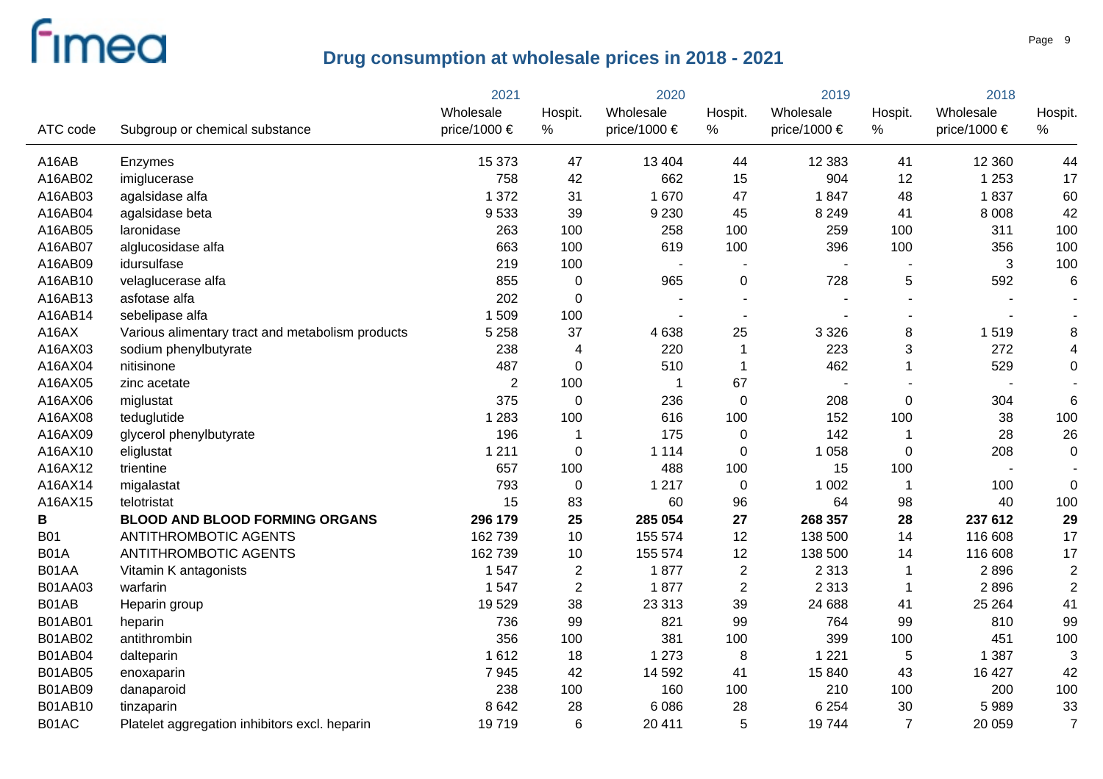|                |                                                  | 2021           | 2020           |                          | 2019                     |              | 2018           |              |                          |
|----------------|--------------------------------------------------|----------------|----------------|--------------------------|--------------------------|--------------|----------------|--------------|--------------------------|
|                |                                                  | Wholesale      | Hospit.        | Wholesale                | Hospit.                  | Wholesale    | Hospit.        | Wholesale    | Hospit.                  |
| ATC code       | Subgroup or chemical substance                   | price/1000 €   | %              | price/1000 €             | $\%$                     | price/1000 € | $\%$           | price/1000 € | %                        |
| A16AB          | Enzymes                                          | 15 373         | 47             | 13 4 04                  | 44                       | 12 3 8 3     | 41             | 12 3 60      | 44                       |
| A16AB02        | imiglucerase                                     | 758            | 42             | 662                      | 15                       | 904          | 12             | 1 2 5 3      | 17                       |
| A16AB03        | agalsidase alfa                                  | 1 3 7 2        | 31             | 1670                     | 47                       | 1847         | 48             | 1837         | 60                       |
| A16AB04        | agalsidase beta                                  | 9533           | 39             | 9 2 3 0                  | 45                       | 8 2 4 9      | 41             | 8 0 0 8      | 42                       |
| A16AB05        | laronidase                                       | 263            | 100            | 258                      | 100                      | 259          | 100            | 311          | 100                      |
| A16AB07        | alglucosidase alfa                               | 663            | 100            | 619                      | 100                      | 396          | 100            | 356          | 100                      |
| A16AB09        | idursulfase                                      | 219            | 100            | $\overline{\phantom{a}}$ |                          |              |                | 3            | 100                      |
| A16AB10        | velaglucerase alfa                               | 855            | $\mathbf 0$    | 965                      | 0                        | 728          | 5              | 592          | $6\phantom{1}6$          |
| A16AB13        | asfotase alfa                                    | 202            | $\mathbf 0$    |                          |                          |              |                |              |                          |
| A16AB14        | sebelipase alfa                                  | 1509           | 100            |                          | $\overline{\phantom{a}}$ |              |                |              | $\overline{\phantom{a}}$ |
| A16AX          | Various alimentary tract and metabolism products | 5 2 5 8        | 37             | 4 6 3 8                  | 25                       | 3 3 2 6      | 8              | 1519         | 8                        |
| A16AX03        | sodium phenylbutyrate                            | 238            | 4              | 220                      | $\mathbf 1$              | 223          | 3              | 272          | 4                        |
| A16AX04        | nitisinone                                       | 487            | $\mathbf 0$    | 510                      | $\mathbf 1$              | 462          | $\overline{1}$ | 529          | $\mathbf 0$              |
| A16AX05        | zinc acetate                                     | $\overline{2}$ | 100            | -1                       | 67                       |              |                |              |                          |
| A16AX06        | miglustat                                        | 375            | $\mathbf 0$    | 236                      | $\mathbf 0$              | 208          | $\mathbf 0$    | 304          | $6\phantom{1}6$          |
| A16AX08        | teduglutide                                      | 1 2 8 3        | 100            | 616                      | 100                      | 152          | 100            | 38           | 100                      |
| A16AX09        | glycerol phenylbutyrate                          | 196            | 1              | 175                      | 0                        | 142          | $\overline{1}$ | 28           | 26                       |
| A16AX10        | eliglustat                                       | 1 2 1 1        | 0              | 1 1 1 4                  | 0                        | 1 0 5 8      | $\mathbf 0$    | 208          | $\mathbf 0$              |
| A16AX12        | trientine                                        | 657            | 100            | 488                      | 100                      | 15           | 100            |              |                          |
| A16AX14        | migalastat                                       | 793            | $\mathbf 0$    | 1 2 1 7                  | 0                        | 1 0 0 2      | $\overline{1}$ | 100          | $\mathbf 0$              |
| A16AX15        | telotristat                                      | 15             | 83             | 60                       | 96                       | 64           | 98             | 40           | 100                      |
| В              | <b>BLOOD AND BLOOD FORMING ORGANS</b>            | 296 179        | 25             | 285 054                  | 27                       | 268 357      | 28             | 237 612      | 29                       |
| <b>B01</b>     | ANTITHROMBOTIC AGENTS                            | 162739         | 10             | 155 574                  | 12                       | 138 500      | 14             | 116 608      | 17                       |
| <b>B01A</b>    | <b>ANTITHROMBOTIC AGENTS</b>                     | 162 739        | 10             | 155 574                  | 12                       | 138 500      | 14             | 116 608      | 17                       |
| B01AA          | Vitamin K antagonists                            | 1 5 4 7        | $\overline{c}$ | 1877                     | $\overline{c}$           | 2 3 1 3      | $\mathbf 1$    | 2896         | $\overline{c}$           |
| B01AA03        | warfarin                                         | 1 5 4 7        | $\overline{2}$ | 1877                     | $\overline{2}$           | 2 3 1 3      | $\mathbf 1$    | 2896         | $\overline{2}$           |
| B01AB          | Heparin group                                    | 19529          | 38             | 23 313                   | 39                       | 24 688       | 41             | 25 264       | 41                       |
| B01AB01        | heparin                                          | 736            | 99             | 821                      | 99                       | 764          | 99             | 810          | 99                       |
| B01AB02        | antithrombin                                     | 356            | 100            | 381                      | 100                      | 399          | 100            | 451          | 100                      |
| <b>B01AB04</b> | dalteparin                                       | 1612           | 18             | 1 2 7 3                  | 8                        | 1 2 2 1      | $\sqrt{5}$     | 1 3 8 7      | 3                        |
| <b>B01AB05</b> | enoxaparin                                       | 7945           | 42             | 14 592                   | 41                       | 15 840       | 43             | 16 427       | 42                       |
| <b>B01AB09</b> | danaparoid                                       | 238            | 100            | 160                      | 100                      | 210          | 100            | 200          | 100                      |
| <b>B01AB10</b> | tinzaparin                                       | 8 6 4 2        | 28             | 6086                     | 28                       | 6 2 5 4      | 30             | 5989         | 33                       |
| B01AC          | Platelet aggregation inhibitors excl. heparin    | 19719          | 6              | 20 411                   | 5                        | 19744        | $\overline{7}$ | 20 059       | $\overline{7}$           |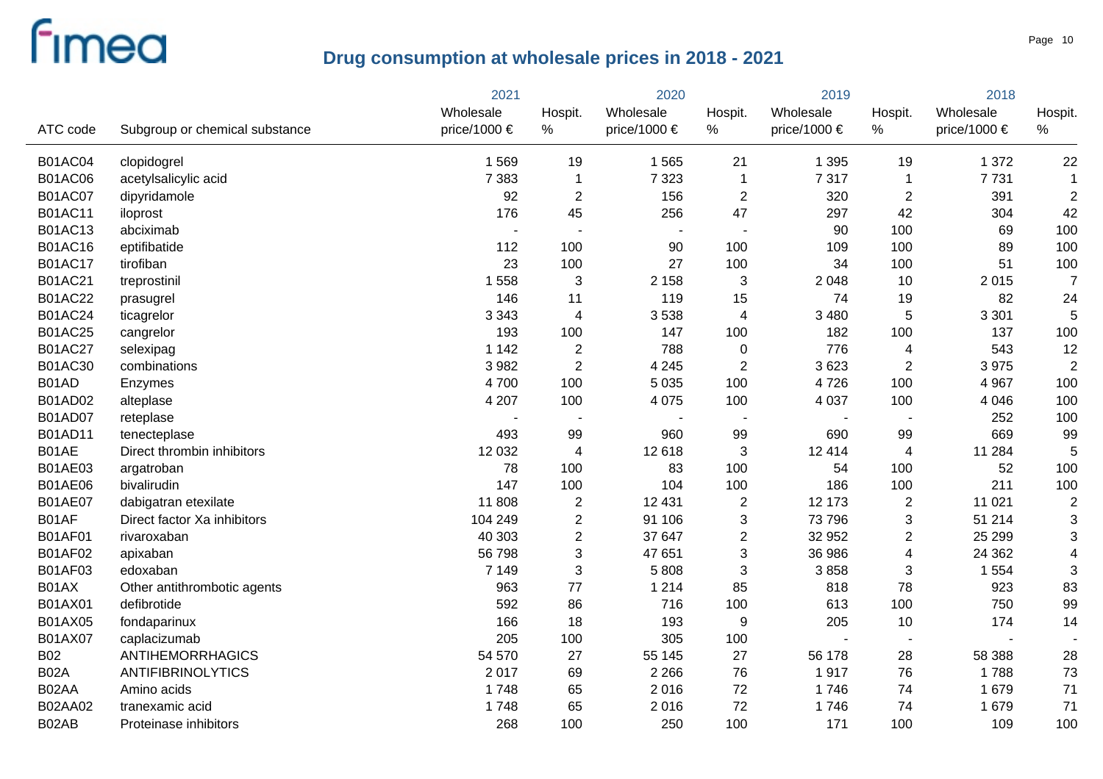|                |                                | 2021           |                          |                          |                          | 2019             |                           | 2018             |                         |
|----------------|--------------------------------|----------------|--------------------------|--------------------------|--------------------------|------------------|---------------------------|------------------|-------------------------|
|                |                                | Wholesale      | Hospit.                  | Wholesale                | Hospit.                  | Wholesale        | Hospit.                   | Wholesale        | Hospit.                 |
| ATC code       | Subgroup or chemical substance | price/1000 €   | $\%$                     | price/1000 €             | %                        | price/1000 $\in$ | %                         | price/1000 $\in$ | %                       |
| <b>B01AC04</b> | clopidogrel                    | 1 5 6 9        | 19                       | 1565                     | 21                       | 1 3 9 5          | 19                        | 1 3 7 2          | 22                      |
| <b>B01AC06</b> | acetylsalicylic acid           | 7 3 8 3        | $\mathbf 1$              | 7 3 2 3                  | $\mathbf{1}$             | 7 3 1 7          | $\overline{1}$            | 7731             | $\mathbf 1$             |
| <b>B01AC07</b> | dipyridamole                   | 92             | $\mathbf{2}$             | 156                      | $\overline{c}$           | 320              | $\overline{2}$            | 391              | $\overline{c}$          |
| <b>B01AC11</b> | iloprost                       | 176            | 45                       | 256                      | 47                       | 297              | 42                        | 304              | 42                      |
| <b>B01AC13</b> | abciximab                      | $\blacksquare$ |                          | $\overline{\phantom{a}}$ | $\overline{\phantom{a}}$ | 90               | 100                       | 69               | 100                     |
| <b>B01AC16</b> | eptifibatide                   | 112            | 100                      | 90                       | 100                      | 109              | 100                       | 89               | 100                     |
| <b>B01AC17</b> | tirofiban                      | 23             | 100                      | 27                       | 100                      | 34               | 100                       | 51               | 100                     |
| <b>B01AC21</b> | treprostinil                   | 1558           | 3                        | 2 1 5 8                  | 3                        | 2 0 4 8          | 10                        | 2015             | $\overline{7}$          |
| <b>B01AC22</b> | prasugrel                      | 146            | 11                       | 119                      | 15                       | 74               | 19                        | 82               | 24                      |
| <b>B01AC24</b> | ticagrelor                     | 3 3 4 3        | 4                        | 3538                     | 4                        | 3 4 8 0          | 5                         | 3 3 0 1          | 5                       |
| <b>B01AC25</b> | cangrelor                      | 193            | 100                      | 147                      | 100                      | 182              | 100                       | 137              | 100                     |
| <b>B01AC27</b> | selexipag                      | 1 1 4 2        | $\overline{\mathbf{c}}$  | 788                      | 0                        | 776              | 4                         | 543              | 12                      |
| B01AC30        | combinations                   | 3 9 8 2        | $\overline{2}$           | 4 2 4 5                  | $\overline{2}$           | 3623             | $\overline{2}$            | 3975             | $\overline{c}$          |
| B01AD          | Enzymes                        | 4700           | 100                      | 5 0 3 5                  | 100                      | 4726             | 100                       | 4 9 67           | 100                     |
| B01AD02        | alteplase                      | 4 207          | 100                      | 4 0 7 5                  | 100                      | 4 0 3 7          | 100                       | 4 0 4 6          | 100                     |
| B01AD07        | reteplase                      |                | $\overline{\phantom{a}}$ |                          | $\blacksquare$           |                  |                           | 252              | 100                     |
| B01AD11        | tenecteplase                   | 493            | 99                       | 960                      | 99                       | 690              | 99                        | 669              | 99                      |
| B01AE          | Direct thrombin inhibitors     | 12 0 32        | 4                        | 12 618                   | 3                        | 12 4 14          | 4                         | 11 284           | 5                       |
| <b>B01AE03</b> | argatroban                     | 78             | 100                      | 83                       | 100                      | 54               | 100                       | 52               | 100                     |
| <b>B01AE06</b> | bivalirudin                    | 147            | 100                      | 104                      | 100                      | 186              | 100                       | 211              | 100                     |
| <b>B01AE07</b> | dabigatran etexilate           | 11 808         | $\overline{2}$           | 12 4 31                  | $\overline{2}$           | 12 173           | $\overline{2}$            | 11 0 21          | $\overline{c}$          |
| B01AF          | Direct factor Xa inhibitors    | 104 249        | $\overline{c}$           | 91 106                   | 3                        | 73 796           | $\ensuremath{\mathsf{3}}$ | 51 214           | 3                       |
| <b>B01AF01</b> | rivaroxaban                    | 40 303         | $\overline{c}$           | 37 647                   | $\overline{c}$           | 32 952           | $\overline{c}$            | 25 299           | 3                       |
| <b>B01AF02</b> | apixaban                       | 56 798         | 3                        | 47 651                   | 3                        | 36 986           | $\overline{4}$            | 24 3 62          | $\overline{\mathbf{4}}$ |
| <b>B01AF03</b> | edoxaban                       | 7 1 4 9        | 3                        | 5808                     | 3                        | 3858             | 3                         | 1 5 5 4          | 3                       |
| B01AX          | Other antithrombotic agents    | 963            | 77                       | 1 2 1 4                  | 85                       | 818              | 78                        | 923              | 83                      |
| B01AX01        | defibrotide                    | 592            | 86                       | 716                      | 100                      | 613              | 100                       | 750              | 99                      |
| B01AX05        | fondaparinux                   | 166            | 18                       | 193                      | 9                        | 205              | 10                        | 174              | 14                      |
| B01AX07        | caplacizumab                   | 205            | 100                      | 305                      | 100                      |                  |                           |                  |                         |
| <b>B02</b>     | <b>ANTIHEMORRHAGICS</b>        | 54 570         | 27                       | 55 145                   | 27                       | 56 178           | 28                        | 58 388           | 28                      |
| <b>B02A</b>    | <b>ANTIFIBRINOLYTICS</b>       | 2017           | 69                       | 2 2 6 6                  | 76                       | 1917             | 76                        | 1788             | 73                      |
| B02AA          | Amino acids                    | 1748           | 65                       | 2016                     | 72                       | 1746             | 74                        | 1 679            | 71                      |
| B02AA02        | tranexamic acid                | 1748           | 65                       | 2016                     | 72                       | 1746             | 74                        | 1 679            | 71                      |
| B02AB          | Proteinase inhibitors          | 268            | 100                      | 250                      | 100                      | 171              | 100                       | 109              | 100                     |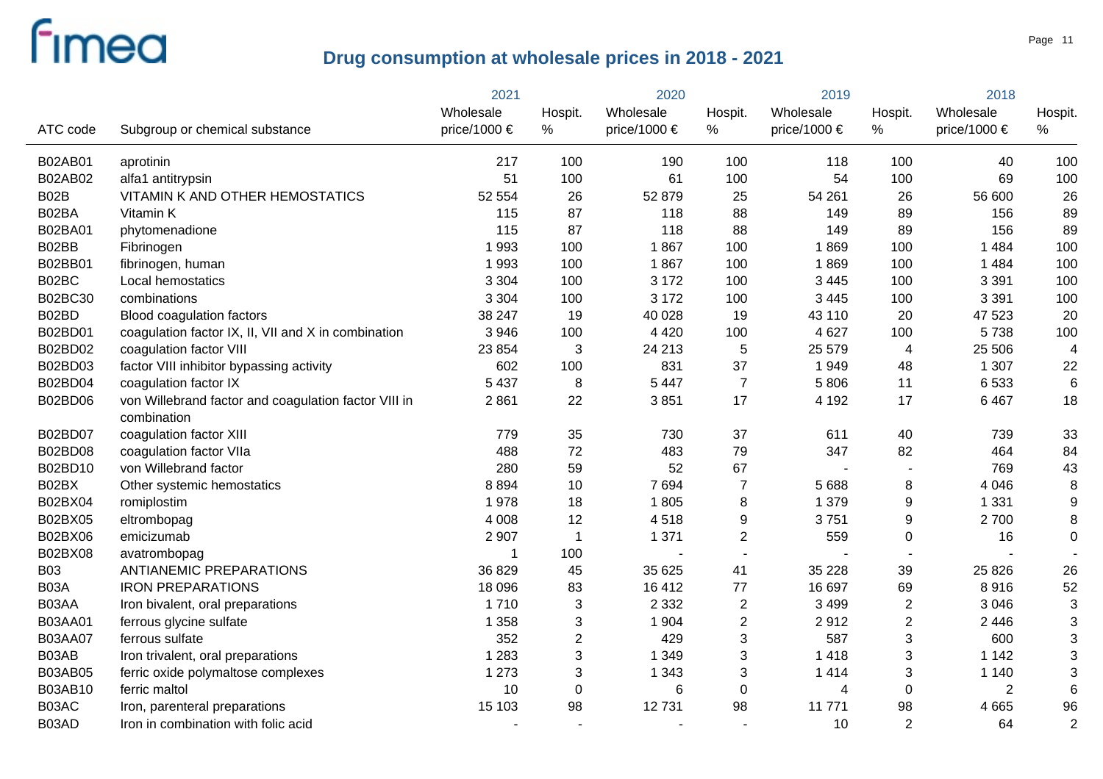|                |                                                                     | 2021         | 2020                      |                 | 2019           |              | 2018                      |                |                  |
|----------------|---------------------------------------------------------------------|--------------|---------------------------|-----------------|----------------|--------------|---------------------------|----------------|------------------|
|                |                                                                     | Wholesale    | Hospit.                   | Wholesale       | Hospit.        | Wholesale    | Hospit.                   | Wholesale      | Hospit.          |
| ATC code       | Subgroup or chemical substance                                      | price/1000 € | %                         | price/1000 €    | %              | price/1000 € | %                         | price/1000 €   | %                |
| B02AB01        | aprotinin                                                           | 217          | 100                       | 190             | 100            | 118          | 100                       | 40             | 100              |
| B02AB02        | alfa1 antitrypsin                                                   | 51           | 100                       | 61              | 100            | 54           | 100                       | 69             | 100              |
| B02B           | VITAMIN K AND OTHER HEMOSTATICS                                     | 52 554       | 26                        | 52 879          | 25             | 54 261       | 26                        | 56 600         | 26               |
| B02BA          | Vitamin K                                                           | 115          | 87                        | 118             | 88             | 149          | 89                        | 156            | 89               |
| B02BA01        | phytomenadione                                                      | 115          | 87                        | 118             | 88             | 149          | 89                        | 156            | 89               |
| B02BB          | Fibrinogen                                                          | 1993         | 100                       | 1867            | 100            | 1869         | 100                       | 1 4 8 4        | 100              |
| B02BB01        | fibrinogen, human                                                   | 1993         | 100                       | 1867            | 100            | 1869         | 100                       | 1 4 8 4        | 100              |
| B02BC          | Local hemostatics                                                   | 3 3 0 4      | 100                       | 3 1 7 2         | 100            | 3 4 4 5      | 100                       | 3 3 9 1        | 100              |
| B02BC30        | combinations                                                        | 3 3 0 4      | 100                       | 3 1 7 2         | 100            | 3 4 4 5      | 100                       | 3 3 9 1        | 100              |
| B02BD          | Blood coagulation factors                                           | 38 247       | 19                        | 40 0 28         | 19             | 43 110       | 20                        | 47 523         | 20               |
| B02BD01        | coagulation factor IX, II, VII and X in combination                 | 3 9 4 6      | 100                       | 4 4 2 0         | 100            | 4 6 27       | 100                       | 5738           | 100              |
| B02BD02        | coagulation factor VIII                                             | 23 8 54      | 3                         | 24 213          | 5              | 25 579       | $\overline{4}$            | 25 506         | 4                |
| B02BD03        | factor VIII inhibitor bypassing activity                            | 602          | 100                       | 831             | 37             | 1949         | 48                        | 1 307          | 22               |
| B02BD04        | coagulation factor IX                                               | 5 4 3 7      | 8                         | 5 4 4 7         | $\overline{7}$ | 5 8 0 6      | 11                        | 6533           | 6                |
| B02BD06        | von Willebrand factor and coagulation factor VIII in<br>combination | 2861         | 22                        | 3851            | 17             | 4 1 9 2      | 17                        | 6 4 6 7        | 18               |
| B02BD07        | coagulation factor XIII                                             | 779          | 35                        | 730             | 37             | 611          | 40                        | 739            | 33               |
| B02BD08        | coagulation factor VIIa                                             | 488          | 72                        | 483             | 79             | 347          | 82                        | 464            | 84               |
| B02BD10        | von Willebrand factor                                               | 280          | 59                        | 52              | 67             |              |                           | 769            | 43               |
| B02BX          | Other systemic hemostatics                                          | 8894         | 10                        | 7694            | $\overline{7}$ | 5 6 8 8      | 8                         | 4 0 4 6        | 8                |
| B02BX04        | romiplostim                                                         | 1978         | 18                        | 1805            | 8              | 1 379        | 9                         | 1 3 3 1        | $\boldsymbol{9}$ |
| B02BX05        | eltrombopag                                                         | 4 0 0 8      | 12                        | 4518            | 9              | 3751         | $9\,$                     | 2700           | 8                |
| B02BX06        | emicizumab                                                          | 2 9 0 7      | 1                         | 1 3 7 1         | $\overline{c}$ | 559          | $\mathbf 0$               | 16             | $\mathbf 0$      |
| B02BX08        | avatrombopag                                                        | -1           | 100                       |                 | $\sim$         |              |                           |                |                  |
| <b>B03</b>     | <b>ANTIANEMIC PREPARATIONS</b>                                      | 36 829       | 45                        | 35 625          | 41             | 35 2 28      | 39                        | 25 8 26        | 26               |
| B03A           | <b>IRON PREPARATIONS</b>                                            | 18 0 96      | 83                        | 16 4 12         | 77             | 16 697       | 69                        | 8916           | 52               |
| B03AA          | Iron bivalent, oral preparations                                    | 1710         | 3                         | 2 3 3 2         | $\mathbf{2}$   | 3 4 9 9      | $\overline{2}$            | 3 0 4 6        | 3                |
| B03AA01        | ferrous glycine sulfate                                             | 1 3 5 8      | $\ensuremath{\mathsf{3}}$ | 1 9 0 4         | $\overline{2}$ | 2912         | $\overline{2}$            | 2 4 4 6        | 3                |
| <b>B03AA07</b> | ferrous sulfate                                                     | 352          | $\overline{2}$            | 429             | $\mathbf{3}$   | 587          | $\ensuremath{\mathsf{3}}$ | 600            | 3                |
| B03AB          | Iron trivalent, oral preparations                                   | 1 2 8 3      | $\ensuremath{\mathsf{3}}$ | 1 3 4 9         | $\mathbf{3}$   | 1 4 1 8      | $\ensuremath{\mathsf{3}}$ | 1 1 4 2        | 3                |
| <b>B03AB05</b> | ferric oxide polymaltose complexes                                  | 1 2 7 3      | 3                         | 1 3 4 3         | $\sqrt{3}$     | 1 4 1 4      | $\ensuremath{\mathsf{3}}$ | 1 1 4 0        | 3                |
| B03AB10        | ferric maltol                                                       | 10           | $\pmb{0}$                 | $6\phantom{1}6$ | 0              | 4            | $\boldsymbol{0}$          | $\overline{2}$ | 6                |
| B03AC          | Iron, parenteral preparations                                       | 15 103       | 98                        | 12731           | 98             | 11 771       | 98                        | 4 6 6 5        | 96               |
| B03AD          | Iron in combination with folic acid                                 |              |                           |                 |                | 10           | $\overline{2}$            | 64             | $\overline{2}$   |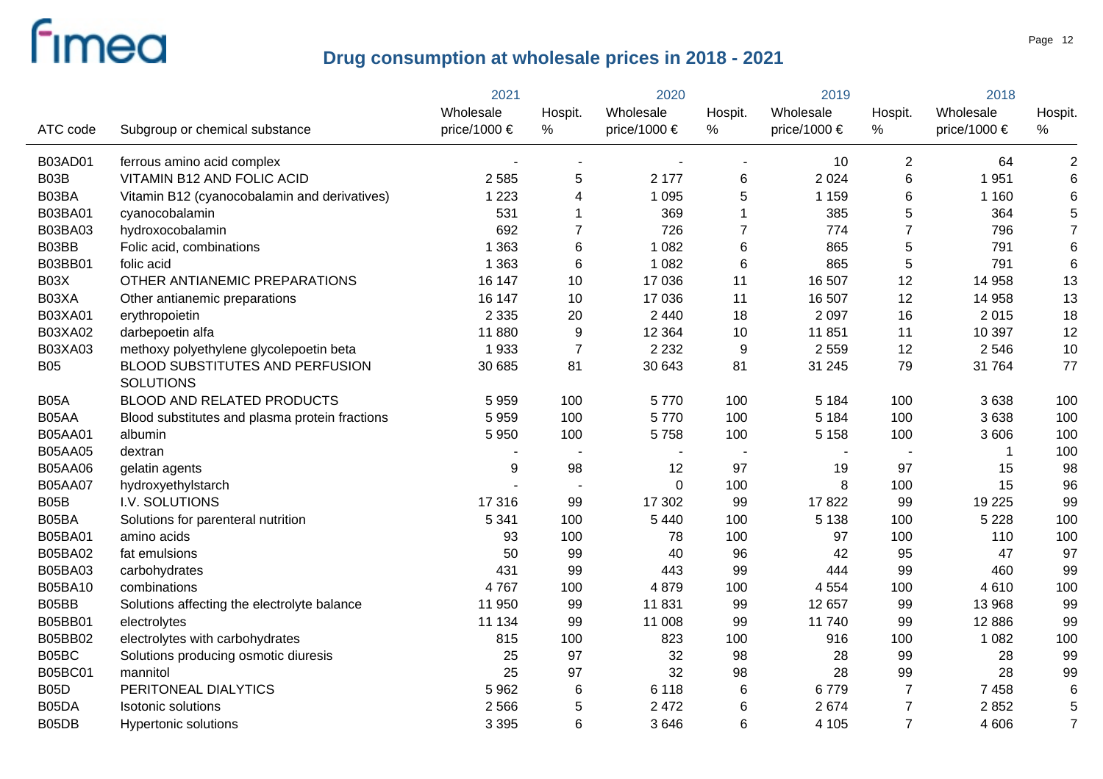|                |                                                     | 2021         | 2020             |              | 2019           |                  | 2018           |                  |                 |
|----------------|-----------------------------------------------------|--------------|------------------|--------------|----------------|------------------|----------------|------------------|-----------------|
|                |                                                     | Wholesale    | Hospit.          | Wholesale    | Hospit.        | Wholesale        | Hospit.        | Wholesale        | Hospit.         |
| ATC code       | Subgroup or chemical substance                      | price/1000 € | $\%$             | price/1000 € | %              | price/1000 $\in$ | $\%$           | price/1000 $\in$ | %               |
| <b>B03AD01</b> | ferrous amino acid complex                          |              | $\blacksquare$   |              |                | 10               | $\overline{2}$ | 64               | $\overline{c}$  |
| B03B           | <b>VITAMIN B12 AND FOLIC ACID</b>                   | 2 5 8 5      | 5                | 2 177        | 6              | 2 0 2 4          | 6              | 1951             | $6\phantom{1}6$ |
| B03BA          | Vitamin B12 (cyanocobalamin and derivatives)        | 1 2 2 3      | 4                | 1 0 9 5      | 5              | 1 1 5 9          | 6              | 1 1 6 0          | $6\phantom{1}6$ |
| B03BA01        | cyanocobalamin                                      | 531          |                  | 369          | 1              | 385              | $\mathbf 5$    | 364              | 5               |
| B03BA03        | hydroxocobalamin                                    | 692          | $\overline{7}$   | 726          | $\overline{7}$ | 774              | $\overline{7}$ | 796              | $\overline{7}$  |
| B03BB          | Folic acid, combinations                            | 1 3 6 3      | 6                | 1 0 8 2      | $6\phantom{1}$ | 865              | 5              | 791              | $\,$ 6 $\,$     |
| B03BB01        | folic acid                                          | 1 3 6 3      | 6                | 1 0 8 2      | $6\phantom{1}$ | 865              | 5              | 791              | $6\phantom{1}6$ |
| B03X           | OTHER ANTIANEMIC PREPARATIONS                       | 16 147       | 10               | 17 036       | 11             | 16 507           | 12             | 14 958           | 13              |
| B03XA          | Other antianemic preparations                       | 16 147       | 10               | 17 036       | 11             | 16 507           | 12             | 14 958           | 13              |
| B03XA01        | erythropoietin                                      | 2 3 3 5      | 20               | 2 4 4 0      | 18             | 2 0 9 7          | 16             | 2015             | 18              |
| B03XA02        | darbepoetin alfa                                    | 11 880       | $\boldsymbol{9}$ | 12 3 64      | 10             | 11 851           | 11             | 10 397           | 12              |
| B03XA03        | methoxy polyethylene glycolepoetin beta             | 1933         | $\overline{7}$   | 2 2 3 2      | 9              | 2 5 5 9          | 12             | 2 5 4 6          | 10              |
| <b>B05</b>     | BLOOD SUBSTITUTES AND PERFUSION<br><b>SOLUTIONS</b> | 30 685       | 81               | 30 643       | 81             | 31 245           | 79             | 31 764           | 77              |
| <b>B05A</b>    | <b>BLOOD AND RELATED PRODUCTS</b>                   | 5959         | 100              | 5770         | 100            | 5 1 8 4          | 100            | 3638             | 100             |
| B05AA          | Blood substitutes and plasma protein fractions      | 5959         | 100              | 5770         | 100            | 5 1 8 4          | 100            | 3638             | 100             |
| <b>B05AA01</b> | albumin                                             | 5 9 5 0      | 100              | 5758         | 100            | 5 1 5 8          | 100            | 3 606            | 100             |
| <b>B05AA05</b> | dextran                                             |              |                  |              |                |                  |                |                  | 100             |
| <b>B05AA06</b> | gelatin agents                                      | $9\,$        | 98               | 12           | 97             | 19               | 97             | 15               | 98              |
| <b>B05AA07</b> | hydroxyethylstarch                                  |              |                  | $\mathbf 0$  | 100            | 8                | 100            | 15               | 96              |
| B05B           | I.V. SOLUTIONS                                      | 17 316       | 99               | 17 302       | 99             | 17822            | 99             | 19 2 25          | 99              |
| B05BA          | Solutions for parenteral nutrition                  | 5 3 4 1      | 100              | 5 4 4 0      | 100            | 5 1 3 8          | 100            | 5 2 2 8          | 100             |
| B05BA01        | amino acids                                         | 93           | 100              | 78           | 100            | 97               | 100            | 110              | 100             |
| B05BA02        | fat emulsions                                       | 50           | 99               | 40           | 96             | 42               | 95             | 47               | 97              |
| B05BA03        | carbohydrates                                       | 431          | 99               | 443          | 99             | 444              | 99             | 460              | 99              |
| B05BA10        | combinations                                        | 4767         | 100              | 4879         | 100            | 4 5 5 4          | 100            | 4610             | 100             |
| B05BB          | Solutions affecting the electrolyte balance         | 11 950       | 99               | 11831        | 99             | 12 657           | 99             | 13 968           | 99              |
| B05BB01        | electrolytes                                        | 11 134       | 99               | 11 008       | 99             | 11 740           | 99             | 12 8 86          | 99              |
| B05BB02        | electrolytes with carbohydrates                     | 815          | 100              | 823          | 100            | 916              | 100            | 1 0 8 2          | 100             |
| B05BC          | Solutions producing osmotic diuresis                | 25           | 97               | 32           | 98             | 28               | 99             | 28               | 99              |
| <b>B05BC01</b> | mannitol                                            | 25           | 97               | 32           | 98             | 28               | 99             | 28               | 99              |
| <b>B05D</b>    | PERITONEAL DIALYTICS                                | 5962         | 6                | 6 1 1 8      | $6\phantom{1}$ | 6779             | $\overline{7}$ | 7 4 5 8          | $6\phantom{1}6$ |
| B05DA          | <b>Isotonic solutions</b>                           | 2 5 6 6      | 5                | 2 4 7 2      | $6\phantom{1}$ | 2674             | $\overline{7}$ | 2852             | 5               |
| B05DB          | Hypertonic solutions                                | 3 3 9 5      | 6                | 3646         | 6              | 4 1 0 5          | $\overline{7}$ | 4 60 6           | $\overline{7}$  |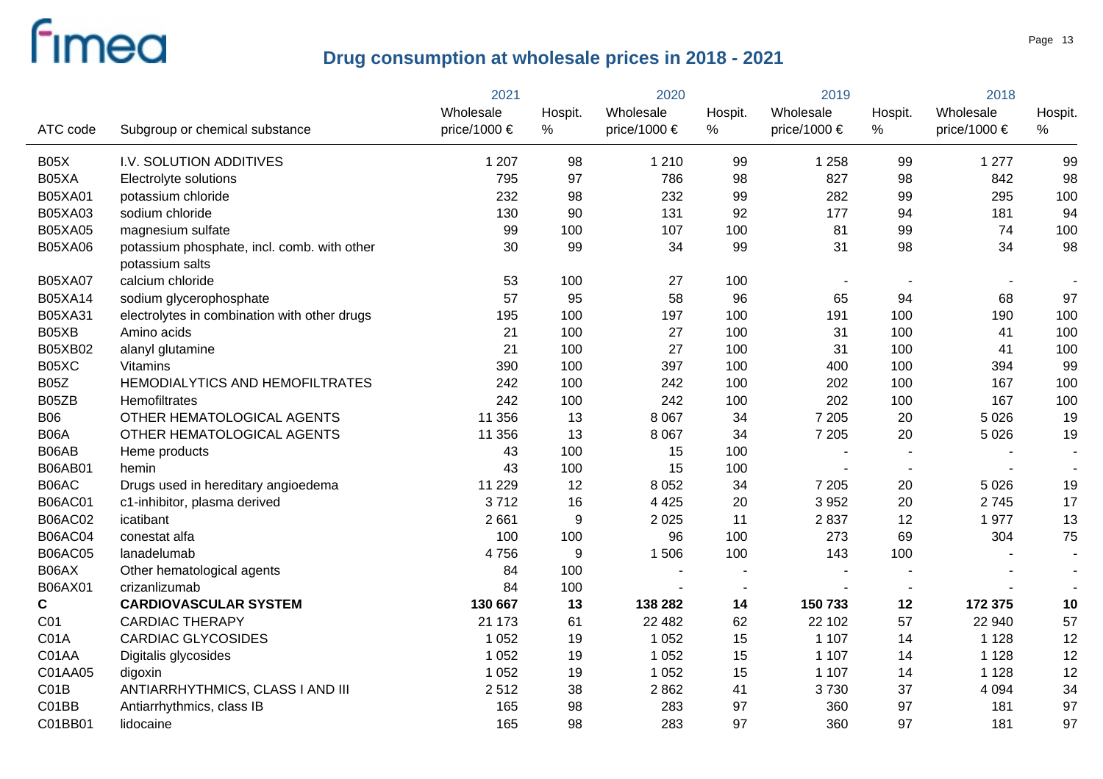|                |                                                                | 2021         | 2020             |              | 2019           |                          | 2018                     |              |                          |
|----------------|----------------------------------------------------------------|--------------|------------------|--------------|----------------|--------------------------|--------------------------|--------------|--------------------------|
|                |                                                                | Wholesale    | Hospit.          | Wholesale    | Hospit.        | Wholesale                | Hospit.                  | Wholesale    | Hospit.                  |
| ATC code       | Subgroup or chemical substance                                 | price/1000 € | %                | price/1000 € | %              | price/1000 $\in$         | %                        | price/1000 € | %                        |
| B05X           | I.V. SOLUTION ADDITIVES                                        | 1 207        | 98               | 1 2 1 0      | 99             | 1 2 5 8                  | 99                       | 1 2 7 7      | 99                       |
| B05XA          | Electrolyte solutions                                          | 795          | 97               | 786          | 98             | 827                      | 98                       | 842          | 98                       |
| B05XA01        | potassium chloride                                             | 232          | 98               | 232          | 99             | 282                      | 99                       | 295          | 100                      |
| B05XA03        | sodium chloride                                                | 130          | 90               | 131          | 92             | 177                      | 94                       | 181          | 94                       |
| <b>B05XA05</b> | magnesium sulfate                                              | 99           | 100              | 107          | 100            | 81                       | 99                       | 74           | 100                      |
| <b>B05XA06</b> | potassium phosphate, incl. comb. with other<br>potassium salts | 30           | 99               | 34           | 99             | 31                       | 98                       | 34           | 98                       |
| <b>B05XA07</b> | calcium chloride                                               | 53           | 100              | 27           | 100            | $\overline{\phantom{a}}$ | $\overline{\phantom{a}}$ |              | $\overline{\phantom{a}}$ |
| B05XA14        | sodium glycerophosphate                                        | 57           | 95               | 58           | 96             | 65                       | 94                       | 68           | 97                       |
| B05XA31        | electrolytes in combination with other drugs                   | 195          | 100              | 197          | 100            | 191                      | 100                      | 190          | 100                      |
| B05XB          | Amino acids                                                    | 21           | 100              | 27           | 100            | 31                       | 100                      | 41           | 100                      |
| B05XB02        | alanyl glutamine                                               | 21           | 100              | 27           | 100            | 31                       | 100                      | 41           | 100                      |
| B05XC          | <b>Vitamins</b>                                                | 390          | 100              | 397          | 100            | 400                      | 100                      | 394          | 99                       |
| <b>B05Z</b>    | HEMODIALYTICS AND HEMOFILTRATES                                | 242          | 100              | 242          | 100            | 202                      | 100                      | 167          | 100                      |
| B05ZB          | Hemofiltrates                                                  | 242          | 100              | 242          | 100            | 202                      | 100                      | 167          | 100                      |
| <b>B06</b>     | OTHER HEMATOLOGICAL AGENTS                                     | 11 356       | 13               | 8 0 6 7      | 34             | 7 2 0 5                  | 20                       | 5 0 26       | 19                       |
| <b>B06A</b>    | OTHER HEMATOLOGICAL AGENTS                                     | 11 356       | 13               | 8 0 6 7      | 34             | 7 2 0 5                  | 20                       | 5 0 2 6      | 19                       |
| B06AB          | Heme products                                                  | 43           | 100              | 15           | 100            |                          |                          |              | $\blacksquare$           |
| B06AB01        | hemin                                                          | 43           | 100              | 15           | 100            |                          |                          |              |                          |
| B06AC          | Drugs used in hereditary angioedema                            | 11 2 2 9     | 12               | 8 0 5 2      | 34             | 7 2 0 5                  | 20                       | 5 0 2 6      | 19                       |
| <b>B06AC01</b> | c1-inhibitor, plasma derived                                   | 3712         | 16               | 4 4 2 5      | 20             | 3 9 5 2                  | 20                       | 2745         | 17                       |
| <b>B06AC02</b> | icatibant                                                      | 2 6 6 1      | $\boldsymbol{9}$ | 2 0 2 5      | 11             | 2837                     | 12                       | 1977         | 13                       |
| <b>B06AC04</b> | conestat alfa                                                  | 100          | 100              | 96           | 100            | 273                      | 69                       | 304          | 75                       |
| <b>B06AC05</b> | lanadelumab                                                    | 4756         | $\boldsymbol{9}$ | 1506         | 100            | 143                      | 100                      |              | $\overline{\phantom{a}}$ |
| B06AX          | Other hematological agents                                     | 84           | 100              |              |                |                          |                          |              |                          |
| B06AX01        | crizanlizumab                                                  | 84           | 100              |              | $\overline{a}$ |                          |                          |              |                          |
| $\mathbf c$    | <b>CARDIOVASCULAR SYSTEM</b>                                   | 130 667      | 13               | 138 282      | 14             | 150 733                  | 12                       | 172 375      | 10                       |
| C01            | <b>CARDIAC THERAPY</b>                                         | 21 173       | 61               | 22 4 8 2     | 62             | 22 102                   | 57                       | 22 940       | 57                       |
| C01A           | <b>CARDIAC GLYCOSIDES</b>                                      | 1 0 5 2      | 19               | 1 0 5 2      | 15             | 1 1 0 7                  | 14                       | 1 1 2 8      | 12                       |
| C01AA          | Digitalis glycosides                                           | 1 0 5 2      | 19               | 1 0 5 2      | 15             | 1 1 0 7                  | 14                       | 1 1 2 8      | 12                       |
| C01AA05        | digoxin                                                        | 1 0 5 2      | 19               | 1 0 5 2      | 15             | 1 1 0 7                  | 14                       | 1 1 2 8      | 12                       |
| CO1B           | ANTIARRHYTHMICS, CLASS I AND III                               | 2512         | 38               | 2862         | 41             | 3730                     | 37                       | 4 0 9 4      | 34                       |
| C01BB          | Antiarrhythmics, class IB                                      | 165          | 98               | 283          | 97             | 360                      | 97                       | 181          | 97                       |
| C01BB01        | lidocaine                                                      | 165          | 98               | 283          | 97             | 360                      | 97                       | 181          | 97                       |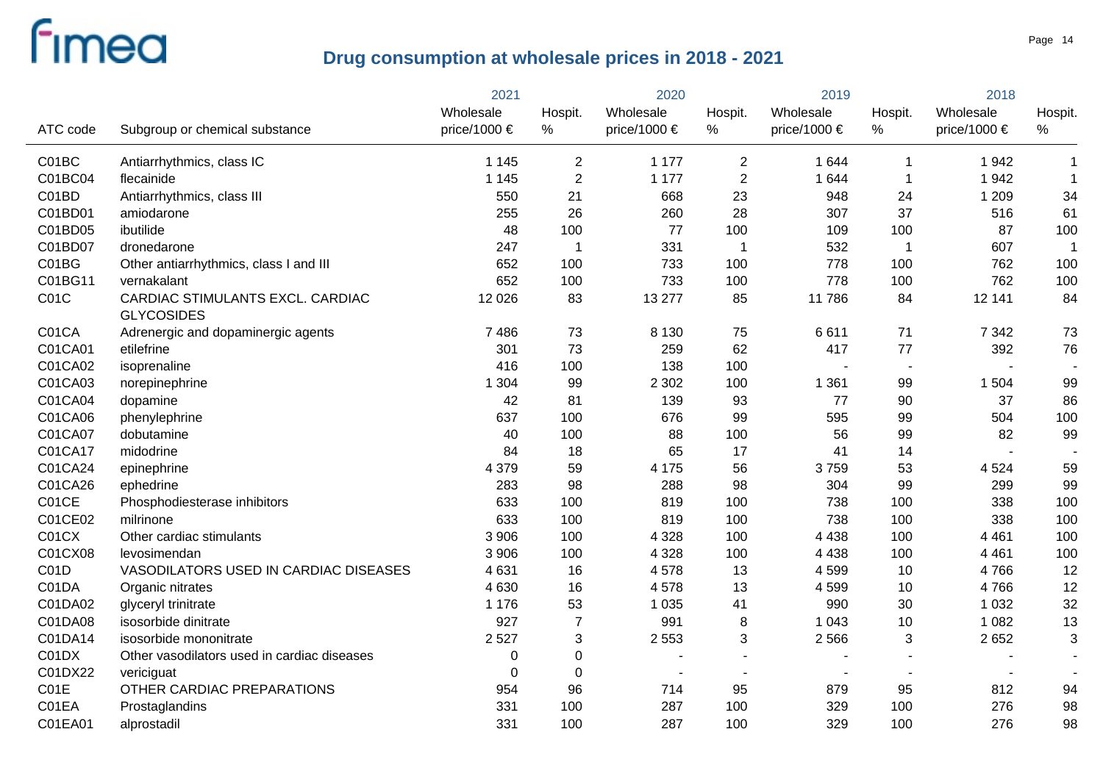|          |                                                       | 2021         |                | 2020                     |                | 2019                     |             | 2018             |                |  |
|----------|-------------------------------------------------------|--------------|----------------|--------------------------|----------------|--------------------------|-------------|------------------|----------------|--|
|          |                                                       | Wholesale    | Hospit.        | Wholesale                | Hospit.        | Wholesale                | Hospit.     | Wholesale        | Hospit.        |  |
| ATC code | Subgroup or chemical substance                        | price/1000 € | $\%$           | price/1000 €             | %              | price/1000 $\in$         | $\%$        | price/1000 $\in$ | %              |  |
| C01BC    | Antiarrhythmics, class IC                             | 1 1 4 5      | $\overline{2}$ | 1 1 7 7                  | $\overline{2}$ | 1 644                    | -1          | 1942             | $\mathbf{1}$   |  |
| C01BC04  | flecainide                                            | 1 1 4 5      | $\overline{2}$ | 1 1 7 7                  | $\overline{2}$ | 1 644                    | $\mathbf 1$ | 1942             | $\mathbf 1$    |  |
| C01BD    | Antiarrhythmics, class III                            | 550          | 21             | 668                      | 23             | 948                      | 24          | 1 2 0 9          | 34             |  |
| C01BD01  | amiodarone                                            | 255          | 26             | 260                      | 28             | 307                      | 37          | 516              | 61             |  |
| C01BD05  | ibutilide                                             | 48           | 100            | 77                       | 100            | 109                      | 100         | 87               | 100            |  |
| C01BD07  | dronedarone                                           | 247          | 1              | 331                      | $\overline{1}$ | 532                      | $\mathbf 1$ | 607              |                |  |
| C01BG    | Other antiarrhythmics, class I and III                | 652          | 100            | 733                      | 100            | 778                      | 100         | 762              | 100            |  |
| C01BG11  | vernakalant                                           | 652          | 100            | 733                      | 100            | 778                      | 100         | 762              | 100            |  |
| C01C     | CARDIAC STIMULANTS EXCL. CARDIAC<br><b>GLYCOSIDES</b> | 12 0 26      | 83             | 13 277                   | 85             | 11786                    | 84          | 12 141           | 84             |  |
| C01CA    | Adrenergic and dopaminergic agents                    | 7 4 8 6      | 73             | 8 1 3 0                  | 75             | 6611                     | 71          | 7 3 4 2          | 73             |  |
| C01CA01  | etilefrine                                            | 301          | 73             | 259                      | 62             | 417                      | 77          | 392              | 76             |  |
| C01CA02  | isoprenaline                                          | 416          | 100            | 138                      | 100            |                          | $\sim$      |                  |                |  |
| C01CA03  | norepinephrine                                        | 1 3 0 4      | 99             | 2 3 0 2                  | 100            | 1 3 6 1                  | 99          | 1 504            | 99             |  |
| C01CA04  | dopamine                                              | 42           | 81             | 139                      | 93             | 77                       | 90          | 37               | 86             |  |
| C01CA06  | phenylephrine                                         | 637          | 100            | 676                      | 99             | 595                      | 99          | 504              | 100            |  |
| C01CA07  | dobutamine                                            | 40           | 100            | 88                       | 100            | 56                       | 99          | 82               | 99             |  |
| C01CA17  | midodrine                                             | 84           | 18             | 65                       | 17             | 41                       | 14          |                  |                |  |
| C01CA24  | epinephrine                                           | 4 3 7 9      | 59             | 4 1 7 5                  | 56             | 3759                     | 53          | 4524             | 59             |  |
| C01CA26  | ephedrine                                             | 283          | 98             | 288                      | 98             | 304                      | 99          | 299              | 99             |  |
| C01CE    | Phosphodiesterase inhibitors                          | 633          | 100            | 819                      | 100            | 738                      | 100         | 338              | 100            |  |
| C01CE02  | milrinone                                             | 633          | 100            | 819                      | 100            | 738                      | 100         | 338              | 100            |  |
| C01CX    | Other cardiac stimulants                              | 3 906        | 100            | 4 3 2 8                  | 100            | 4 4 3 8                  | 100         | 4 4 6 1          | 100            |  |
| C01CX08  | levosimendan                                          | 3 9 0 6      | 100            | 4 3 2 8                  | 100            | 4 4 3 8                  | 100         | 4 4 6 1          | 100            |  |
| C01D     | VASODILATORS USED IN CARDIAC DISEASES                 | 4 6 31       | 16             | 4578                     | 13             | 4599                     | 10          | 4766             | 12             |  |
| C01DA    | Organic nitrates                                      | 4 6 3 0      | 16             | 4578                     | 13             | 4599                     | 10          | 4766             | 12             |  |
| C01DA02  | glyceryl trinitrate                                   | 1 1 7 6      | 53             | 1 0 3 5                  | 41             | 990                      | 30          | 1 0 3 2          | 32             |  |
| C01DA08  | isosorbide dinitrate                                  | 927          | $\overline{7}$ | 991                      | 8              | 1 0 4 3                  | 10          | 1 0 8 2          | 13             |  |
| C01DA14  | isosorbide mononitrate                                | 2 5 2 7      | 3              | 2 5 5 3                  | 3              | 2 5 6 6                  | $\sqrt{3}$  | 2652             | 3              |  |
| C01DX    | Other vasodilators used in cardiac diseases           | 0            | $\pmb{0}$      |                          |                |                          |             |                  | $\blacksquare$ |  |
| C01DX22  | vericiguat                                            | 0            | $\mathbf 0$    | $\overline{\phantom{0}}$ |                | $\overline{\phantom{0}}$ |             |                  |                |  |
| C01E     | OTHER CARDIAC PREPARATIONS                            | 954          | 96             | 714                      | 95             | 879                      | 95          | 812              | 94             |  |
| C01EA    | Prostaglandins                                        | 331          | 100            | 287                      | 100            | 329                      | 100         | 276              | 98             |  |
| C01EA01  | alprostadil                                           | 331          | 100            | 287                      | 100            | 329                      | 100         | 276              | 98             |  |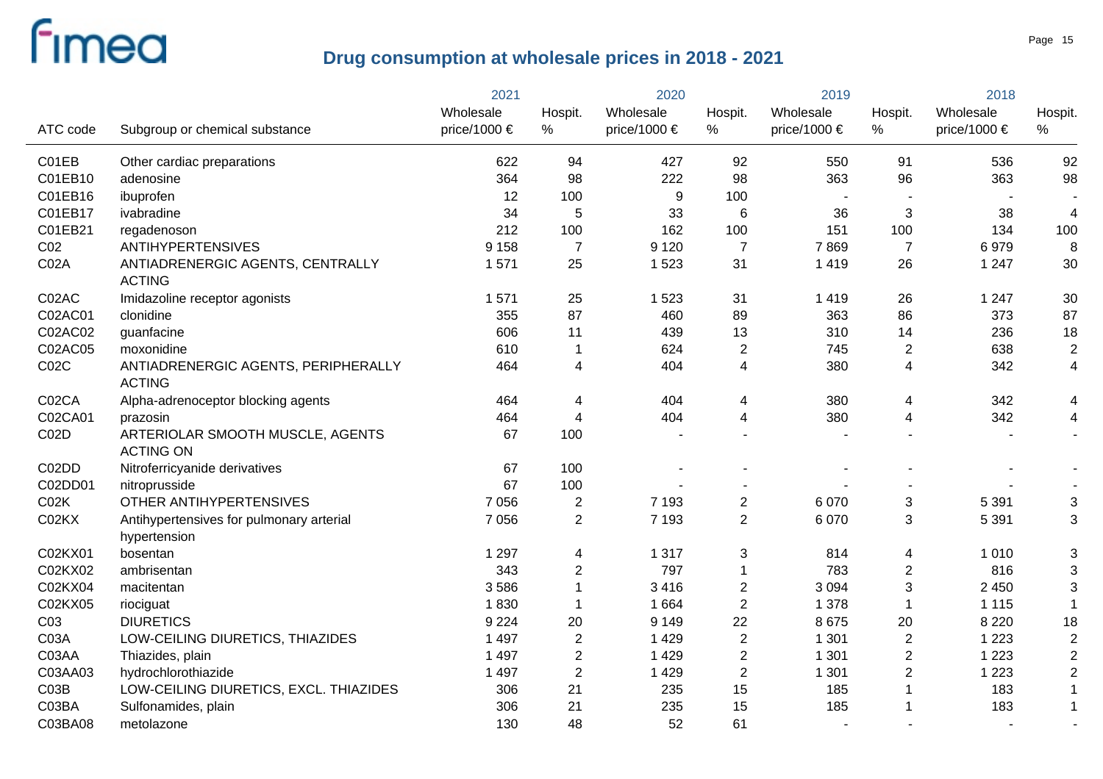|                 |                                                          | 2021         |                | 2020             |                | 2019                     |                | 2018         |                |
|-----------------|----------------------------------------------------------|--------------|----------------|------------------|----------------|--------------------------|----------------|--------------|----------------|
|                 |                                                          | Wholesale    | Hospit.        | Wholesale        | Hospit.        | Wholesale                | Hospit.        | Wholesale    | Hospit.        |
| ATC code        | Subgroup or chemical substance                           | price/1000 € | %              | price/1000 $\in$ | %              | price/1000 $\in$         | %              | price/1000 € | %              |
| C01EB           | Other cardiac preparations                               | 622          | 94             | 427              | 92             | 550                      | 91             | 536          | 92             |
| C01EB10         | adenosine                                                | 364          | 98             | 222              | 98             | 363                      | 96             | 363          | 98             |
| C01EB16         | ibuprofen                                                | 12           | 100            | 9                | 100            |                          |                |              |                |
| C01EB17         | ivabradine                                               | 34           | 5              | 33               | 6              | 36                       | 3              | 38           | 4              |
| C01EB21         | regadenoson                                              | 212          | 100            | 162              | 100            | 151                      | 100            | 134          | 100            |
| CO <sub>2</sub> | <b>ANTIHYPERTENSIVES</b>                                 | 9 1 5 8      | $\overline{7}$ | 9 1 2 0          | $\overline{7}$ | 7869                     | $\overline{7}$ | 6979         | 8              |
| C02A            | ANTIADRENERGIC AGENTS, CENTRALLY<br><b>ACTING</b>        | 1571         | 25             | 1 5 2 3          | 31             | 1 4 1 9                  | 26             | 1 2 4 7      | 30             |
| C02AC           | Imidazoline receptor agonists                            | 1 571        | 25             | 1523             | 31             | 1 4 1 9                  | 26             | 1 2 4 7      | 30             |
| C02AC01         | clonidine                                                | 355          | 87             | 460              | 89             | 363                      | 86             | 373          | 87             |
| C02AC02         | guanfacine                                               | 606          | 11             | 439              | 13             | 310                      | 14             | 236          | 18             |
| C02AC05         | moxonidine                                               | 610          | 1              | 624              | $\overline{2}$ | 745                      | $\overline{2}$ | 638          | $\overline{2}$ |
| CO2C            | ANTIADRENERGIC AGENTS, PERIPHERALLY<br><b>ACTING</b>     | 464          | 4              | 404              | 4              | 380                      | $\overline{4}$ | 342          | 4              |
| C02CA           | Alpha-adrenoceptor blocking agents                       | 464          | 4              | 404              | 4              | 380                      | 4              | 342          | 4              |
| C02CA01         | prazosin                                                 | 464          | 4              | 404              | 4              | 380                      | 4              | 342          | 4              |
| C02D            | ARTERIOLAR SMOOTH MUSCLE, AGENTS<br><b>ACTING ON</b>     | 67           | 100            |                  |                |                          |                |              | $\blacksquare$ |
| C02DD           | Nitroferricyanide derivatives                            | 67           | 100            |                  |                |                          |                |              |                |
| C02DD01         | nitroprusside                                            | 67           | 100            |                  |                |                          |                |              |                |
| CO2K            | OTHER ANTIHYPERTENSIVES                                  | 7 0 5 6      | $\overline{2}$ | 7 1 9 3          | $\overline{2}$ | 6 0 7 0                  | $\mathbf{3}$   | 5 3 9 1      | 3              |
| C02KX           | Antihypertensives for pulmonary arterial<br>hypertension | 7 0 5 6      | $\overline{2}$ | 7 1 9 3          | $\overline{2}$ | 6 0 7 0                  | 3              | 5 3 9 1      | 3              |
| C02KX01         | bosentan                                                 | 1 2 9 7      | 4              | 1 3 1 7          | 3              | 814                      | 4              | 1 0 1 0      | 3              |
| C02KX02         | ambrisentan                                              | 343          | $\mathbf{2}$   | 797              | 1              | 783                      | $\sqrt{2}$     | 816          | 3              |
| C02KX04         | macitentan                                               | 3586         | 1              | 3416             | $\overline{2}$ | 3 0 9 4                  | $\mathfrak{S}$ | 2 4 5 0      | 3              |
| C02KX05         | riociguat                                                | 1830         | 1              | 1664             | $\overline{2}$ | 1 3 7 8                  | $\mathbf{1}$   | 1 1 1 5      | $\mathbf{1}$   |
| C <sub>03</sub> | <b>DIURETICS</b>                                         | 9 2 2 4      | 20             | 9 1 4 9          | 22             | 8675                     | 20             | 8 2 2 0      | 18             |
| C03A            | LOW-CEILING DIURETICS, THIAZIDES                         | 1 4 9 7      | $\sqrt{2}$     | 1 4 2 9          | $\overline{2}$ | 1 3 0 1                  | $\sqrt{2}$     | 1 2 2 3      | $\mathbf 2$    |
| C03AA           | Thiazides, plain                                         | 1 4 9 7      | $\sqrt{2}$     | 1 4 2 9          | $\overline{2}$ | 1 3 0 1                  | $\overline{2}$ | 1 2 2 3      | $\overline{2}$ |
| C03AA03         | hydrochlorothiazide                                      | 1 4 9 7      | $\overline{2}$ | 1 4 2 9          | $\overline{2}$ | 1 3 0 1                  | $\sqrt{2}$     | 1 2 2 3      | $\overline{2}$ |
| CO3B            | LOW-CEILING DIURETICS, EXCL. THIAZIDES                   | 306          | 21             | 235              | 15             | 185                      | $\overline{1}$ | 183          | $\mathbf{1}$   |
| C03BA           | Sulfonamides, plain                                      | 306          | 21             | 235              | 15             | 185                      |                | 183          | $\mathbf{1}$   |
| C03BA08         | metolazone                                               | 130          | 48             | 52               | 61             | $\overline{\phantom{0}}$ |                |              | $\sim$         |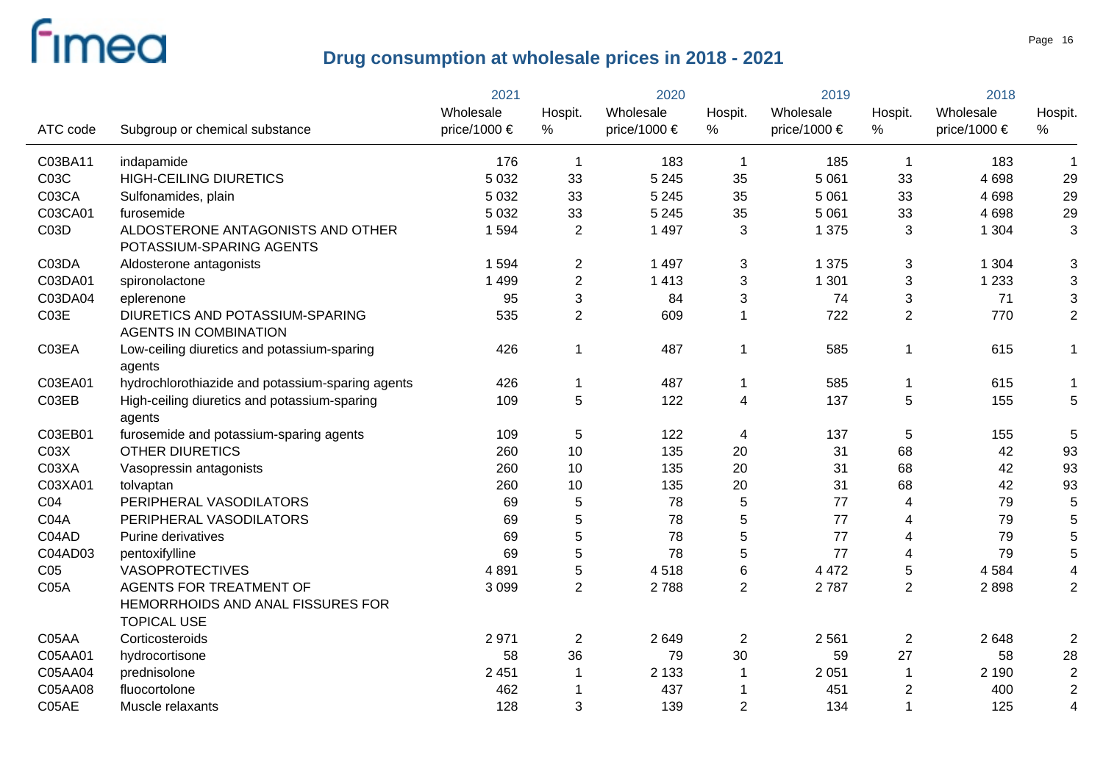|                  |                                                                 | 2021         |                | 2020             |                | 2019         |                | 2018             |                |
|------------------|-----------------------------------------------------------------|--------------|----------------|------------------|----------------|--------------|----------------|------------------|----------------|
|                  |                                                                 | Wholesale    | Hospit.        | Wholesale        | Hospit.        | Wholesale    | Hospit.        | Wholesale        | Hospit.        |
| ATC code         | Subgroup or chemical substance                                  | price/1000 € | %              | price/1000 $\in$ | %              | price/1000 € | %              | price/1000 $\in$ | $\%$           |
| C03BA11          | indapamide                                                      | 176          | $\mathbf 1$    | 183              | $\overline{1}$ | 185          | $\overline{1}$ | 183              | $\mathbf{1}$   |
| C03C             | <b>HIGH-CEILING DIURETICS</b>                                   | 5 0 3 2      | 33             | 5 2 4 5          | 35             | 5 0 6 1      | 33             | 4698             | 29             |
| C03CA            | Sulfonamides, plain                                             | 5 0 3 2      | 33             | 5 2 4 5          | 35             | 5 0 6 1      | 33             | 4 6 9 8          | 29             |
| C03CA01          | furosemide                                                      | 5 0 3 2      | 33             | 5 2 4 5          | 35             | 5 0 6 1      | 33             | 4698             | 29             |
| C03D             | ALDOSTERONE ANTAGONISTS AND OTHER<br>POTASSIUM-SPARING AGENTS   | 1 5 9 4      | 2              | 1 4 9 7          | 3              | 1 3 7 5      | 3              | 1 3 0 4          | 3              |
| C03DA            | Aldosterone antagonists                                         | 1 5 9 4      | $\overline{2}$ | 1 4 9 7          | 3              | 1 3 7 5      | 3              | 1 3 0 4          | 3              |
| C03DA01          | spironolactone                                                  | 1 4 9 9      | $\overline{2}$ | 1 4 1 3          | 3              | 1 3 0 1      | 3              | 1 2 3 3          | 3              |
| C03DA04          | eplerenone                                                      | 95           | 3              | 84               | 3              | 74           | 3              | 71               | 3              |
| C03E             | DIURETICS AND POTASSIUM-SPARING<br><b>AGENTS IN COMBINATION</b> | 535          | $\overline{2}$ | 609              | 1              | 722          | 2              | 770              | $\overline{c}$ |
| C03EA            | Low-ceiling diuretics and potassium-sparing<br>agents           | 426          | 1              | 487              | 1              | 585          | $\overline{1}$ | 615              | 1              |
| C03EA01          | hydrochlorothiazide and potassium-sparing agents                | 426          | 1              | 487              | 1              | 585          | $\mathbf 1$    | 615              | 1              |
| C03EB            | High-ceiling diuretics and potassium-sparing                    | 109          | 5              | 122              | 4              | 137          | 5              | 155              | 5              |
| C03EB01          | agents<br>furosemide and potassium-sparing agents               | 109          | 5              | 122              | 4              | 137          | 5              | 155              | 5              |
| CO <sub>3X</sub> | <b>OTHER DIURETICS</b>                                          | 260          | 10             | 135              | 20             | 31           | 68             | 42               | 93             |
| C03XA            | Vasopressin antagonists                                         | 260          | 10             | 135              | 20             | 31           | 68             | 42               | 93             |
| C03XA01          | tolvaptan                                                       | 260          | 10             | 135              | 20             | 31           | 68             | 42               | 93             |
| C04              | PERIPHERAL VASODILATORS                                         | 69           | 5              | 78               | 5              | 77           | 4              | 79               | 5              |
| C04A             | PERIPHERAL VASODILATORS                                         | 69           | 5              | 78               | 5              | 77           | 4              | 79               | 5              |
| C04AD            | Purine derivatives                                              | 69           | 5              | 78               | 5              | 77           | 4              | 79               | 5              |
| C04AD03          | pentoxifylline                                                  | 69           | 5              | 78               | 5              | 77           | 4              | 79               | 5              |
| C <sub>05</sub>  | <b>VASOPROTECTIVES</b>                                          | 4 8 9 1      | 5              | 4518             | 6              | 4 4 7 2      | 5              | 4584             | 4              |
| CO5A             | <b>AGENTS FOR TREATMENT OF</b>                                  | 3 0 9 9      | $\overline{2}$ | 2788             | $\overline{2}$ | 2787         | $\overline{2}$ | 2898             | $\overline{2}$ |
|                  | HEMORRHOIDS AND ANAL FISSURES FOR<br><b>TOPICAL USE</b>         |              |                |                  |                |              |                |                  |                |
| C05AA            | Corticosteroids                                                 | 2971         | $\overline{2}$ | 2649             | $\mathbf{2}$   | 2 5 6 1      | $\overline{2}$ | 2648             | $\overline{2}$ |
| C05AA01          | hydrocortisone                                                  | 58           | 36             | 79               | 30             | 59           | 27             | 58               | 28             |
| C05AA04          | prednisolone                                                    | 2 4 5 1      |                | 2 1 3 3          | 1              | 2 0 5 1      | $\mathbf 1$    | 2 1 9 0          | $\overline{2}$ |
| C05AA08          | fluocortolone                                                   | 462          |                | 437              |                | 451          | $\overline{2}$ | 400              | $\overline{2}$ |
| C05AE            | Muscle relaxants                                                | 128          | 3              | 139              | $\overline{2}$ | 134          | $\overline{1}$ | 125              | $\overline{4}$ |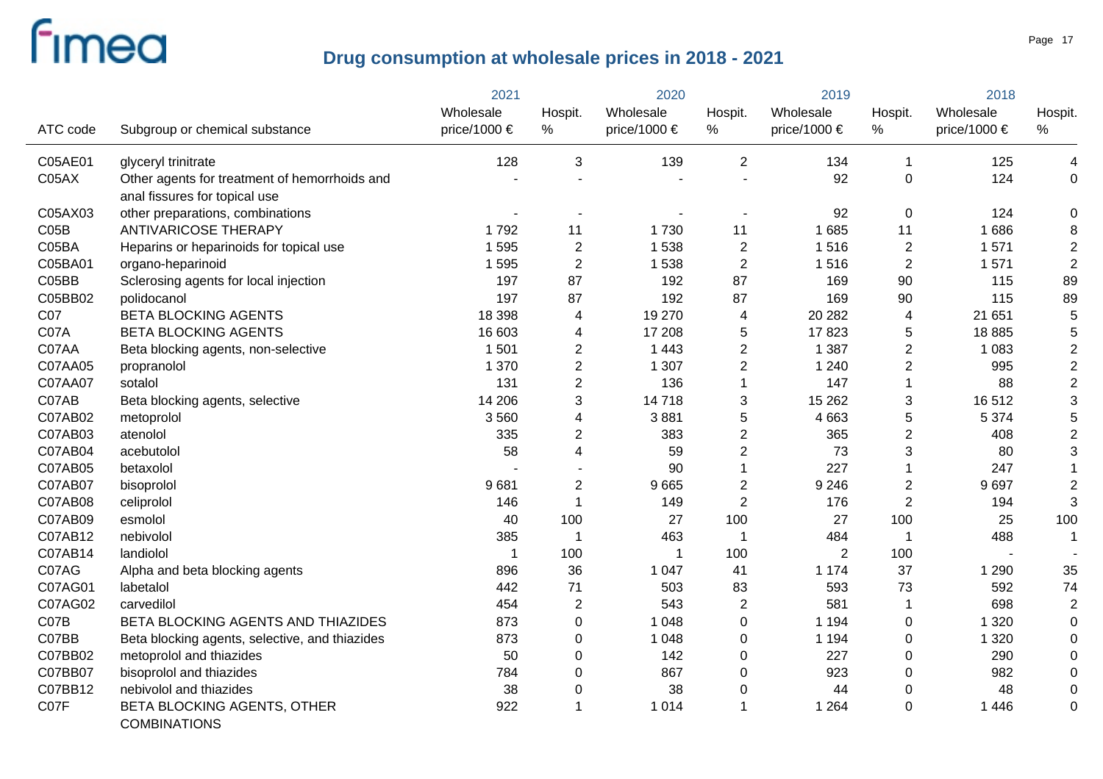|          |                                                    | 2021         |                | 2020         |                | 2019           |                         | 2018         |                |
|----------|----------------------------------------------------|--------------|----------------|--------------|----------------|----------------|-------------------------|--------------|----------------|
|          |                                                    | Wholesale    | Hospit.        | Wholesale    | Hospit.        | Wholesale      | Hospit.                 | Wholesale    | Hospit.        |
| ATC code | Subgroup or chemical substance                     | price/1000 € | %              | price/1000 € | %              | price/1000 €   | %                       | price/1000 € | %              |
| C05AE01  | glyceryl trinitrate                                | 128          | 3              | 139          | $\overline{2}$ | 134            | $\mathbf 1$             | 125          | 4              |
| C05AX    | Other agents for treatment of hemorrhoids and      |              |                |              |                | 92             | $\mathbf 0$             | 124          | 0              |
|          | anal fissures for topical use                      |              |                |              |                |                |                         |              |                |
| C05AX03  | other preparations, combinations                   |              |                |              |                | 92             | $\mathbf 0$             | 124          | 0              |
| CO5B     | <b>ANTIVARICOSE THERAPY</b>                        | 1792         | 11             | 1730         | 11             | 1 6 8 5        | 11                      | 1686         | 8              |
| C05BA    | Heparins or heparinoids for topical use            | 1 5 9 5      | $\overline{2}$ | 1538         | $\mathbf{2}$   | 1516           | $\overline{2}$          | 1571         | $\overline{2}$ |
| C05BA01  | organo-heparinoid                                  | 1595         | $\overline{2}$ | 1538         | $\overline{2}$ | 1516           | $\overline{2}$          | 1 5 7 1      | $\overline{2}$ |
| C05BB    | Sclerosing agents for local injection              | 197          | 87             | 192          | 87             | 169            | 90                      | 115          | 89             |
| C05BB02  | polidocanol                                        | 197          | 87             | 192          | 87             | 169            | 90                      | 115          | 89             |
| C07      | <b>BETA BLOCKING AGENTS</b>                        | 18 3 98      | 4              | 19 270       | 4              | 20 28 2        | $\overline{\mathbf{4}}$ | 21 651       | 5              |
| C07A     | <b>BETA BLOCKING AGENTS</b>                        | 16 603       | 4              | 17 208       | 5              | 17823          | 5                       | 18885        | 5              |
| C07AA    | Beta blocking agents, non-selective                | 1 501        | $\overline{c}$ | 1 4 4 3      | $\overline{c}$ | 1 3 8 7        | $\overline{2}$          | 1 0 8 3      | $\overline{c}$ |
| C07AA05  | propranolol                                        | 1 370        | $\overline{2}$ | 1 3 0 7      | $\overline{2}$ | 1 2 4 0        | $\sqrt{2}$              | 995          | $\overline{c}$ |
| C07AA07  | sotalol                                            | 131          | $\overline{c}$ | 136          | 1              | 147            | 1                       | 88           | $\overline{c}$ |
| C07AB    | Beta blocking agents, selective                    | 14 20 6      | 3              | 14718        | 3              | 15 26 2        | 3                       | 16512        | $\sqrt{3}$     |
| C07AB02  | metoprolol                                         | 3560         | 4              | 3881         | 5              | 4 6 63         | $\sqrt{5}$              | 5 3 7 4      | 5              |
| C07AB03  | atenolol                                           | 335          | $\overline{2}$ | 383          | $\overline{2}$ | 365            | $\overline{2}$          | 408          | $\overline{c}$ |
| C07AB04  | acebutolol                                         | 58           | 4              | 59           | $\overline{2}$ | 73             | 3                       | 80           | 3              |
| C07AB05  | betaxolol                                          |              |                | 90           | $\mathbf{1}$   | 227            |                         | 247          |                |
| C07AB07  | bisoprolol                                         | 9681         | $\overline{2}$ | 9665         | $\overline{c}$ | 9 2 4 6        | $\overline{2}$          | 9697         | $\overline{c}$ |
| C07AB08  | celiprolol                                         | 146          | 1              | 149          | $\overline{2}$ | 176            | $\overline{2}$          | 194          | 3              |
| C07AB09  | esmolol                                            | 40           | 100            | 27           | 100            | 27             | 100                     | 25           | 100            |
| C07AB12  | nebivolol                                          | 385          | 1              | 463          | 1              | 484            | $\mathbf{1}$            | 488          | $\mathbf 1$    |
| C07AB14  | landiolol                                          | 1            | 100            | 1            | 100            | $\overline{2}$ | 100                     |              |                |
| C07AG    | Alpha and beta blocking agents                     | 896          | 36             | 1 0 4 7      | 41             | 1 1 7 4        | 37                      | 1 2 9 0      | 35             |
| C07AG01  | labetalol                                          | 442          | 71             | 503          | 83             | 593            | 73                      | 592          | 74             |
| C07AG02  | carvedilol                                         | 454          | $\overline{2}$ | 543          | $\overline{c}$ | 581            | $\mathbf 1$             | 698          | $\overline{2}$ |
| C07B     | BETA BLOCKING AGENTS AND THIAZIDES                 | 873          | 0              | 1 0 4 8      | $\mathbf 0$    | 1 1 9 4        | $\boldsymbol{0}$        | 1 3 2 0      | 0              |
| C07BB    | Beta blocking agents, selective, and thiazides     | 873          | 0              | 1 0 4 8      | 0              | 1 1 9 4        | $\mathsf 0$             | 1 3 2 0      | 0              |
| C07BB02  | metoprolol and thiazides                           | 50           | 0              | 142          | 0              | 227            | $\mathbf 0$             | 290          | 0              |
| C07BB07  | bisoprolol and thiazides                           | 784          | 0              | 867          | 0              | 923            | 0                       | 982          | 0              |
| C07BB12  | nebivolol and thiazides                            | 38           | 0              | 38           | 0              | 44             | $\mathbf 0$             | 48           | 0              |
| C07F     | BETA BLOCKING AGENTS, OTHER<br><b>COMBINATIONS</b> | 922          | 1              | 1014         | 1              | 1 2 6 4        | $\mathbf 0$             | 1 4 4 6      | 0              |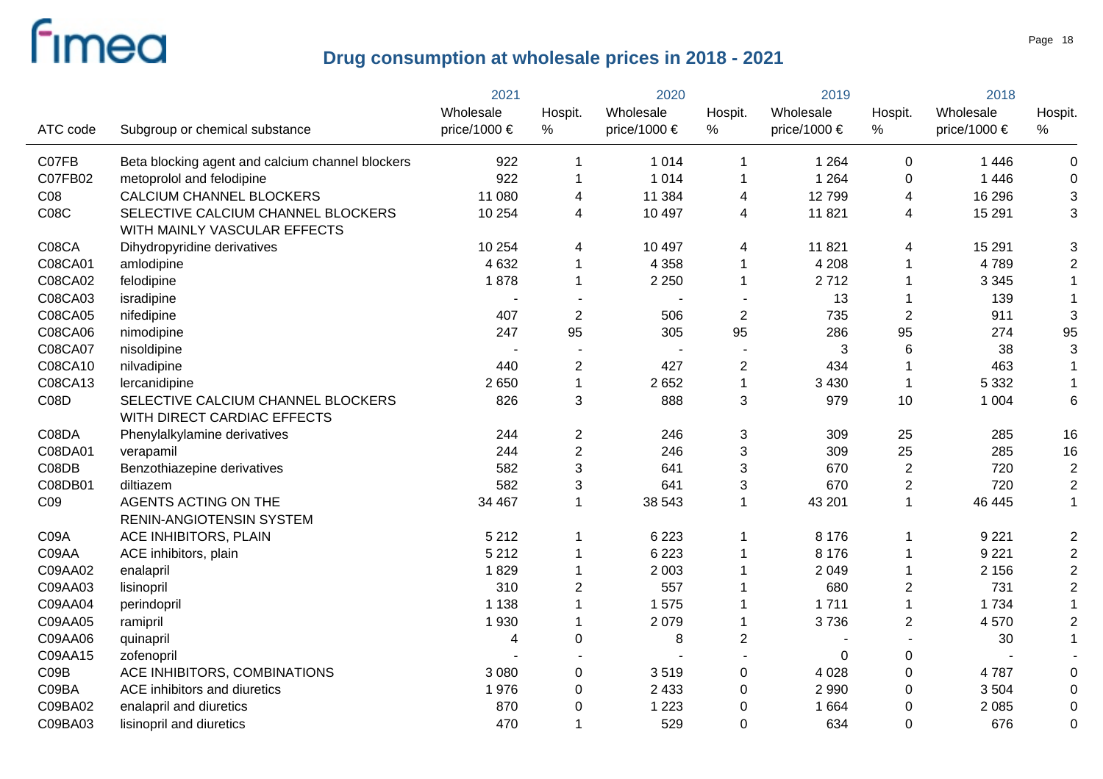|             |                                                                    | 2021         |                | 2020                  |                | 2019             |                  | 2018         |                |
|-------------|--------------------------------------------------------------------|--------------|----------------|-----------------------|----------------|------------------|------------------|--------------|----------------|
|             |                                                                    | Wholesale    | Hospit.        | Wholesale             | Hospit.        | Wholesale        | Hospit.          | Wholesale    | Hospit.        |
| ATC code    | Subgroup or chemical substance                                     | price/1000 € | $\%$           | price/1000 $\epsilon$ | %              | price/1000 $\in$ | %                | price/1000 € | %              |
| C07FB       | Beta blocking agent and calcium channel blockers                   | 922          | 1              | 1014                  | $\mathbf 1$    | 1 2 6 4          | $\mathbf 0$      | 1 4 4 6      | 0              |
| C07FB02     | metoprolol and felodipine                                          | 922          | $\mathbf 1$    | 1 0 1 4               | $\mathbf 1$    | 1 2 6 4          | $\pmb{0}$        | 1 4 4 6      | 0              |
| CO8         | CALCIUM CHANNEL BLOCKERS                                           | 11 080       | 4              | 11 384                | 4              | 12799            | 4                | 16 29 6      | 3              |
| <b>C08C</b> | SELECTIVE CALCIUM CHANNEL BLOCKERS<br>WITH MAINLY VASCULAR EFFECTS | 10 254       | 4              | 10 497                | 4              | 11 821           | 4                | 15 291       | 3              |
| C08CA       | Dihydropyridine derivatives                                        | 10 254       | 4              | 10 497                | 4              | 11 821           | 4                | 15 291       | 3              |
| C08CA01     | amlodipine                                                         | 4 6 3 2      | $\mathbf 1$    | 4 3 5 8               | 1              | 4 2 0 8          | $\mathbf 1$      | 4789         | $\overline{c}$ |
| C08CA02     | felodipine                                                         | 1878         | 1              | 2 2 5 0               | $\mathbf 1$    | 2712             | $\mathbf 1$      | 3 3 4 5      | $\mathbf{1}$   |
| C08CA03     | isradipine                                                         |              |                |                       |                | 13               | -1               | 139          | $\mathbf{1}$   |
| C08CA05     | nifedipine                                                         | 407          | $\overline{2}$ | 506                   | $\overline{2}$ | 735              | $\overline{2}$   | 911          | 3              |
| C08CA06     | nimodipine                                                         | 247          | 95             | 305                   | 95             | 286              | 95               | 274          | 95             |
| C08CA07     | nisoldipine                                                        |              |                | $\blacksquare$        |                | 3                | $\,6$            | 38           | 3              |
| C08CA10     | nilvadipine                                                        | 440          | $\overline{c}$ | 427                   | $\overline{c}$ | 434              | $\overline{1}$   | 463          | $\mathbf{1}$   |
| C08CA13     | lercanidipine                                                      | 2 6 5 0      | $\mathbf 1$    | 2652                  | $\mathbf{1}$   | 3 4 3 0          | $\mathbf 1$      | 5 3 3 2      | $\mathbf{1}$   |
| CO8D        | SELECTIVE CALCIUM CHANNEL BLOCKERS<br>WITH DIRECT CARDIAC EFFECTS  | 826          | 3              | 888                   | 3              | 979              | 10               | 1 0 0 4      | 6              |
| C08DA       | Phenylalkylamine derivatives                                       | 244          | $\overline{c}$ | 246                   | $\sqrt{3}$     | 309              | 25               | 285          | 16             |
| C08DA01     | verapamil                                                          | 244          | $\overline{2}$ | 246                   | 3              | 309              | 25               | 285          | 16             |
| C08DB       | Benzothiazepine derivatives                                        | 582          | 3              | 641                   | 3              | 670              | $\overline{2}$   | 720          | $\overline{2}$ |
| C08DB01     | diltiazem                                                          | 582          | 3              | 641                   | 3              | 670              | $\overline{2}$   | 720          | $\sqrt{2}$     |
| CO9         | AGENTS ACTING ON THE<br>RENIN-ANGIOTENSIN SYSTEM                   | 34 467       | $\mathbf 1$    | 38 543                | $\mathbf 1$    | 43 201           | $\mathbf{1}$     | 46 445       | $\mathbf{1}$   |
| C09A        | ACE INHIBITORS, PLAIN                                              | 5 2 1 2      | $\mathbf 1$    | 6 2 2 3               | 1              | 8 1 7 6          | -1               | 9 2 2 1      | 2              |
| C09AA       | ACE inhibitors, plain                                              | 5 2 1 2      | 1              | 6 2 2 3               |                | 8 1 7 6          | $\mathbf 1$      | 9 2 2 1      | $\overline{2}$ |
| C09AA02     | enalapril                                                          | 1829         | $\mathbf 1$    | 2 0 0 3               |                | 2 0 4 9          | $\mathbf 1$      | 2 1 5 6      | $\overline{2}$ |
| C09AA03     | lisinopril                                                         | 310          | $\overline{2}$ | 557                   |                | 680              | $\overline{2}$   | 731          | $\overline{2}$ |
| C09AA04     | perindopril                                                        | 1 1 3 8      | $\mathbf 1$    | 1575                  |                | 1711             | $\mathbf{1}$     | 1 7 3 4      |                |
| C09AA05     | ramipril                                                           | 1930         | $\mathbf 1$    | 2079                  | 1              | 3736             | $\overline{2}$   | 4570         | $\overline{2}$ |
| C09AA06     | quinapril                                                          | 4            | 0              | 8                     | $\overline{c}$ |                  |                  | 30           |                |
| C09AA15     | zofenopril                                                         |              |                |                       |                | 0                | $\boldsymbol{0}$ |              |                |
| CO9B        | ACE INHIBITORS, COMBINATIONS                                       | 3 0 8 0      | 0              | 3519                  | $\pmb{0}$      | 4 0 28           | $\boldsymbol{0}$ | 4787         |                |
| C09BA       | ACE inhibitors and diuretics                                       | 1976         | 0              | 2 4 3 3               | $\mathbf 0$    | 2 9 9 0          | $\mathbf 0$      | 3 5 0 4      | $\Omega$       |
| C09BA02     | enalapril and diuretics                                            | 870          | 0              | 1 2 2 3               | $\mathbf 0$    | 1 6 6 4          | $\mathbf 0$      | 2 0 8 5      | $\Omega$       |
| C09BA03     | lisinopril and diuretics                                           | 470          | 1              | 529                   | 0              | 634              | $\mathbf 0$      | 676          | $\overline{0}$ |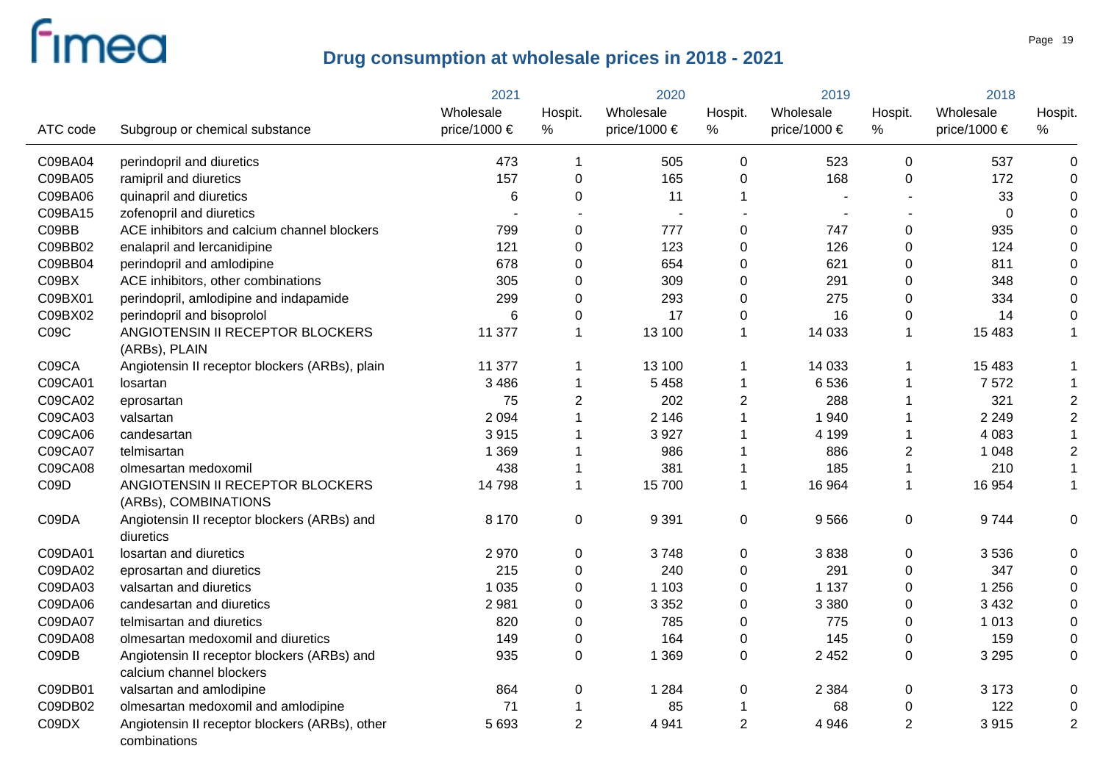|          |                                                                         | 2021         |                  | 2020         |                | 2019         |                  | 2018         |                  |
|----------|-------------------------------------------------------------------------|--------------|------------------|--------------|----------------|--------------|------------------|--------------|------------------|
|          |                                                                         | Wholesale    | Hospit.          | Wholesale    | Hospit.        | Wholesale    | Hospit.          | Wholesale    | Hospit.          |
| ATC code | Subgroup or chemical substance                                          | price/1000 € | $\%$             | price/1000 € | $\%$           | price/1000 € | $\%$             | price/1000 € | $\%$             |
| C09BA04  | perindopril and diuretics                                               | 473          | 1                | 505          | 0              | 523          | $\mathbf 0$      | 537          | $\pmb{0}$        |
| C09BA05  | ramipril and diuretics                                                  | 157          | 0                | 165          | 0              | 168          | $\mathbf 0$      | 172          | 0                |
| C09BA06  | quinapril and diuretics                                                 | 6            | $\mathbf 0$      | 11           | 1              |              |                  | 33           | 0                |
| C09BA15  | zofenopril and diuretics                                                |              |                  |              |                |              |                  | 0            | 0                |
| C09BB    | ACE inhibitors and calcium channel blockers                             | 799          | $\boldsymbol{0}$ | 777          | 0              | 747          | $\pmb{0}$        | 935          | $\mathbf 0$      |
| C09BB02  | enalapril and lercanidipine                                             | 121          | $\mathbf 0$      | 123          | 0              | 126          | $\pmb{0}$        | 124          | $\overline{0}$   |
| C09BB04  | perindopril and amlodipine                                              | 678          | $\boldsymbol{0}$ | 654          | 0              | 621          | $\boldsymbol{0}$ | 811          | 0                |
| C09BX    | ACE inhibitors, other combinations                                      | 305          | $\mathbf 0$      | 309          | $\pmb{0}$      | 291          | $\pmb{0}$        | 348          | $\pmb{0}$        |
| C09BX01  | perindopril, amlodipine and indapamide                                  | 299          | $\boldsymbol{0}$ | 293          | $\mathbf 0$    | 275          | $\boldsymbol{0}$ | 334          | $\overline{0}$   |
| C09BX02  | perindopril and bisoprolol                                              | 6            | 0                | 17           | $\mathbf 0$    | 16           | $\mathbf 0$      | 14           | $\mathbf 0$      |
| C09C     | ANGIOTENSIN II RECEPTOR BLOCKERS<br>(ARBs), PLAIN                       | 11 377       | 1                | 13 100       | 1              | 14 033       | $\mathbf{1}$     | 15 4 83      | $\mathbf{1}$     |
| C09CA    | Angiotensin II receptor blockers (ARBs), plain                          | 11 377       | 1                | 13 100       | 1              | 14 033       | $\mathbf 1$      | 15 4 8 3     | $\mathbf{1}$     |
| C09CA01  | losartan                                                                | 3 4 8 6      | 1                | 5 4 5 8      | 1              | 6536         | 1                | 7572         | $\mathbf 1$      |
| C09CA02  | eprosartan                                                              | 75           | 2                | 202          | 2              | 288          | 1                | 321          | $\overline{c}$   |
| C09CA03  | valsartan                                                               | 2 0 9 4      |                  | 2 1 4 6      | 1              | 1 940        | $\overline{1}$   | 2 2 4 9      | $\overline{c}$   |
| C09CA06  | candesartan                                                             | 3915         |                  | 3927         | 1              | 4 1 9 9      | $\overline{1}$   | 4 0 8 3      | $\mathbf{1}$     |
| C09CA07  | telmisartan                                                             | 1 3 6 9      |                  | 986          | 1              | 886          | $\overline{2}$   | 1 0 4 8      | $\overline{2}$   |
| C09CA08  | olmesartan medoxomil                                                    | 438          |                  | 381          | 1              | 185          | $\mathbf{1}$     | 210          | $\mathbf 1$      |
| C09D     | ANGIOTENSIN II RECEPTOR BLOCKERS<br>(ARBs), COMBINATIONS                | 14798        | 1                | 15700        | 1              | 16 964       | $\overline{1}$   | 16 954       | $\mathbf{1}$     |
| C09DA    | Angiotensin II receptor blockers (ARBs) and<br>diuretics                | 8 1 7 0      | $\boldsymbol{0}$ | 9 3 9 1      | 0              | 9566         | $\boldsymbol{0}$ | 9744         | 0                |
| C09DA01  | losartan and diuretics                                                  | 2970         | $\mathbf 0$      | 3748         | 0              | 3838         | $\mathbf 0$      | 3536         | $\pmb{0}$        |
| C09DA02  | eprosartan and diuretics                                                | 215          | $\mathbf 0$      | 240          | $\mathbf 0$    | 291          | $\mathbf 0$      | 347          | 0                |
| C09DA03  | valsartan and diuretics                                                 | 1 0 3 5      | $\mathbf 0$      | 1 1 0 3      | $\pmb{0}$      | 1 1 3 7      | $\boldsymbol{0}$ | 1 256        | $\boldsymbol{0}$ |
| C09DA06  | candesartan and diuretics                                               | 2981         | $\Omega$         | 3 3 5 2      | 0              | 3 3 8 0      | $\mathbf 0$      | 3 4 3 2      | $\boldsymbol{0}$ |
| C09DA07  | telmisartan and diuretics                                               | 820          | 0                | 785          | 0              | 775          | $\mathbf 0$      | 1 0 1 3      | $\boldsymbol{0}$ |
| C09DA08  | olmesartan medoxomil and diuretics                                      | 149          | $\mathbf 0$      | 164          | 0              | 145          | $\mathbf 0$      | 159          | $\pmb{0}$        |
| C09DB    | Angiotensin II receptor blockers (ARBs) and<br>calcium channel blockers | 935          | $\overline{0}$   | 1 3 6 9      | 0              | 2 4 5 2      | $\mathbf 0$      | 3 2 9 5      | $\boldsymbol{0}$ |
| C09DB01  | valsartan and amlodipine                                                | 864          | 0                | 1 2 8 4      | 0              | 2 3 8 4      | $\mathbf 0$      | 3 1 7 3      | 0                |
| C09DB02  | olmesartan medoxomil and amlodipine                                     | 71           | 1                | 85           | 1              | 68           | 0                | 122          | $\boldsymbol{0}$ |
| C09DX    | Angiotensin II receptor blockers (ARBs), other<br>combinations          | 5 6 9 3      | $\overline{2}$   | 4 9 4 1      | $\overline{2}$ | 4 9 4 6      | $\overline{2}$   | 3915         | $\overline{2}$   |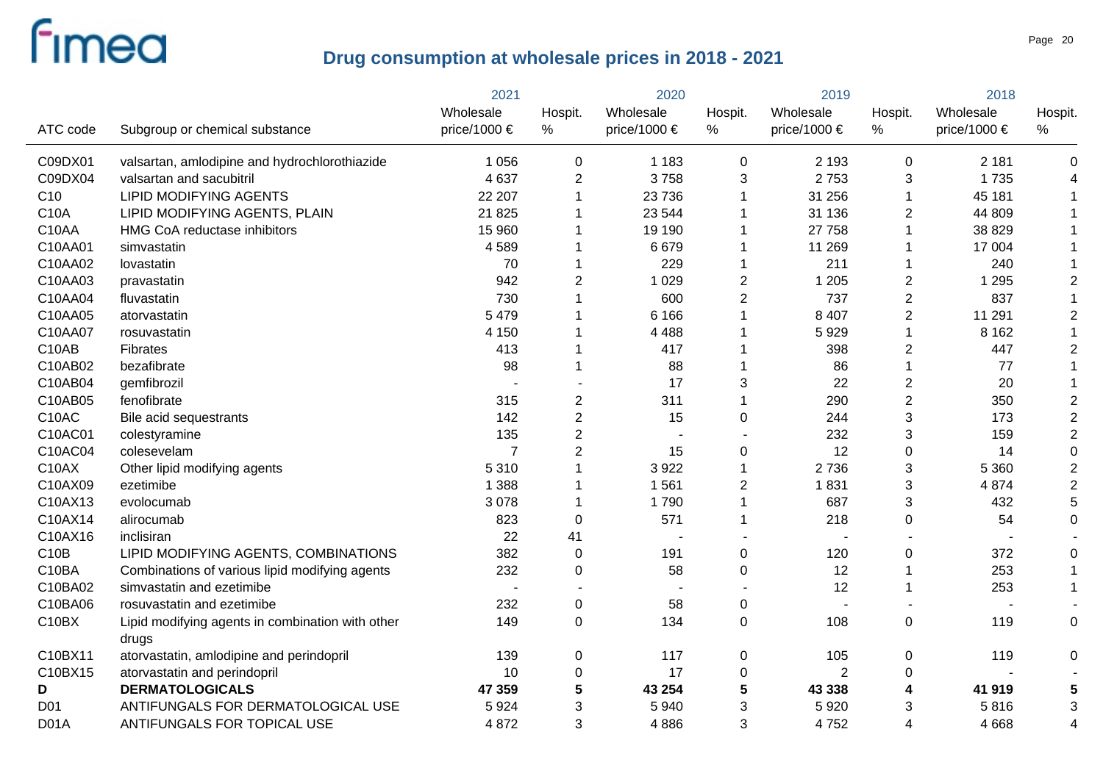|                   |                                                           | 2021           |                  | 2020         |                | 2019             |                | 2018             |                |
|-------------------|-----------------------------------------------------------|----------------|------------------|--------------|----------------|------------------|----------------|------------------|----------------|
|                   |                                                           | Wholesale      | Hospit.          | Wholesale    | Hospit.        | Wholesale        | Hospit.        | Wholesale        | Hospit.        |
| ATC code          | Subgroup or chemical substance                            | price/1000 €   | %                | price/1000 € | %              | price/1000 $\in$ | $\%$           | price/1000 $\in$ | %              |
| C09DX01           | valsartan, amlodipine and hydrochlorothiazide             | 1 0 5 6        | $\mathbf 0$      | 1 1 8 3      | 0              | 2 1 9 3          | 0              | 2 1 8 1          | 0              |
| C09DX04           | valsartan and sacubitril                                  | 4 6 3 7        | $\overline{2}$   | 3758         | 3              | 2753             | 3              | 1735             | 4              |
| C <sub>10</sub>   | <b>LIPID MODIFYING AGENTS</b>                             | 22 207         |                  | 23 7 36      | 1              | 31 256           | 1              | 45 181           |                |
| C10A              | LIPID MODIFYING AGENTS, PLAIN                             | 21 8 25        |                  | 23 544       | 1              | 31 136           | $\overline{2}$ | 44 809           |                |
| C10AA             | HMG CoA reductase inhibitors                              | 15 960         |                  | 19 190       | 1              | 27 758           | $\overline{1}$ | 38 829           |                |
| C10AA01           | simvastatin                                               | 4589           |                  | 6679         | 1              | 11 269           | -1             | 17 004           |                |
| C10AA02           | lovastatin                                                | 70             |                  | 229          | 1              | 211              | -1             | 240              |                |
| C10AA03           | pravastatin                                               | 942            | $\overline{2}$   | 1 0 2 9      | 2              | 1 2 0 5          | $\overline{2}$ | 1 2 9 5          | $\overline{2}$ |
| C10AA04           | fluvastatin                                               | 730            |                  | 600          | $\overline{c}$ | 737              | $\overline{c}$ | 837              |                |
| C10AA05           | atorvastatin                                              | 5 4 7 9        |                  | 6 1 6 6      | 1              | 8 4 0 7          | $\overline{2}$ | 11 291           | $\overline{c}$ |
| C10AA07           | rosuvastatin                                              | 4 1 5 0        |                  | 4 4 8 8      |                | 5929             | $\overline{1}$ | 8 1 6 2          |                |
| C10AB             | Fibrates                                                  | 413            |                  | 417          |                | 398              | $\overline{c}$ | 447              | $\overline{c}$ |
| C10AB02           | bezafibrate                                               | 98             |                  | 88           | 1              | 86               | $\overline{1}$ | 77               |                |
| C10AB04           | gemfibrozil                                               |                |                  | 17           | 3              | 22               | $\overline{2}$ | 20               |                |
| C10AB05           | fenofibrate                                               | 315            | 2                | 311          | 1              | 290              | $\overline{2}$ | 350              | $\overline{c}$ |
| C10AC             | Bile acid sequestrants                                    | 142            | $\overline{2}$   | 15           | 0              | 244              | $\mathsf 3$    | 173              | $\overline{2}$ |
| C10AC01           | colestyramine                                             | 135            | $\overline{2}$   |              |                | 232              | 3              | 159              | $\overline{c}$ |
| C10AC04           | colesevelam                                               | $\overline{7}$ | $\overline{2}$   | 15           | 0              | 12               | $\pmb{0}$      | 14               | $\mathbf 0$    |
| C10AX             | Other lipid modifying agents                              | 5 3 1 0        |                  | 3922         | $\mathbf{1}$   | 2736             | 3              | 5 3 6 0          | $\overline{c}$ |
| C10AX09           | ezetimibe                                                 | 1 3 8 8        |                  | 1561         | $\overline{c}$ | 1831             | 3              | 4 8 7 4          | $\overline{2}$ |
| C10AX13           | evolocumab                                                | 3 0 7 8        |                  | 1790         | 1              | 687              | 3              | 432              | 5              |
| C10AX14           | alirocumab                                                | 823            | 0                | 571          | 1              | 218              | $\pmb{0}$      | 54               | $\mathbf 0$    |
| C10AX16           | inclisiran                                                | 22             | 41               |              |                |                  |                |                  |                |
| C10B              | LIPID MODIFYING AGENTS, COMBINATIONS                      | 382            | $\mathbf 0$      | 191          | 0              | 120              | 0              | 372              | 0              |
| C10BA             | Combinations of various lipid modifying agents            | 232            | $\pmb{0}$        | 58           | 0              | 12               | 1              | 253              |                |
| C10BA02           | simvastatin and ezetimibe                                 |                |                  |              |                | 12               | $\overline{1}$ | 253              |                |
| C10BA06           | rosuvastatin and ezetimibe                                | 232            | $\boldsymbol{0}$ | 58           | 0              |                  |                |                  |                |
| C10BX             | Lipid modifying agents in combination with other<br>drugs | 149            | $\boldsymbol{0}$ | 134          | 0              | 108              | $\pmb{0}$      | 119              | $\mathbf 0$    |
| C10BX11           | atorvastatin, amlodipine and perindopril                  | 139            | $\pmb{0}$        | 117          | 0              | 105              | $\mathbf 0$    | 119              | 0              |
| C10BX15           | atorvastatin and perindopril                              | 10             | $\boldsymbol{0}$ | 17           | 0              | $\overline{2}$   | 0              |                  |                |
| D                 | <b>DERMATOLOGICALS</b>                                    | 47 359         | 5                | 43 254       | 5              | 43 338           | 4              | 41 919           |                |
| D <sub>01</sub>   | ANTIFUNGALS FOR DERMATOLOGICAL USE                        | 5924           | 3                | 5 9 4 0      | 3              | 5 9 20           | 3              | 5816             | 3              |
| D <sub>0</sub> 1A | ANTIFUNGALS FOR TOPICAL USE                               | 4 8 7 2        | 3                | 4886         | 3              | 4752             | 4              | 4 6 6 8          | 4              |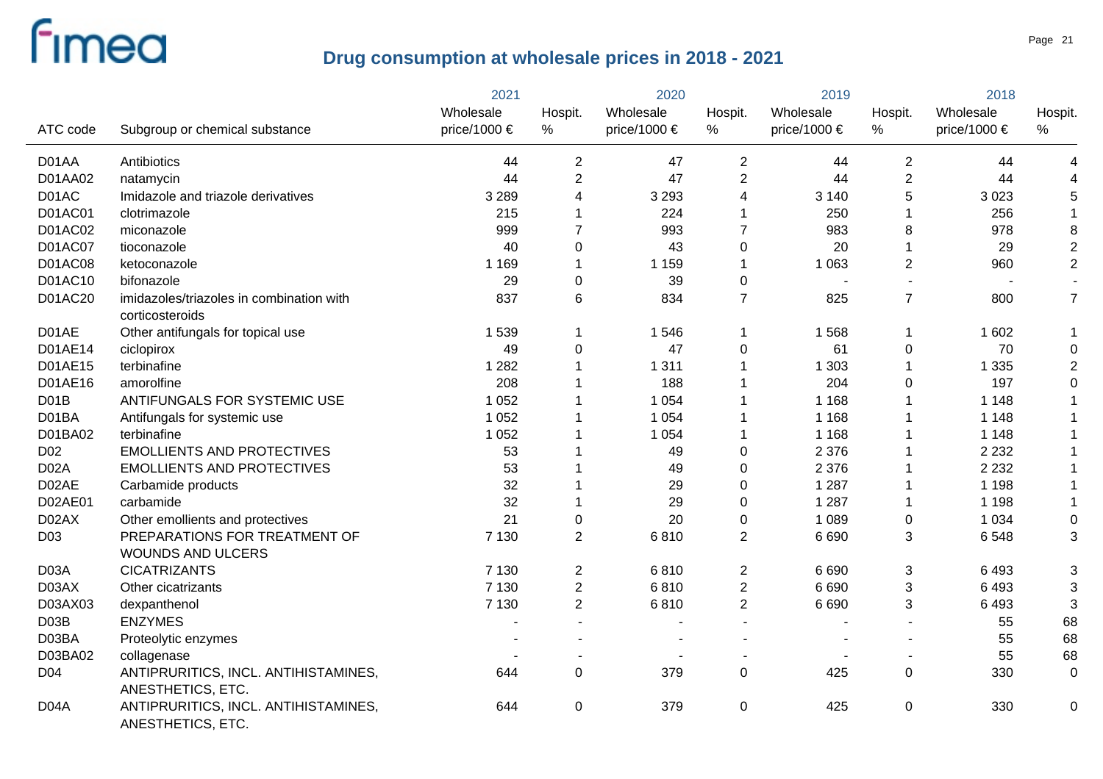|                   |                                                             | 2021         | 2020           |              | 2019           |              | 2018             |              |                  |
|-------------------|-------------------------------------------------------------|--------------|----------------|--------------|----------------|--------------|------------------|--------------|------------------|
|                   |                                                             | Wholesale    | Hospit.        | Wholesale    | Hospit.        | Wholesale    | Hospit.          | Wholesale    | Hospit.          |
| ATC code          | Subgroup or chemical substance                              | price/1000 € | $\%$           | price/1000 € | %              | price/1000 € | %                | price/1000 € | %                |
| D01AA             | Antibiotics                                                 | 44           | $\overline{c}$ | 47           | 2              | 44           | $\overline{2}$   | 44           | 4                |
| D01AA02           | natamycin                                                   | 44           | $\overline{2}$ | 47           | $\overline{2}$ | 44           | $\overline{2}$   | 44           | 4                |
| D01AC             | Imidazole and triazole derivatives                          | 3 2 8 9      | 4              | 3 2 9 3      | 4              | 3 1 4 0      | 5                | 3 0 2 3      | 5                |
| D01AC01           | clotrimazole                                                | 215          |                | 224          | 1              | 250          | 1                | 256          | $\mathbf{1}$     |
| D01AC02           | miconazole                                                  | 999          | 7              | 993          | $\overline{7}$ | 983          | 8                | 978          | 8                |
| D01AC07           | tioconazole                                                 | 40           | $\mathbf 0$    | 43           | 0              | 20           | 1                | 29           | $\overline{2}$   |
| <b>D01AC08</b>    | ketoconazole                                                | 1 1 6 9      |                | 1 1 5 9      | 1              | 1 0 6 3      | $\overline{2}$   | 960          | $\overline{2}$   |
| D01AC10           | bifonazole                                                  | 29           | $\mathbf 0$    | 39           | 0              |              |                  |              |                  |
| D01AC20           | imidazoles/triazoles in combination with<br>corticosteroids | 837          | 6              | 834          | $\overline{7}$ | 825          | $\overline{7}$   | 800          | $\overline{7}$   |
| D01AE             | Other antifungals for topical use                           | 1 5 3 9      | 1              | 1546         | 1              | 1568         | $\mathbf{1}$     | 1 602        | $\mathbf{1}$     |
| D01AE14           | ciclopirox                                                  | 49           | $\mathbf 0$    | 47           | 0              | 61           | $\mathbf 0$      | 70           | $\boldsymbol{0}$ |
| D01AE15           | terbinafine                                                 | 1 2 8 2      |                | 1 3 1 1      | 1              | 1 303        | $\overline{1}$   | 1 3 3 5      | $\mathbf 2$      |
| D01AE16           | amorolfine                                                  | 208          |                | 188          |                | 204          | 0                | 197          | $\boldsymbol{0}$ |
| D <sub>0</sub> 1B | ANTIFUNGALS FOR SYSTEMIC USE                                | 1 0 5 2      |                | 1 0 5 4      |                | 1 1 6 8      |                  | 1 1 4 8      |                  |
| D01BA             | Antifungals for systemic use                                | 1 0 5 2      |                | 1 0 5 4      | 1              | 1 1 6 8      | 1                | 1 1 4 8      |                  |
| D01BA02           | terbinafine                                                 | 1 0 5 2      |                | 1 0 5 4      | 1              | 1 1 6 8      |                  | 1 1 4 8      | $\mathbf 1$      |
| D <sub>02</sub>   | <b>EMOLLIENTS AND PROTECTIVES</b>                           | 53           |                | 49           | $\pmb{0}$      | 2 3 7 6      |                  | 2 2 3 2      | $\mathbf 1$      |
| D <sub>02</sub> A | <b>EMOLLIENTS AND PROTECTIVES</b>                           | 53           |                | 49           | $\mathbf 0$    | 2 3 7 6      | 1                | 2 2 3 2      | 1                |
| D02AE             | Carbamide products                                          | 32           |                | 29           | $\mathbf 0$    | 1 2 8 7      | 1                | 1 1 9 8      | $\mathbf{1}$     |
| D02AE01           | carbamide                                                   | 32           |                | 29           | $\mathbf 0$    | 1 2 8 7      | 1                | 1 1 9 8      | $\mathbf 1$      |
| D02AX             | Other emollients and protectives                            | 21           | $\mathbf 0$    | 20           | $\pmb{0}$      | 1 0 8 9      | $\pmb{0}$        | 1 0 3 4      | $\boldsymbol{0}$ |
| D <sub>03</sub>   | PREPARATIONS FOR TREATMENT OF                               | 7 1 3 0      | $\overline{2}$ | 6810         | $\overline{2}$ | 6 6 9 0      | 3                | 6548         | 3                |
|                   | <b>WOUNDS AND ULCERS</b>                                    |              |                |              |                |              |                  |              |                  |
| D03A              | <b>CICATRIZANTS</b>                                         | 7 1 3 0      | $\overline{2}$ | 6810         | 2              | 6 6 9 0      | 3                | 6493         | 3                |
| D03AX             | Other cicatrizants                                          | 7 1 3 0      | $\overline{2}$ | 6810         | $\overline{c}$ | 6 6 9 0      | $\sqrt{3}$       | 6493         | $\mathbf{3}$     |
| D03AX03           | dexpanthenol                                                | 7 1 3 0      | $\overline{2}$ | 6810         | $\overline{2}$ | 6 6 9 0      | 3                | 6 4 9 3      | 3                |
| D03B              | <b>ENZYMES</b>                                              |              |                |              | $\overline{a}$ |              |                  | 55           | 68               |
| D03BA             | Proteolytic enzymes                                         |              |                |              |                |              |                  | 55           | 68               |
| D03BA02           | collagenase                                                 |              |                |              |                |              |                  | 55           | 68               |
| D04               | ANTIPRURITICS, INCL. ANTIHISTAMINES,<br>ANESTHETICS, ETC.   | 644          | $\mathbf 0$    | 379          | $\mathbf 0$    | 425          | $\boldsymbol{0}$ | 330          | $\boldsymbol{0}$ |
| D <sub>04</sub> A | ANTIPRURITICS, INCL. ANTIHISTAMINES,<br>ANESTHETICS, ETC.   | 644          | $\mathbf 0$    | 379          | 0              | 425          | $\boldsymbol{0}$ | 330          | 0                |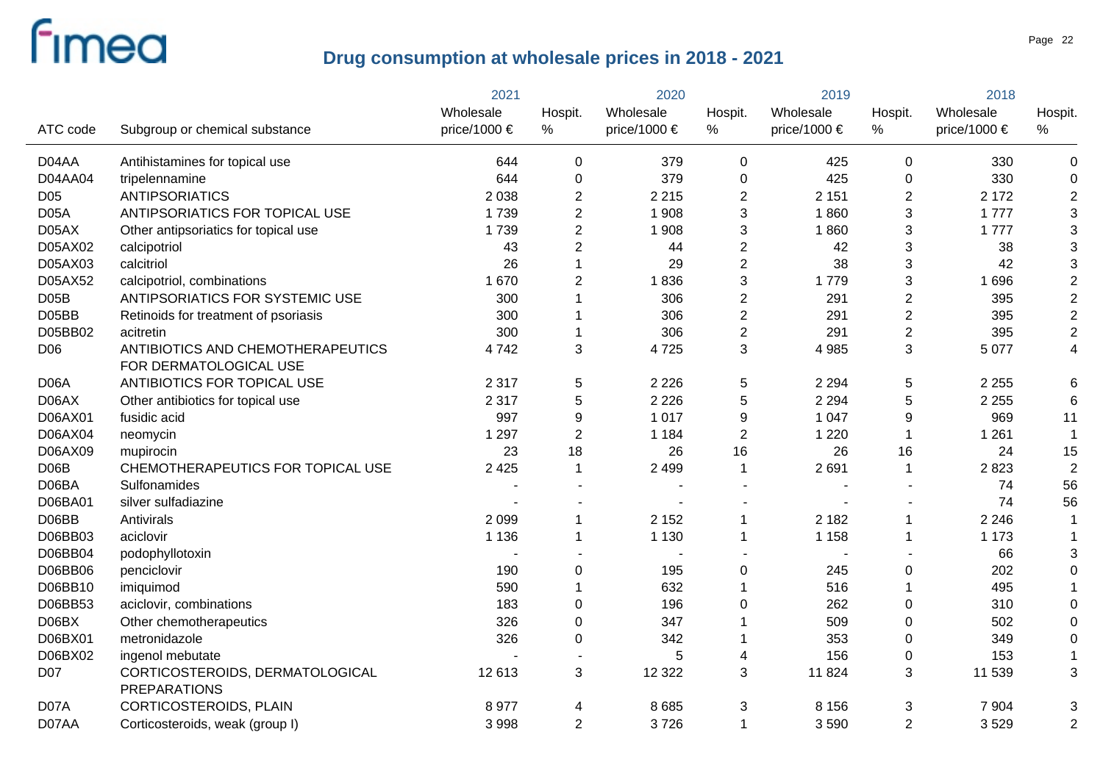|                   |                                                        | 2021         |                | 2020                  |                  | 2019             |                  | 2018         |                      |
|-------------------|--------------------------------------------------------|--------------|----------------|-----------------------|------------------|------------------|------------------|--------------|----------------------|
|                   |                                                        | Wholesale    | Hospit.        | Wholesale             | Hospit.          | Wholesale        | Hospit.          | Wholesale    | Hospit.              |
| ATC code          | Subgroup or chemical substance                         | price/1000 € | $\%$           | price/1000 $\epsilon$ | $\%$             | price/1000 $\in$ | $\%$             | price/1000 € | %                    |
| D04AA             | Antihistamines for topical use                         | 644          | 0              | 379                   | 0                | 425              | $\mathbf 0$      | 330          | 0                    |
| D04AA04           | tripelennamine                                         | 644          | 0              | 379                   | $\pmb{0}$        | 425              | $\boldsymbol{0}$ | 330          | $\pmb{0}$            |
| D <sub>05</sub>   | <b>ANTIPSORIATICS</b>                                  | 2 0 3 8      | $\overline{2}$ | 2 2 1 5               | $\overline{c}$   | 2 1 5 1          | $\overline{2}$   | 2 1 7 2      | $\overline{2}$       |
| D <sub>05</sub> A | ANTIPSORIATICS FOR TOPICAL USE                         | 1739         | $\overline{2}$ | 1 908                 | 3                | 1860             | $\sqrt{3}$       | 1 7 7 7      | 3                    |
| D05AX             | Other antipsoriatics for topical use                   | 1739         | $\overline{2}$ | 1 908                 | 3                | 1860             | $\sqrt{3}$       | 1777         | $\mathfrak{S}$       |
| D05AX02           | calcipotriol                                           | 43           | $\overline{2}$ | 44                    | $\overline{2}$   | 42               | $\sqrt{3}$       | 38           | $\mathfrak{S}$       |
| D05AX03           | calcitriol                                             | 26           | 1              | 29                    | $\overline{2}$   | 38               | $\sqrt{3}$       | 42           | $\mathfrak{S}$       |
| D05AX52           | calcipotriol, combinations                             | 1 670        | $\overline{2}$ | 1836                  | 3                | 1779             | $\mathfrak{S}$   | 1696         | $\overline{c}$       |
| D05B              | ANTIPSORIATICS FOR SYSTEMIC USE                        | 300          | 1              | 306                   | $\overline{2}$   | 291              | $\overline{2}$   | 395          | $\overline{c}$       |
| D05BB             | Retinoids for treatment of psoriasis                   | 300          | 1              | 306                   | $\overline{c}$   | 291              | $\overline{2}$   | 395          | $\overline{c}$       |
| D05BB02           | acitretin                                              | 300          | $\mathbf{1}$   | 306                   | $\mathbf{2}$     | 291              | $\overline{2}$   | 395          | $\overline{c}$       |
| D06               | ANTIBIOTICS AND CHEMOTHERAPEUTICS                      | 4742         | 3              | 4725                  | 3                | 4 9 8 5          | 3                | 5 0 7 7      | 4                    |
|                   | FOR DERMATOLOGICAL USE                                 |              |                |                       |                  |                  |                  |              |                      |
| D <sub>06</sub> A | ANTIBIOTICS FOR TOPICAL USE                            | 2 3 1 7      | 5              | 2 2 2 6               | $\sqrt{5}$       | 2 2 9 4          | $\,$ 5 $\,$      | 2 2 5 5      | 6                    |
| D06AX             | Other antibiotics for topical use                      | 2 3 1 7      | 5              | 2 2 2 6               | $\sqrt{5}$       | 2 2 9 4          | $\overline{5}$   | 2 2 5 5      | 6                    |
| D06AX01           | fusidic acid                                           | 997          | 9              | 1017                  | $\boldsymbol{9}$ | 1 0 4 7          | 9                | 969          | 11                   |
| D06AX04           | neomycin                                               | 1 2 9 7      | $\overline{2}$ | 1 1 8 4               | $\overline{2}$   | 1 2 2 0          | $\mathbf{1}$     | 1 2 6 1      | $\blacktriangleleft$ |
| D06AX09           | mupirocin                                              | 23           | 18             | 26                    | 16               | 26               | 16               | 24           | 15                   |
| D <sub>06</sub> B | CHEMOTHERAPEUTICS FOR TOPICAL USE                      | 2 4 2 5      | $\mathbf{1}$   | 2 4 9 9               | $\mathbf{1}$     | 2691             | $\mathbf{1}$     | 2823         | $\overline{2}$       |
| D06BA             | Sulfonamides                                           |              |                |                       |                  |                  |                  | 74           | 56                   |
| D06BA01           | silver sulfadiazine                                    |              |                |                       |                  |                  |                  | 74           | 56                   |
| D06BB             | Antivirals                                             | 2 0 9 9      | $\mathbf 1$    | 2 1 5 2               | $\mathbf{1}$     | 2 1 8 2          | $\mathbf 1$      | 2 2 4 6      | $\mathbf 1$          |
| D06BB03           | aciclovir                                              | 1 1 3 6      | $\mathbf 1$    | 1 1 3 0               | $\mathbf 1$      | 1 1 5 8          | $\mathbf{1}$     | 1 1 7 3      |                      |
| D06BB04           | podophyllotoxin                                        |              |                |                       |                  |                  |                  | 66           | 3                    |
| D06BB06           | penciclovir                                            | 190          | 0              | 195                   | $\pmb{0}$        | 245              | $\boldsymbol{0}$ | 202          | 0                    |
| D06BB10           | imiquimod                                              | 590          | $\mathbf{1}$   | 632                   | $\overline{1}$   | 516              | $\overline{1}$   | 495          |                      |
| D06BB53           | aciclovir, combinations                                | 183          | 0              | 196                   | 0                | 262              | $\boldsymbol{0}$ | 310          | $\overline{0}$       |
| D06BX             | Other chemotherapeutics                                | 326          | 0              | 347                   |                  | 509              | $\pmb{0}$        | 502          | $\Omega$             |
| D06BX01           | metronidazole                                          | 326          | 0              | 342                   |                  | 353              | $\pmb{0}$        | 349          | 0                    |
| D06BX02           | ingenol mebutate                                       |              |                | 5                     | 4                | 156              | $\mathbf 0$      | 153          |                      |
| D07               | CORTICOSTEROIDS, DERMATOLOGICAL<br><b>PREPARATIONS</b> | 12 613       | 3              | 12 3 22               | 3                | 11 824           | $\sqrt{3}$       | 11 539       | 3                    |
| D07A              | CORTICOSTEROIDS, PLAIN                                 | 8977         | 4              | 8685                  | 3                | 8 1 5 6          | 3                | 7 9 0 4      | 3                    |
| D07AA             | Corticosteroids, weak (group I)                        | 3 9 9 8      | $\overline{2}$ | 3726                  | $\mathbf{1}$     | 3590             | $\overline{2}$   | 3529         | $\overline{2}$       |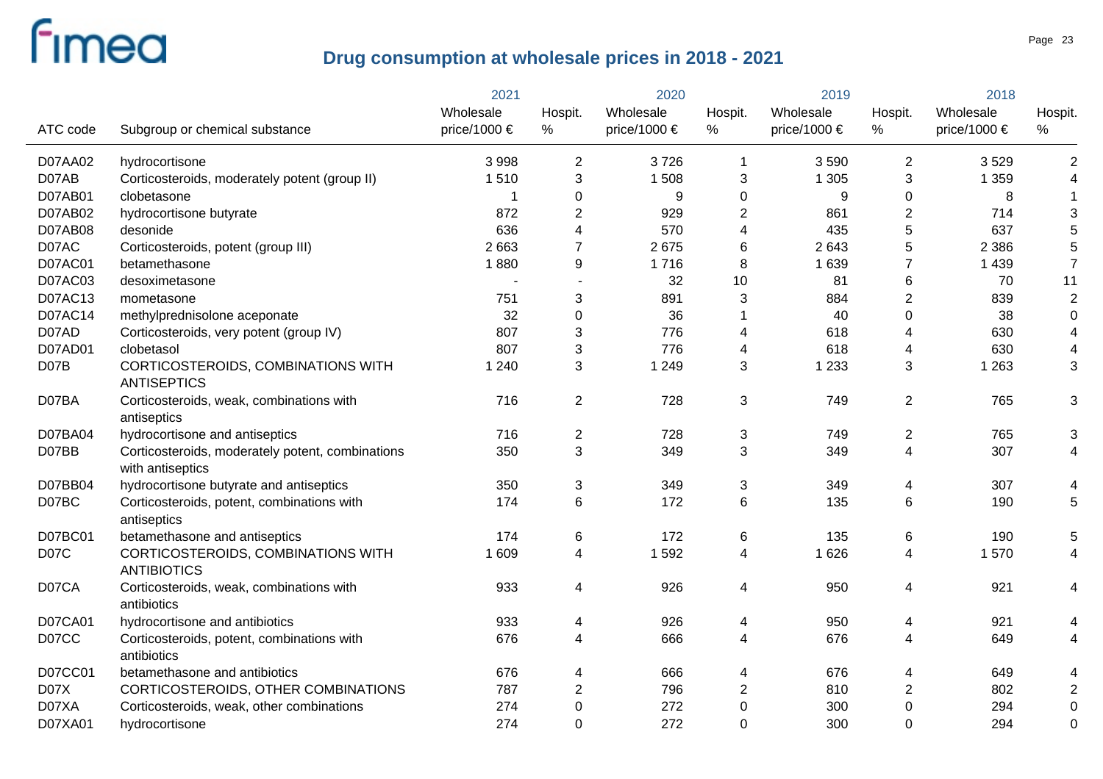|                |                                                                      | 2021         | 2020                     |              | 2019           |              | 2018                    |              |                         |
|----------------|----------------------------------------------------------------------|--------------|--------------------------|--------------|----------------|--------------|-------------------------|--------------|-------------------------|
|                |                                                                      | Wholesale    | Hospit.                  | Wholesale    | Hospit.        | Wholesale    | Hospit.                 | Wholesale    | Hospit.                 |
| ATC code       | Subgroup or chemical substance                                       | price/1000 € | %                        | price/1000 € | %              | price/1000 € | $\%$                    | price/1000 € | ℅                       |
| D07AA02        | hydrocortisone                                                       | 3 9 9 8      | $\overline{2}$           | 3726         | 1              | 3590         | 2                       | 3529         | $\overline{2}$          |
| D07AB          | Corticosteroids, moderately potent (group II)                        | 1510         | 3                        | 1508         | 3              | 1 3 0 5      | 3                       | 1 3 5 9      | 4                       |
| D07AB01        | clobetasone                                                          |              | 0                        | 9            | 0              | 9            | 0                       | 8            | $\mathbf{1}$            |
| D07AB02        | hydrocortisone butyrate                                              | 872          | 2                        | 929          | $\overline{2}$ | 861          | $\overline{2}$          | 714          | 3                       |
| D07AB08        | desonide                                                             | 636          | 4                        | 570          | 4              | 435          | 5                       | 637          | 5                       |
| D07AC          | Corticosteroids, potent (group III)                                  | 2 6 6 3      | 7                        | 2675         | 6              | 2643         | 5                       | 2 3 8 6      | 5                       |
| <b>D07AC01</b> | betamethasone                                                        | 1880         | 9                        | 1716         | 8              | 1 6 3 9      | 7                       | 1 4 3 9      | $\overline{7}$          |
| D07AC03        | desoximetasone                                                       |              |                          | 32           | 10             | 81           | 6                       | 70           | 11                      |
| D07AC13        | mometasone                                                           | 751          | 3                        | 891          | 3              | 884          | $\overline{2}$          | 839          | $\overline{c}$          |
| D07AC14        | methylprednisolone aceponate                                         | 32           | 0                        | 36           | 1              | 40           | $\pmb{0}$               | 38           | $\boldsymbol{0}$        |
| D07AD          | Corticosteroids, very potent (group IV)                              | 807          | 3                        | 776          | 4              | 618          | 4                       | 630          | $\overline{4}$          |
| D07AD01        | clobetasol                                                           | 807          | 3                        | 776          | 4              | 618          | 4                       | 630          | 4                       |
| D07B           | CORTICOSTEROIDS, COMBINATIONS WITH<br><b>ANTISEPTICS</b>             | 1 2 4 0      | 3                        | 1 2 4 9      | 3              | 1 2 3 3      | 3                       | 1 2 6 3      | 3                       |
| D07BA          | Corticosteroids, weak, combinations with<br>antiseptics              | 716          | $\overline{2}$           | 728          | 3              | 749          | $\overline{2}$          | 765          | 3                       |
| D07BA04        | hydrocortisone and antiseptics                                       | 716          | $\overline{c}$           | 728          | 3              | 749          | $\overline{2}$          | 765          | 3                       |
| D07BB          | Corticosteroids, moderately potent, combinations<br>with antiseptics | 350          | 3                        | 349          | 3              | 349          | $\overline{\mathbf{4}}$ | 307          | $\overline{4}$          |
| D07BB04        | hydrocortisone butyrate and antiseptics                              | 350          | 3                        | 349          | 3              | 349          | 4                       | 307          | 4                       |
| D07BC          | Corticosteroids, potent, combinations with<br>antiseptics            | 174          | 6                        | 172          | 6              | 135          | 6                       | 190          | 5                       |
| D07BC01        | betamethasone and antiseptics                                        | 174          | 6                        | 172          | 6              | 135          | 6                       | 190          | 5                       |
| D07C           | CORTICOSTEROIDS, COMBINATIONS WITH<br><b>ANTIBIOTICS</b>             | 1 609        | 4                        | 1592         | 4              | 1 6 2 6      | 4                       | 1570         | 4                       |
| D07CA          | Corticosteroids, weak, combinations with<br>antibiotics              | 933          | 4                        | 926          | 4              | 950          | 4                       | 921          | 4                       |
| <b>D07CA01</b> | hydrocortisone and antibiotics                                       | 933          | 4                        | 926          | 4              | 950          | 4                       | 921          | 4                       |
| D07CC          | Corticosteroids, potent, combinations with<br>antibiotics            | 676          | $\overline{\mathcal{A}}$ | 666          | 4              | 676          | $\overline{\mathbf{4}}$ | 649          | 4                       |
| D07CC01        | betamethasone and antibiotics                                        | 676          | 4                        | 666          | 4              | 676          | 4                       | 649          | 4                       |
| D07X           | CORTICOSTEROIDS, OTHER COMBINATIONS                                  | 787          | 2                        | 796          | 2              | 810          | $\overline{c}$          | 802          | $\overline{\mathbf{c}}$ |
| D07XA          | Corticosteroids, weak, other combinations                            | 274          | $\boldsymbol{0}$         | 272          | 0              | 300          | $\pmb{0}$               | 294          | $\mathbf 0$             |
| D07XA01        | hydrocortisone                                                       | 274          | $\mathbf 0$              | 272          | 0              | 300          | 0                       | 294          | $\mathbf 0$             |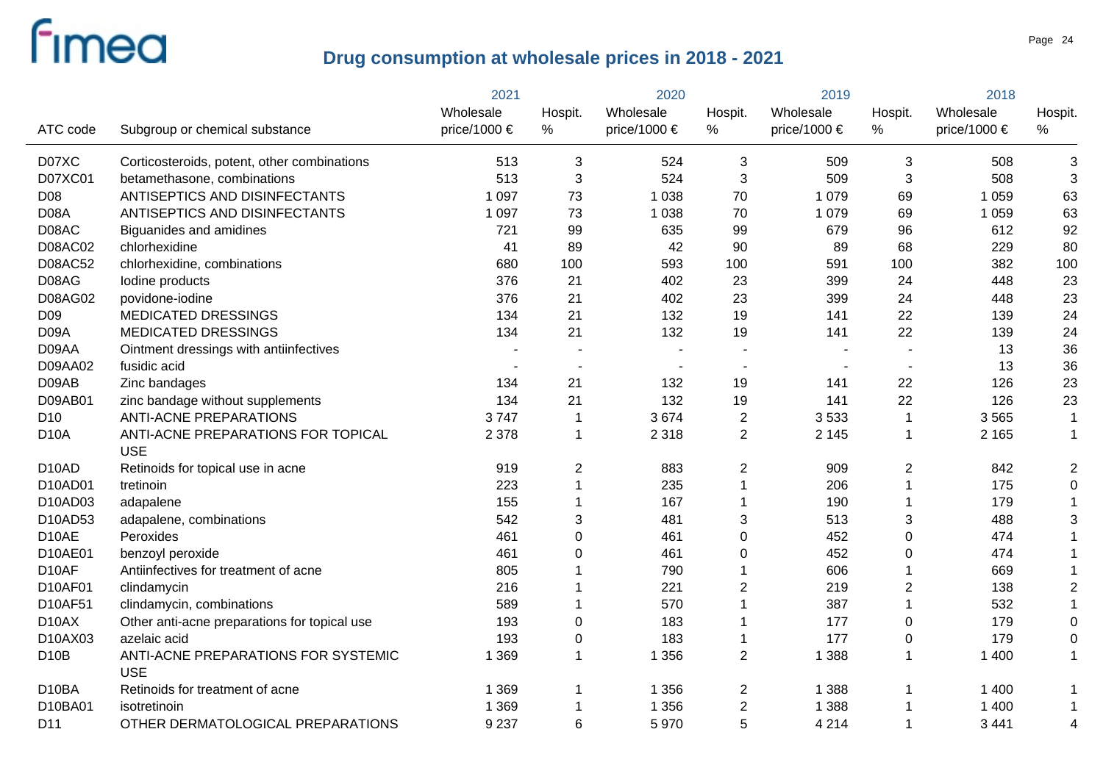|                    |                                                   | 2021         |                           | 2020         |                         | 2019             |                         | 2018             |                |
|--------------------|---------------------------------------------------|--------------|---------------------------|--------------|-------------------------|------------------|-------------------------|------------------|----------------|
|                    |                                                   | Wholesale    | Hospit.                   | Wholesale    | Hospit.                 | Wholesale        | Hospit.                 | Wholesale        | Hospit.        |
| ATC code           | Subgroup or chemical substance                    | price/1000 € | $\%$                      | price/1000 € | %                       | price/1000 $\in$ | $\%$                    | price/1000 $\in$ | %              |
| D07XC              | Corticosteroids, potent, other combinations       | 513          | 3                         | 524          | 3                       | 509              | 3                       | 508              | 3              |
| D07XC01            | betamethasone, combinations                       | 513          | 3                         | 524          | 3                       | 509              | 3                       | 508              | 3              |
| D08                | ANTISEPTICS AND DISINFECTANTS                     | 1 0 9 7      | 73                        | 1 0 3 8      | 70                      | 1 0 7 9          | 69                      | 1 0 5 9          | 63             |
| D08A               | ANTISEPTICS AND DISINFECTANTS                     | 1 0 9 7      | 73                        | 1 0 3 8      | 70                      | 1 0 7 9          | 69                      | 1 0 5 9          | 63             |
| D08AC              | Biguanides and amidines                           | 721          | 99                        | 635          | 99                      | 679              | 96                      | 612              | 92             |
| <b>D08AC02</b>     | chlorhexidine                                     | 41           | 89                        | 42           | 90                      | 89               | 68                      | 229              | 80             |
| D08AC52            | chlorhexidine, combinations                       | 680          | 100                       | 593          | 100                     | 591              | 100                     | 382              | 100            |
| D08AG              | lodine products                                   | 376          | 21                        | 402          | 23                      | 399              | 24                      | 448              | 23             |
| D08AG02            | povidone-iodine                                   | 376          | 21                        | 402          | 23                      | 399              | 24                      | 448              | 23             |
| D <sub>09</sub>    | <b>MEDICATED DRESSINGS</b>                        | 134          | 21                        | 132          | 19                      | 141              | 22                      | 139              | 24             |
| D09A               | <b>MEDICATED DRESSINGS</b>                        | 134          | 21                        | 132          | 19                      | 141              | 22                      | 139              | 24             |
| D09AA              | Ointment dressings with antiinfectives            |              |                           |              |                         |                  |                         | 13               | 36             |
| D09AA02            | fusidic acid                                      |              |                           |              |                         |                  |                         | 13               | 36             |
| D09AB              | Zinc bandages                                     | 134          | 21                        | 132          | 19                      | 141              | 22                      | 126              | 23             |
| D09AB01            | zinc bandage without supplements                  | 134          | 21                        | 132          | 19                      | 141              | 22                      | 126              | 23             |
| D <sub>10</sub>    | <b>ANTI-ACNE PREPARATIONS</b>                     | 3747         | $\mathbf 1$               | 3674         | $\overline{2}$          | 3533             | $\overline{\mathbf{1}}$ | 3565             | $\mathbf{1}$   |
| <b>D10A</b>        | ANTI-ACNE PREPARATIONS FOR TOPICAL                | 2 3 7 8      | $\mathbf 1$               | 2 3 1 8      | $\overline{2}$          | 2 1 4 5          | $\overline{1}$          | 2 1 6 5          | $\mathbf{1}$   |
|                    | <b>USE</b>                                        |              |                           |              |                         |                  |                         |                  |                |
| D <sub>10</sub> AD | Retinoids for topical use in acne                 | 919          | $\boldsymbol{2}$          | 883          | 2                       | 909              | $\overline{2}$          | 842              | $\overline{c}$ |
| D10AD01            | tretinoin                                         | 223          | 1                         | 235          | $\mathbf{1}$            | 206              | $\overline{1}$          | 175              | $\mathbf 0$    |
| D10AD03            | adapalene                                         | 155          |                           | 167          | $\mathbf{1}$            | 190              | 1                       | 179              |                |
| D10AD53            | adapalene, combinations                           | 542          | $\ensuremath{\mathsf{3}}$ | 481          | 3                       | 513              | $\sqrt{3}$              | 488              | 3              |
| D10AE              | Peroxides                                         | 461          | $\pmb{0}$                 | 461          | 0                       | 452              | $\pmb{0}$               | 474              |                |
| D10AE01            | benzoyl peroxide                                  | 461          | $\mathbf 0$               | 461          | 0                       | 452              | $\pmb{0}$               | 474              |                |
| D10AF              | Antiinfectives for treatment of acne              | 805          |                           | 790          | 1                       | 606              | 1                       | 669              |                |
| D10AF01            | clindamycin                                       | 216          |                           | 221          | $\overline{\mathbf{c}}$ | 219              | $\sqrt{2}$              | 138              | $\overline{c}$ |
| D10AF51            | clindamycin, combinations                         | 589          |                           | 570          | 1                       | 387              | $\overline{1}$          | 532              |                |
| D <sub>10</sub> AX | Other anti-acne preparations for topical use      | 193          | $\pmb{0}$                 | 183          | 1                       | 177              | 0                       | 179              | $\mathbf 0$    |
| D10AX03            | azelaic acid                                      | 193          | $\pmb{0}$                 | 183          | 1                       | 177              | 0                       | 179              | $\mathbf 0$    |
| D <sub>10</sub> B  | ANTI-ACNE PREPARATIONS FOR SYSTEMIC<br><b>USE</b> | 1 3 6 9      |                           | 1 3 5 6      | $\overline{2}$          | 1 3 8 8          | $\overline{1}$          | 1 400            | $\mathbf 1$    |
| D10BA              | Retinoids for treatment of acne                   | 1 3 6 9      | 1                         | 1 3 5 6      | 2                       | 1 3 8 8          | -1                      | 1 400            |                |
| D10BA01            | isotretinoin                                      | 1 3 6 9      |                           | 1 3 5 6      | $\overline{c}$          | 1 3 8 8          | 1                       | 1 400            | 1              |
| D11                | OTHER DERMATOLOGICAL PREPARATIONS                 | 9 2 3 7      | 6                         | 5970         | 5                       | 4 2 1 4          | $\overline{1}$          | 3 4 4 1          | 4              |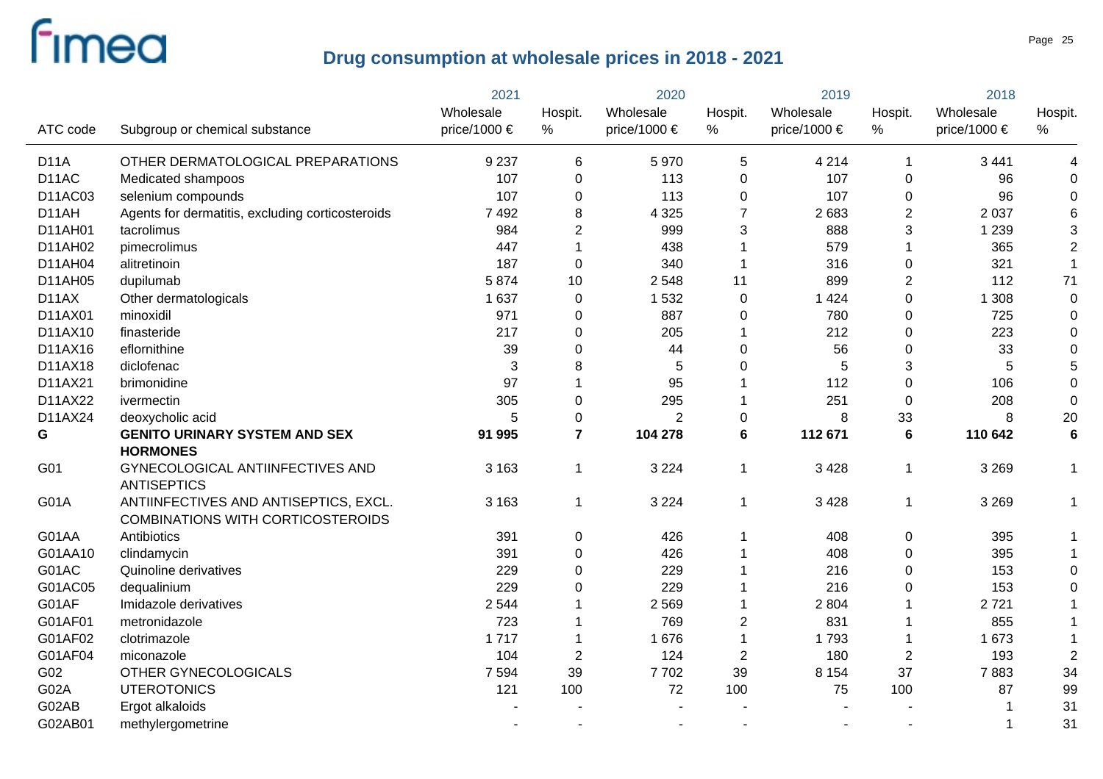|                   |                                                        | 2021         | 2020           |                  | 2019           |              | 2018             |              |                  |
|-------------------|--------------------------------------------------------|--------------|----------------|------------------|----------------|--------------|------------------|--------------|------------------|
|                   |                                                        | Wholesale    | Hospit.        | Wholesale        | Hospit.        | Wholesale    | Hospit.          | Wholesale    | Hospit.          |
| ATC code          | Subgroup or chemical substance                         | price/1000 € | $\%$           | price/1000 $\in$ | %              | price/1000 € | %                | price/1000 € | $\%$             |
| <b>D11A</b>       | OTHER DERMATOLOGICAL PREPARATIONS                      | 9 2 3 7      | 6              | 5970             | 5              | 4 2 1 4      | $\overline{1}$   | 3 4 4 1      | 4                |
| D <sub>14</sub> C | Medicated shampoos                                     | 107          | 0              | 113              | 0              | 107          | $\mathbf 0$      | 96           | 0                |
| D11AC03           | selenium compounds                                     | 107          | 0              | 113              | 0              | 107          | $\mathbf 0$      | 96           | 0                |
| D11AH             | Agents for dermatitis, excluding corticosteroids       | 7 4 9 2      | 8              | 4 3 2 5          | $\overline{7}$ | 2 6 8 3      | $\overline{2}$   | 2 0 3 7      | 6                |
| D11AH01           | tacrolimus                                             | 984          | $\overline{2}$ | 999              | 3              | 888          | 3                | 1 2 3 9      | 3                |
| D11AH02           | pimecrolimus                                           | 447          |                | 438              |                | 579          |                  | 365          | $\mathbf 2$      |
| D11AH04           | alitretinoin                                           | 187          | $\mathbf 0$    | 340              |                | 316          | $\boldsymbol{0}$ | 321          | $\mathbf{1}$     |
| D11AH05           | dupilumab                                              | 5874         | 10             | 2 5 4 8          | 11             | 899          | $\overline{2}$   | 112          | 71               |
| D11AX             | Other dermatologicals                                  | 1 6 3 7      | $\mathbf 0$    | 1 5 3 2          | $\mathbf 0$    | 1 4 2 4      | $\pmb{0}$        | 1 3 0 8      | $\boldsymbol{0}$ |
| D11AX01           | minoxidil                                              | 971          | 0              | 887              | 0              | 780          | $\boldsymbol{0}$ | 725          | $\boldsymbol{0}$ |
| D11AX10           | finasteride                                            | 217          | 0              | 205              |                | 212          | $\mathbf 0$      | 223          | $\boldsymbol{0}$ |
| D11AX16           | eflornithine                                           | 39           | 0              | 44               | 0              | 56           | $\boldsymbol{0}$ | 33           | $\boldsymbol{0}$ |
| D11AX18           | diclofenac                                             | 3            | 8              | 5                | 0              | 5            | 3                | 5            | 5                |
| D11AX21           | brimonidine                                            | 97           | 1              | 95               |                | 112          | $\mathbf 0$      | 106          | $\boldsymbol{0}$ |
| D11AX22           | ivermectin                                             | 305          | 0              | 295              |                | 251          | 0                | 208          | $\boldsymbol{0}$ |
| D11AX24           | deoxycholic acid                                       | 5            | 0              | $\overline{2}$   | 0              | 8            | 33               | 8            | 20               |
| G                 | <b>GENITO URINARY SYSTEM AND SEX</b>                   | 91 995       | $\overline{7}$ | 104 278          | 6              | 112 671      | 6                | 110 642      | $6\phantom{1}6$  |
|                   | <b>HORMONES</b>                                        |              |                |                  |                |              |                  |              |                  |
| G01               | GYNECOLOGICAL ANTIINFECTIVES AND<br><b>ANTISEPTICS</b> | 3 1 6 3      | $\mathbf{1}$   | 3 2 2 4          | $\overline{1}$ | 3 4 2 8      | $\mathbf 1$      | 3 2 6 9      | $\mathbf 1$      |
| G01A              | ANTIINFECTIVES AND ANTISEPTICS, EXCL.                  | 3 1 6 3      | $\mathbf 1$    | 3 2 2 4          | $\mathbf 1$    | 3 4 2 8      | $\mathbf 1$      | 3 2 6 9      | $\mathbf 1$      |
|                   | <b>COMBINATIONS WITH CORTICOSTEROIDS</b>               |              |                |                  |                |              |                  |              |                  |
| G01AA             | Antibiotics                                            | 391          | 0              | 426              | 1              | 408          | 0                | 395          |                  |
| G01AA10           | clindamycin                                            | 391          | 0              | 426              |                | 408          | 0                | 395          | $\mathbf 1$      |
| G01AC             | Quinoline derivatives                                  | 229          | 0              | 229              |                | 216          | $\mathbf 0$      | 153          | 0                |
| G01AC05           | dequalinium                                            | 229          | 0              | 229              |                | 216          | 0                | 153          | 0                |
| G01AF             | Imidazole derivatives                                  | 2 5 4 4      | 1              | 2 5 6 9          |                | 2 8 0 4      |                  | 2721         |                  |
| G01AF01           | metronidazole                                          | 723          | 1              | 769              | $\overline{2}$ | 831          |                  | 855          |                  |
| G01AF02           | clotrimazole                                           | 1717         | 1              | 1676             | 1              | 1793         |                  | 1 673        |                  |
| G01AF04           | miconazole                                             | 104          | $\overline{2}$ | 124              | $\overline{2}$ | 180          | $\overline{2}$   | 193          | $\overline{2}$   |
| G02               | OTHER GYNECOLOGICALS                                   | 7 5 9 4      | 39             | 7702             | 39             | 8 1 5 4      | 37               | 7883         | 34               |
| G02A              | <b>UTEROTONICS</b>                                     | 121          | 100            | 72               | 100            | 75           | 100              | 87           | 99               |
| G02AB             | Ergot alkaloids                                        |              |                |                  |                |              |                  |              | 31               |
| G02AB01           | methylergometrine                                      |              |                |                  |                |              |                  |              | 31               |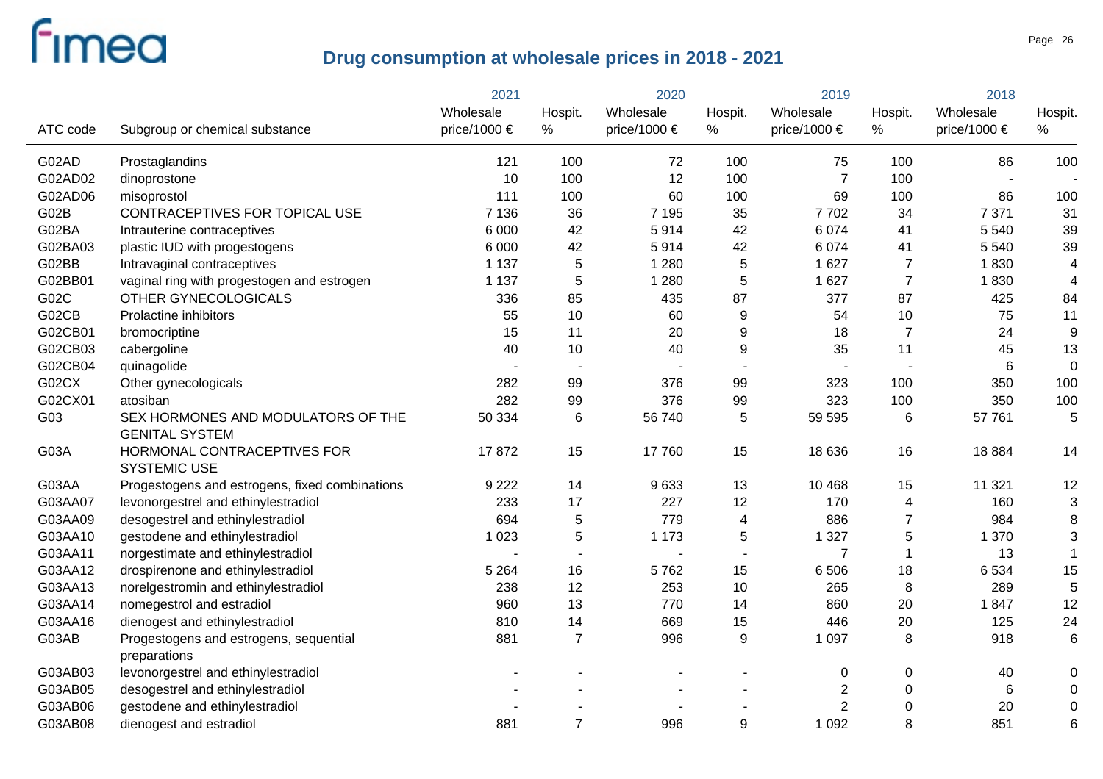|          |                                                             | 2021         |                | 2020           |                         | 2019             |                  | 2018             |                 |
|----------|-------------------------------------------------------------|--------------|----------------|----------------|-------------------------|------------------|------------------|------------------|-----------------|
|          |                                                             | Wholesale    | Hospit.        | Wholesale      | Hospit.                 | Wholesale        | Hospit.          | Wholesale        | Hospit.         |
| ATC code | Subgroup or chemical substance                              | price/1000 € | $\%$           | price/1000 €   | %                       | price/1000 $\in$ | $\%$             | price/1000 $\in$ | %               |
| G02AD    | Prostaglandins                                              | 121          | 100            | 72             | 100                     | 75               | 100              | 86               | 100             |
| G02AD02  | dinoprostone                                                | 10           | 100            | 12             | 100                     | $\overline{7}$   | 100              |                  |                 |
| G02AD06  | misoprostol                                                 | 111          | 100            | 60             | 100                     | 69               | 100              | 86               | 100             |
| G02B     | CONTRACEPTIVES FOR TOPICAL USE                              | 7 1 3 6      | 36             | 7 1 9 5        | 35                      | 7702             | 34               | 7 3 7 1          | 31              |
| G02BA    | Intrauterine contraceptives                                 | 6 0 0 0      | 42             | 5914           | 42                      | 6 0 7 4          | 41               | 5 5 4 0          | 39              |
| G02BA03  | plastic IUD with progestogens                               | 6 0 0 0      | 42             | 5914           | 42                      | 6 0 7 4          | 41               | 5 5 4 0          | 39              |
| G02BB    | Intravaginal contraceptives                                 | 1 1 3 7      | 5              | 1 2 8 0        | 5                       | 1 6 2 7          | $\overline{7}$   | 1830             | $\overline{4}$  |
| G02BB01  | vaginal ring with progestogen and estrogen                  | 1 1 3 7      | 5              | 1 2 8 0        | 5                       | 1 6 2 7          | $\overline{7}$   | 1830             | 4               |
| G02C     | OTHER GYNECOLOGICALS                                        | 336          | 85             | 435            | 87                      | 377              | 87               | 425              | 84              |
| G02CB    | Prolactine inhibitors                                       | 55           | 10             | 60             | 9                       | 54               | 10               | 75               | 11              |
| G02CB01  | bromocriptine                                               | 15           | 11             | 20             | 9                       | 18               | $\overline{7}$   | 24               | 9               |
| G02CB03  | cabergoline                                                 | 40           | 10             | 40             | 9                       | 35               | 11               | 45               | 13              |
| G02CB04  | quinagolide                                                 |              |                | $\blacksquare$ |                         |                  |                  | 6                | $\mathbf 0$     |
| G02CX    | Other gynecologicals                                        | 282          | 99             | 376            | 99                      | 323              | 100              | 350              | 100             |
| G02CX01  | atosiban                                                    | 282          | 99             | 376            | 99                      | 323              | 100              | 350              | 100             |
| G03      | SEX HORMONES AND MODULATORS OF THE<br><b>GENITAL SYSTEM</b> | 50 334       | $\,6$          | 56 740         | 5                       | 59 595           | 6                | 57 761           | 5               |
| G03A     | HORMONAL CONTRACEPTIVES FOR<br><b>SYSTEMIC USE</b>          | 17872        | 15             | 17760          | 15                      | 18 636           | 16               | 18884            | 14              |
| G03AA    | Progestogens and estrogens, fixed combinations              | 9 2 2 2      | 14             | 9633           | 13                      | 10 4 68          | 15               | 11 3 21          | 12              |
| G03AA07  | levonorgestrel and ethinylestradiol                         | 233          | 17             | 227            | 12                      | 170              | 4                | 160              | 3               |
| G03AA09  | desogestrel and ethinylestradiol                            | 694          | 5              | 779            | $\overline{\mathbf{4}}$ | 886              | $\overline{7}$   | 984              | 8               |
| G03AA10  | gestodene and ethinylestradiol                              | 1 0 2 3      | 5              | 1 1 7 3        | 5                       | 1 3 2 7          | $\mathbf 5$      | 1 370            | 3               |
| G03AA11  | norgestimate and ethinylestradiol                           |              |                |                |                         | $\overline{7}$   | $\overline{1}$   | 13               | $\mathbf{1}$    |
| G03AA12  | drospirenone and ethinylestradiol                           | 5 2 6 4      | 16             | 5762           | 15                      | 6 5 0 6          | 18               | 6 5 3 4          | 15              |
| G03AA13  | norelgestromin and ethinylestradiol                         | 238          | 12             | 253            | 10                      | 265              | 8                | 289              | 5               |
| G03AA14  | nomegestrol and estradiol                                   | 960          | 13             | 770            | 14                      | 860              | 20               | 1847             | 12              |
| G03AA16  | dienogest and ethinylestradiol                              | 810          | 14             | 669            | 15                      | 446              | 20               | 125              | 24              |
| G03AB    | Progestogens and estrogens, sequential<br>preparations      | 881          | $\overline{7}$ | 996            | 9                       | 1 0 9 7          | 8                | 918              | $6\phantom{1}6$ |
| G03AB03  | levonorgestrel and ethinylestradiol                         |              |                |                |                         | $\mathbf 0$      | $\pmb{0}$        | 40               | 0               |
| G03AB05  | desogestrel and ethinylestradiol                            |              |                |                |                         | $\sqrt{2}$       | $\boldsymbol{0}$ | 6                | 0               |
| G03AB06  | gestodene and ethinylestradiol                              |              |                |                |                         | $\overline{2}$   | $\mathbf 0$      | 20               | $\mathbf 0$     |
| G03AB08  | dienogest and estradiol                                     | 881          | $\overline{7}$ | 996            | 9                       | 1 0 9 2          | 8                | 851              | 6               |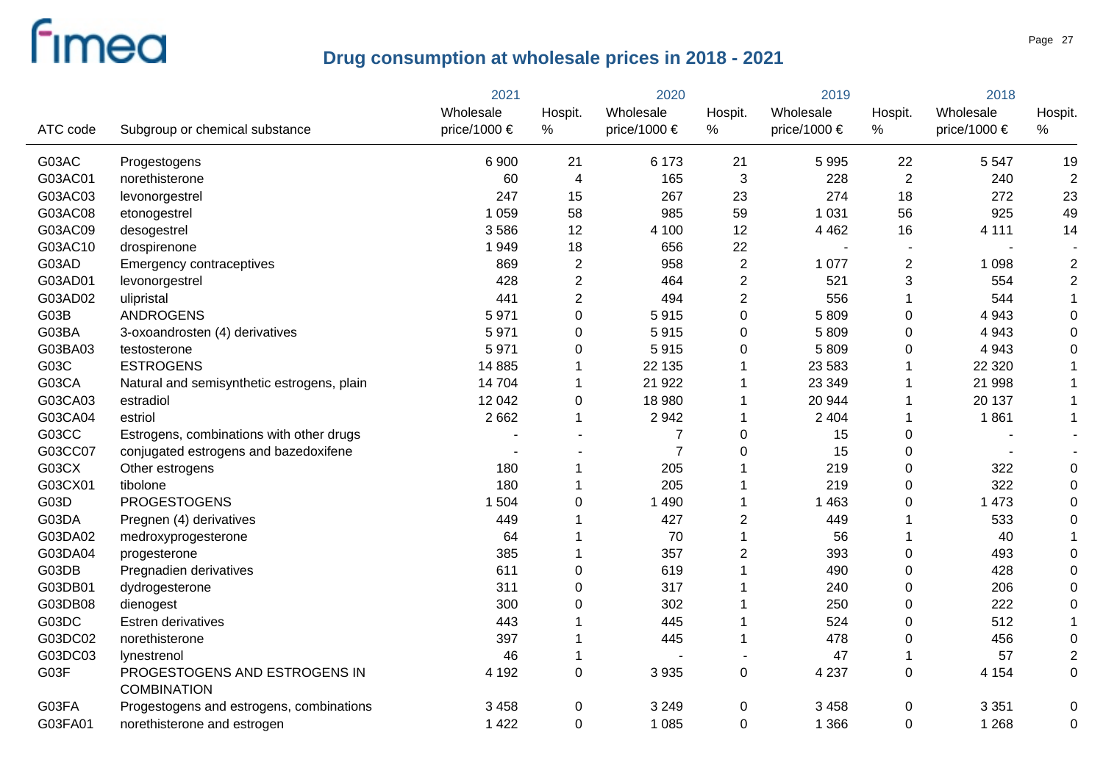|          |                                                     | 2021         |                | 2020                  |                | 2019             |                  | 2018         |                |
|----------|-----------------------------------------------------|--------------|----------------|-----------------------|----------------|------------------|------------------|--------------|----------------|
|          |                                                     | Wholesale    | Hospit.        | Wholesale             | Hospit.        | Wholesale        | Hospit.          | Wholesale    | Hospit.        |
| ATC code | Subgroup or chemical substance                      | price/1000 € | $\%$           | price/1000 $\epsilon$ | $\%$           | price/1000 $\in$ | %                | price/1000 € | %              |
| G03AC    | Progestogens                                        | 6 9 0 0      | 21             | 6 1 7 3               | 21             | 5 9 9 5          | 22               | 5 5 4 7      | 19             |
| G03AC01  | norethisterone                                      | 60           | $\overline{4}$ | 165                   | $\sqrt{3}$     | 228              | $\overline{2}$   | 240          | $\overline{2}$ |
| G03AC03  | levonorgestrel                                      | 247          | 15             | 267                   | 23             | 274              | 18               | 272          | 23             |
| G03AC08  | etonogestrel                                        | 1 0 5 9      | 58             | 985                   | 59             | 1 0 3 1          | 56               | 925          | 49             |
| G03AC09  | desogestrel                                         | 3586         | 12             | 4 100                 | 12             | 4 4 6 2          | 16               | 4 1 1 1      | 14             |
| G03AC10  | drospirenone                                        | 1949         | 18             | 656                   | 22             |                  | $\sim$           |              |                |
| G03AD    | Emergency contraceptives                            | 869          | $\overline{2}$ | 958                   | $\overline{2}$ | 1 0 7 7          | $\overline{2}$   | 1 0 9 8      | $\overline{c}$ |
| G03AD01  | levonorgestrel                                      | 428          | $\overline{2}$ | 464                   | $\overline{2}$ | 521              | $\mathfrak{S}$   | 554          | $\overline{c}$ |
| G03AD02  | ulipristal                                          | 441          | $\overline{2}$ | 494                   | $\overline{c}$ | 556              | 1                | 544          | $\mathbf 1$    |
| G03B     | <b>ANDROGENS</b>                                    | 5971         | 0              | 5915                  | $\mathbf 0$    | 5809             | $\mathbf 0$      | 4 9 4 3      | $\Omega$       |
| G03BA    | 3-oxoandrosten (4) derivatives                      | 5971         | 0              | 5915                  | $\mathbf 0$    | 5809             | $\mathbf 0$      | 4 9 4 3      | $\Omega$       |
| G03BA03  | testosterone                                        | 5971         | 0              | 5915                  | 0              | 5809             | $\mathbf 0$      | 4 9 4 3      | 0              |
| G03C     | <b>ESTROGENS</b>                                    | 14 8 85      | 1              | 22 135                | 1              | 23 5 83          | 1                | 22 3 20      |                |
| G03CA    | Natural and semisynthetic estrogens, plain          | 14 704       | $\mathbf 1$    | 21 9 22               | 1              | 23 349           | -1               | 21 998       |                |
| G03CA03  | estradiol                                           | 12 042       | 0              | 18 980                | 1              | 20 944           | -1               | 20 137       |                |
| G03CA04  | estriol                                             | 2 6 6 2      | $\mathbf{1}$   | 2942                  | 1              | 2 4 0 4          | $\mathbf 1$      | 1861         |                |
| G03CC    | Estrogens, combinations with other drugs            |              |                | 7                     | $\mathbf 0$    | 15               | $\mathbf 0$      |              |                |
| G03CC07  | conjugated estrogens and bazedoxifene               |              |                | $\overline{7}$        | 0              | 15               | $\boldsymbol{0}$ |              |                |
| G03CX    | Other estrogens                                     | 180          | 1              | 205                   |                | 219              | $\mathbf 0$      | 322          | $\Omega$       |
| G03CX01  | tibolone                                            | 180          | 1              | 205                   |                | 219              | $\mathbf 0$      | 322          | $\Omega$       |
| G03D     | <b>PROGESTOGENS</b>                                 | 1 504        | 0              | 1 4 9 0               |                | 1 4 6 3          | $\mathbf 0$      | 1 4 7 3      |                |
| G03DA    | Pregnen (4) derivatives                             | 449          |                | 427                   | $\overline{2}$ | 449              |                  | 533          | $\Omega$       |
| G03DA02  | medroxyprogesterone                                 | 64           |                | 70                    | 1              | 56               | 1                | 40           |                |
| G03DA04  | progesterone                                        | 385          | 1              | 357                   | $\overline{c}$ | 393              | $\boldsymbol{0}$ | 493          | $\Omega$       |
| G03DB    | Pregnadien derivatives                              | 611          | 0              | 619                   |                | 490              | $\mathbf 0$      | 428          | $\Omega$       |
| G03DB01  | dydrogesterone                                      | 311          | 0              | 317                   |                | 240              | $\mathbf 0$      | 206          | $\Omega$       |
| G03DB08  | dienogest                                           | 300          | 0              | 302                   |                | 250              | $\mathbf 0$      | 222          | $\Omega$       |
| G03DC    | Estren derivatives                                  | 443          | 1              | 445                   |                | 524              | $\mathbf 0$      | 512          |                |
| G03DC02  | norethisterone                                      | 397          | 1              | 445                   | 1              | 478              | $\mathbf 0$      | 456          | $\Omega$       |
| G03DC03  | lynestrenol                                         | 46           | 1              |                       |                | 47               | $\mathbf{1}$     | 57           | $\overline{2}$ |
| G03F     | PROGESTOGENS AND ESTROGENS IN<br><b>COMBINATION</b> | 4 1 9 2      | 0              | 3 9 3 5               | $\pmb{0}$      | 4 2 3 7          | $\mathbf 0$      | 4 1 5 4      | 0              |
| G03FA    | Progestogens and estrogens, combinations            | 3 4 5 8      | 0              | 3 2 4 9               | 0              | 3 4 5 8          | 0                | 3 3 5 1      | 0              |
| G03FA01  | norethisterone and estrogen                         | 1 4 2 2      | $\Omega$       | 1 0 8 5               | $\Omega$       | 1 3 6 6          | $\mathbf 0$      | 1 2 6 8      | $\Omega$       |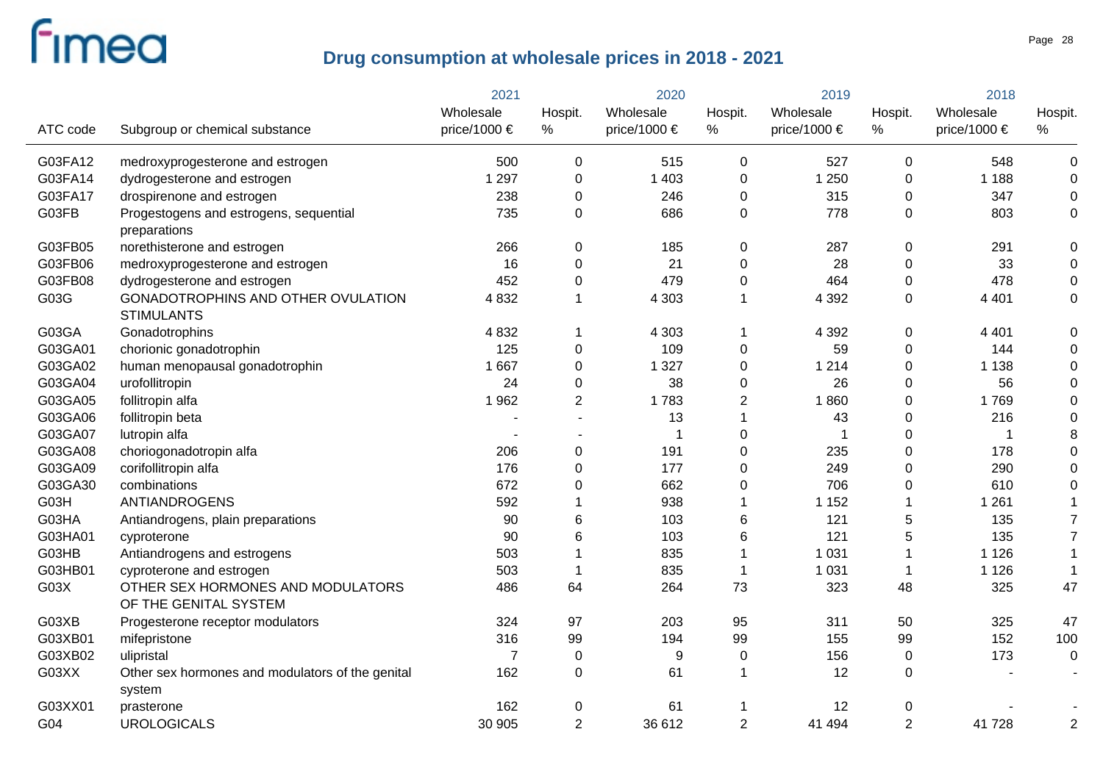|          |                                                            | 2021           |                | 2020             |                | 2019         |                  | 2018         |                  |
|----------|------------------------------------------------------------|----------------|----------------|------------------|----------------|--------------|------------------|--------------|------------------|
|          |                                                            | Wholesale      | Hospit.        | Wholesale        | Hospit.        | Wholesale    | Hospit.          | Wholesale    | Hospit.          |
| ATC code | Subgroup or chemical substance                             | price/1000 €   | $\%$           | price/1000 $\in$ | %              | price/1000 € | $\%$             | price/1000 € | $\%$             |
| G03FA12  | medroxyprogesterone and estrogen                           | 500            | 0              | 515              | 0              | 527          | $\mathbf 0$      | 548          | $\pmb{0}$        |
| G03FA14  | dydrogesterone and estrogen                                | 1 2 9 7        | 0              | 1 4 0 3          | 0              | 1 2 5 0      | $\boldsymbol{0}$ | 1 1 8 8      | $\pmb{0}$        |
| G03FA17  | drospirenone and estrogen                                  | 238            | 0              | 246              | 0              | 315          | $\mathbf 0$      | 347          | $\pmb{0}$        |
| G03FB    | Progestogens and estrogens, sequential<br>preparations     | 735            | 0              | 686              | 0              | 778          | $\boldsymbol{0}$ | 803          | $\boldsymbol{0}$ |
| G03FB05  | norethisterone and estrogen                                | 266            | 0              | 185              | 0              | 287          | $\mathbf 0$      | 291          | $\boldsymbol{0}$ |
| G03FB06  | medroxyprogesterone and estrogen                           | 16             | 0              | 21               | 0              | 28           | $\boldsymbol{0}$ | 33           | $\pmb{0}$        |
| G03FB08  | dydrogesterone and estrogen                                | 452            | 0              | 479              | 0              | 464          | $\boldsymbol{0}$ | 478          | $\boldsymbol{0}$ |
| G03G     | GONADOTROPHINS AND OTHER OVULATION<br><b>STIMULANTS</b>    | 4 8 3 2        | 1              | 4 3 0 3          | 1              | 4 3 9 2      | $\mathbf 0$      | 4 4 0 1      | $\boldsymbol{0}$ |
| G03GA    | Gonadotrophins                                             | 4 8 3 2        | 1              | 4 3 0 3          | 1              | 4 3 9 2      | 0                | 4 4 0 1      | $\pmb{0}$        |
| G03GA01  | chorionic gonadotrophin                                    | 125            | 0              | 109              | 0              | 59           | $\mathbf 0$      | 144          | 0                |
| G03GA02  | human menopausal gonadotrophin                             | 1 667          | 0              | 1 3 2 7          | 0              | 1 2 1 4      | $\mathbf 0$      | 1 1 3 8      | 0                |
| G03GA04  | urofollitropin                                             | 24             | 0              | 38               | 0              | 26           | $\mathbf 0$      | 56           | 0                |
| G03GA05  | follitropin alfa                                           | 1962           | $\overline{2}$ | 1783             | $\overline{2}$ | 1860         | $\mathbf 0$      | 1769         | 0                |
| G03GA06  | follitropin beta                                           |                |                | 13               | 1              | 43           | $\mathbf 0$      | 216          | 0                |
| G03GA07  | lutropin alfa                                              |                |                |                  | 0              | 1            | $\boldsymbol{0}$ | 1            | 8                |
| G03GA08  | choriogonadotropin alfa                                    | 206            | 0              | 191              | 0              | 235          | $\boldsymbol{0}$ | 178          | $\mathbf 0$      |
| G03GA09  | corifollitropin alfa                                       | 176            | 0              | 177              | 0              | 249          | $\mathbf 0$      | 290          | 0                |
| G03GA30  | combinations                                               | 672            | 0              | 662              | 0              | 706          | $\boldsymbol{0}$ | 610          | $\mathbf 0$      |
| G03H     | <b>ANTIANDROGENS</b>                                       | 592            | 1              | 938              | 1              | 1 1 5 2      |                  | 1 2 6 1      |                  |
| G03HA    | Antiandrogens, plain preparations                          | 90             | 6              | 103              | 6              | 121          | 5                | 135          | $\overline{7}$   |
| G03HA01  | cyproterone                                                | 90             | 6              | 103              | 6              | 121          | 5                | 135          | $\overline{7}$   |
| G03HB    | Antiandrogens and estrogens                                | 503            |                | 835              |                | 1 0 3 1      | 1                | 1 1 2 6      |                  |
| G03HB01  | cyproterone and estrogen                                   | 503            | 1              | 835              |                | 1 0 3 1      | -1               | 1 1 2 6      |                  |
| G03X     | OTHER SEX HORMONES AND MODULATORS<br>OF THE GENITAL SYSTEM | 486            | 64             | 264              | 73             | 323          | 48               | 325          | 47               |
| G03XB    | Progesterone receptor modulators                           | 324            | 97             | 203              | 95             | 311          | 50               | 325          | 47               |
| G03XB01  | mifepristone                                               | 316            | 99             | 194              | 99             | 155          | 99               | 152          | 100              |
| G03XB02  | ulipristal                                                 | $\overline{7}$ | 0              | 9                | 0              | 156          | $\pmb{0}$        | 173          | $\boldsymbol{0}$ |
| G03XX    | Other sex hormones and modulators of the genital<br>system | 162            | 0              | 61               |                | 12           | $\boldsymbol{0}$ |              |                  |
| G03XX01  | prasterone                                                 | 162            | 0              | 61               |                | 12           | 0                |              |                  |
| G04      | <b>UROLOGICALS</b>                                         | 30 905         | $\overline{2}$ | 36 612           | $\overline{2}$ | 41 494       | $\overline{2}$   | 41 728       | $\overline{2}$   |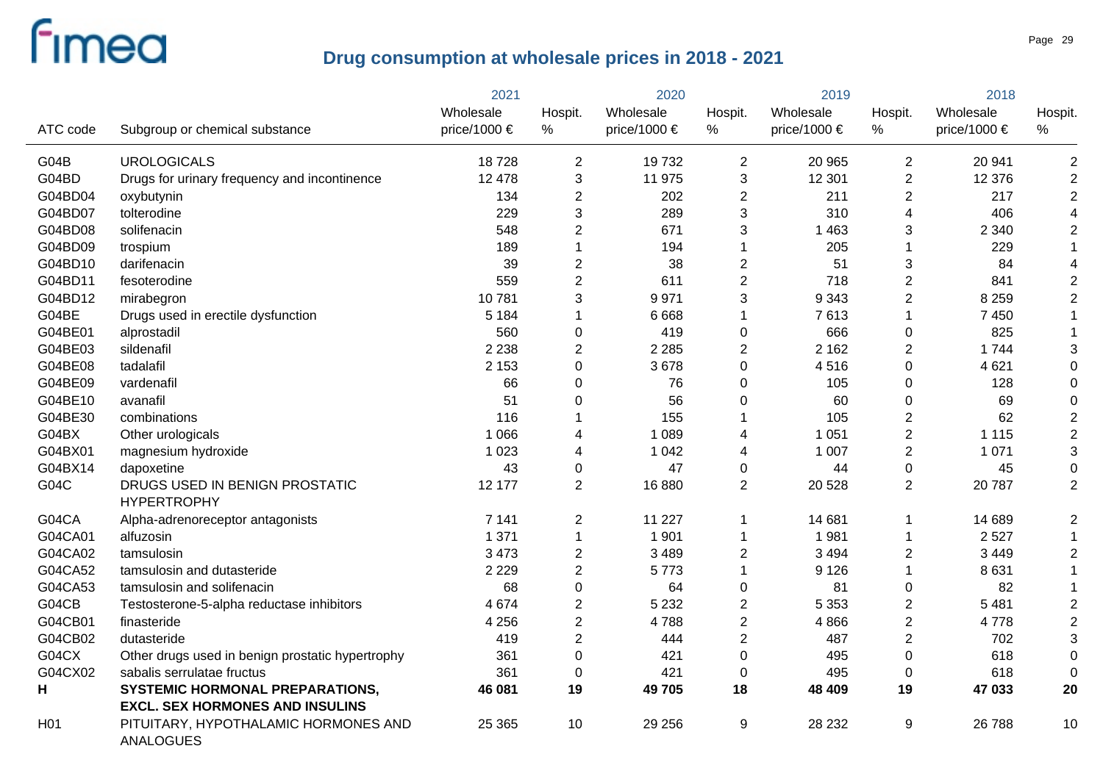|                 |                                                                                  | 2021         |                | 2020         |                         | 2019             |                           | 2018         |                |
|-----------------|----------------------------------------------------------------------------------|--------------|----------------|--------------|-------------------------|------------------|---------------------------|--------------|----------------|
|                 |                                                                                  | Wholesale    | Hospit.        | Wholesale    | Hospit.                 | Wholesale        | Hospit.                   | Wholesale    | Hospit.        |
| ATC code        | Subgroup or chemical substance                                                   | price/1000 € | $\%$           | price/1000 € | $\%$                    | price/1000 $\in$ | %                         | price/1000 € | %              |
| G04B            | <b>UROLOGICALS</b>                                                               | 18728        | $\overline{c}$ | 19732        | $\mathbf{2}$            | 20 965           | $\overline{c}$            | 20 941       | 2              |
| G04BD           | Drugs for urinary frequency and incontinence                                     | 12 4 78      | 3              | 11 975       | 3                       | 12 301           | $\overline{2}$            | 12 376       | $\overline{2}$ |
| G04BD04         | oxybutynin                                                                       | 134          | $\overline{2}$ | 202          | $\overline{2}$          | 211              | $\overline{2}$            | 217          | $\overline{2}$ |
| G04BD07         | tolterodine                                                                      | 229          | 3              | 289          | 3                       | 310              | $\overline{4}$            | 406          |                |
| G04BD08         | solifenacin                                                                      | 548          | $\overline{2}$ | 671          | 3                       | 1 4 6 3          | $\sqrt{3}$                | 2 3 4 0      | $\overline{2}$ |
| G04BD09         | trospium                                                                         | 189          | 1              | 194          | 1                       | 205              |                           | 229          |                |
| G04BD10         | darifenacin                                                                      | 39           | $\overline{c}$ | 38           | $\overline{\mathbf{c}}$ | 51               | $\ensuremath{\mathsf{3}}$ | 84           |                |
| G04BD11         | fesoterodine                                                                     | 559          | $\overline{c}$ | 611          | $\overline{c}$          | 718              | $\sqrt{2}$                | 841          | $\overline{2}$ |
| G04BD12         | mirabegron                                                                       | 10781        | 3              | 9971         | 3                       | 9 3 4 3          | $\sqrt{2}$                | 8 2 5 9      | $\overline{2}$ |
| G04BE           | Drugs used in erectile dysfunction                                               | 5 1 8 4      | 1              | 6 6 6 8      | 1                       | 7613             | $\mathbf 1$               | 7 4 5 0      |                |
| G04BE01         | alprostadil                                                                      | 560          | 0              | 419          | 0                       | 666              | $\pmb{0}$                 | 825          | $\mathbf 1$    |
| G04BE03         | sildenafil                                                                       | 2 2 3 8      | $\overline{2}$ | 2 2 8 5      | $\overline{2}$          | 2 1 6 2          | $\overline{c}$            | 1744         | 3              |
| G04BE08         | tadalafil                                                                        | 2 1 5 3      | 0              | 3678         | 0                       | 4516             | $\boldsymbol{0}$          | 4 6 21       | 0              |
| G04BE09         | vardenafil                                                                       | 66           | 0              | 76           | 0                       | 105              | $\boldsymbol{0}$          | 128          | $\Omega$       |
| G04BE10         | avanafil                                                                         | 51           | 0              | 56           | 0                       | 60               | $\boldsymbol{0}$          | 69           | $\Omega$       |
| G04BE30         | combinations                                                                     | 116          |                | 155          | 1                       | 105              | $\overline{2}$            | 62           | $\overline{2}$ |
| G04BX           | Other urologicals                                                                | 1 0 6 6      | 4              | 1 0 8 9      | 4                       | 1 0 5 1          | $\overline{2}$            | 1 1 1 5      | $\overline{c}$ |
| G04BX01         | magnesium hydroxide                                                              | 1 0 2 3      | 4              | 1 0 4 2      | 4                       | 1 0 0 7          | $\overline{2}$            | 1 0 7 1      | 3              |
| G04BX14         | dapoxetine                                                                       | 43           | 0              | 47           | 0                       | 44               | $\mathsf 0$               | 45           | $\Omega$       |
| G04C            | DRUGS USED IN BENIGN PROSTATIC<br><b>HYPERTROPHY</b>                             | 12 177       | $\overline{2}$ | 16880        | $\overline{2}$          | 20 5 28          | $\sqrt{2}$                | 20787        | $\overline{2}$ |
| G04CA           | Alpha-adrenoreceptor antagonists                                                 | 7 1 4 1      | $\overline{2}$ | 11 2 27      | 1                       | 14 681           | 1                         | 14 689       | $\overline{2}$ |
| G04CA01         | alfuzosin                                                                        | 1 3 7 1      | $\mathbf 1$    | 1 9 0 1      | 1                       | 1981             | $\mathbf 1$               | 2527         |                |
| G04CA02         | tamsulosin                                                                       | 3 4 7 3      | $\overline{c}$ | 3 4 8 9      | $\overline{\mathbf{c}}$ | 3 4 9 4          | $\overline{c}$            | 3 4 4 9      | $\overline{c}$ |
| G04CA52         | tamsulosin and dutasteride                                                       | 2 2 2 9      | $\overline{2}$ | 5773         | 1                       | 9 1 2 6          | 1                         | 8631         | $\mathbf{1}$   |
| G04CA53         | tamsulosin and solifenacin                                                       | 68           | 0              | 64           | 0                       | 81               | $\pmb{0}$                 | 82           | $\mathbf 1$    |
| G04CB           | Testosterone-5-alpha reductase inhibitors                                        | 4 6 7 4      | $\overline{c}$ | 5 2 3 2      | $\overline{c}$          | 5 3 5 3          | $\overline{c}$            | 5 4 8 1      | $\overline{c}$ |
| G04CB01         | finasteride                                                                      | 4 2 5 6      | $\overline{2}$ | 4788         | $\overline{2}$          | 4866             | $\overline{2}$            | 4778         | $\overline{2}$ |
| G04CB02         | dutasteride                                                                      | 419          | $\overline{2}$ | 444          | $\overline{2}$          | 487              | $\overline{2}$            | 702          | 3              |
| G04CX           | Other drugs used in benign prostatic hypertrophy                                 | 361          | 0              | 421          | $\mathbf 0$             | 495              | $\boldsymbol{0}$          | 618          | 0              |
| G04CX02         | sabalis serrulatae fructus                                                       | 361          | 0              | 421          | $\mathbf 0$             | 495              | $\boldsymbol{0}$          | 618          | $\Omega$       |
| H               | <b>SYSTEMIC HORMONAL PREPARATIONS,</b><br><b>EXCL. SEX HORMONES AND INSULINS</b> | 46 081       | 19             | 49 705       | 18                      | 48 409           | 19                        | 47 033       | 20             |
| H <sub>01</sub> | PITUITARY, HYPOTHALAMIC HORMONES AND<br><b>ANALOGUES</b>                         | 25 3 65      | 10             | 29 25 6      | 9                       | 28 232           | 9                         | 26 788       | 10             |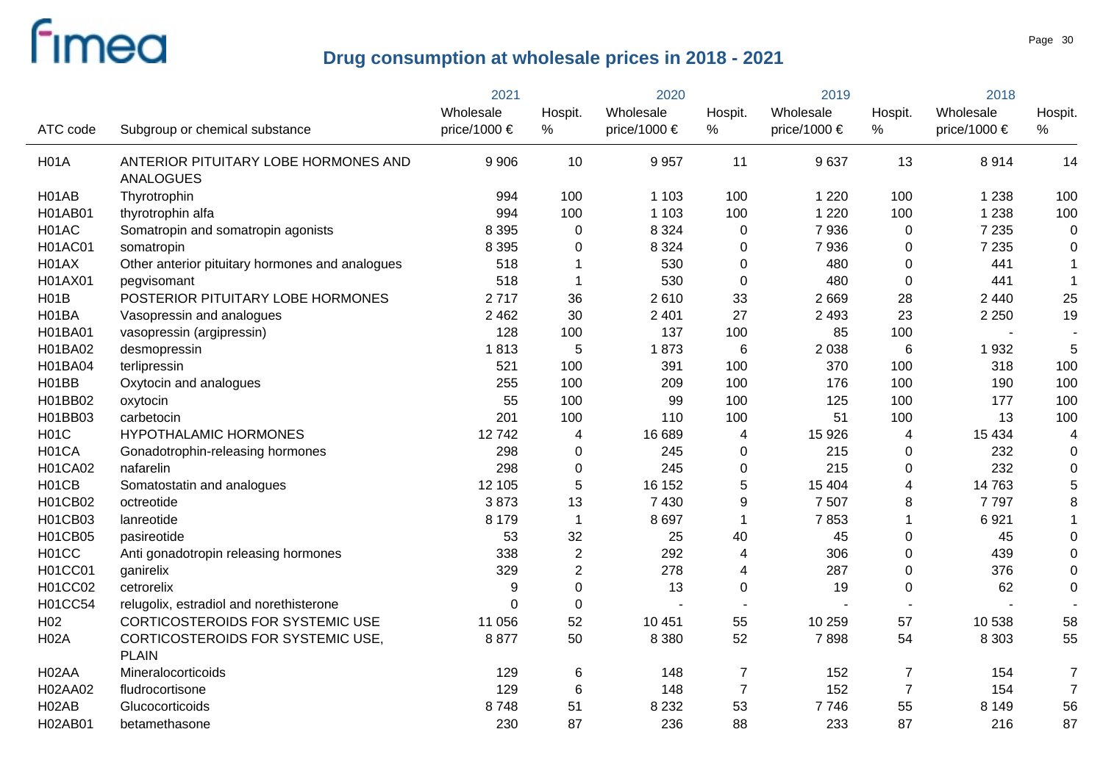|                    |                                                          | 2021         | 2020             |                       | 2019                    |                  | 2018            |              |                |
|--------------------|----------------------------------------------------------|--------------|------------------|-----------------------|-------------------------|------------------|-----------------|--------------|----------------|
|                    |                                                          | Wholesale    | Hospit.          | Wholesale             | Hospit.                 | Wholesale        | Hospit.         | Wholesale    | Hospit.        |
| ATC code           | Subgroup or chemical substance                           | price/1000 € | $\%$             | price/1000 $\epsilon$ | $\%$                    | price/1000 $\in$ | %               | price/1000 € | ℅              |
| <b>H01A</b>        | ANTERIOR PITUITARY LOBE HORMONES AND<br><b>ANALOGUES</b> | 9 9 0 6      | 10               | 9957                  | 11                      | 9637             | 13              | 8914         | 14             |
| H01AB              | Thyrotrophin                                             | 994          | 100              | 1 1 0 3               | 100                     | 1 2 2 0          | 100             | 1 2 3 8      | 100            |
| H01AB01            | thyrotrophin alfa                                        | 994          | 100              | 1 1 0 3               | 100                     | 1 2 2 0          | 100             | 1 2 3 8      | 100            |
| H01AC              | Somatropin and somatropin agonists                       | 8 3 9 5      | 0                | 8 3 2 4               | 0                       | 7936             | 0               | 7 2 3 5      | 0              |
| <b>H01AC01</b>     | somatropin                                               | 8 3 9 5      | 0                | 8 3 2 4               | 0                       | 7936             | $\mathbf 0$     | 7 2 3 5      | 0              |
| H01AX              | Other anterior pituitary hormones and analogues          | 518          | 1                | 530                   | 0                       | 480              | 0               | 441          | $\mathbf 1$    |
| H01AX01            | pegvisomant                                              | 518          | 1                | 530                   | $\mathbf 0$             | 480              | $\mathbf 0$     | 441          | $\mathbf{1}$   |
| H01B               | POSTERIOR PITUITARY LOBE HORMONES                        | 2717         | 36               | 2610                  | 33                      | 2669             | 28              | 2 4 4 0      | 25             |
| H01BA              | Vasopressin and analogues                                | 2 4 6 2      | 30               | 2 4 0 1               | 27                      | 2 4 9 3          | 23              | 2 2 5 0      | 19             |
| H01BA01            | vasopressin (argipressin)                                | 128          | 100              | 137                   | 100                     | 85               | 100             |              |                |
| H01BA02            | desmopressin                                             | 1813         | 5                | 1873                  | $6\phantom{1}$          | 2 0 3 8          | $6\phantom{1}6$ | 1932         | 5              |
| <b>H01BA04</b>     | terlipressin                                             | 521          | 100              | 391                   | 100                     | 370              | 100             | 318          | 100            |
| H <sub>01</sub> BB | Oxytocin and analogues                                   | 255          | 100              | 209                   | 100                     | 176              | 100             | 190          | 100            |
| H01BB02            | oxytocin                                                 | 55           | 100              | 99                    | 100                     | 125              | 100             | 177          | 100            |
| H01BB03            | carbetocin                                               | 201          | 100              | 110                   | 100                     | 51               | 100             | 13           | 100            |
| <b>H01C</b>        | <b>HYPOTHALAMIC HORMONES</b>                             | 12742        | $\overline{4}$   | 16 689                | 4                       | 15 9 26          | 4               | 15 4 34      | 4              |
| H01CA              | Gonadotrophin-releasing hormones                         | 298          | 0                | 245                   | 0                       | 215              | $\mathbf 0$     | 232          | $\mathbf 0$    |
| <b>H01CA02</b>     | nafarelin                                                | 298          | $\mathbf 0$      | 245                   | $\mathbf 0$             | 215              | $\mathbf 0$     | 232          | $\mathbf 0$    |
| H01CB              | Somatostatin and analogues                               | 12 105       | $\overline{5}$   | 16 152                | 5                       | 15 404           | $\overline{4}$  | 14 763       | 5              |
| H01CB02            | octreotide                                               | 3873         | 13               | 7 4 3 0               | $\boldsymbol{9}$        | 7 5 0 7          | 8               | 7797         | 8              |
| H01CB03            | lanreotide                                               | 8 1 7 9      | $\mathbf{1}$     | 8697                  | $\mathbf{1}$            | 7853             | $\mathbf{1}$    | 6921         |                |
| H01CB05            | pasireotide                                              | 53           | 32               | 25                    | 40                      | 45               | $\mathbf 0$     | 45           | 0              |
| H01CC              | Anti gonadotropin releasing hormones                     | 338          | $\boldsymbol{2}$ | 292                   | 4                       | 306              | $\mathbf 0$     | 439          | 0              |
| H01CC01            | ganirelix                                                | 329          | $\overline{2}$   | 278                   | $\overline{\mathbf{4}}$ | 287              | $\mathbf 0$     | 376          | 0              |
| H01CC02            | cetrorelix                                               | 9            | 0                | 13                    | $\pmb{0}$               | 19               | $\mathbf 0$     | 62           | 0              |
| H01CC54            | relugolix, estradiol and norethisterone                  | $\Omega$     | $\pmb{0}$        | $\overline{a}$        |                         |                  |                 |              |                |
| H <sub>02</sub>    | CORTICOSTEROIDS FOR SYSTEMIC USE                         | 11 056       | 52               | 10 451                | 55                      | 10 259           | 57              | 10 538       | 58             |
| <b>H02A</b>        | CORTICOSTEROIDS FOR SYSTEMIC USE,                        | 8877         | 50               | 8 3 8 0               | 52                      | 7898             | 54              | 8 3 0 3      | 55             |
|                    | <b>PLAIN</b>                                             |              |                  |                       |                         |                  |                 |              |                |
| H <sub>02</sub> AA | Mineralocorticoids                                       | 129          | $\,6$            | 148                   | $\overline{7}$          | 152              | $\overline{7}$  | 154          | $\overline{7}$ |
| H02AA02            | fludrocortisone                                          | 129          | $6\phantom{1}6$  | 148                   | $\overline{7}$          | 152              | $\overline{7}$  | 154          | $\overline{7}$ |
| H <sub>02</sub> AB | Glucocorticoids                                          | 8748         | 51               | 8 2 3 2               | 53                      | 7746             | 55              | 8 1 4 9      | 56             |
| H02AB01            | betamethasone                                            | 230          | 87               | 236                   | 88                      | 233              | 87              | 216          | 87             |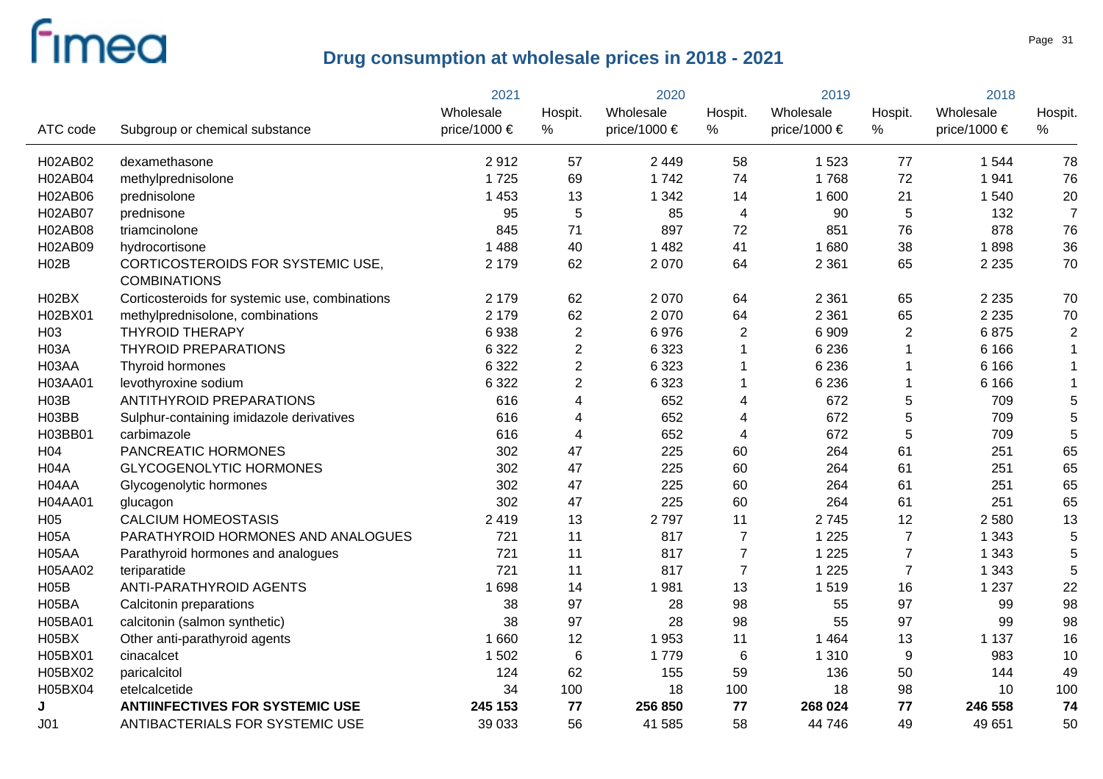|                   |                                                          | 2021         |                | 2020         |                | 2019         |                | 2018             |                |
|-------------------|----------------------------------------------------------|--------------|----------------|--------------|----------------|--------------|----------------|------------------|----------------|
|                   |                                                          | Wholesale    | Hospit.        | Wholesale    | Hospit.        | Wholesale    | Hospit.        | Wholesale        | Hospit.        |
| ATC code          | Subgroup or chemical substance                           | price/1000 € | %              | price/1000 € | %              | price/1000 € | %              | price/1000 $\in$ | %              |
| H02AB02           | dexamethasone                                            | 2912         | 57             | 2 4 4 9      | 58             | 1 5 2 3      | 77             | 1 5 4 4          | 78             |
| <b>H02AB04</b>    | methylprednisolone                                       | 1725         | 69             | 1742         | 74             | 1768         | 72             | 1941             | 76             |
| H02AB06           | prednisolone                                             | 1 4 5 3      | 13             | 1 3 4 2      | 14             | 1 600        | 21             | 1 540            | 20             |
| <b>H02AB07</b>    | prednisone                                               | 95           | 5              | 85           | 4              | 90           | 5              | 132              | $\overline{7}$ |
| H02AB08           | triamcinolone                                            | 845          | 71             | 897          | 72             | 851          | 76             | 878              | 76             |
| H02AB09           | hydrocortisone                                           | 1 4 8 8      | 40             | 1 4 8 2      | 41             | 1680         | 38             | 1898             | 36             |
| H02B              | CORTICOSTEROIDS FOR SYSTEMIC USE,<br><b>COMBINATIONS</b> | 2 1 7 9      | 62             | 2 0 7 0      | 64             | 2 3 6 1      | 65             | 2 2 3 5          | 70             |
| H02BX             | Corticosteroids for systemic use, combinations           | 2 1 7 9      | 62             | 2070         | 64             | 2 3 6 1      | 65             | 2 2 3 5          | 70             |
| H02BX01           | methylprednisolone, combinations                         | 2 1 7 9      | 62             | 2070         | 64             | 2 3 6 1      | 65             | 2 2 3 5          | 70             |
| H <sub>03</sub>   | <b>THYROID THERAPY</b>                                   | 6938         | $\overline{2}$ | 6976         | $\overline{2}$ | 6909         | $\overline{2}$ | 6875             | $\overline{c}$ |
| <b>H03A</b>       | <b>THYROID PREPARATIONS</b>                              | 6 3 2 2      | $\overline{2}$ | 6 3 2 3      | 1              | 6 2 3 6      | 1              | 6 1 6 6          | $\mathbf 1$    |
| H03AA             | Thyroid hormones                                         | 6 3 2 2      | $\overline{2}$ | 6 3 2 3      |                | 6 2 3 6      | 1              | 6 1 6 6          | $\mathbf 1$    |
| H03AA01           | levothyroxine sodium                                     | 6 3 2 2      | $\overline{2}$ | 6 3 2 3      | 1              | 6 2 3 6      | 1              | 6 1 6 6          | $\mathbf 1$    |
| <b>H03B</b>       | <b>ANTITHYROID PREPARATIONS</b>                          | 616          | 4              | 652          | 4              | 672          | 5              | 709              | 5              |
| H03BB             | Sulphur-containing imidazole derivatives                 | 616          | 4              | 652          | 4              | 672          | 5              | 709              | 5              |
| H03BB01           | carbimazole                                              | 616          | 4              | 652          | $\overline{4}$ | 672          | 5              | 709              | 5              |
| H <sub>04</sub>   | PANCREATIC HORMONES                                      | 302          | 47             | 225          | 60             | 264          | 61             | 251              | 65             |
| H <sub>04</sub> A | <b>GLYCOGENOLYTIC HORMONES</b>                           | 302          | 47             | 225          | 60             | 264          | 61             | 251              | 65             |
| H04AA             | Glycogenolytic hormones                                  | 302          | 47             | 225          | 60             | 264          | 61             | 251              | 65             |
| <b>H04AA01</b>    | glucagon                                                 | 302          | 47             | 225          | 60             | 264          | 61             | 251              | 65             |
| H <sub>05</sub>   | <b>CALCIUM HOMEOSTASIS</b>                               | 2419         | 13             | 2797         | 11             | 2745         | 12             | 2 5 8 0          | 13             |
| <b>H05A</b>       | PARATHYROID HORMONES AND ANALOGUES                       | 721          | 11             | 817          | $\overline{7}$ | 1 2 2 5      | $\overline{7}$ | 1 3 4 3          | 5              |
| H05AA             | Parathyroid hormones and analogues                       | 721          | 11             | 817          | $\overline{7}$ | 1 2 2 5      | $\overline{7}$ | 1 3 4 3          | 5              |
| H05AA02           | teriparatide                                             | 721          | 11             | 817          | $\overline{7}$ | 1 2 2 5      | $\overline{7}$ | 1 3 4 3          | 5              |
| <b>H05B</b>       | ANTI-PARATHYROID AGENTS                                  | 1698         | 14             | 1981         | 13             | 1519         | 16             | 1 2 3 7          | 22             |
| H05BA             | Calcitonin preparations                                  | 38           | 97             | 28           | 98             | 55           | 97             | 99               | 98             |
| H05BA01           | calcitonin (salmon synthetic)                            | 38           | 97             | 28           | 98             | 55           | 97             | 99               | 98             |
| H05BX             | Other anti-parathyroid agents                            | 1 6 6 0      | 12             | 1953         | 11             | 1 4 6 4      | 13             | 1 1 3 7          | 16             |
| H05BX01           | cinacalcet                                               | 1 502        | $\,6$          | 1779         | $\,6$          | 1 3 1 0      | 9              | 983              | 10             |
| H05BX02           | paricalcitol                                             | 124          | 62             | 155          | 59             | 136          | 50             | 144              | 49             |
| H05BX04           | etelcalcetide                                            | 34           | 100            | 18           | 100            | 18           | 98             | 10               | 100            |
| J                 | <b>ANTIINFECTIVES FOR SYSTEMIC USE</b>                   | 245 153      | 77             | 256 850      | 77             | 268 024      | 77             | 246 558          | 74             |
| J <sub>01</sub>   | ANTIBACTERIALS FOR SYSTEMIC USE                          | 39 033       | 56             | 41 585       | 58             | 44 746       | 49             | 49 651           | 50             |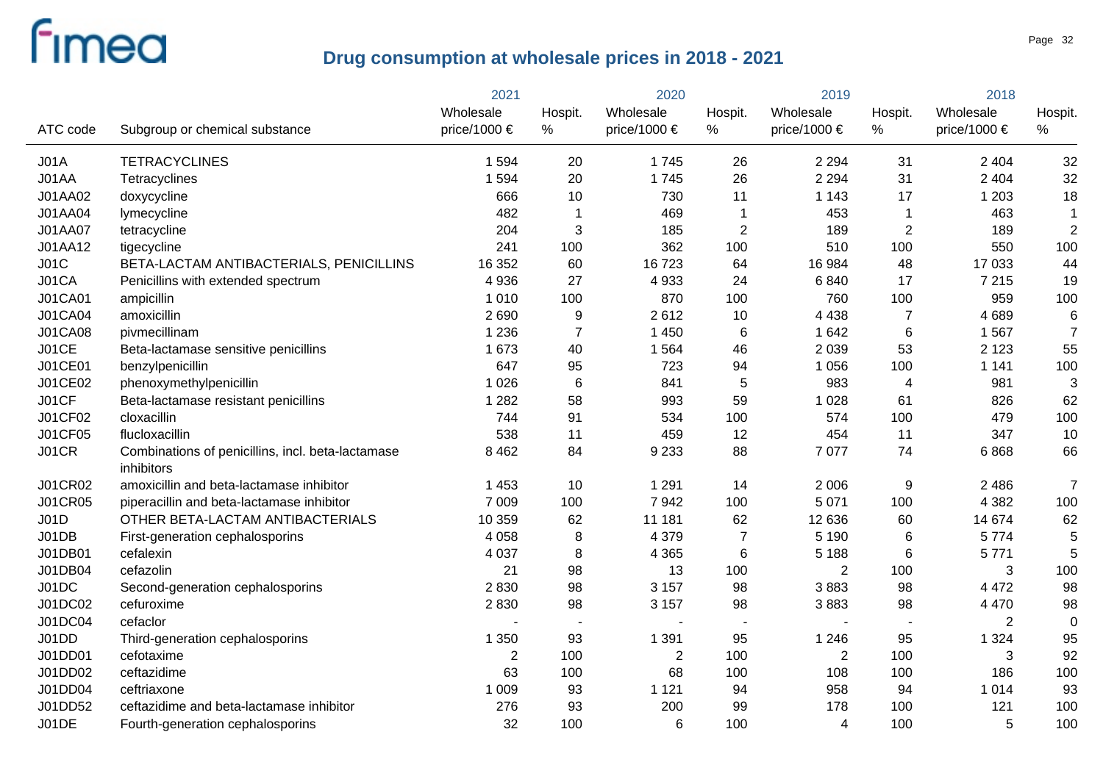|                |                                                                 | 2021           |                | 2020           |                | 2019           |                | 2018           |                |
|----------------|-----------------------------------------------------------------|----------------|----------------|----------------|----------------|----------------|----------------|----------------|----------------|
|                |                                                                 | Wholesale      | Hospit.        | Wholesale      | Hospit.        | Wholesale      | Hospit.        | Wholesale      | Hospit.        |
| ATC code       | Subgroup or chemical substance                                  | price/1000 €   | %              | price/1000 €   | %              | price/1000 €   | %              | price/1000 €   | %              |
| JO1A           | <b>TETRACYCLINES</b>                                            | 1 5 9 4        | 20             | 1745           | 26             | 2 2 9 4        | 31             | 2 4 0 4        | 32             |
| J01AA          | Tetracyclines                                                   | 1 5 9 4        | 20             | 1745           | 26             | 2 2 9 4        | 31             | 2 4 0 4        | 32             |
| J01AA02        | doxycycline                                                     | 666            | 10             | 730            | 11             | 1 1 4 3        | 17             | 1 2 0 3        | 18             |
| J01AA04        | lymecycline                                                     | 482            | $\mathbf 1$    | 469            | $\mathbf 1$    | 453            | $\overline{1}$ | 463            | $\mathbf 1$    |
| <b>J01AA07</b> | tetracycline                                                    | 204            | 3              | 185            | $\overline{2}$ | 189            | $\overline{2}$ | 189            | $\overline{2}$ |
| J01AA12        | tigecycline                                                     | 241            | 100            | 362            | 100            | 510            | 100            | 550            | 100            |
| JO1C           | BETA-LACTAM ANTIBACTERIALS, PENICILLINS                         | 16 352         | 60             | 16723          | 64             | 16 984         | 48             | 17 033         | 44             |
| J01CA          | Penicillins with extended spectrum                              | 4 9 3 6        | 27             | 4933           | 24             | 6840           | 17             | 7 2 1 5        | 19             |
| J01CA01        | ampicillin                                                      | 1 0 1 0        | 100            | 870            | 100            | 760            | 100            | 959            | 100            |
| <b>J01CA04</b> | amoxicillin                                                     | 2690           | 9              | 2612           | 10             | 4 4 3 8        | $\overline{7}$ | 4689           | 6              |
| <b>J01CA08</b> | pivmecillinam                                                   | 1 2 3 6        | $\overline{7}$ | 1 4 5 0        | $\,6$          | 1 642          | 6              | 1 5 6 7        | $\overline{7}$ |
| J01CE          | Beta-lactamase sensitive penicillins                            | 1 673          | 40             | 1 5 6 4        | 46             | 2 0 3 9        | 53             | 2 1 2 3        | 55             |
| J01CE01        | benzylpenicillin                                                | 647            | 95             | 723            | 94             | 1 0 5 6        | 100            | 1 1 4 1        | 100            |
| J01CE02        | phenoxymethylpenicillin                                         | 1 0 2 6        | 6              | 841            | 5              | 983            | $\overline{4}$ | 981            | 3              |
| J01CF          | Beta-lactamase resistant penicillins                            | 1 2 8 2        | 58             | 993            | 59             | 1 0 2 8        | 61             | 826            | 62             |
| J01CF02        | cloxacillin                                                     | 744            | 91             | 534            | 100            | 574            | 100            | 479            | 100            |
| J01CF05        | flucloxacillin                                                  | 538            | 11             | 459            | 12             | 454            | 11             | 347            | 10             |
| <b>J01CR</b>   | Combinations of penicillins, incl. beta-lactamase<br>inhibitors | 8 4 6 2        | 84             | 9 2 3 3        | 88             | 7 0 7 7        | 74             | 6868           | 66             |
| J01CR02        | amoxicillin and beta-lactamase inhibitor                        | 1 4 5 3        | 10             | 1 2 9 1        | 14             | 2 0 0 6        | 9              | 2 4 8 6        | $\overline{7}$ |
| <b>J01CR05</b> | piperacillin and beta-lactamase inhibitor                       | 7 0 0 9        | 100            | 7942           | 100            | 5 0 7 1        | 100            | 4 3 8 2        | 100            |
| <b>J01D</b>    | OTHER BETA-LACTAM ANTIBACTERIALS                                | 10 359         | 62             | 11 181         | 62             | 12 636         | 60             | 14 674         | 62             |
| J01DB          | First-generation cephalosporins                                 | 4 0 5 8        | 8              | 4 3 7 9        | $\overline{7}$ | 5 1 9 0        | 6              | 5774           | 5              |
| J01DB01        | cefalexin                                                       | 4 0 3 7        | 8              | 4 3 6 5        | $\,6$          | 5 1 8 8        | 6              | 5771           | 5              |
| J01DB04        | cefazolin                                                       | 21             | 98             | 13             | 100            | $\overline{2}$ | 100            | 3              | 100            |
| J01DC          | Second-generation cephalosporins                                | 2830           | 98             | 3 1 5 7        | 98             | 3883           | 98             | 4 4 7 2        | 98             |
| J01DC02        | cefuroxime                                                      | 2830           | 98             | 3 1 5 7        | 98             | 3883           | 98             | 4 4 7 0        | 98             |
| J01DC04        | cefaclor                                                        |                |                |                |                |                |                | $\overline{2}$ | $\mathbf 0$    |
| J01DD          | Third-generation cephalosporins                                 | 1 3 5 0        | 93             | 1 3 9 1        | 95             | 1 2 4 6        | 95             | 1 3 2 4        | 95             |
| J01DD01        | cefotaxime                                                      | $\overline{2}$ | 100            | $\overline{2}$ | 100            | $\overline{2}$ | 100            | 3              | 92             |
| J01DD02        | ceftazidime                                                     | 63             | 100            | 68             | 100            | 108            | 100            | 186            | 100            |
| J01DD04        | ceftriaxone                                                     | 1 0 0 9        | 93             | 1 1 2 1        | 94             | 958            | 94             | 1 0 1 4        | 93             |
| J01DD52        | ceftazidime and beta-lactamase inhibitor                        | 276            | 93             | 200            | 99             | 178            | 100            | 121            | 100            |
| J01DE          | Fourth-generation cephalosporins                                | 32             | 100            | 6              | 100            | $\overline{4}$ | 100            | 5              | 100            |
|                |                                                                 |                |                |                |                |                |                |                |                |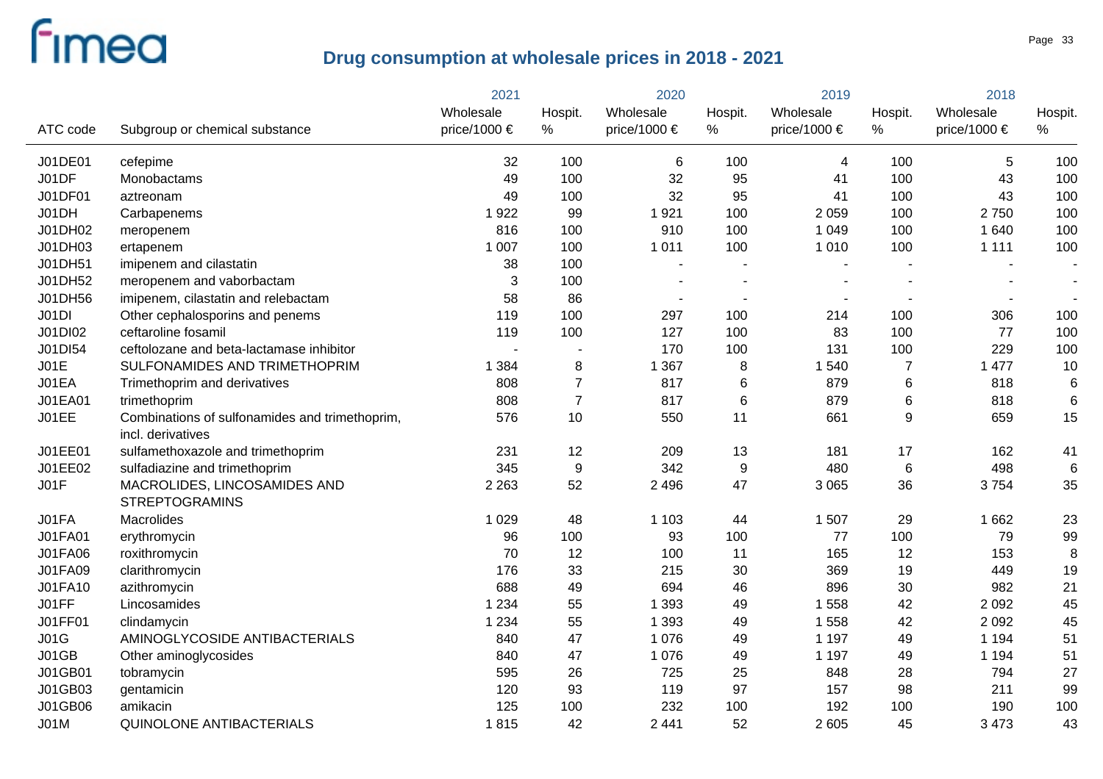|                |                                                                     | 2021         |                | 2020         |                          | 2019         |                | 2018         |                          |  |
|----------------|---------------------------------------------------------------------|--------------|----------------|--------------|--------------------------|--------------|----------------|--------------|--------------------------|--|
|                |                                                                     | Wholesale    | Hospit.        | Wholesale    | Hospit.                  | Wholesale    | Hospit.        | Wholesale    | Hospit.                  |  |
| ATC code       | Subgroup or chemical substance                                      | price/1000 € | $\%$           | price/1000 € | %                        | price/1000 € | %              | price/1000 € | $\%$                     |  |
| J01DE01        | cefepime                                                            | 32           | 100            | 6            | 100                      | 4            | 100            | 5            | 100                      |  |
| J01DF          | Monobactams                                                         | 49           | 100            | 32           | 95                       | 41           | 100            | 43           | 100                      |  |
| J01DF01        | aztreonam                                                           | 49           | 100            | 32           | 95                       | 41           | 100            | 43           | 100                      |  |
| J01DH          | Carbapenems                                                         | 1922         | 99             | 1921         | 100                      | 2 0 5 9      | 100            | 2750         | 100                      |  |
| J01DH02        | meropenem                                                           | 816          | 100            | 910          | 100                      | 1 0 4 9      | 100            | 1 640        | 100                      |  |
| J01DH03        | ertapenem                                                           | 1 0 0 7      | 100            | 1 0 1 1      | 100                      | 1 0 1 0      | 100            | 1 1 1 1      | 100                      |  |
| J01DH51        | imipenem and cilastatin                                             | 38           | 100            |              | $\blacksquare$           |              |                |              |                          |  |
| J01DH52        | meropenem and vaborbactam                                           | 3            | 100            |              | $\blacksquare$           |              |                |              | $\overline{\phantom{a}}$ |  |
| J01DH56        | imipenem, cilastatin and relebactam                                 | 58           | 86             |              | $\overline{\phantom{a}}$ |              |                |              | $\blacksquare$           |  |
| J01DI          | Other cephalosporins and penems                                     | 119          | 100            | 297          | 100                      | 214          | 100            | 306          | 100                      |  |
| J01DI02        | ceftaroline fosamil                                                 | 119          | 100            | 127          | 100                      | 83           | 100            | 77           | 100                      |  |
| J01DI54        | ceftolozane and beta-lactamase inhibitor                            |              | $\blacksquare$ | 170          | 100                      | 131          | 100            | 229          | 100                      |  |
| JO1E           | SULFONAMIDES AND TRIMETHOPRIM                                       | 1 3 8 4      | 8              | 1 3 6 7      | 8                        | 1 5 4 0      | $\overline{7}$ | 1 477        | 10                       |  |
| J01EA          | Trimethoprim and derivatives                                        | 808          | $\overline{7}$ | 817          | 6                        | 879          | $\,6$          | 818          | 6                        |  |
| J01EA01        | trimethoprim                                                        | 808          | $\overline{7}$ | 817          | 6                        | 879          | $\,6$          | 818          | 6                        |  |
| J01EE          | Combinations of sulfonamides and trimethoprim,<br>incl. derivatives | 576          | 10             | 550          | 11                       | 661          | 9              | 659          | 15                       |  |
| J01EE01        | sulfamethoxazole and trimethoprim                                   | 231          | 12             | 209          | 13                       | 181          | 17             | 162          | 41                       |  |
| J01EE02        | sulfadiazine and trimethoprim                                       | 345          | 9              | 342          | 9                        | 480          | 6              | 498          | 6                        |  |
| JO1F           | MACROLIDES, LINCOSAMIDES AND<br><b>STREPTOGRAMINS</b>               | 2 2 6 3      | 52             | 2 4 9 6      | 47                       | 3 0 6 5      | 36             | 3754         | 35                       |  |
| J01FA          | Macrolides                                                          | 1 0 2 9      | 48             | 1 1 0 3      | 44                       | 1 507        | 29             | 1 6 6 2      | 23                       |  |
| <b>J01FA01</b> | erythromycin                                                        | 96           | 100            | 93           | 100                      | 77           | 100            | 79           | 99                       |  |
| <b>J01FA06</b> | roxithromycin                                                       | 70           | 12             | 100          | 11                       | 165          | 12             | 153          | 8                        |  |
| J01FA09        | clarithromycin                                                      | 176          | 33             | 215          | 30                       | 369          | 19             | 449          | 19                       |  |
| J01FA10        | azithromycin                                                        | 688          | 49             | 694          | 46                       | 896          | 30             | 982          | 21                       |  |
| J01FF          | Lincosamides                                                        | 1 2 3 4      | 55             | 1 3 9 3      | 49                       | 1 5 5 8      | 42             | 2 0 9 2      | 45                       |  |
| <b>J01FF01</b> | clindamycin                                                         | 1 2 3 4      | 55             | 1 3 9 3      | 49                       | 1 5 5 8      | 42             | 2 0 9 2      | 45                       |  |
| J01G           | AMINOGLYCOSIDE ANTIBACTERIALS                                       | 840          | 47             | 1 0 7 6      | 49                       | 1 1 9 7      | 49             | 1 1 9 4      | 51                       |  |
| J01GB          | Other aminoglycosides                                               | 840          | 47             | 1 0 7 6      | 49                       | 1 1 9 7      | 49             | 1 1 9 4      | 51                       |  |
| J01GB01        | tobramycin                                                          | 595          | 26             | 725          | 25                       | 848          | 28             | 794          | 27                       |  |
| J01GB03        | gentamicin                                                          | 120          | 93             | 119          | 97                       | 157          | 98             | 211          | 99                       |  |
| J01GB06        | amikacin                                                            | 125          | 100            | 232          | 100                      | 192          | 100            | 190          | 100                      |  |
| <b>J01M</b>    | QUINOLONE ANTIBACTERIALS                                            | 1815         | 42             | 2 4 4 1      | 52                       | 2 605        | 45             | 3 4 7 3      | 43                       |  |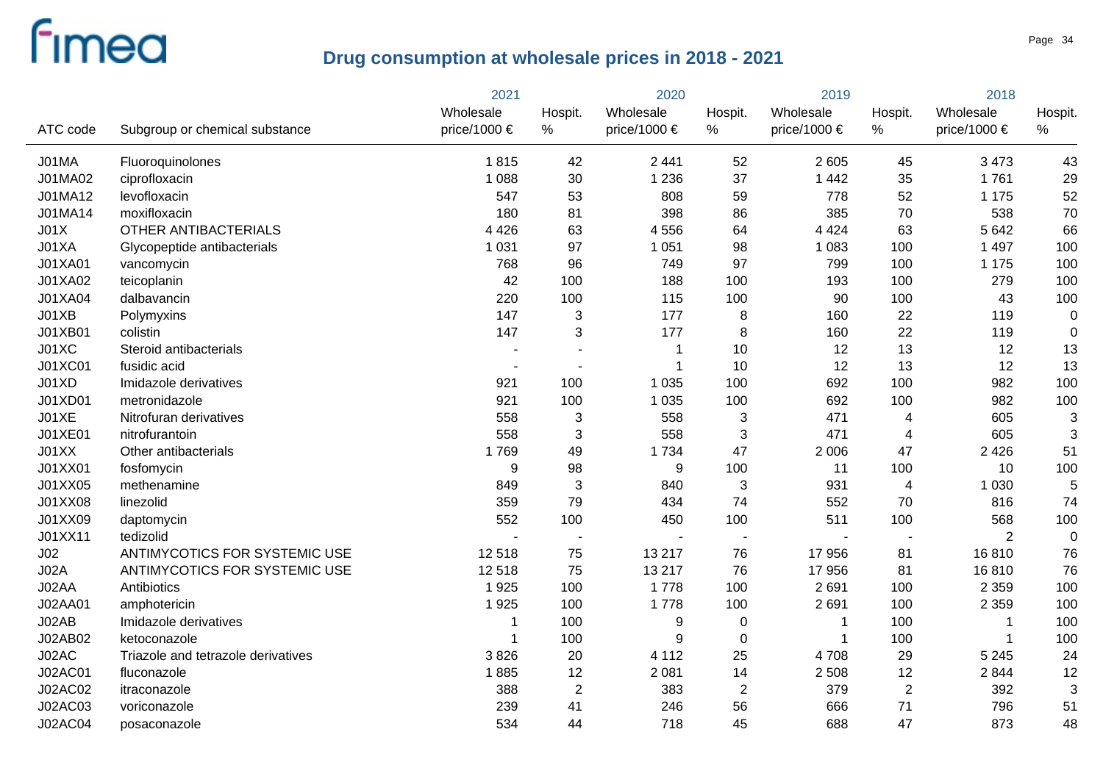|                 |                                    | 2021         | 2020                     |                  | 2019           |                  | 2018                    |                |             |
|-----------------|------------------------------------|--------------|--------------------------|------------------|----------------|------------------|-------------------------|----------------|-------------|
|                 |                                    | Wholesale    | Hospit.                  | Wholesale        | Hospit.        | Wholesale        | Hospit.                 | Wholesale      | Hospit.     |
| ATC code        | Subgroup or chemical substance     | price/1000 € | $\%$                     | price/1000 €     | $\%$           | price/1000 $\in$ | %                       | price/1000 €   | $\%$        |
| J01MA           | Fluoroquinolones                   | 1815         | 42                       | 2 4 4 1          | 52             | 2 605            | 45                      | 3 4 7 3        | 43          |
| J01MA02         | ciprofloxacin                      | 1 0 8 8      | 30                       | 1 2 3 6          | 37             | 1 4 4 2          | 35                      | 1761           | 29          |
| J01MA12         | levofloxacin                       | 547          | 53                       | 808              | 59             | 778              | 52                      | 1 1 7 5        | 52          |
| J01MA14         | moxifloxacin                       | 180          | 81                       | 398              | 86             | 385              | 70                      | 538            | 70          |
| JO1X            | OTHER ANTIBACTERIALS               | 4 4 2 6      | 63                       | 4556             | 64             | 4 4 2 4          | 63                      | 5 6 4 2        | 66          |
| J01XA           | Glycopeptide antibacterials        | 1 0 3 1      | 97                       | 1 0 5 1          | 98             | 1 0 8 3          | 100                     | 1 4 9 7        | 100         |
| J01XA01         | vancomycin                         | 768          | 96                       | 749              | 97             | 799              | 100                     | 1 1 7 5        | 100         |
| J01XA02         | teicoplanin                        | 42           | 100                      | 188              | 100            | 193              | 100                     | 279            | 100         |
| J01XA04         | dalbavancin                        | 220          | 100                      | 115              | 100            | 90               | 100                     | 43             | 100         |
| J01XB           | Polymyxins                         | 147          | 3                        | 177              | 8              | 160              | 22                      | 119            | $\pmb{0}$   |
| J01XB01         | colistin                           | 147          | 3                        | 177              | 8              | 160              | 22                      | 119            | $\mathbf 0$ |
| J01XC           | Steroid antibacterials             |              |                          |                  | 10             | 12               | 13                      | 12             | 13          |
| J01XC01         | fusidic acid                       |              | $\overline{\phantom{a}}$ |                  | 10             | 12               | 13                      | 12             | 13          |
| J01XD           | Imidazole derivatives              | 921          | 100                      | 1 0 3 5          | 100            | 692              | 100                     | 982            | 100         |
| J01XD01         | metronidazole                      | 921          | 100                      | 1 0 3 5          | 100            | 692              | 100                     | 982            | 100         |
| JO1XE           | Nitrofuran derivatives             | 558          | 3                        | 558              | 3              | 471              | 4                       | 605            | 3           |
| J01XE01         | nitrofurantoin                     | 558          | 3                        | 558              | 3              | 471              | $\overline{4}$          | 605            | 3           |
| J01XX           | Other antibacterials               | 1769         | 49                       | 1734             | 47             | 2 0 0 6          | 47                      | 2 4 2 6        | 51          |
| J01XX01         | fosfomycin                         | 9            | 98                       | $\boldsymbol{9}$ | 100            | 11               | 100                     | 10             | 100         |
| J01XX05         | methenamine                        | 849          | 3                        | 840              | 3              | 931              | $\overline{\mathbf{4}}$ | 1 0 3 0        | 5           |
| J01XX08         | linezolid                          | 359          | 79                       | 434              | 74             | 552              | 70                      | 816            | 74          |
| J01XX09         | daptomycin                         | 552          | 100                      | 450              | 100            | 511              | 100                     | 568            | 100         |
| J01XX11         | tedizolid                          |              |                          |                  |                |                  |                         | $\overline{2}$ | $\mathbf 0$ |
| J <sub>02</sub> | ANTIMYCOTICS FOR SYSTEMIC USE      | 12518        | 75                       | 13 217           | 76             | 17 956           | 81                      | 16810          | 76          |
| JO2A            | ANTIMYCOTICS FOR SYSTEMIC USE      | 12518        | 75                       | 13 217           | 76             | 17 956           | 81                      | 16810          | 76          |
| J02AA           | Antibiotics                        | 1925         | 100                      | 1778             | 100            | 2691             | 100                     | 2 3 5 9        | 100         |
| J02AA01         | amphotericin                       | 1925         | 100                      | 1778             | 100            | 2691             | 100                     | 2 3 5 9        | 100         |
| J02AB           | Imidazole derivatives              | -1           | 100                      | 9                | $\pmb{0}$      |                  | 100                     |                | 100         |
| J02AB02         | ketoconazole                       | -1           | 100                      | 9                | 0              | 1                | 100                     | -1             | 100         |
| J02AC           | Triazole and tetrazole derivatives | 3826         | 20                       | 4 1 1 2          | 25             | 4708             | 29                      | 5 2 4 5        | 24          |
| J02AC01         | fluconazole                        | 1885         | 12                       | 2 0 8 1          | 14             | 2 5 0 8          | 12                      | 2844           | 12          |
| J02AC02         | itraconazole                       | 388          | $\overline{2}$           | 383              | $\overline{2}$ | 379              | $\overline{2}$          | 392            | 3           |
| <b>J02AC03</b>  | voriconazole                       | 239          | 41                       | 246              | 56             | 666              | 71                      | 796            | 51          |
| <b>J02AC04</b>  | posaconazole                       | 534          | 44                       | 718              | 45             | 688              | 47                      | 873            | 48          |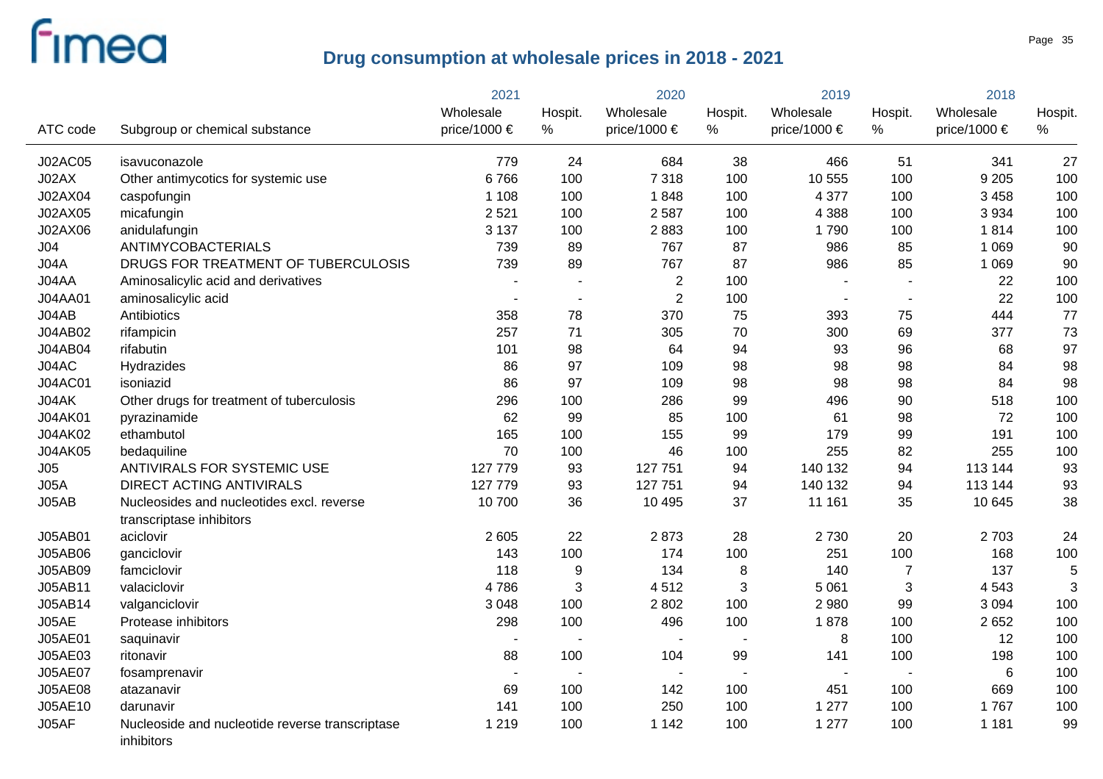|                |                                                                       | 2021           |                          | 2020                     |                          | 2019             |                | 2018             |         |
|----------------|-----------------------------------------------------------------------|----------------|--------------------------|--------------------------|--------------------------|------------------|----------------|------------------|---------|
|                |                                                                       | Wholesale      | Hospit.                  | Wholesale                | Hospit.                  | Wholesale        | Hospit.        | Wholesale        | Hospit. |
| ATC code       | Subgroup or chemical substance                                        | price/1000 €   | $\%$                     | price/1000 €             | $\%$                     | price/1000 $\in$ | $\%$           | price/1000 $\in$ | $\%$    |
| <b>J02AC05</b> | isavuconazole                                                         | 779            | 24                       | 684                      | 38                       | 466              | 51             | 341              | 27      |
| J02AX          | Other antimycotics for systemic use                                   | 6766           | 100                      | 7318                     | 100                      | 10 555           | 100            | 9 2 0 5          | 100     |
| J02AX04        | caspofungin                                                           | 1 1 0 8        | 100                      | 1848                     | 100                      | 4 3 7 7          | 100            | 3 4 5 8          | 100     |
| J02AX05        | micafungin                                                            | 2521           | 100                      | 2 5 8 7                  | 100                      | 4 3 8 8          | 100            | 3 9 3 4          | 100     |
| J02AX06        | anidulafungin                                                         | 3 1 3 7        | 100                      | 2883                     | 100                      | 1790             | 100            | 1814             | 100     |
| J04            | ANTIMYCOBACTERIALS                                                    | 739            | 89                       | 767                      | 87                       | 986              | 85             | 1 0 6 9          | 90      |
| J04A           | DRUGS FOR TREATMENT OF TUBERCULOSIS                                   | 739            | 89                       | 767                      | 87                       | 986              | 85             | 1 0 6 9          | 90      |
| J04AA          | Aminosalicylic acid and derivatives                                   |                |                          | $\sqrt{2}$               | 100                      |                  |                | 22               | 100     |
| J04AA01        | aminosalicylic acid                                                   | $\sim$         | $\sim$                   | $\sqrt{2}$               | 100                      | $\blacksquare$   |                | 22               | 100     |
| J04AB          | Antibiotics                                                           | 358            | 78                       | 370                      | 75                       | 393              | 75             | 444              | 77      |
| J04AB02        | rifampicin                                                            | 257            | 71                       | 305                      | 70                       | 300              | 69             | 377              | 73      |
| J04AB04        | rifabutin                                                             | 101            | 98                       | 64                       | 94                       | 93               | 96             | 68               | 97      |
| J04AC          | Hydrazides                                                            | 86             | 97                       | 109                      | 98                       | 98               | 98             | 84               | 98      |
| <b>J04AC01</b> | isoniazid                                                             | 86             | 97                       | 109                      | 98                       | 98               | 98             | 84               | 98      |
| J04AK          | Other drugs for treatment of tuberculosis                             | 296            | 100                      | 286                      | 99                       | 496              | 90             | 518              | 100     |
| J04AK01        | pyrazinamide                                                          | 62             | 99                       | 85                       | 100                      | 61               | 98             | 72               | 100     |
| J04AK02        | ethambutol                                                            | 165            | 100                      | 155                      | 99                       | 179              | 99             | 191              | 100     |
| <b>J04AK05</b> | bedaquiline                                                           | 70             | 100                      | 46                       | 100                      | 255              | 82             | 255              | 100     |
| J05            | ANTIVIRALS FOR SYSTEMIC USE                                           | 127 779        | 93                       | 127 751                  | 94                       | 140 132          | 94             | 113 144          | 93      |
| JO5A           | <b>DIRECT ACTING ANTIVIRALS</b>                                       | 127 779        | 93                       | 127 751                  | 94                       | 140 132          | 94             | 113 144          | 93      |
| J05AB          | Nucleosides and nucleotides excl. reverse<br>transcriptase inhibitors | 10 700         | 36                       | 10 4 95                  | 37                       | 11 161           | 35             | 10 645           | 38      |
| J05AB01        | aciclovir                                                             | 2 605          | 22                       | 2873                     | 28                       | 2730             | 20             | 2703             | 24      |
| J05AB06        | ganciclovir                                                           | 143            | 100                      | 174                      | 100                      | 251              | 100            | 168              | 100     |
| J05AB09        | famciclovir                                                           | 118            | 9                        | 134                      | $\bf 8$                  | 140              | $\overline{7}$ | 137              | 5       |
| J05AB11        | valaciclovir                                                          | 4786           | 3                        | 4512                     | 3                        | 5 0 6 1          | 3              | 4543             | 3       |
| J05AB14        | valganciclovir                                                        | 3 0 4 8        | 100                      | 2802                     | 100                      | 2 9 8 0          | 99             | 3 0 9 4          | 100     |
| J05AE          | Protease inhibitors                                                   | 298            | 100                      | 496                      | 100                      | 1878             | 100            | 2 6 5 2          | 100     |
| J05AE01        | saquinavir                                                            | $\blacksquare$ | $\overline{\phantom{a}}$ | $\overline{\phantom{a}}$ | $\blacksquare$           | 8                | 100            | 12               | 100     |
| J05AE03        | ritonavir                                                             | 88             | 100                      | 104                      | 99                       | 141              | 100            | 198              | 100     |
| <b>J05AE07</b> | fosamprenavir                                                         | $\blacksquare$ |                          | $\blacksquare$           | $\overline{\phantom{a}}$ |                  |                | 6                | 100     |
| <b>J05AE08</b> | atazanavir                                                            | 69             | 100                      | 142                      | 100                      | 451              | 100            | 669              | 100     |
| J05AE10        | darunavir                                                             | 141            | 100                      | 250                      | 100                      | 1 277            | 100            | 1767             | 100     |
| J05AF          | Nucleoside and nucleotide reverse transcriptase<br>inhibitors         | 1 2 1 9        | 100                      | 1 1 4 2                  | 100                      | 1 277            | 100            | 1 1 8 1          | 99      |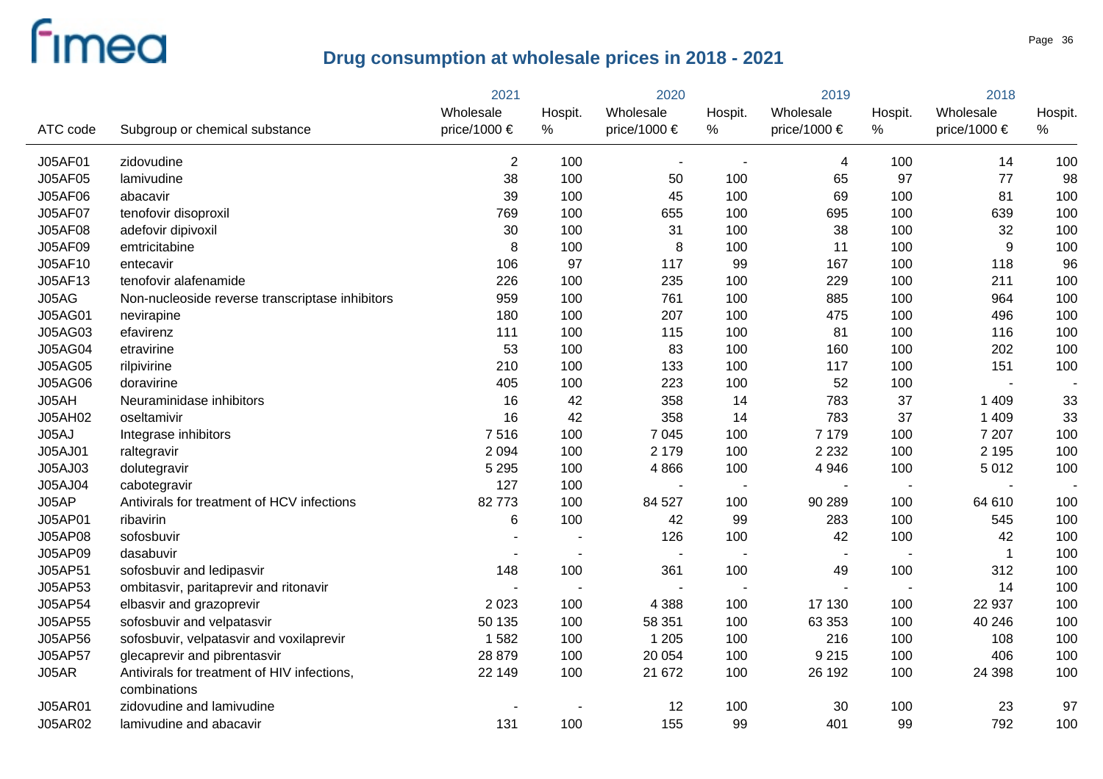|                |                                                             | 2021         | 2020    |                | 2019    |                  | 2018           |              |         |
|----------------|-------------------------------------------------------------|--------------|---------|----------------|---------|------------------|----------------|--------------|---------|
|                |                                                             | Wholesale    | Hospit. | Wholesale      | Hospit. | Wholesale        | Hospit.        | Wholesale    | Hospit. |
| ATC code       | Subgroup or chemical substance                              | price/1000 € | $\%$    | price/1000 €   | $\%$    | price/1000 $\in$ | $\%$           | price/1000 € | %       |
| J05AF01        | zidovudine                                                  | 2            | 100     |                |         | 4                | 100            | 14           | 100     |
| J05AF05        | lamivudine                                                  | 38           | 100     | 50             | 100     | 65               | 97             | 77           | 98      |
| <b>J05AF06</b> | abacavir                                                    | 39           | 100     | 45             | 100     | 69               | 100            | 81           | 100     |
| <b>J05AF07</b> | tenofovir disoproxil                                        | 769          | 100     | 655            | 100     | 695              | 100            | 639          | 100     |
| <b>J05AF08</b> | adefovir dipivoxil                                          | 30           | 100     | 31             | 100     | 38               | 100            | 32           | 100     |
| J05AF09        | emtricitabine                                               | 8            | 100     | 8              | 100     | 11               | 100            | 9            | 100     |
| J05AF10        | entecavir                                                   | 106          | 97      | 117            | 99      | 167              | 100            | 118          | 96      |
| J05AF13        | tenofovir alafenamide                                       | 226          | 100     | 235            | 100     | 229              | 100            | 211          | 100     |
| J05AG          | Non-nucleoside reverse transcriptase inhibitors             | 959          | 100     | 761            | 100     | 885              | 100            | 964          | 100     |
| <b>J05AG01</b> | nevirapine                                                  | 180          | 100     | 207            | 100     | 475              | 100            | 496          | 100     |
| J05AG03        | efavirenz                                                   | 111          | 100     | 115            | 100     | 81               | 100            | 116          | 100     |
| <b>J05AG04</b> | etravirine                                                  | 53           | 100     | 83             | 100     | 160              | 100            | 202          | 100     |
| <b>J05AG05</b> | rilpivirine                                                 | 210          | 100     | 133            | 100     | 117              | 100            | 151          | 100     |
| <b>J05AG06</b> | doravirine                                                  | 405          | 100     | 223            | 100     | 52               | 100            |              |         |
| J05AH          | Neuraminidase inhibitors                                    | 16           | 42      | 358            | 14      | 783              | 37             | 1 4 0 9      | 33      |
| J05AH02        | oseltamivir                                                 | 16           | 42      | 358            | 14      | 783              | 37             | 1 4 0 9      | 33      |
| J05AJ          | Integrase inhibitors                                        | 7516         | 100     | 7 0 4 5        | 100     | 7 1 7 9          | 100            | 7 207        | 100     |
| J05AJ01        | raltegravir                                                 | 2 0 9 4      | 100     | 2 1 7 9        | 100     | 2 2 3 2          | 100            | 2 1 9 5      | 100     |
| J05AJ03        | dolutegravir                                                | 5 2 9 5      | 100     | 4866           | 100     | 4 9 4 6          | 100            | 5012         | 100     |
| J05AJ04        | cabotegravir                                                | 127          | 100     |                |         |                  | $\sim$         |              |         |
| J05AP          | Antivirals for treatment of HCV infections                  | 82773        | 100     | 84 527         | 100     | 90 289           | 100            | 64 610       | 100     |
| J05AP01        | ribavirin                                                   | 6            | 100     | 42             | 99      | 283              | 100            | 545          | 100     |
| J05AP08        | sofosbuvir                                                  |              |         | 126            | 100     | 42               | 100            | 42           | 100     |
| J05AP09        | dasabuvir                                                   |              |         | $\sim$         |         | $\sim$           | $\sim$         | -1           | 100     |
| J05AP51        | sofosbuvir and ledipasvir                                   | 148          | 100     | 361            | 100     | 49               | 100            | 312          | 100     |
| J05AP53        | ombitasvir, paritaprevir and ritonavir                      |              |         | $\blacksquare$ |         | $\blacksquare$   | $\blacksquare$ | 14           | 100     |
| J05AP54        | elbasvir and grazoprevir                                    | 2 0 2 3      | 100     | 4 3 8 8        | 100     | 17 130           | 100            | 22 937       | 100     |
| J05AP55        | sofosbuvir and velpatasvir                                  | 50 135       | 100     | 58 351         | 100     | 63 353           | 100            | 40 246       | 100     |
| J05AP56        | sofosbuvir, velpatasvir and voxilaprevir                    | 1582         | 100     | 1 2 0 5        | 100     | 216              | 100            | 108          | 100     |
| J05AP57        | glecaprevir and pibrentasvir                                | 28 879       | 100     | 20 054         | 100     | 9 2 1 5          | 100            | 406          | 100     |
| J05AR          | Antivirals for treatment of HIV infections,<br>combinations | 22 149       | 100     | 21 672         | 100     | 26 192           | 100            | 24 398       | 100     |
| <b>J05AR01</b> | zidovudine and lamivudine                                   |              |         | 12             | 100     | 30               | 100            | 23           | 97      |
| <b>J05AR02</b> | lamivudine and abacavir                                     | 131          | 100     | 155            | 99      | 401              | 99             | 792          | 100     |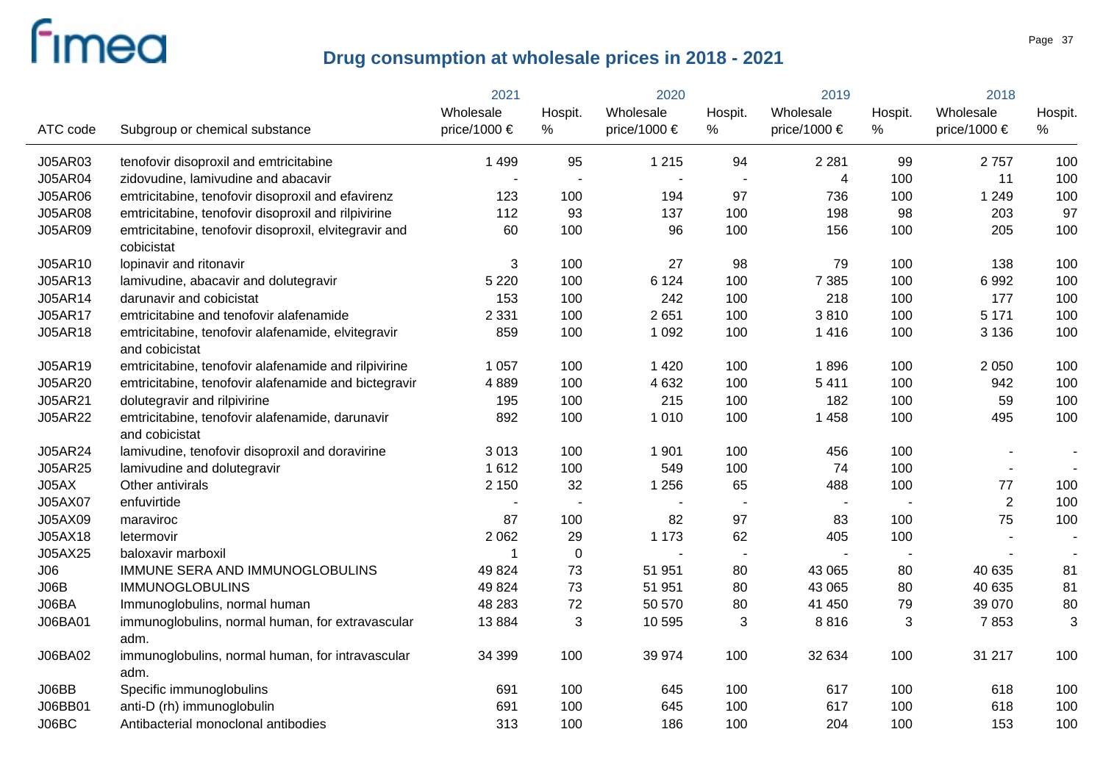|                |                                                                      | 2021         | 2020                     |                          | 2019                     |                  | 2018    |                  |         |
|----------------|----------------------------------------------------------------------|--------------|--------------------------|--------------------------|--------------------------|------------------|---------|------------------|---------|
|                |                                                                      | Wholesale    | Hospit.                  | Wholesale                | Hospit.                  | Wholesale        | Hospit. | Wholesale        | Hospit. |
| ATC code       | Subgroup or chemical substance                                       | price/1000 € | %                        | price/1000 €             | %                        | price/1000 $\in$ | %       | price/1000 $\in$ | %       |
| <b>J05AR03</b> | tenofovir disoproxil and emtricitabine                               | 1 4 9 9      | 95                       | 1 2 1 5                  | 94                       | 2 2 8 1          | 99      | 2757             | 100     |
| J05AR04        | zidovudine, lamivudine and abacavir                                  |              |                          |                          | $\overline{\phantom{a}}$ | 4                | 100     | 11               | 100     |
| <b>J05AR06</b> | emtricitabine, tenofovir disoproxil and efavirenz                    | 123          | 100                      | 194                      | 97                       | 736              | 100     | 1 2 4 9          | 100     |
| <b>J05AR08</b> | emtricitabine, tenofovir disoproxil and rilpivirine                  | 112          | 93                       | 137                      | 100                      | 198              | 98      | 203              | 97      |
| <b>J05AR09</b> | emtricitabine, tenofovir disoproxil, elvitegravir and<br>cobicistat  | 60           | 100                      | 96                       | 100                      | 156              | 100     | 205              | 100     |
| J05AR10        | lopinavir and ritonavir                                              | 3            | 100                      | 27                       | 98                       | 79               | 100     | 138              | 100     |
| J05AR13        | lamivudine, abacavir and dolutegravir                                | 5 2 2 0      | 100                      | 6 1 2 4                  | 100                      | 7 3 8 5          | 100     | 6992             | 100     |
| J05AR14        | darunavir and cobicistat                                             | 153          | 100                      | 242                      | 100                      | 218              | 100     | 177              | 100     |
| J05AR17        | emtricitabine and tenofovir alafenamide                              | 2 3 3 1      | 100                      | 2651                     | 100                      | 3810             | 100     | 5 1 7 1          | 100     |
| J05AR18        | emtricitabine, tenofovir alafenamide, elvitegravir<br>and cobicistat | 859          | 100                      | 1 0 9 2                  | 100                      | 1 4 1 6          | 100     | 3 1 3 6          | 100     |
| J05AR19        | emtricitabine, tenofovir alafenamide and rilpivirine                 | 1 0 5 7      | 100                      | 1 4 2 0                  | 100                      | 1896             | 100     | 2 0 5 0          | 100     |
| J05AR20        | emtricitabine, tenofovir alafenamide and bictegravir                 | 4889         | 100                      | 4 6 3 2                  | 100                      | 5411             | 100     | 942              | 100     |
| J05AR21        | dolutegravir and rilpivirine                                         | 195          | 100                      | 215                      | 100                      | 182              | 100     | 59               | 100     |
| <b>J05AR22</b> | emtricitabine, tenofovir alafenamide, darunavir<br>and cobicistat    | 892          | 100                      | 1010                     | 100                      | 1 4 5 8          | 100     | 495              | 100     |
| J05AR24        | lamivudine, tenofovir disoproxil and doravirine                      | 3013         | 100                      | 1 9 0 1                  | 100                      | 456              | 100     |                  |         |
| J05AR25        | lamivudine and dolutegravir                                          | 1612         | 100                      | 549                      | 100                      | 74               | 100     |                  |         |
| J05AX          | Other antivirals                                                     | 2 1 5 0      | 32                       | 1 2 5 6                  | 65                       | 488              | 100     | $77 \,$          | 100     |
| J05AX07        | enfuvirtide                                                          |              | $\overline{\phantom{a}}$ | $\overline{\phantom{a}}$ |                          |                  |         | $\overline{2}$   | 100     |
| J05AX09        | maraviroc                                                            | 87           | 100                      | 82                       | 97                       | 83               | 100     | 75               | 100     |
| J05AX18        | letermovir                                                           | 2 0 6 2      | 29                       | 1 1 7 3                  | 62                       | 405              | 100     |                  |         |
| J05AX25        | baloxavir marboxil                                                   | -1           | $\mathbf 0$              |                          | $\blacksquare$           |                  |         |                  |         |
| J06            | IMMUNE SERA AND IMMUNOGLOBULINS                                      | 49 8 24      | 73                       | 51 951                   | 80                       | 43 065           | 80      | 40 635           | 81      |
| JO6B           | <b>IMMUNOGLOBULINS</b>                                               | 49 8 24      | 73                       | 51 951                   | 80                       | 43 065           | 80      | 40 635           | 81      |
| J06BA          | Immunoglobulins, normal human                                        | 48 283       | 72                       | 50 570                   | 80                       | 41 450           | 79      | 39 070           | 80      |
| J06BA01        | immunoglobulins, normal human, for extravascular<br>adm.             | 13884        | $\sqrt{3}$               | 10 595                   | 3                        | 8816             | 3       | 7853             | 3       |
| J06BA02        | immunoglobulins, normal human, for intravascular<br>adm.             | 34 399       | 100                      | 39 974                   | 100                      | 32 634           | 100     | 31 217           | 100     |
| J06BB          | Specific immunoglobulins                                             | 691          | 100                      | 645                      | 100                      | 617              | 100     | 618              | 100     |
| J06BB01        | anti-D (rh) immunoglobulin                                           | 691          | 100                      | 645                      | 100                      | 617              | 100     | 618              | 100     |
| J06BC          | Antibacterial monoclonal antibodies                                  | 313          | 100                      | 186                      | 100                      | 204              | 100     | 153              | 100     |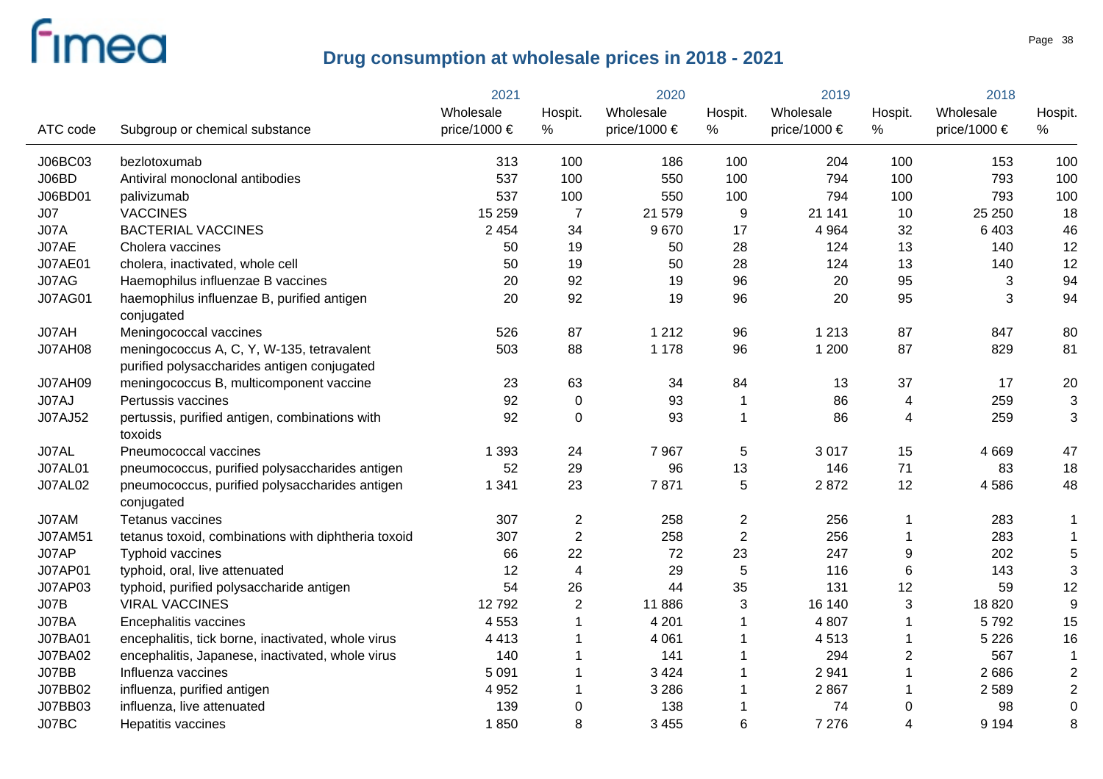|                |                                                                                          | 2021         | 2020           |                       | 2019             |              | 2018                    |              |                |
|----------------|------------------------------------------------------------------------------------------|--------------|----------------|-----------------------|------------------|--------------|-------------------------|--------------|----------------|
|                |                                                                                          | Wholesale    | Hospit.        | Wholesale             | Hospit.          | Wholesale    | Hospit.                 | Wholesale    | Hospit.        |
| ATC code       | Subgroup or chemical substance                                                           | price/1000 € | $\%$           | price/1000 $\epsilon$ | %                | price/1000 € | $\%$                    | price/1000 € | %              |
| J06BC03        | bezlotoxumab                                                                             | 313          | 100            | 186                   | 100              | 204          | 100                     | 153          | 100            |
| J06BD          | Antiviral monoclonal antibodies                                                          | 537          | 100            | 550                   | 100              | 794          | 100                     | 793          | 100            |
| J06BD01        | palivizumab                                                                              | 537          | 100            | 550                   | 100              | 794          | 100                     | 793          | 100            |
| J07            | <b>VACCINES</b>                                                                          | 15 25 9      | $\overline{7}$ | 21 579                | 9                | 21 141       | 10                      | 25 250       | 18             |
| <b>J07A</b>    | <b>BACTERIAL VACCINES</b>                                                                | 2 4 5 4      | 34             | 9670                  | 17               | 4 9 64       | 32                      | 6 4 0 3      | 46             |
| J07AE          | Cholera vaccines                                                                         | 50           | 19             | 50                    | 28               | 124          | 13                      | 140          | 12             |
| <b>J07AE01</b> | cholera, inactivated, whole cell                                                         | 50           | 19             | 50                    | 28               | 124          | 13                      | 140          | 12             |
| J07AG          | Haemophilus influenzae B vaccines                                                        | 20           | 92             | 19                    | 96               | 20           | 95                      | 3            | 94             |
| <b>J07AG01</b> | haemophilus influenzae B, purified antigen<br>conjugated                                 | 20           | 92             | 19                    | 96               | 20           | 95                      | 3            | 94             |
| J07AH          | Meningococcal vaccines                                                                   | 526          | 87             | 1 2 1 2               | 96               | 1 2 1 3      | 87                      | 847          | 80             |
| <b>J07AH08</b> | meningococcus A, C, Y, W-135, tetravalent<br>purified polysaccharides antigen conjugated | 503          | 88             | 1 1 7 8               | 96               | 1 200        | 87                      | 829          | 81             |
| <b>J07AH09</b> | meningococcus B, multicomponent vaccine                                                  | 23           | 63             | 34                    | 84               | 13           | 37                      | 17           | 20             |
| J07AJ          | Pertussis vaccines                                                                       | 92           | $\mathbf 0$    | 93                    | 1                | 86           | 4                       | 259          | 3              |
| J07AJ52        | pertussis, purified antigen, combinations with<br>toxoids                                | 92           | $\mathbf 0$    | 93                    | 1                | 86           | 4                       | 259          | 3              |
| J07AL          | Pneumococcal vaccines                                                                    | 1 3 9 3      | 24             | 7967                  | 5                | 3017         | 15                      | 4 6 6 9      | 47             |
| <b>J07AL01</b> | pneumococcus, purified polysaccharides antigen                                           | 52           | 29             | 96                    | 13               | 146          | 71                      | 83           | 18             |
| <b>J07AL02</b> | pneumococcus, purified polysaccharides antigen<br>conjugated                             | 1 3 4 1      | 23             | 7871                  | 5                | 2872         | 12                      | 4586         | 48             |
| J07AM          | Tetanus vaccines                                                                         | 307          | $\overline{c}$ | 258                   | $\boldsymbol{2}$ | 256          | 1                       | 283          | $\mathbf 1$    |
| J07AM51        | tetanus toxoid, combinations with diphtheria toxoid                                      | 307          | $\overline{2}$ | 258                   | $\overline{2}$   | 256          | 1                       | 283          | $\mathbf{1}$   |
| J07AP          | Typhoid vaccines                                                                         | 66           | 22             | 72                    | 23               | 247          | 9                       | 202          | 5              |
| <b>J07AP01</b> | typhoid, oral, live attenuated                                                           | 12           | 4              | 29                    | 5                | 116          | 6                       | 143          | 3              |
| J07AP03        | typhoid, purified polysaccharide antigen                                                 | 54           | 26             | 44                    | 35               | 131          | 12                      | 59           | 12             |
| JO7B           | <b>VIRAL VACCINES</b>                                                                    | 12792        | $\overline{2}$ | 11886                 | 3                | 16 140       | 3                       | 18 8 20      | 9              |
| J07BA          | Encephalitis vaccines                                                                    | 4 5 5 3      | 1              | 4 2 0 1               | 1                | 4 8 0 7      | 1                       | 5792         | 15             |
| J07BA01        | encephalitis, tick borne, inactivated, whole virus                                       | 4 4 1 3      |                | 4 0 6 1               |                  | 4513         | 1                       | 5 2 2 6      | 16             |
| J07BA02        | encephalitis, Japanese, inactivated, whole virus                                         | 140          |                | 141                   |                  | 294          | $\overline{2}$          | 567          | $\mathbf 1$    |
| J07BB          | Influenza vaccines                                                                       | 5 0 9 1      |                | 3 4 2 4               |                  | 2 9 4 1      | $\mathbf 1$             | 2686         | $\overline{c}$ |
| J07BB02        | influenza, purified antigen                                                              | 4 9 5 2      |                | 3 2 8 6               |                  | 2867         | 1                       | 2 5 8 9      | $\overline{c}$ |
| J07BB03        | influenza, live attenuated                                                               | 139          | 0              | 138                   |                  | 74           | 0                       | 98           | 0              |
| J07BC          | Hepatitis vaccines                                                                       | 1850         | 8              | 3 4 5 5               | 6                | 7 2 7 6      | $\overline{\mathbf{4}}$ | 9 1 9 4      | 8              |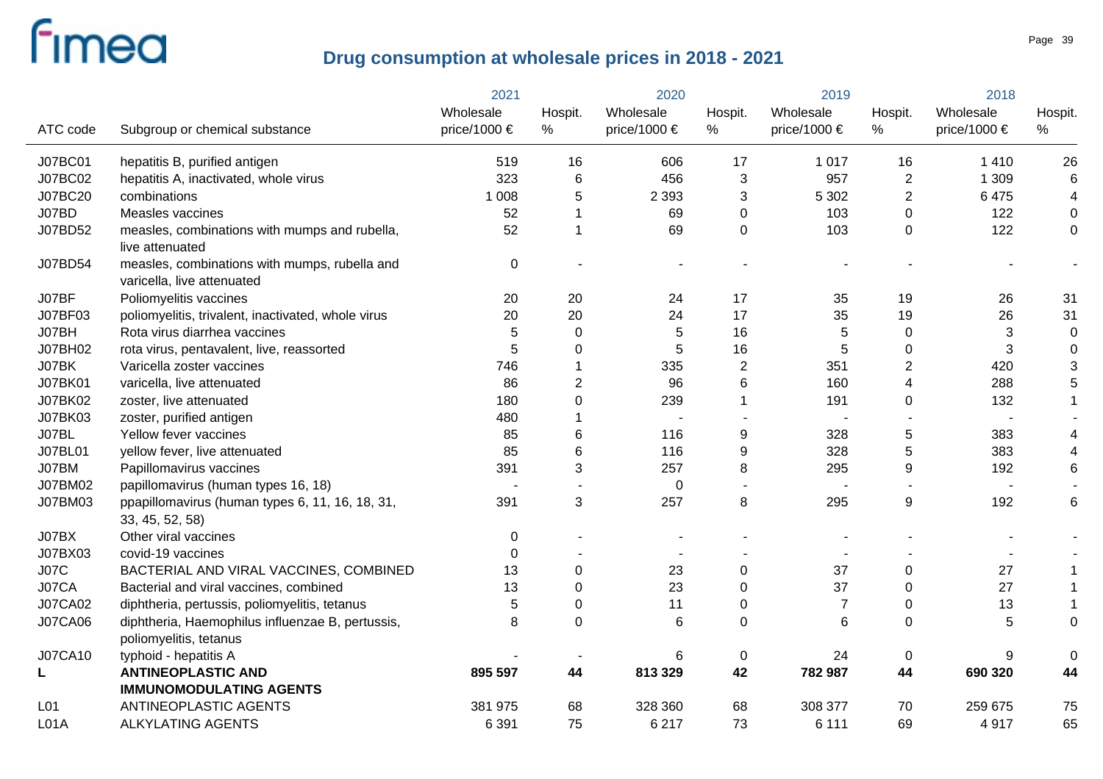|                 |                                                                             | 2021         | 2020           |                       | 2019             |                  | 2018             |              |             |
|-----------------|-----------------------------------------------------------------------------|--------------|----------------|-----------------------|------------------|------------------|------------------|--------------|-------------|
|                 |                                                                             | Wholesale    | Hospit.        | Wholesale             | Hospit.          | Wholesale        | Hospit.          | Wholesale    | Hospit.     |
| ATC code        | Subgroup or chemical substance                                              | price/1000 € | $\%$           | price/1000 $\epsilon$ | %                | price/1000 $\in$ | %                | price/1000 € | %           |
| J07BC01         | hepatitis B, purified antigen                                               | 519          | 16             | 606                   | 17               | 1 0 1 7          | 16               | 1 4 1 0      | 26          |
| J07BC02         | hepatitis A, inactivated, whole virus                                       | 323          | 6              | 456                   | 3                | 957              | $\overline{2}$   | 1 309        | $\,6$       |
| J07BC20         | combinations                                                                | 1 0 0 8      | 5              | 2 3 9 3               | 3                | 5 3 0 2          | $\overline{2}$   | 6475         | 4           |
| J07BD           | Measles vaccines                                                            | 52           | 1              | 69                    | 0                | 103              | 0                | 122          | 0           |
| J07BD52         | measles, combinations with mumps and rubella,<br>live attenuated            | 52           | 1              | 69                    | $\mathbf 0$      | 103              | $\Omega$         | 122          | 0           |
| J07BD54         | measles, combinations with mumps, rubella and<br>varicella, live attenuated | $\mathbf 0$  |                |                       |                  |                  |                  |              |             |
| J07BF           | Poliomyelitis vaccines                                                      | 20           | 20             | 24                    | 17               | 35               | 19               | 26           | 31          |
| J07BF03         | poliomyelitis, trivalent, inactivated, whole virus                          | 20           | 20             | 24                    | 17               | 35               | 19               | 26           | 31          |
| J07BH           | Rota virus diarrhea vaccines                                                | 5            | $\mathbf 0$    | 5                     | 16               | 5                | $\mathbf 0$      | 3            | 0           |
| J07BH02         | rota virus, pentavalent, live, reassorted                                   | 5            | 0              | 5                     | 16               | 5                | $\mathbf 0$      | 3            | $\mathbf 0$ |
| J07BK           | Varicella zoster vaccines                                                   | 746          | 1              | 335                   | $\overline{c}$   | 351              | $\sqrt{2}$       | 420          | 3           |
| J07BK01         | varicella, live attenuated                                                  | 86           | $\overline{2}$ | 96                    | 6                | 160              | $\overline{4}$   | 288          | 5           |
| J07BK02         | zoster, live attenuated                                                     | 180          | 0              | 239                   | 1                | 191              | 0                | 132          |             |
| J07BK03         | zoster, purified antigen                                                    | 480          |                | $\blacksquare$        |                  |                  |                  |              |             |
| J07BL           | Yellow fever vaccines                                                       | 85           | 6              | 116                   | 9                | 328              | $\mathbf 5$      | 383          |             |
| <b>J07BL01</b>  | yellow fever, live attenuated                                               | 85           | 6              | 116                   | $\boldsymbol{9}$ | 328              | $\overline{5}$   | 383          |             |
| J07BM           | Papillomavirus vaccines                                                     | 391          | 3              | 257                   | 8                | 295              | $\boldsymbol{9}$ | 192          | 6           |
| J07BM02         | papillomavirus (human types 16, 18)                                         |              |                | $\mathbf 0$           |                  |                  |                  |              |             |
| J07BM03         | ppapillomavirus (human types 6, 11, 16, 18, 31,<br>33, 45, 52, 58)          | 391          | 3              | 257                   | 8                | 295              | $\boldsymbol{9}$ | 192          | 6           |
| J07BX           | Other viral vaccines                                                        | $\mathbf 0$  |                |                       |                  |                  |                  |              |             |
| J07BX03         | covid-19 vaccines                                                           | $\Omega$     |                |                       |                  |                  |                  |              |             |
| <b>J07C</b>     | BACTERIAL AND VIRAL VACCINES, COMBINED                                      | 13           | 0              | 23                    | $\pmb{0}$        | 37               | $\boldsymbol{0}$ | 27           |             |
| J07CA           | Bacterial and viral vaccines, combined                                      | 13           | 0              | 23                    | 0                | 37               | $\mathbf 0$      | 27           |             |
| <b>J07CA02</b>  | diphtheria, pertussis, poliomyelitis, tetanus                               | 5            | 0              | 11                    | 0                | 7                | $\mathbf 0$      | 13           |             |
| <b>J07CA06</b>  | diphtheria, Haemophilus influenzae B, pertussis,<br>poliomyelitis, tetanus  | 8            | 0              | 6                     | 0                | 6                | $\mathbf 0$      | 5            | 0           |
| <b>J07CA10</b>  | typhoid - hepatitis A                                                       |              |                | 6                     | $\mathbf 0$      | 24               | $\mathbf 0$      | 9            | $\Omega$    |
| L               | <b>ANTINEOPLASTIC AND</b>                                                   | 895 597      | 44             | 813 329               | 42               | 782 987          | 44               | 690 320      | 44          |
|                 | <b>IMMUNOMODULATING AGENTS</b>                                              |              |                |                       |                  |                  |                  |              |             |
| L <sub>01</sub> | <b>ANTINEOPLASTIC AGENTS</b>                                                | 381 975      | 68             | 328 360               | 68               | 308 377          | 70               | 259 675      | 75          |
| L01A            | <b>ALKYLATING AGENTS</b>                                                    | 6 3 9 1      | 75             | 6 2 1 7               | 73               | 6 1 1 1          | 69               | 4917         | 65          |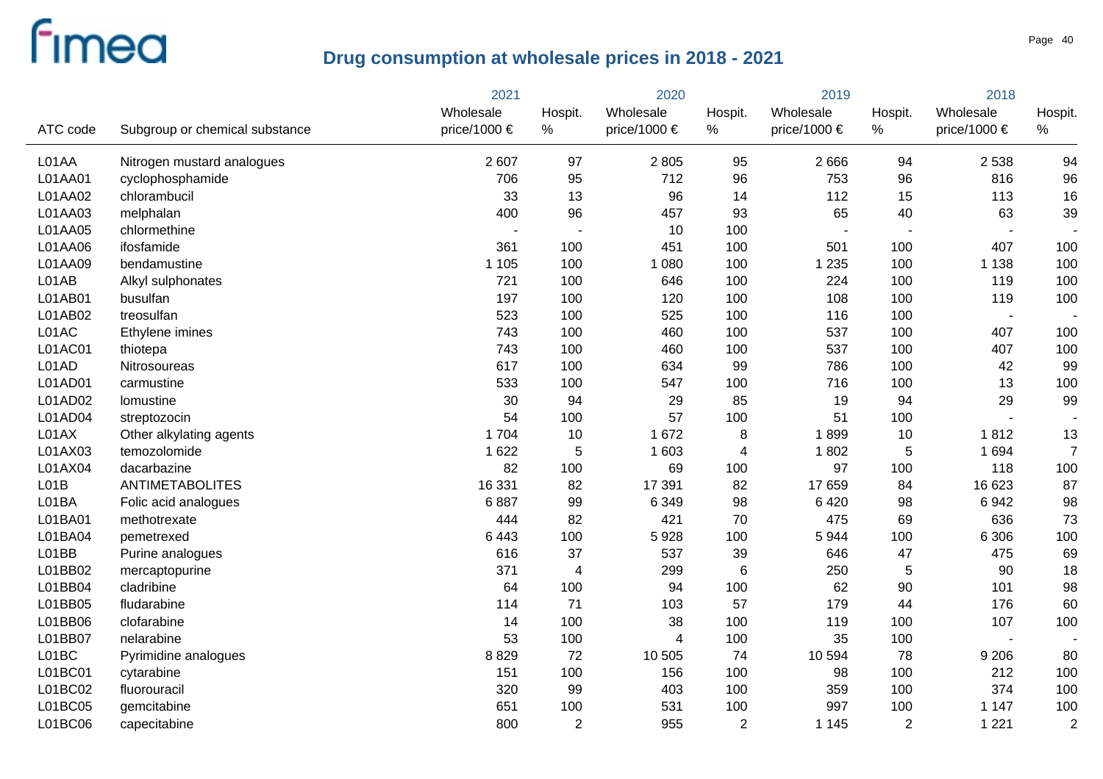|          |                                | 2021         |                          |                |                | 2019             |                          | 2018                     |                |
|----------|--------------------------------|--------------|--------------------------|----------------|----------------|------------------|--------------------------|--------------------------|----------------|
|          |                                | Wholesale    | Hospit.                  | Wholesale      | Hospit.        | Wholesale        | Hospit.                  | Wholesale                | Hospit.        |
| ATC code | Subgroup or chemical substance | price/1000 € | %                        | price/1000 €   | %              | price/1000 $\in$ | %                        | price/1000 €             | %              |
| L01AA    | Nitrogen mustard analogues     | 2 607        | 97                       | 2805           | 95             | 2 6 6 6          | 94                       | 2 5 3 8                  | 94             |
| L01AA01  | cyclophosphamide               | 706          | 95                       | 712            | 96             | 753              | 96                       | 816                      | 96             |
| L01AA02  | chlorambucil                   | 33           | 13                       | 96             | 14             | 112              | 15                       | 113                      | 16             |
| L01AA03  | melphalan                      | 400          | 96                       | 457            | 93             | 65               | 40                       | 63                       | 39             |
| L01AA05  | chlormethine                   |              | $\overline{\phantom{a}}$ | 10             | 100            |                  | $\overline{\phantom{a}}$ |                          |                |
| L01AA06  | ifosfamide                     | 361          | 100                      | 451            | 100            | 501              | 100                      | 407                      | 100            |
| L01AA09  | bendamustine                   | 1 1 0 5      | 100                      | 1 0 8 0        | 100            | 1 2 3 5          | 100                      | 1 1 3 8                  | 100            |
| L01AB    | Alkyl sulphonates              | 721          | 100                      | 646            | 100            | 224              | 100                      | 119                      | 100            |
| L01AB01  | busulfan                       | 197          | 100                      | 120            | 100            | 108              | 100                      | 119                      | 100            |
| L01AB02  | treosulfan                     | 523          | 100                      | 525            | 100            | 116              | 100                      | $\overline{\phantom{a}}$ |                |
| L01AC    | Ethylene imines                | 743          | 100                      | 460            | 100            | 537              | 100                      | 407                      | 100            |
| L01AC01  | thiotepa                       | 743          | 100                      | 460            | 100            | 537              | 100                      | 407                      | 100            |
| L01AD    | Nitrosoureas                   | 617          | 100                      | 634            | 99             | 786              | 100                      | 42                       | 99             |
| L01AD01  | carmustine                     | 533          | 100                      | 547            | 100            | 716              | 100                      | 13                       | 100            |
| L01AD02  | lomustine                      | 30           | 94                       | 29             | 85             | 19               | 94                       | 29                       | 99             |
| L01AD04  | streptozocin                   | 54           | 100                      | 57             | 100            | 51               | 100                      |                          |                |
| L01AX    | Other alkylating agents        | 1 704        | 10                       | 1672           | 8              | 1899             | 10                       | 1812                     | 13             |
| L01AX03  | temozolomide                   | 1 6 2 2      | 5                        | 1 603          | 4              | 1802             | 5                        | 1 6 9 4                  | $\overline{7}$ |
| L01AX04  | dacarbazine                    | 82           | 100                      | 69             | 100            | 97               | 100                      | 118                      | 100            |
| LO1B     | <b>ANTIMETABOLITES</b>         | 16 331       | 82                       | 17 391         | 82             | 17 659           | 84                       | 16 623                   | 87             |
| L01BA    | Folic acid analogues           | 6887         | 99                       | 6 3 4 9        | 98             | 6 4 2 0          | 98                       | 6942                     | 98             |
| L01BA01  | methotrexate                   | 444          | 82                       | 421            | 70             | 475              | 69                       | 636                      | 73             |
| L01BA04  | pemetrexed                     | 6 4 4 3      | 100                      | 5928           | 100            | 5 9 4 4          | 100                      | 6 3 0 6                  | 100            |
| L01BB    | Purine analogues               | 616          | 37                       | 537            | 39             | 646              | 47                       | 475                      | 69             |
| L01BB02  | mercaptopurine                 | 371          | 4                        | 299            | $\,6$          | 250              | 5                        | 90                       | 18             |
| L01BB04  | cladribine                     | 64           | 100                      | 94             | 100            | 62               | 90                       | 101                      | 98             |
| L01BB05  | fludarabine                    | 114          | 71                       | 103            | 57             | 179              | 44                       | 176                      | 60             |
| L01BB06  | clofarabine                    | 14           | 100                      | 38             | 100            | 119              | 100                      | 107                      | 100            |
| L01BB07  | nelarabine                     | 53           | 100                      | $\overline{4}$ | 100            | 35               | 100                      |                          |                |
| L01BC    | Pyrimidine analogues           | 8829         | 72                       | 10 505         | 74             | 10 594           | 78                       | 9 2 0 6                  | 80             |
| L01BC01  | cytarabine                     | 151          | 100                      | 156            | 100            | 98               | 100                      | 212                      | 100            |
| L01BC02  | fluorouracil                   | 320          | 99                       | 403            | 100            | 359              | 100                      | 374                      | 100            |
| L01BC05  | gemcitabine                    | 651          | 100                      | 531            | 100            | 997              | 100                      | 1 1 4 7                  | 100            |
| L01BC06  | capecitabine                   | 800          | $\overline{2}$           | 955            | $\overline{2}$ | 1 1 4 5          | $\overline{2}$           | 1 2 2 1                  | $\overline{2}$ |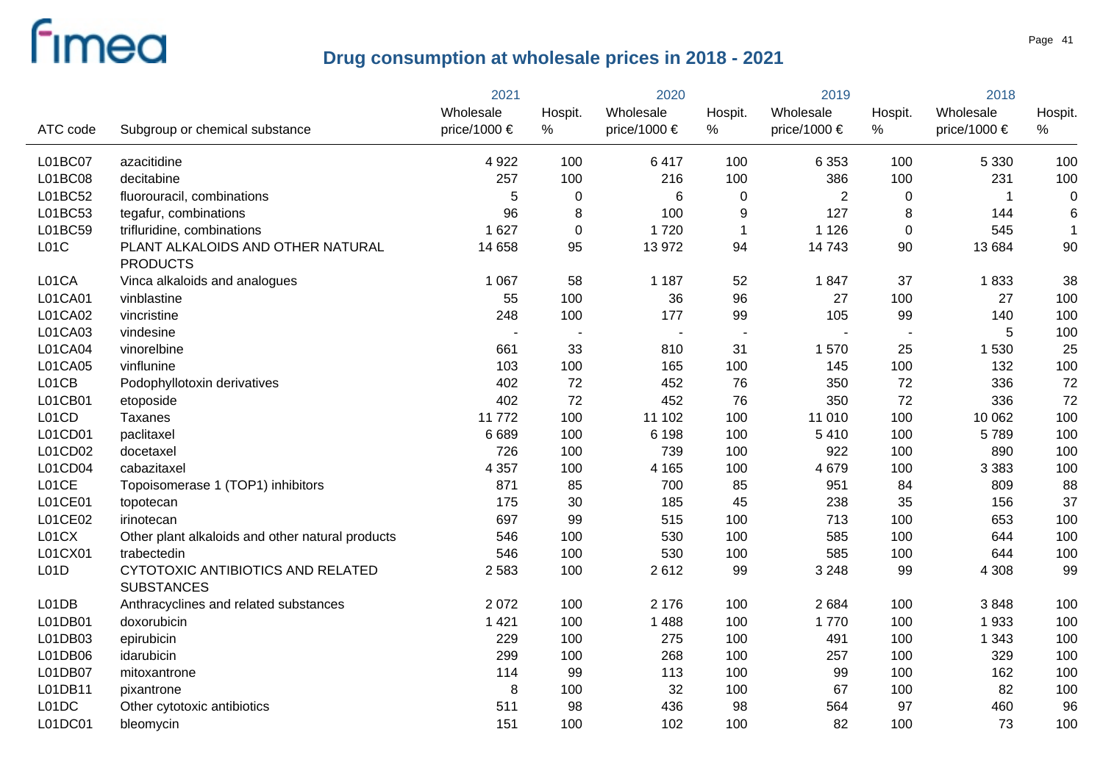|          |                                                        | 2021         |                          | 2020           |                          | 2019             |                | 2018             |                  |
|----------|--------------------------------------------------------|--------------|--------------------------|----------------|--------------------------|------------------|----------------|------------------|------------------|
|          |                                                        | Wholesale    | Hospit.                  | Wholesale      | Hospit.                  | Wholesale        | Hospit.        | Wholesale        | Hospit.          |
| ATC code | Subgroup or chemical substance                         | price/1000 € | %                        | price/1000 €   | $\%$                     | price/1000 $\in$ | $\%$           | price/1000 $\in$ | %                |
| L01BC07  | azacitidine                                            | 4 9 2 2      | 100                      | 6417           | 100                      | 6 3 5 3          | 100            | 5 3 3 0          | 100              |
| L01BC08  | decitabine                                             | 257          | 100                      | 216            | 100                      | 386              | 100            | 231              | 100              |
| L01BC52  | fluorouracil, combinations                             | 5            | 0                        | 6              | 0                        | $\overline{2}$   | 0              | -1               | $\boldsymbol{0}$ |
| L01BC53  | tegafur, combinations                                  | 96           | 8                        | 100            | 9                        | 127              | 8              | 144              | $6\phantom{1}6$  |
| L01BC59  | trifluridine, combinations                             | 1 6 2 7      | $\mathbf 0$              | 1720           | $\mathbf{1}$             | 1 1 2 6          | 0              | 545              | $\mathbf{1}$     |
| LO1C     | PLANT ALKALOIDS AND OTHER NATURAL<br><b>PRODUCTS</b>   | 14 658       | 95                       | 13 972         | 94                       | 14743            | 90             | 13 684           | 90               |
| L01CA    | Vinca alkaloids and analogues                          | 1 0 6 7      | 58                       | 1 1 8 7        | 52                       | 1847             | 37             | 1833             | 38               |
| L01CA01  | vinblastine                                            | 55           | 100                      | 36             | 96                       | 27               | 100            | 27               | 100              |
| L01CA02  | vincristine                                            | 248          | 100                      | 177            | 99                       | 105              | 99             | 140              | 100              |
| L01CA03  | vindesine                                              |              | $\overline{\phantom{a}}$ | $\blacksquare$ | $\overline{\phantom{a}}$ |                  | $\blacksquare$ | 5                | 100              |
| L01CA04  | vinorelbine                                            | 661          | 33                       | 810            | 31                       | 1570             | 25             | 1 5 3 0          | 25               |
| L01CA05  | vinflunine                                             | 103          | 100                      | 165            | 100                      | 145              | 100            | 132              | 100              |
| L01CB    | Podophyllotoxin derivatives                            | 402          | 72                       | 452            | 76                       | 350              | 72             | 336              | 72               |
| L01CB01  | etoposide                                              | 402          | 72                       | 452            | 76                       | 350              | 72             | 336              | 72               |
| L01CD    | Taxanes                                                | 11772        | 100                      | 11 102         | 100                      | 11 010           | 100            | 10 062           | 100              |
| L01CD01  | paclitaxel                                             | 6 6 8 9      | 100                      | 6 1 9 8        | 100                      | 5410             | 100            | 5789             | 100              |
| L01CD02  | docetaxel                                              | 726          | 100                      | 739            | 100                      | 922              | 100            | 890              | 100              |
| L01CD04  | cabazitaxel                                            | 4 3 5 7      | 100                      | 4 1 6 5        | 100                      | 4 6 7 9          | 100            | 3 3 8 3          | 100              |
| L01CE    | Topoisomerase 1 (TOP1) inhibitors                      | 871          | 85                       | 700            | 85                       | 951              | 84             | 809              | 88               |
| L01CE01  | topotecan                                              | 175          | 30                       | 185            | 45                       | 238              | 35             | 156              | 37               |
| L01CE02  | irinotecan                                             | 697          | 99                       | 515            | 100                      | 713              | 100            | 653              | 100              |
| L01CX    | Other plant alkaloids and other natural products       | 546          | 100                      | 530            | 100                      | 585              | 100            | 644              | 100              |
| L01CX01  | trabectedin                                            | 546          | 100                      | 530            | 100                      | 585              | 100            | 644              | 100              |
| L01D     | CYTOTOXIC ANTIBIOTICS AND RELATED<br><b>SUBSTANCES</b> | 2 5 8 3      | 100                      | 2612           | 99                       | 3 2 4 8          | 99             | 4 3 0 8          | 99               |
| L01DB    | Anthracyclines and related substances                  | 2 0 7 2      | 100                      | 2 1 7 6        | 100                      | 2684             | 100            | 3848             | 100              |
| L01DB01  | doxorubicin                                            | 1 4 2 1      | 100                      | 1488           | 100                      | 1770             | 100            | 1933             | 100              |
| L01DB03  | epirubicin                                             | 229          | 100                      | 275            | 100                      | 491              | 100            | 1 3 4 3          | 100              |
| L01DB06  | idarubicin                                             | 299          | 100                      | 268            | 100                      | 257              | 100            | 329              | 100              |
| L01DB07  | mitoxantrone                                           | 114          | 99                       | 113            | 100                      | 99               | 100            | 162              | 100              |
| L01DB11  | pixantrone                                             | 8            | 100                      | 32             | 100                      | 67               | 100            | 82               | 100              |
| L01DC    | Other cytotoxic antibiotics                            | 511          | 98                       | 436            | 98                       | 564              | 97             | 460              | 96               |
| L01DC01  | bleomycin                                              | 151          | 100                      | 102            | 100                      | 82               | 100            | 73               | 100              |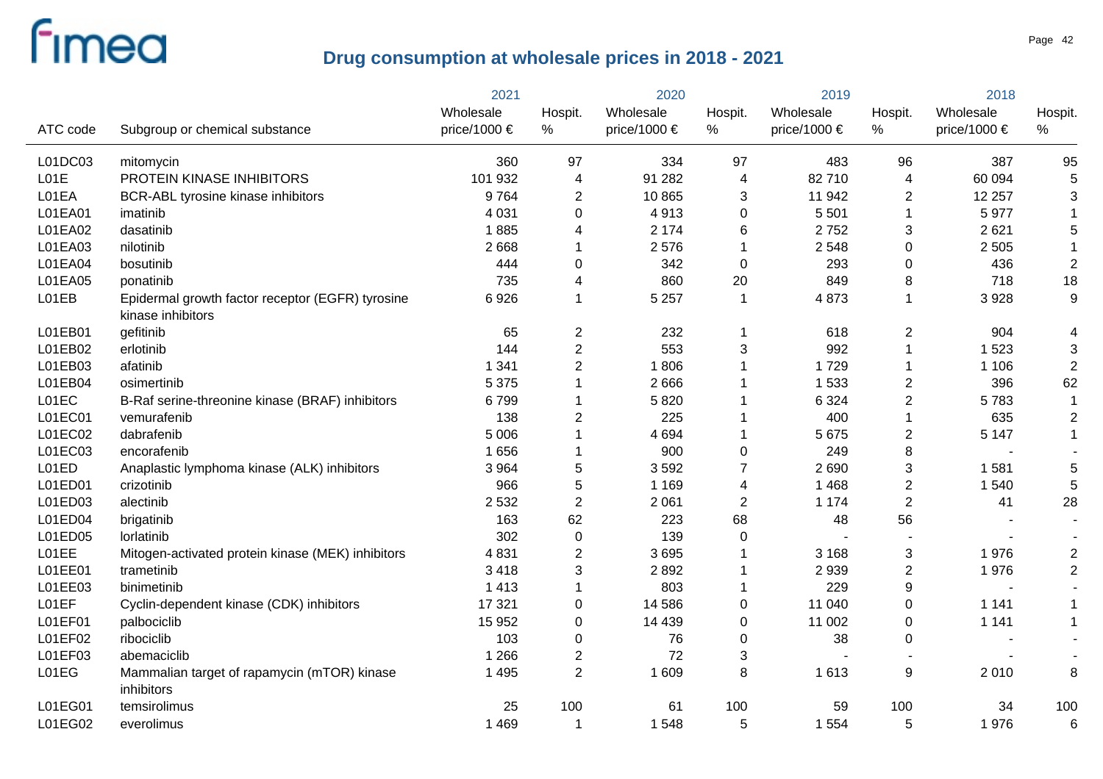|          |                                                                       | 2021         | 2020                    |                  | 2019           |                  | 2018             |              |                  |
|----------|-----------------------------------------------------------------------|--------------|-------------------------|------------------|----------------|------------------|------------------|--------------|------------------|
|          |                                                                       | Wholesale    | Hospit.                 | Wholesale        | Hospit.        | Wholesale        | Hospit.          | Wholesale    | Hospit.          |
| ATC code | Subgroup or chemical substance                                        | price/1000 € | $\%$                    | price/1000 $\in$ | %              | price/1000 $\in$ | %                | price/1000 € | %                |
| L01DC03  | mitomycin                                                             | 360          | 97                      | 334              | 97             | 483              | 96               | 387          | 95               |
| L01E     | PROTEIN KINASE INHIBITORS                                             | 101 932      | 4                       | 91 282           | 4              | 82710            | $\overline{4}$   | 60 094       | 5                |
| L01EA    | BCR-ABL tyrosine kinase inhibitors                                    | 9764         | 2                       | 10865            | 3              | 11 942           | $\overline{2}$   | 12 257       | 3                |
| L01EA01  | imatinib                                                              | 4 0 31       | 0                       | 4913             | 0              | 5 5 0 1          | $\overline{1}$   | 5977         | $\mathbf{1}$     |
| L01EA02  | dasatinib                                                             | 1885         | 4                       | 2 1 7 4          | 6              | 2752             | 3                | 2621         | 5                |
| L01EA03  | nilotinib                                                             | 2 6 6 8      | 1                       | 2576             | 1              | 2 5 4 8          | $\boldsymbol{0}$ | 2 5 0 5      | $\mathbf 1$      |
| L01EA04  | bosutinib                                                             | 444          | 0                       | 342              | $\mathbf 0$    | 293              | 0                | 436          | $\overline{2}$   |
| L01EA05  | ponatinib                                                             | 735          | 4                       | 860              | 20             | 849              | 8                | 718          | 18               |
| L01EB    | Epidermal growth factor receptor (EGFR) tyrosine<br>kinase inhibitors | 6926         | 1                       | 5 2 5 7          | -1             | 4873             | $\mathbf{1}$     | 3928         | $\boldsymbol{9}$ |
| L01EB01  | gefitinib                                                             | 65           | 2                       | 232              | 1              | 618              | $\overline{c}$   | 904          | 4                |
| L01EB02  | erlotinib                                                             | 144          | $\overline{c}$          | 553              | 3              | 992              | $\mathbf{1}$     | 1 5 2 3      | 3                |
| L01EB03  | afatinib                                                              | 1 3 4 1      | $\overline{2}$          | 1806             |                | 1729             | 1                | 1 1 0 6      | $\mathbf 2$      |
| L01EB04  | osimertinib                                                           | 5 3 7 5      | 1                       | 2666             |                | 1 5 3 3          | $\overline{c}$   | 396          | 62               |
| L01EC    | B-Raf serine-threonine kinase (BRAF) inhibitors                       | 6799         | 1                       | 5820             |                | 6 3 2 4          | $\overline{2}$   | 5783         | $\mathbf 1$      |
| L01EC01  | vemurafenib                                                           | 138          | 2                       | 225              |                | 400              | $\mathbf{1}$     | 635          | $\mathbf 2$      |
| L01EC02  | dabrafenib                                                            | 5 0 0 6      | 1                       | 4 6 9 4          |                | 5 6 7 5          | $\overline{c}$   | 5 1 4 7      | $\mathbf{1}$     |
| L01EC03  | encorafenib                                                           | 1656         |                         | 900              | 0              | 249              | 8                |              |                  |
| L01ED    | Anaplastic lymphoma kinase (ALK) inhibitors                           | 3 9 6 4      | 5                       | 3592             | 7              | 2 6 9 0          | $\sqrt{3}$       | 1581         | 5                |
| L01ED01  | crizotinib                                                            | 966          | 5                       | 1 1 6 9          | 4              | 1 4 6 8          | $\overline{2}$   | 1 540        | 5                |
| L01ED03  | alectinib                                                             | 2 5 3 2      | $\overline{2}$          | 2 0 6 1          | $\overline{2}$ | 1 1 7 4          | $\overline{2}$   | 41           | 28               |
| L01ED04  | brigatinib                                                            | 163          | 62                      | 223              | 68             | 48               | 56               |              |                  |
| L01ED05  | lorlatinib                                                            | 302          | $\pmb{0}$               | 139              | 0              |                  |                  |              |                  |
| L01EE    | Mitogen-activated protein kinase (MEK) inhibitors                     | 4831         | $\overline{2}$          | 3695             |                | 3 1 6 8          | 3                | 1976         | $\overline{2}$   |
| L01EE01  | trametinib                                                            | 3 4 1 8      | 3                       | 2892             |                | 2 9 3 9          | $\sqrt{2}$       | 1976         | $\overline{2}$   |
| L01EE03  | binimetinib                                                           | 1 4 1 3      | 1                       | 803              |                | 229              | $\boldsymbol{9}$ |              |                  |
| L01EF    | Cyclin-dependent kinase (CDK) inhibitors                              | 17 321       | 0                       | 14 5 8 6         | 0              | 11 040           | $\pmb{0}$        | 1 1 4 1      |                  |
| L01EF01  | palbociclib                                                           | 15 952       | 0                       | 14 4 39          | 0              | 11 002           | $\pmb{0}$        | 1 1 4 1      | 1                |
| L01EF02  | ribociclib                                                            | 103          | 0                       | 76               | 0              | 38               | $\pmb{0}$        |              |                  |
| L01EF03  | abemaciclib                                                           | 1 2 6 6      | $\overline{\mathbf{c}}$ | 72               | 3              |                  |                  |              |                  |
| L01EG    | Mammalian target of rapamycin (mTOR) kinase<br>inhibitors             | 1 4 9 5      | $\overline{2}$          | 1 609            | 8              | 1 6 1 3          | 9                | 2010         | 8                |
| L01EG01  | temsirolimus                                                          | 25           | 100                     | 61               | 100            | 59               | 100              | 34           | 100              |
| L01EG02  | everolimus                                                            | 1 4 6 9      | 1                       | 1548             | 5              | 1 5 5 4          | 5                | 1976         | 6                |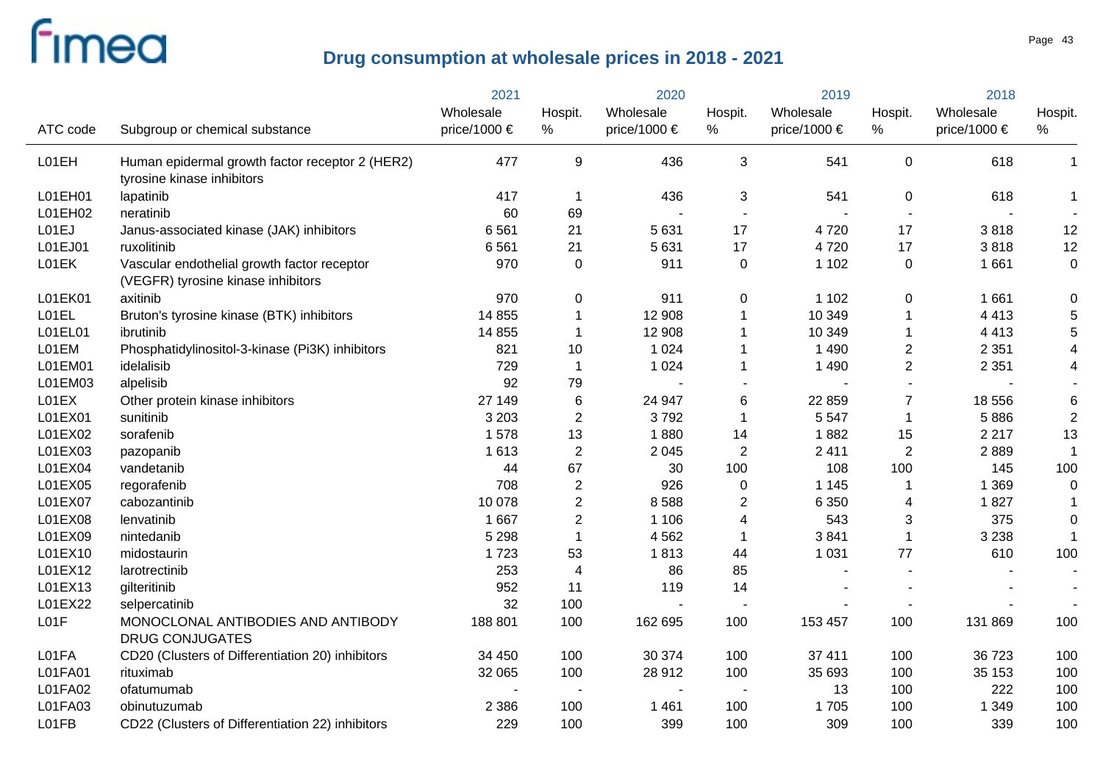|          |                                                                                   | 2021             | 2020           |              | 2019             |                  | 2018                     |                  |                  |
|----------|-----------------------------------------------------------------------------------|------------------|----------------|--------------|------------------|------------------|--------------------------|------------------|------------------|
|          |                                                                                   | Wholesale        | Hospit.        | Wholesale    | Hospit.          | Wholesale        | Hospit.                  | Wholesale        | Hospit.          |
| ATC code | Subgroup or chemical substance                                                    | price/1000 $\in$ | %              | price/1000 € | %                | price/1000 $\in$ | $\%$                     | price/1000 $\in$ | %                |
| L01EH    | Human epidermal growth factor receptor 2 (HER2)<br>tyrosine kinase inhibitors     | 477              | 9              | 436          | 3                | 541              | $\pmb{0}$                | 618              | $\mathbf 1$      |
| L01EH01  | lapatinib                                                                         | 417              | $\mathbf{1}$   | 436          | 3                | 541              | 0                        | 618              | 1                |
| L01EH02  | neratinib                                                                         | 60               | 69             |              | $\blacksquare$   |                  | $\overline{\phantom{a}}$ |                  |                  |
| L01EJ    | Janus-associated kinase (JAK) inhibitors                                          | 6561             | 21             | 5631         | 17               | 4720             | 17                       | 3818             | 12               |
| L01EJ01  | ruxolitinib                                                                       | 6561             | 21             | 5631         | 17               | 4720             | 17                       | 3818             | 12               |
| L01EK    | Vascular endothelial growth factor receptor<br>(VEGFR) tyrosine kinase inhibitors | 970              | $\mathbf 0$    | 911          | $\mathbf 0$      | 1 1 0 2          | $\pmb{0}$                | 1 6 6 1          | $\boldsymbol{0}$ |
| L01EK01  | axitinib                                                                          | 970              | $\mathbf 0$    | 911          | 0                | 1 1 0 2          | 0                        | 1 6 6 1          | 0                |
| L01EL    | Bruton's tyrosine kinase (BTK) inhibitors                                         | 14 8 55          | $\mathbf 1$    | 12 908       |                  | 10 349           | 1                        | 4 4 1 3          | $\mathbf 5$      |
| L01EL01  | ibrutinib                                                                         | 14 8 55          | $\mathbf 1$    | 12 908       |                  | 10 349           | 1                        | 4 4 1 3          | $\,$ 5 $\,$      |
| L01EM    | Phosphatidylinositol-3-kinase (Pi3K) inhibitors                                   | 821              | 10             | 1 0 2 4      |                  | 1 4 9 0          | $\overline{\mathbf{c}}$  | 2 3 5 1          | 4                |
| L01EM01  | idelalisib                                                                        | 729              | 1              | 1 0 2 4      |                  | 1 4 9 0          | $\overline{c}$           | 2 3 5 1          | 4                |
| L01EM03  | alpelisib                                                                         | 92               | 79             |              |                  |                  | $\sim$                   |                  |                  |
| L01EX    | Other protein kinase inhibitors                                                   | 27 149           | 6              | 24 947       | 6                | 22 859           | $\overline{7}$           | 18 556           | $\,6$            |
| L01EX01  | sunitinib                                                                         | 3 2 0 3          | $\overline{2}$ | 3792         |                  | 5 5 4 7          | 1                        | 5886             | $\sqrt{2}$       |
| L01EX02  | sorafenib                                                                         | 1578             | 13             | 1880         | 14               | 1882             | 15                       | 2 2 1 7          | 13               |
| L01EX03  | pazopanib                                                                         | 1 6 1 3          | $\overline{2}$ | 2 0 4 5      | $\overline{2}$   | 2 4 1 1          | $\overline{c}$           | 2889             | $\overline{1}$   |
| L01EX04  | vandetanib                                                                        | 44               | 67             | 30           | 100              | 108              | 100                      | 145              | 100              |
| L01EX05  | regorafenib                                                                       | 708              | $\overline{2}$ | 926          | $\boldsymbol{0}$ | 1 1 4 5          | 1                        | 1 3 6 9          | $\boldsymbol{0}$ |
| L01EX07  | cabozantinib                                                                      | 10 078           | $\overline{2}$ | 8588         | $\overline{2}$   | 6 3 5 0          | 4                        | 1827             | 1                |
| L01EX08  | lenvatinib                                                                        | 1 6 6 7          | $\overline{2}$ | 1 1 0 6      | 4                | 543              | 3                        | 375              | $\boldsymbol{0}$ |
| L01EX09  | nintedanib                                                                        | 5 2 9 8          | $\mathbf{1}$   | 4562         | -1               | 3841             | $\mathbf{1}$             | 3 2 3 8          | $\mathbf{1}$     |
| L01EX10  | midostaurin                                                                       | 1723             | 53             | 1813         | 44               | 1 0 3 1          | 77                       | 610              | 100              |
| L01EX12  | larotrectinib                                                                     | 253              | $\overline{4}$ | 86           | 85               |                  |                          |                  |                  |
| L01EX13  | gilteritinib                                                                      | 952              | 11             | 119          | 14               |                  |                          |                  |                  |
| L01EX22  | selpercatinib                                                                     | 32               | 100            |              |                  |                  |                          |                  |                  |
| L01F     | MONOCLONAL ANTIBODIES AND ANTIBODY<br><b>DRUG CONJUGATES</b>                      | 188 801          | 100            | 162 695      | 100              | 153 457          | 100                      | 131 869          | 100              |
| L01FA    | CD20 (Clusters of Differentiation 20) inhibitors                                  | 34 450           | 100            | 30 374       | 100              | 37 411           | 100                      | 36 723           | 100              |
| L01FA01  | rituximab                                                                         | 32 065           | 100            | 28 912       | 100              | 35 693           | 100                      | 35 153           | 100              |
| L01FA02  | ofatumumab                                                                        |                  |                |              |                  | 13               | 100                      | 222              | 100              |
| L01FA03  | obinutuzumab                                                                      | 2 3 8 6          | 100            | 1 4 6 1      | 100              | 1705             | 100                      | 1 3 4 9          | 100              |
| L01FB    | CD22 (Clusters of Differentiation 22) inhibitors                                  | 229              | 100            | 399          | 100              | 309              | 100                      | 339              | 100              |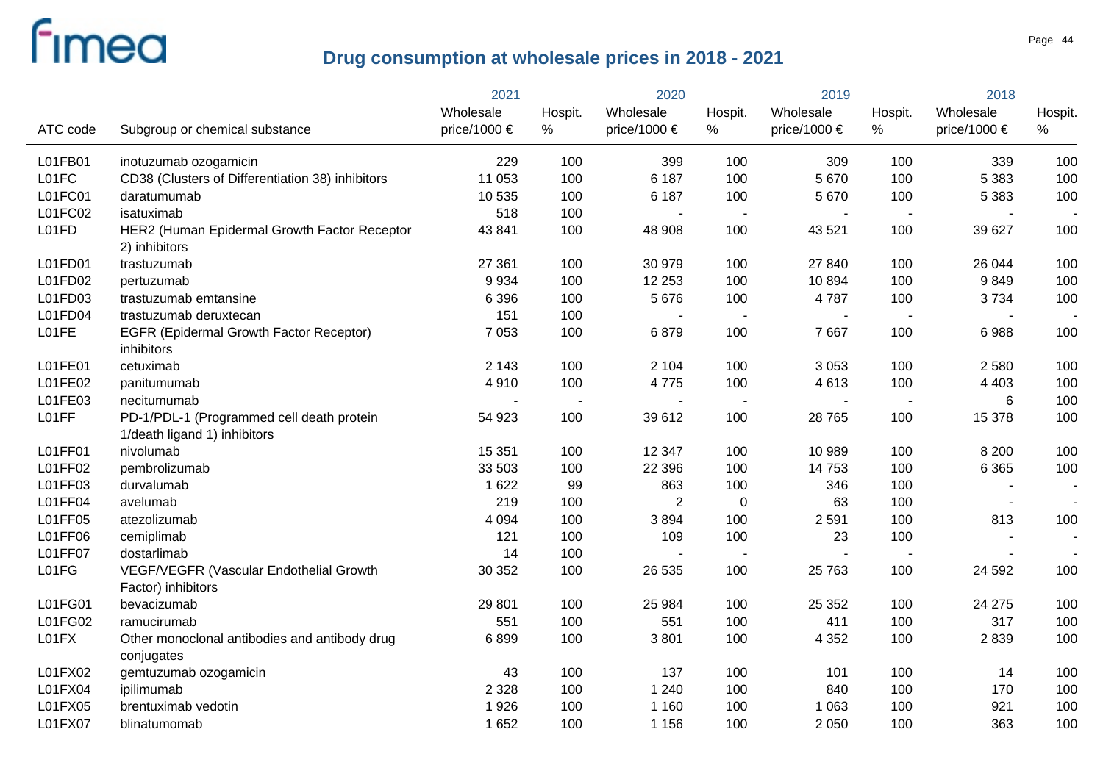|          |                                                                           | 2021         | 2020                     |                       | 2019           |                  | 2018                     |                  |         |
|----------|---------------------------------------------------------------------------|--------------|--------------------------|-----------------------|----------------|------------------|--------------------------|------------------|---------|
|          |                                                                           | Wholesale    | Hospit.                  | Wholesale             | Hospit.        | Wholesale        | Hospit.                  | Wholesale        | Hospit. |
| ATC code | Subgroup or chemical substance                                            | price/1000 € | %                        | price/1000 $\epsilon$ | %              | price/1000 $\in$ | %                        | price/1000 $\in$ | %       |
| L01FB01  | inotuzumab ozogamicin                                                     | 229          | 100                      | 399                   | 100            | 309              | 100                      | 339              | 100     |
| L01FC    | CD38 (Clusters of Differentiation 38) inhibitors                          | 11 053       | 100                      | 6 187                 | 100            | 5 6 7 0          | 100                      | 5 3 8 3          | 100     |
| L01FC01  | daratumumab                                                               | 10 535       | 100                      | 6 1 8 7               | 100            | 5 6 7 0          | 100                      | 5 3 8 3          | 100     |
| L01FC02  | isatuximab                                                                | 518          | 100                      | $\blacksquare$        | $\sim$         | $\blacksquare$   | $\sim$                   |                  |         |
| L01FD    | HER2 (Human Epidermal Growth Factor Receptor<br>2) inhibitors             | 43 841       | 100                      | 48 908                | 100            | 43 5 21          | 100                      | 39 627           | 100     |
| L01FD01  | trastuzumab                                                               | 27 361       | 100                      | 30 979                | 100            | 27 840           | 100                      | 26 044           | 100     |
| L01FD02  | pertuzumab                                                                | 9934         | 100                      | 12 253                | 100            | 10894            | 100                      | 9849             | 100     |
| L01FD03  | trastuzumab emtansine                                                     | 6 3 9 6      | 100                      | 5 6 7 6               | 100            | 4787             | 100                      | 3734             | 100     |
| L01FD04  | trastuzumab deruxtecan                                                    | 151          | 100                      | $\sim$                | $\blacksquare$ | $\sim$           | $\sim$                   |                  |         |
| L01FE    | <b>EGFR (Epidermal Growth Factor Receptor)</b><br>inhibitors              | 7 0 5 3      | 100                      | 6879                  | 100            | 7667             | 100                      | 6988             | 100     |
| L01FE01  | cetuximab                                                                 | 2 1 4 3      | 100                      | 2 1 0 4               | 100            | 3 0 5 3          | 100                      | 2 5 8 0          | 100     |
| L01FE02  | panitumumab                                                               | 4910         | 100                      | 4775                  | 100            | 4613             | 100                      | 4 4 0 3          | 100     |
| L01FE03  | necitumumab                                                               |              | $\overline{\phantom{a}}$ |                       | $\blacksquare$ |                  | $\sim$                   | 6                | 100     |
| L01FF    | PD-1/PDL-1 (Programmed cell death protein<br>1/death ligand 1) inhibitors | 54 923       | 100                      | 39 612                | 100            | 28 765           | 100                      | 15 378           | 100     |
| L01FF01  | nivolumab                                                                 | 15 351       | 100                      | 12 3 4 7              | 100            | 10 989           | 100                      | 8 2 0 0          | 100     |
| L01FF02  | pembrolizumab                                                             | 33 503       | 100                      | 22 3 96               | 100            | 14753            | 100                      | 6 3 6 5          | 100     |
| L01FF03  | durvalumab                                                                | 1 6 2 2      | 99                       | 863                   | 100            | 346              | 100                      |                  |         |
| L01FF04  | avelumab                                                                  | 219          | 100                      | $\overline{2}$        | $\mathbf 0$    | 63               | 100                      |                  |         |
| L01FF05  | atezolizumab                                                              | 4 0 9 4      | 100                      | 3894                  | 100            | 2 5 9 1          | 100                      | 813              | 100     |
| L01FF06  | cemiplimab                                                                | 121          | 100                      | 109                   | 100            | 23               | 100                      |                  |         |
| L01FF07  | dostarlimab                                                               | 14           | 100                      | $\sim$                | $\blacksquare$ |                  | $\overline{\phantom{a}}$ |                  |         |
| L01FG    | VEGF/VEGFR (Vascular Endothelial Growth<br>Factor) inhibitors             | 30 352       | 100                      | 26 535                | 100            | 25 763           | 100                      | 24 592           | 100     |
| L01FG01  | bevacizumab                                                               | 29 801       | 100                      | 25 984                | 100            | 25 352           | 100                      | 24 275           | 100     |
| L01FG02  | ramucirumab                                                               | 551          | 100                      | 551                   | 100            | 411              | 100                      | 317              | 100     |
| L01FX    | Other monoclonal antibodies and antibody drug<br>conjugates               | 6899         | 100                      | 3801                  | 100            | 4 3 5 2          | 100                      | 2839             | 100     |
| L01FX02  | gemtuzumab ozogamicin                                                     | 43           | 100                      | 137                   | 100            | 101              | 100                      | 14               | 100     |
| L01FX04  | ipilimumab                                                                | 2 3 2 8      | 100                      | 1 2 4 0               | 100            | 840              | 100                      | 170              | 100     |
| L01FX05  | brentuximab vedotin                                                       | 1926         | 100                      | 1 1 6 0               | 100            | 1 0 6 3          | 100                      | 921              | 100     |
| L01FX07  | blinatumomab                                                              | 1 6 5 2      | 100                      | 1 1 5 6               | 100            | 2 0 5 0          | 100                      | 363              | 100     |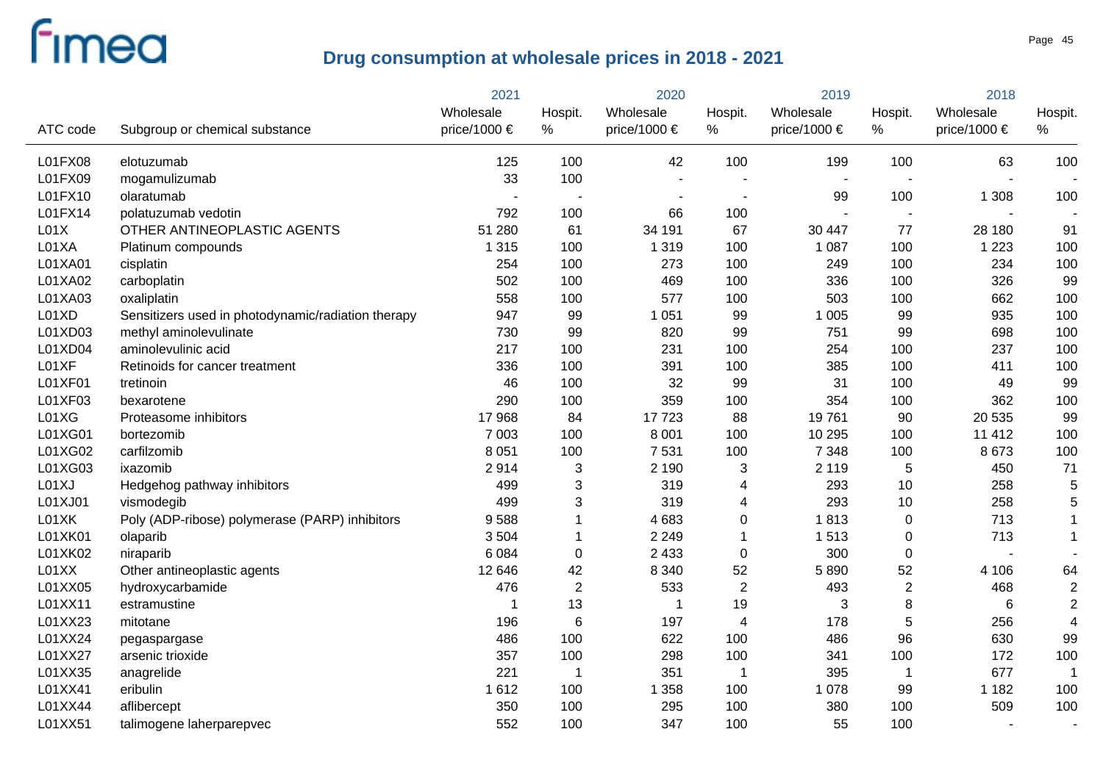|          |                                                    | 2021         | 2020                     |                | 2019                     |                  | 2018                     |              |                |
|----------|----------------------------------------------------|--------------|--------------------------|----------------|--------------------------|------------------|--------------------------|--------------|----------------|
|          |                                                    | Wholesale    | Hospit.                  | Wholesale      | Hospit.                  | Wholesale        | Hospit.                  | Wholesale    | Hospit.        |
| ATC code | Subgroup or chemical substance                     | price/1000 € | $\%$                     | price/1000 €   | %                        | price/1000 $\in$ | %                        | price/1000 € | %              |
| L01FX08  | elotuzumab                                         | 125          | 100                      | 42             | 100                      | 199              | 100                      | 63           | 100            |
| L01FX09  | mogamulizumab                                      | 33           | 100                      | $\blacksquare$ |                          |                  |                          |              |                |
| L01FX10  | olaratumab                                         |              | $\overline{\phantom{a}}$ |                | $\overline{\phantom{a}}$ | 99               | 100                      | 1 3 0 8      | 100            |
| L01FX14  | polatuzumab vedotin                                | 792          | 100                      | 66             | 100                      |                  | $\overline{\phantom{a}}$ |              |                |
| L01X     | OTHER ANTINEOPLASTIC AGENTS                        | 51 280       | 61                       | 34 191         | 67                       | 30 447           | 77                       | 28 180       | 91             |
| L01XA    | Platinum compounds                                 | 1 3 1 5      | 100                      | 1 3 1 9        | 100                      | 1 0 8 7          | 100                      | 1 2 2 3      | 100            |
| L01XA01  | cisplatin                                          | 254          | 100                      | 273            | 100                      | 249              | 100                      | 234          | 100            |
| L01XA02  | carboplatin                                        | 502          | 100                      | 469            | 100                      | 336              | 100                      | 326          | 99             |
| L01XA03  | oxaliplatin                                        | 558          | 100                      | 577            | 100                      | 503              | 100                      | 662          | 100            |
| L01XD    | Sensitizers used in photodynamic/radiation therapy | 947          | 99                       | 1 0 5 1        | 99                       | 1 0 0 5          | 99                       | 935          | 100            |
| L01XD03  | methyl aminolevulinate                             | 730          | 99                       | 820            | 99                       | 751              | 99                       | 698          | 100            |
| L01XD04  | aminolevulinic acid                                | 217          | 100                      | 231            | 100                      | 254              | 100                      | 237          | 100            |
| L01XF    | Retinoids for cancer treatment                     | 336          | 100                      | 391            | 100                      | 385              | 100                      | 411          | 100            |
| L01XF01  | tretinoin                                          | 46           | 100                      | 32             | 99                       | 31               | 100                      | 49           | 99             |
| L01XF03  | bexarotene                                         | 290          | 100                      | 359            | 100                      | 354              | 100                      | 362          | 100            |
| L01XG    | Proteasome inhibitors                              | 17968        | 84                       | 17723          | 88                       | 19761            | 90                       | 20 535       | 99             |
| L01XG01  | bortezomib                                         | 7 0 0 3      | 100                      | 8 0 0 1        | 100                      | 10 295           | 100                      | 11 4 12      | 100            |
| L01XG02  | carfilzomib                                        | 8 0 5 1      | 100                      | 7531           | 100                      | 7 3 4 8          | 100                      | 8 6 7 3      | 100            |
| L01XG03  | ixazomib                                           | 2914         | 3                        | 2 1 9 0        | 3                        | 2 1 1 9          | 5                        | 450          | 71             |
| L01XJ    | Hedgehog pathway inhibitors                        | 499          | 3                        | 319            | 4                        | 293              | 10                       | 258          | 5              |
| L01XJ01  | vismodegib                                         | 499          | 3                        | 319            | 4                        | 293              | 10                       | 258          | 5              |
| L01XK    | Poly (ADP-ribose) polymerase (PARP) inhibitors     | 9588         |                          | 4683           | 0                        | 1813             | $\boldsymbol{0}$         | 713          | $\mathbf{1}$   |
| L01XK01  | olaparib                                           | 3 5 0 4      | 1                        | 2 2 4 9        | 1                        | 1513             | $\pmb{0}$                | 713          | $\mathbf{1}$   |
| L01XK02  | niraparib                                          | 6 0 8 4      | 0                        | 2 4 3 3        | 0                        | 300              | $\pmb{0}$                |              |                |
| L01XX    | Other antineoplastic agents                        | 12 646       | 42                       | 8 3 4 0        | 52                       | 5890             | 52                       | 4 10 6       | 64             |
| L01XX05  | hydroxycarbamide                                   | 476          | $\overline{2}$           | 533            | $\overline{2}$           | 493              | $\overline{2}$           | 468          | $\overline{2}$ |
| L01XX11  | estramustine                                       | -1           | 13                       | -1             | 19                       | 3                | 8                        | 6            | $\overline{2}$ |
| L01XX23  | mitotane                                           | 196          | $\,6$                    | 197            | 4                        | 178              | 5                        | 256          | $\overline{4}$ |
| L01XX24  | pegaspargase                                       | 486          | 100                      | 622            | 100                      | 486              | 96                       | 630          | 99             |
| L01XX27  | arsenic trioxide                                   | 357          | 100                      | 298            | 100                      | 341              | 100                      | 172          | 100            |
| L01XX35  | anagrelide                                         | 221          | $\mathbf 1$              | 351            | $\overline{1}$           | 395              | $\mathbf 1$              | 677          | $\mathbf 1$    |
| L01XX41  | eribulin                                           | 1612         | 100                      | 1 3 5 8        | 100                      | 1 0 7 8          | 99                       | 1 1 8 2      | 100            |
| L01XX44  | aflibercept                                        | 350          | 100                      | 295            | 100                      | 380              | 100                      | 509          | 100            |
| L01XX51  | talimogene laherparepvec                           | 552          | 100                      | 347            | 100                      | 55               | 100                      |              |                |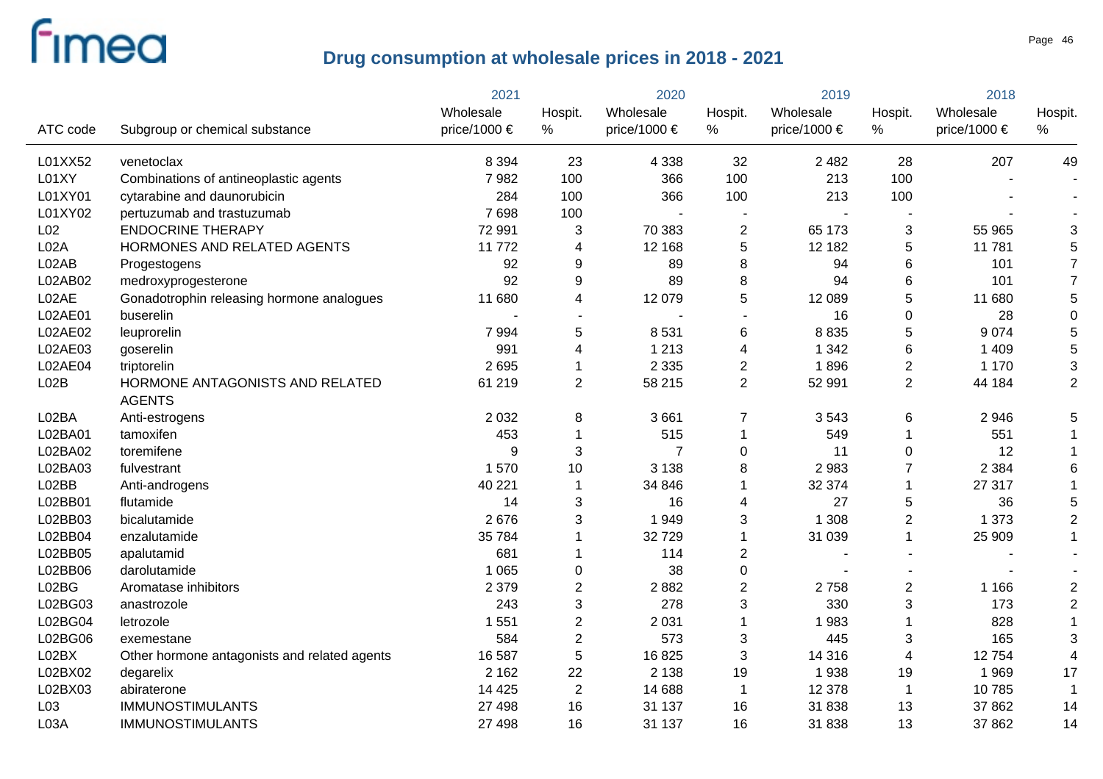|                  |                                              | 2021         | 2020             |                | 2019           |                  | 2018            |              |                |
|------------------|----------------------------------------------|--------------|------------------|----------------|----------------|------------------|-----------------|--------------|----------------|
|                  |                                              | Wholesale    | Hospit.          | Wholesale      | Hospit.        | Wholesale        | Hospit.         | Wholesale    | Hospit.        |
| ATC code         | Subgroup or chemical substance               | price/1000 € | $\%$             | price/1000 €   | %              | price/1000 $\in$ | %               | price/1000 € | %              |
| L01XX52          | venetoclax                                   | 8 3 9 4      | 23               | 4 3 3 8        | 32             | 2 4 8 2          | 28              | 207          | 49             |
| L01XY            | Combinations of antineoplastic agents        | 7982         | 100              | 366            | 100            | 213              | 100             |              |                |
| L01XY01          | cytarabine and daunorubicin                  | 284          | 100              | 366            | 100            | 213              | 100             |              |                |
| L01XY02          | pertuzumab and trastuzumab                   | 7698         | 100              |                |                |                  |                 |              |                |
| L <sub>02</sub>  | <b>ENDOCRINE THERAPY</b>                     | 72 991       | 3                | 70 383         | $\overline{2}$ | 65 173           | 3               | 55 965       | 3              |
| L <sub>02A</sub> | HORMONES AND RELATED AGENTS                  | 11772        | 4                | 12 168         | 5              | 12 182           | 5               | 11 781       | 5              |
| L02AB            | Progestogens                                 | 92           | 9                | 89             | 8              | 94               | $6\phantom{1}6$ | 101          | $\overline{7}$ |
| L02AB02          | medroxyprogesterone                          | 92           | 9                | 89             | 8              | 94               | $\,6$           | 101          | $\overline{7}$ |
| L02AE            | Gonadotrophin releasing hormone analogues    | 11 680       | 4                | 12 0 79        | 5              | 12 089           | 5               | 11 680       | 5              |
| L02AE01          | buserelin                                    |              | $\sim$           |                |                | 16               | $\mathbf 0$     | 28           | 0              |
| L02AE02          | leuprorelin                                  | 7 9 9 4      | 5                | 8531           | 6              | 8 8 3 5          | 5               | 9074         | 5              |
| L02AE03          | goserelin                                    | 991          | 4                | 1 2 1 3        | 4              | 1 3 4 2          | $\,6$           | 1 4 0 9      | 5              |
| L02AE04          | triptorelin                                  | 2695         | 1                | 2 3 3 5        | $\overline{c}$ | 1896             | $\sqrt{2}$      | 1 1 7 0      | 3              |
| L02B             | HORMONE ANTAGONISTS AND RELATED              | 61 219       | $\overline{2}$   | 58 215         | $\overline{2}$ | 52 991           | $\overline{2}$  | 44 184       | $\overline{2}$ |
|                  | <b>AGENTS</b>                                |              |                  |                |                |                  |                 |              |                |
| L02BA            | Anti-estrogens                               | 2 0 3 2      | 8                | 3661           | 7              | 3543             | 6               | 2 9 4 6      | 5              |
| L02BA01          | tamoxifen                                    | 453          |                  | 515            | 1              | 549              | $\mathbf{1}$    | 551          |                |
| L02BA02          | toremifene                                   | 9            | 3                | $\overline{7}$ | 0              | 11               | $\mathbf 0$     | 12           |                |
| L02BA03          | fulvestrant                                  | 1570         | 10               | 3 1 3 8        | 8              | 2 9 8 3          | $\overline{7}$  | 2 3 8 4      | 6              |
| L02BB            | Anti-androgens                               | 40 221       | 1                | 34 846         | 1              | 32 374           | $\mathbf{1}$    | 27 317       |                |
| L02BB01          | flutamide                                    | 14           | 3                | 16             | 4              | 27               | 5               | 36           | 5              |
| L02BB03          | bicalutamide                                 | 2676         | 3                | 1949           | 3              | 1 3 0 8          | $\overline{2}$  | 1 3 7 3      | $\overline{2}$ |
| L02BB04          | enzalutamide                                 | 35 784       |                  | 32729          | 1              | 31 039           | $\mathbf{1}$    | 25 909       | $\mathbf{1}$   |
| L02BB05          | apalutamid                                   | 681          |                  | 114            | $\overline{2}$ |                  |                 |              |                |
| L02BB06          | darolutamide                                 | 1 0 6 5      | $\boldsymbol{0}$ | 38             | 0              |                  |                 |              |                |
| L02BG            | Aromatase inhibitors                         | 2 3 7 9      | $\overline{2}$   | 2882           | $\overline{2}$ | 2758             | $\sqrt{2}$      | 1 1 6 6      | $\overline{c}$ |
| L02BG03          | anastrozole                                  | 243          | 3                | 278            | 3              | 330              | $\mathfrak{S}$  | 173          | $\overline{2}$ |
| L02BG04          | letrozole                                    | 1 5 5 1      | $\overline{2}$   | 2 0 3 1        | 1              | 1983             |                 | 828          |                |
| L02BG06          | exemestane                                   | 584          | $\sqrt{2}$       | 573            | 3              | 445              | 3               | 165          | 3              |
| L02BX            | Other hormone antagonists and related agents | 16 587       | 5                | 16825          | $\mathfrak{B}$ | 14 316           | $\overline{4}$  | 12754        |                |
| L02BX02          | degarelix                                    | 2 1 6 2      | 22               | 2 1 3 8        | 19             | 1938             | 19              | 1969         | 17             |
| L02BX03          | abiraterone                                  | 14 4 25      | $\overline{2}$   | 14 688         | $\mathbf 1$    | 12 378           | $\mathbf 1$     | 10785        |                |
| L03              | <b>IMMUNOSTIMULANTS</b>                      | 27 498       | 16               | 31 137         | 16             | 31 838           | 13              | 37 862       | 14             |
| L <sub>03A</sub> | <b>IMMUNOSTIMULANTS</b>                      | 27 498       | 16               | 31 137         | 16             | 31 838           | 13              | 37 862       | 14             |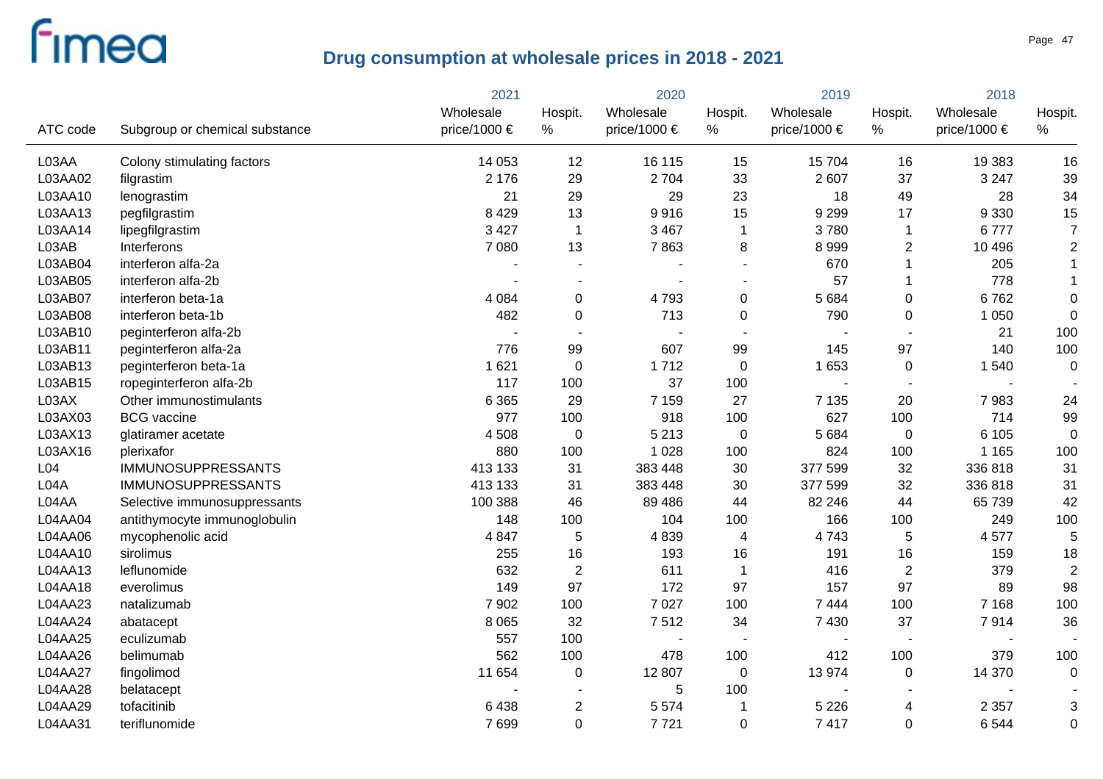|                  |                                | 2021         | 2020             |                | 2019             |              | 2018           |                  |                |
|------------------|--------------------------------|--------------|------------------|----------------|------------------|--------------|----------------|------------------|----------------|
|                  |                                | Wholesale    | Hospit.          | Wholesale      | Hospit.          | Wholesale    | Hospit.        | Wholesale        | Hospit.        |
| ATC code         | Subgroup or chemical substance | price/1000 € | %                | price/1000 €   | $\%$             | price/1000 € | $\%$           | price/1000 $\in$ | $\%$           |
| L03AA            | Colony stimulating factors     | 14 0 53      | 12               | 16 115         | 15               | 15 704       | 16             | 19 383           | 16             |
| L03AA02          | filgrastim                     | 2 1 7 6      | 29               | 2704           | 33               | 2 607        | 37             | 3 2 4 7          | 39             |
| L03AA10          | lenograstim                    | 21           | 29               | 29             | 23               | 18           | 49             | 28               | 34             |
| L03AA13          | pegfilgrastim                  | 8 4 2 9      | 13               | 9916           | 15               | 9 2 9 9      | 17             | 9 3 3 0          | 15             |
| L03AA14          | lipegfilgrastim                | 3 4 2 7      | $\mathbf{1}$     | 3 4 6 7        | 1                | 3780         | $\mathbf 1$    | 6777             | $\overline{7}$ |
| L03AB            | Interferons                    | 7 0 8 0      | 13               | 7863           | 8                | 8 9 9 9      | $\overline{2}$ | 10 4 96          | $\overline{c}$ |
| L03AB04          | interferon alfa-2a             |              |                  |                |                  | 670          | 1              | 205              | $\mathbf{1}$   |
| L03AB05          | interferon alfa-2b             |              | ÷                |                | $\overline{a}$   | 57           |                | 778              | $\mathbf{1}$   |
| L03AB07          | interferon beta-1a             | 4 0 8 4      | $\pmb{0}$        | 4793           | $\pmb{0}$        | 5 6 8 4      | $\pmb{0}$      | 6762             | $\mathbf 0$    |
| L03AB08          | interferon beta-1b             | 482          | $\mathbf 0$      | 713            | $\boldsymbol{0}$ | 790          | $\mathbf 0$    | 1 0 5 0          | $\mathbf 0$    |
| L03AB10          | peginterferon alfa-2b          |              | $\sim$           |                | $\sim$           |              |                | 21               | 100            |
| L03AB11          | peginterferon alfa-2a          | 776          | 99               | 607            | 99               | 145          | 97             | 140              | 100            |
| L03AB13          | peginterferon beta-1a          | 1 6 2 1      | $\boldsymbol{0}$ | 1712           | $\mathbf 0$      | 1 6 5 3      | $\mathbf 0$    | 1 540            | $\mathbf 0$    |
| L03AB15          | ropeginterferon alfa-2b        | 117          | 100              | 37             | 100              |              | $\overline{a}$ |                  |                |
| L03AX            | Other immunostimulants         | 6 3 6 5      | 29               | 7 1 5 9        | 27               | 7 1 3 5      | 20             | 7983             | 24             |
| L03AX03          | <b>BCG</b> vaccine             | 977          | 100              | 918            | 100              | 627          | 100            | 714              | 99             |
| L03AX13          | glatiramer acetate             | 4 5 0 8      | $\mathbf 0$      | 5 2 1 3        | $\mathbf 0$      | 5 6 8 4      | $\mathbf 0$    | 6 1 0 5          | 0              |
| L03AX16          | plerixafor                     | 880          | 100              | 1 0 28         | 100              | 824          | 100            | 1 1 6 5          | 100            |
| L <sub>04</sub>  | <b>IMMUNOSUPPRESSANTS</b>      | 413 133      | 31               | 383 448        | 30               | 377 599      | 32             | 336 818          | 31             |
| L <sub>04A</sub> | <b>IMMUNOSUPPRESSANTS</b>      | 413 133      | 31               | 383 448        | 30               | 377 599      | 32             | 336 818          | 31             |
| L04AA            | Selective immunosuppressants   | 100 388      | 46               | 89 4 86        | 44               | 82 246       | 44             | 65 739           | 42             |
| L04AA04          | antithymocyte immunoglobulin   | 148          | 100              | 104            | 100              | 166          | 100            | 249              | 100            |
| L04AA06          | mycophenolic acid              | 4 8 4 7      | 5                | 4839           | 4                | 4743         | 5              | 4577             | 5              |
| L04AA10          | sirolimus                      | 255          | 16               | 193            | 16               | 191          | 16             | 159              | 18             |
| L04AA13          | leflunomide                    | 632          | $\overline{2}$   | 611            | 1                | 416          | $\overline{2}$ | 379              | $\overline{2}$ |
| L04AA18          | everolimus                     | 149          | 97               | 172            | 97               | 157          | 97             | 89               | 98             |
| L04AA23          | natalizumab                    | 7 9 0 2      | 100              | 7 0 2 7        | 100              | 7 4 4 4      | 100            | 7 1 6 8          | 100            |
| L04AA24          | abatacept                      | 8 0 6 5      | 32               | 7512           | 34               | 7 4 3 0      | 37             | 7914             | 36             |
| L04AA25          | eculizumab                     | 557          | 100              | $\blacksquare$ |                  |              |                |                  |                |
| L04AA26          | belimumab                      | 562          | 100              | 478            | 100              | 412          | 100            | 379              | 100            |
| L04AA27          | fingolimod                     | 11 654       | $\boldsymbol{0}$ | 12 807         | 0                | 13 974       | $\mathbf 0$    | 14 370           | $\mathbf 0$    |
| L04AA28          | belatacept                     |              |                  | 5              | 100              |              |                |                  |                |
| L04AA29          | tofacitinib                    | 6438         | $\mathbf{2}$     | 5 5 7 4        | 1                | 5 2 2 6      | 4              | 2 3 5 7          | 3              |
| L04AA31          | teriflunomide                  | 7699         | $\overline{0}$   | 7721           | $\mathbf 0$      | 7417         | 0              | 6 5 4 4          | 0              |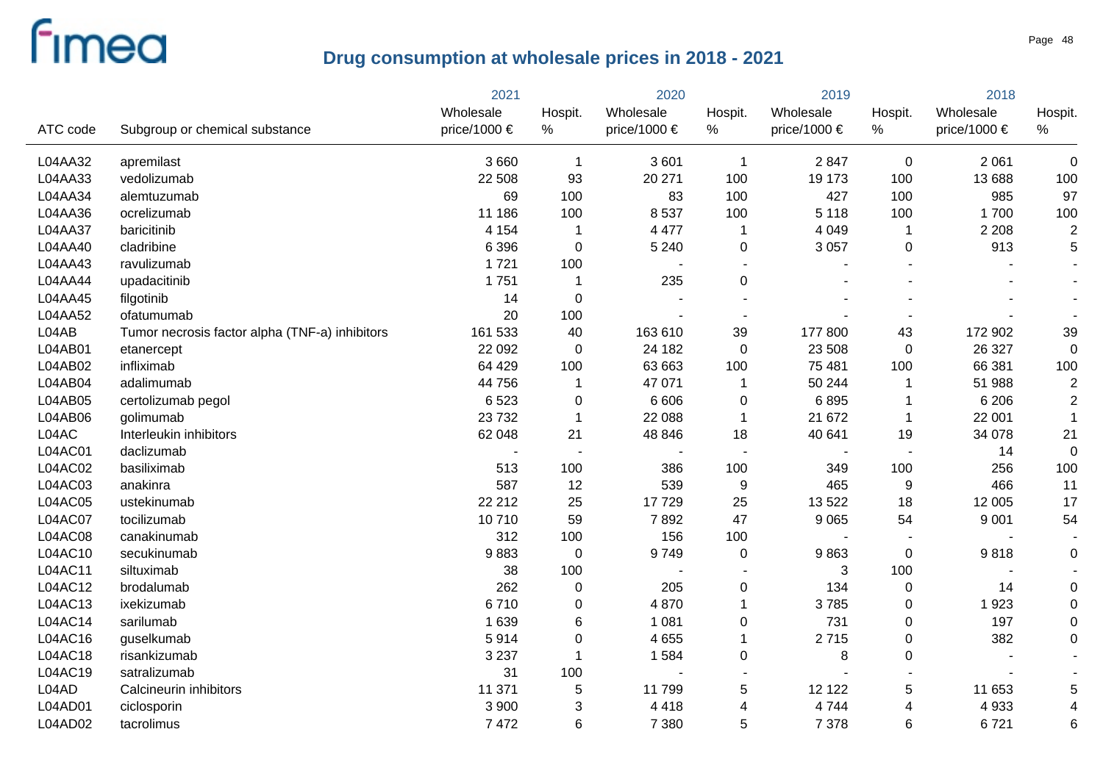|          |                                                | 2021         |                          | 2020         |              | 2019             |                         | 2018             |                          |
|----------|------------------------------------------------|--------------|--------------------------|--------------|--------------|------------------|-------------------------|------------------|--------------------------|
|          |                                                | Wholesale    | Hospit.                  | Wholesale    | Hospit.      | Wholesale        | Hospit.                 | Wholesale        | Hospit.                  |
| ATC code | Subgroup or chemical substance                 | price/1000 € | $\%$                     | price/1000 € | %            | price/1000 $\in$ | %                       | price/1000 $\in$ | %                        |
| L04AA32  | apremilast                                     | 3 6 6 0      | $\mathbf{1}$             | 3601         | $\mathbf{1}$ | 2847             | $\mathbf 0$             | 2 0 6 1          | $\mathbf 0$              |
| L04AA33  | vedolizumab                                    | 22 508       | 93                       | 20 271       | 100          | 19 173           | 100                     | 13 688           | 100                      |
| L04AA34  | alemtuzumab                                    | 69           | 100                      | 83           | 100          | 427              | 100                     | 985              | 97                       |
| L04AA36  | ocrelizumab                                    | 11 186       | 100                      | 8537         | 100          | 5 1 1 8          | 100                     | 1700             | 100                      |
| L04AA37  | baricitinib                                    | 4 1 5 4      | $\mathbf 1$              | 4 4 7 7      | $\mathbf 1$  | 4 0 4 9          | -1                      | 2 2 0 8          | $\overline{c}$           |
| L04AA40  | cladribine                                     | 6 3 9 6      | $\mathbf 0$              | 5 2 4 0      | 0            | 3 0 5 7          | $\mathbf 0$             | 913              | 5                        |
| L04AA43  | ravulizumab                                    | 1721         | 100                      |              | $\sim$       |                  |                         |                  | $\overline{\phantom{a}}$ |
| L04AA44  | upadacitinib                                   | 1751         |                          | 235          | 0            |                  |                         |                  | $\overline{\phantom{a}}$ |
| L04AA45  | filgotinib                                     | 14           | $\mathbf 0$              |              |              |                  |                         |                  | $\blacksquare$           |
| L04AA52  | ofatumumab                                     | 20           | 100                      |              | $\sim$       |                  |                         |                  |                          |
| L04AB    | Tumor necrosis factor alpha (TNF-a) inhibitors | 161 533      | 40                       | 163 610      | 39           | 177 800          | 43                      | 172 902          | 39                       |
| L04AB01  | etanercept                                     | 22 092       | 0                        | 24 182       | 0            | 23 508           | $\mathbf 0$             | 26 327           | $\mathbf 0$              |
| L04AB02  | infliximab                                     | 64 4 29      | 100                      | 63 663       | 100          | 75 481           | 100                     | 66 381           | 100                      |
| L04AB04  | adalimumab                                     | 44 756       | 1                        | 47 071       | $\mathbf 1$  | 50 244           | $\overline{\mathbf{1}}$ | 51 988           | $\overline{c}$           |
| L04AB05  | certolizumab pegol                             | 6523         | 0                        | 6 6 0 6      | 0            | 6895             | -1                      | 6 2 0 6          | $\overline{c}$           |
| L04AB06  | golimumab                                      | 23 7 32      | $\mathbf 1$              | 22 088       | $\mathbf{1}$ | 21 672           | $\overline{\mathbf{1}}$ | 22 001           |                          |
| L04AC    | Interleukin inhibitors                         | 62 048       | 21                       | 48 846       | 18           | 40 641           | 19                      | 34 078           | 21                       |
| L04AC01  | daclizumab                                     |              | $\overline{\phantom{a}}$ |              |              |                  |                         | 14               | $\mathbf 0$              |
| L04AC02  | basiliximab                                    | 513          | 100                      | 386          | 100          | 349              | 100                     | 256              | 100                      |
| L04AC03  | anakinra                                       | 587          | 12                       | 539          | 9            | 465              | 9                       | 466              | 11                       |
| L04AC05  | ustekinumab                                    | 22 212       | 25                       | 17729        | 25           | 13 5 22          | 18                      | 12 005           | 17                       |
| L04AC07  | tocilizumab                                    | 10710        | 59                       | 7892         | 47           | 9 0 6 5          | 54                      | 9 0 0 1          | 54                       |
| L04AC08  | canakinumab                                    | 312          | 100                      | 156          | 100          |                  |                         |                  |                          |
| L04AC10  | secukinumab                                    | 9883         | $\pmb{0}$                | 9749         | 0            | 9863             | $\mathbf 0$             | 9818             | 0                        |
| L04AC11  | siltuximab                                     | 38           | 100                      |              |              | 3                | 100                     |                  |                          |
| L04AC12  | brodalumab                                     | 262          | $\mathbf 0$              | 205          | 0            | 134              | $\mathbf 0$             | 14               | $\mathbf 0$              |
| L04AC13  | ixekizumab                                     | 6710         | 0                        | 4870         | $\mathbf{1}$ | 3785             | $\mathbf 0$             | 1923             | $\mathbf 0$              |
| L04AC14  | sarilumab                                      | 1 6 3 9      | 6                        | 1 0 8 1      | 0            | 731              | $\pmb{0}$               | 197              | $\mathbf 0$              |
| L04AC16  | guselkumab                                     | 5914         | 0                        | 4 6 5 5      | 1            | 2715             | $\pmb{0}$               | 382              | $\mathbf 0$              |
| L04AC18  | risankizumab                                   | 3 2 3 7      | 1                        | 1584         | 0            | 8                | $\pmb{0}$               |                  |                          |
| L04AC19  | satralizumab                                   | 31           | 100                      | $\sim$       |              |                  |                         |                  |                          |
| L04AD    | Calcineurin inhibitors                         | 11 371       | 5                        | 11799        | 5            | 12 122           | $\sqrt{5}$              | 11 653           |                          |
| L04AD01  | ciclosporin                                    | 3 900        | 3                        | 4 4 1 8      | 4            | 4744             | 4                       | 4933             | 4                        |
| L04AD02  | tacrolimus                                     | 7 4 7 2      | 6                        | 7 3 8 0      | 5            | 7 3 7 8          | 6                       | 6721             | 6                        |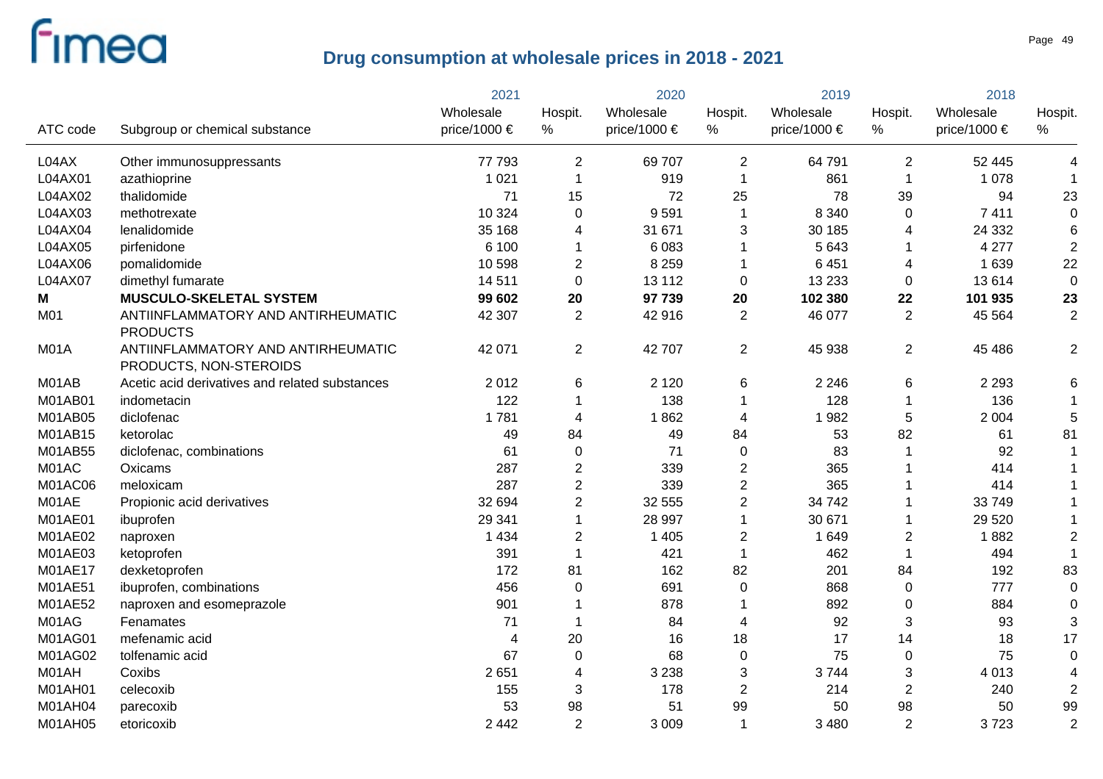|                |                                                              | 2021                      |                 | 2020                      |                | 2019                          |                | 2018                      |                         |
|----------------|--------------------------------------------------------------|---------------------------|-----------------|---------------------------|----------------|-------------------------------|----------------|---------------------------|-------------------------|
| ATC code       | Subgroup or chemical substance                               | Wholesale<br>price/1000 € | Hospit.<br>$\%$ | Wholesale<br>price/1000 € | Hospit.<br>%   | Wholesale<br>price/1000 $\in$ | Hospit.<br>%   | Wholesale<br>price/1000 € | Hospit.<br>%            |
|                |                                                              |                           |                 |                           |                |                               |                |                           |                         |
| L04AX          | Other immunosuppressants                                     | 77 793                    | $\overline{2}$  | 69 707                    | $\overline{2}$ | 64 791                        | $\overline{2}$ | 52 445                    | 4                       |
| L04AX01        | azathioprine                                                 | 1 0 2 1                   | $\mathbf 1$     | 919                       | $\mathbf{1}$   | 861                           | $\overline{1}$ | 1 0 7 8                   |                         |
| L04AX02        | thalidomide                                                  | 71                        | 15              | 72                        | 25             | 78                            | 39             | 94                        | 23                      |
| L04AX03        | methotrexate                                                 | 10 324                    | $\Omega$        | 9591                      | $\mathbf 1$    | 8 3 4 0                       | $\mathbf 0$    | 7 4 1 1                   | $\mathbf 0$             |
| L04AX04        | lenalidomide                                                 | 35 168                    | 4               | 31 671                    | 3              | 30 185                        | 4              | 24 3 32                   | 6                       |
| L04AX05        | pirfenidone                                                  | 6 100                     | 1               | 6083                      | 1              | 5 6 4 3                       | -1             | 4 2 7 7                   | $\overline{2}$          |
| L04AX06        | pomalidomide                                                 | 10 598                    | $\overline{c}$  | 8 2 5 9                   | 1              | 6 4 5 1                       | 4              | 1 6 3 9                   | 22                      |
| L04AX07        | dimethyl fumarate                                            | 14 5 11                   | $\mathbf 0$     | 13 112                    | 0              | 13 2 33                       | 0              | 13614                     | $\mathbf 0$             |
| Μ              | <b>MUSCULO-SKELETAL SYSTEM</b>                               | 99 602                    | 20              | 97 739                    | 20             | 102 380                       | 22             | 101 935                   | 23                      |
| M01            | ANTIINFLAMMATORY AND ANTIRHEUMATIC<br><b>PRODUCTS</b>        | 42 307                    | 2               | 42 916                    | $\overline{2}$ | 46 077                        | 2              | 45 5 64                   | $\overline{c}$          |
| M01A           | ANTIINFLAMMATORY AND ANTIRHEUMATIC<br>PRODUCTS, NON-STEROIDS | 42 071                    | $\overline{2}$  | 42 707                    | $\overline{2}$ | 45 938                        | 2              | 45 486                    | $\overline{2}$          |
| M01AB          | Acetic acid derivatives and related substances               | 2012                      | 6               | 2 1 2 0                   | 6              | 2 2 4 6                       | 6              | 2 2 9 3                   | 6                       |
| M01AB01        | indometacin                                                  | 122                       |                 | 138                       | 1              | 128                           | -1             | 136                       | 1                       |
| M01AB05        | diclofenac                                                   | 1781                      | 4               | 1862                      | 4              | 1982                          | 5              | 2 0 0 4                   | 5                       |
| M01AB15        | ketorolac                                                    | 49                        | 84              | 49                        | 84             | 53                            | 82             | 61                        | 81                      |
| M01AB55        | diclofenac, combinations                                     | 61                        | 0               | 71                        | 0              | 83                            | -1             | 92                        | $\mathbf{1}$            |
| M01AC          | Oxicams                                                      | 287                       | $\overline{2}$  | 339                       | $\overline{2}$ | 365                           | -1             | 414                       |                         |
| M01AC06        | meloxicam                                                    | 287                       | $\overline{2}$  | 339                       | $\overline{2}$ | 365                           | -1             | 414                       |                         |
| M01AE          | Propionic acid derivatives                                   | 32 694                    | $\overline{2}$  | 32 555                    | $\overline{c}$ | 34 742                        | -1             | 33749                     |                         |
| <b>M01AE01</b> | ibuprofen                                                    | 29 341                    | $\mathbf 1$     | 28 997                    | $\mathbf{1}$   | 30 671                        | -1             | 29 5 20                   |                         |
| M01AE02        | naproxen                                                     | 1 4 3 4                   | $\overline{2}$  | 1 4 0 5                   | $\overline{2}$ | 1 6 4 9                       | $\overline{2}$ | 1882                      | $\overline{2}$          |
| M01AE03        | ketoprofen                                                   | 391                       | 1               | 421                       | $\mathbf{1}$   | 462                           | $\overline{1}$ | 494                       | $\mathbf{1}$            |
| M01AE17        | dexketoprofen                                                | 172                       | 81              | 162                       | 82             | 201                           | 84             | 192                       | 83                      |
| M01AE51        | ibuprofen, combinations                                      | 456                       | $\mathbf 0$     | 691                       | 0              | 868                           | $\mathbf 0$    | 777                       | $\mathbf 0$             |
| M01AE52        | naproxen and esomeprazole                                    | 901                       |                 | 878                       | 1              | 892                           | $\mathbf 0$    | 884                       | $\mathbf 0$             |
| M01AG          | Fenamates                                                    | 71                        | 1               | 84                        | 4              | 92                            | 3              | 93                        | 3                       |
| M01AG01        | mefenamic acid                                               | 4                         | 20              | 16                        | 18             | 17                            | 14             | 18                        | 17                      |
| M01AG02        | tolfenamic acid                                              | 67                        | $\mathbf 0$     | 68                        | 0              | 75                            | $\mathbf 0$    | 75                        | $\mathbf 0$             |
| M01AH          | Coxibs                                                       | 2651                      | 4               | 3 2 3 8                   | 3              | 3744                          | 3              | 4 0 1 3                   | $\overline{\mathbf{4}}$ |
| M01AH01        | celecoxib                                                    | 155                       | 3               | 178                       | $\overline{c}$ | 214                           | $\overline{2}$ | 240                       | $\overline{2}$          |
| M01AH04        | parecoxib                                                    | 53                        | 98              | 51                        | 99             | 50                            | 98             | 50                        | 99                      |
| M01AH05        | etoricoxib                                                   | 2 4 4 2                   | $\overline{2}$  | 3 0 0 9                   | $\mathbf{1}$   | 3 4 8 0                       | $\overline{2}$ | 3723                      | $\overline{2}$          |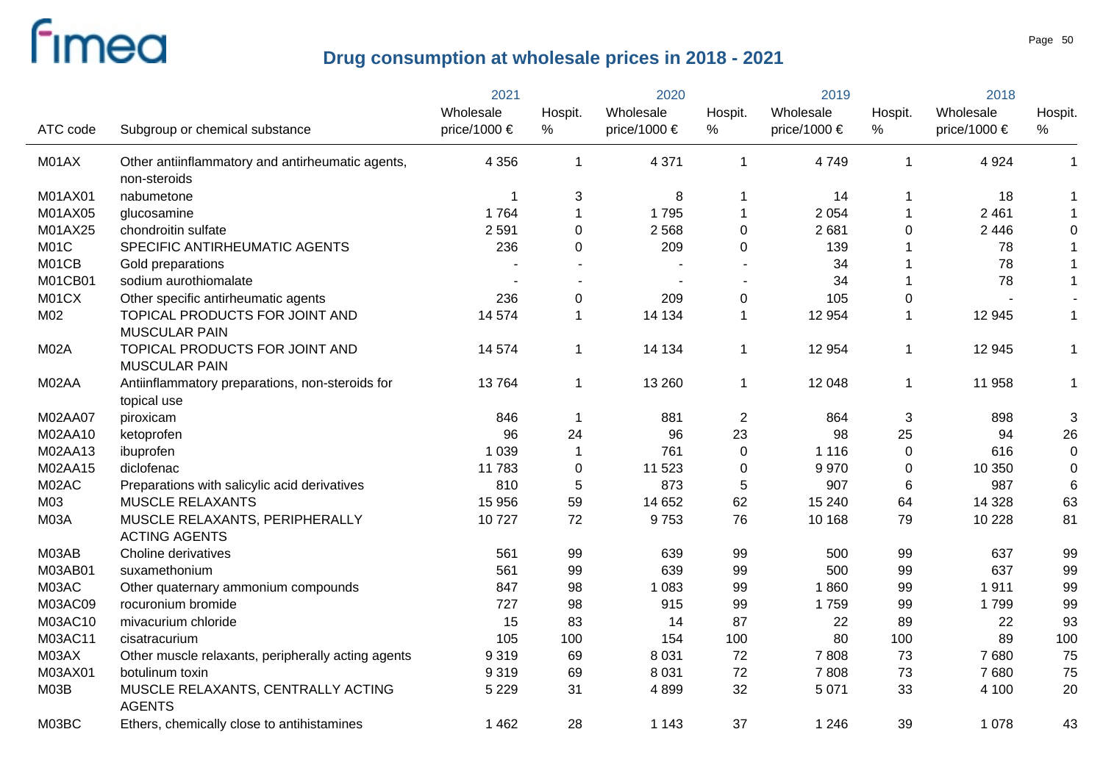|             |                                                                | 2021         |                | 2020                  |                | 2019         |              | 2018         |              |
|-------------|----------------------------------------------------------------|--------------|----------------|-----------------------|----------------|--------------|--------------|--------------|--------------|
|             |                                                                | Wholesale    | Hospit.        | Wholesale             | Hospit.        | Wholesale    | Hospit.      | Wholesale    | Hospit.      |
| ATC code    | Subgroup or chemical substance                                 | price/1000 € | $\%$           | price/1000 $\epsilon$ | $\%$           | price/1000 € | $\%$         | price/1000 € | %            |
| M01AX       | Other antiinflammatory and antirheumatic agents,               | 4 3 5 6      | $\overline{1}$ | 4 3 7 1               | $\mathbf{1}$   | 4749         | $\mathbf{1}$ | 4 9 24       | $\mathbf{1}$ |
|             | non-steroids                                                   |              |                |                       |                |              |              |              |              |
| M01AX01     | nabumetone                                                     |              | 3              | 8                     |                | 14           | 1            | 18           | $\mathbf{1}$ |
| M01AX05     | glucosamine                                                    | 1764         | $\mathbf 1$    | 1795                  | 1              | 2 0 5 4      | 1            | 2 4 6 1      | $\mathbf{1}$ |
| M01AX25     | chondroitin sulfate                                            | 2 5 9 1      | $\overline{0}$ | 2568                  | $\mathbf 0$    | 2681         | 0            | 2 4 4 6      | 0            |
| M01C        | SPECIFIC ANTIRHEUMATIC AGENTS                                  | 236          | $\mathbf{0}$   | 209                   | 0              | 139          | -1           | 78           | $\mathbf{1}$ |
| M01CB       | Gold preparations                                              |              |                |                       |                | 34           | 1            | 78           | $\mathbf{1}$ |
| M01CB01     | sodium aurothiomalate                                          |              |                |                       |                | 34           | 1            | 78           | $\mathbf{1}$ |
| M01CX       | Other specific antirheumatic agents                            | 236          | $\mathbf 0$    | 209                   | $\pmb{0}$      | 105          | 0            |              |              |
| M02         | TOPICAL PRODUCTS FOR JOINT AND<br><b>MUSCULAR PAIN</b>         | 14 574       | $\mathbf{1}$   | 14 134                | 1              | 12 9 54      | $\mathbf 1$  | 12 945       | $\mathbf{1}$ |
| M02A        | TOPICAL PRODUCTS FOR JOINT AND<br><b>MUSCULAR PAIN</b>         | 14 574       | $\mathbf{1}$   | 14 134                | $\mathbf{1}$   | 12 9 54      | $\mathbf{1}$ | 12 945       | $\mathbf{1}$ |
| M02AA       | Antiinflammatory preparations, non-steroids for<br>topical use | 13764        | $\mathbf{1}$   | 13 260                | $\mathbf{1}$   | 12 048       | $\mathbf{1}$ | 11 958       | $\mathbf 1$  |
| M02AA07     | piroxicam                                                      | 846          | $\mathbf 1$    | 881                   | $\overline{2}$ | 864          | 3            | 898          | 3            |
| M02AA10     | ketoprofen                                                     | 96           | 24             | 96                    | 23             | 98           | 25           | 94           | 26           |
| M02AA13     | ibuprofen                                                      | 1 0 3 9      | $\mathbf 1$    | 761                   | $\pmb{0}$      | 1 1 1 6      | $\mathbf 0$  | 616          | $\mathbf 0$  |
| M02AA15     | diclofenac                                                     | 11783        | 0              | 11 523                | $\pmb{0}$      | 9970         | 0            | 10 350       | 0            |
| M02AC       | Preparations with salicylic acid derivatives                   | 810          | 5              | 873                   | 5              | 907          | 6            | 987          | 6            |
| M03         | <b>MUSCLE RELAXANTS</b>                                        | 15 956       | 59             | 14 652                | 62             | 15 240       | 64           | 14 3 28      | 63           |
| <b>M03A</b> | MUSCLE RELAXANTS, PERIPHERALLY<br><b>ACTING AGENTS</b>         | 10727        | 72             | 9753                  | 76             | 10 168       | 79           | 10 2 28      | 81           |
| M03AB       | Choline derivatives                                            | 561          | 99             | 639                   | 99             | 500          | 99           | 637          | 99           |
| M03AB01     | suxamethonium                                                  | 561          | 99             | 639                   | 99             | 500          | 99           | 637          | 99           |
| M03AC       | Other quaternary ammonium compounds                            | 847          | 98             | 1 0 8 3               | 99             | 1860         | 99           | 1911         | 99           |
| M03AC09     | rocuronium bromide                                             | 727          | 98             | 915                   | 99             | 1759         | 99           | 1799         | 99           |
| M03AC10     | mivacurium chloride                                            | 15           | 83             | 14                    | 87             | 22           | 89           | 22           | 93           |
| M03AC11     | cisatracurium                                                  | 105          | 100            | 154                   | 100            | 80           | 100          | 89           | 100          |
| M03AX       | Other muscle relaxants, peripherally acting agents             | 9319         | 69             | 8 0 3 1               | 72             | 7808         | 73           | 7680         | 75           |
| M03AX01     | botulinum toxin                                                | 9319         | 69             | 8 0 3 1               | 72             | 7808         | 73           | 7680         | 75           |
| M03B        | MUSCLE RELAXANTS, CENTRALLY ACTING<br><b>AGENTS</b>            | 5 2 2 9      | 31             | 4899                  | 32             | 5 0 7 1      | 33           | 4 100        | 20           |
| M03BC       | Ethers, chemically close to antihistamines                     | 1 4 6 2      | 28             | 1 1 4 3               | 37             | 1 2 4 6      | 39           | 1 0 7 8      | 43           |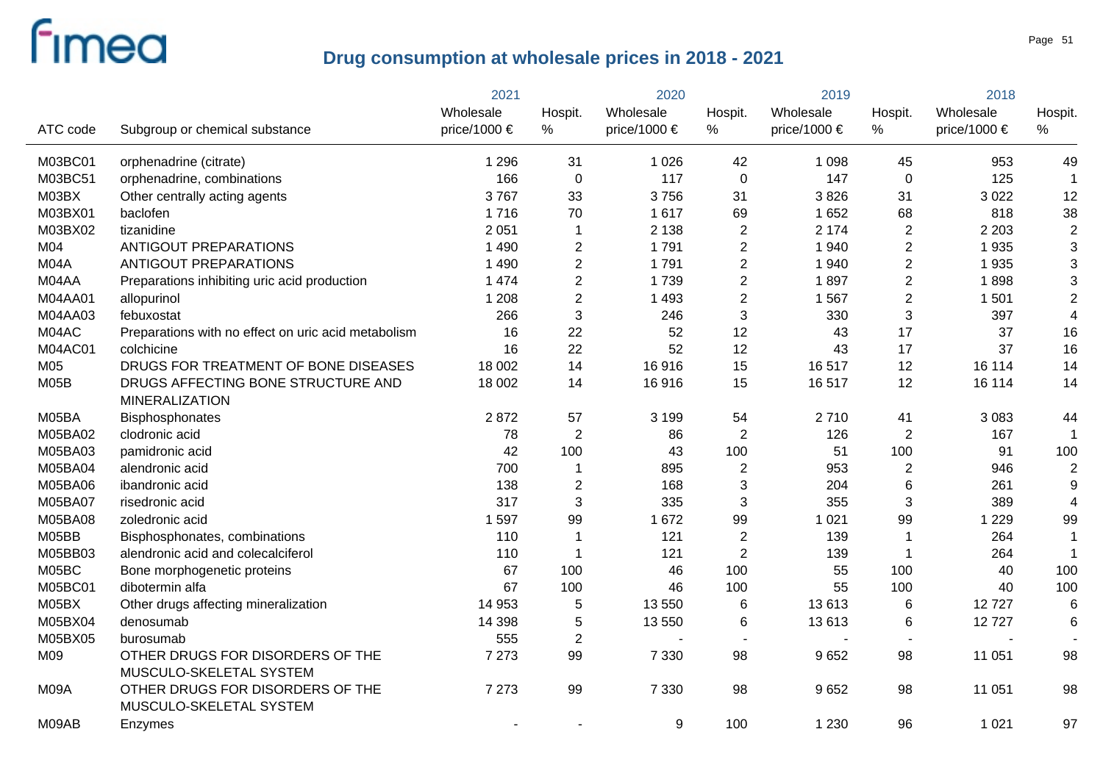|          |                                                     | 2021         |                | 2020             |                | 2019         |                | 2018         |                           |
|----------|-----------------------------------------------------|--------------|----------------|------------------|----------------|--------------|----------------|--------------|---------------------------|
|          |                                                     | Wholesale    | Hospit.        | Wholesale        | Hospit.        | Wholesale    | Hospit.        | Wholesale    | Hospit.                   |
| ATC code | Subgroup or chemical substance                      | price/1000 € | $\%$           | price/1000 $\in$ | %              | price/1000 € | %              | price/1000 € | $\%$                      |
| M03BC01  | orphenadrine (citrate)                              | 1 2 9 6      | 31             | 1 0 2 6          | 42             | 1 0 9 8      | 45             | 953          | 49                        |
| M03BC51  | orphenadrine, combinations                          | 166          | $\pmb{0}$      | 117              | $\pmb{0}$      | 147          | $\mathbf 0$    | 125          | $\mathbf 1$               |
| M03BX    | Other centrally acting agents                       | 3767         | 33             | 3756             | 31             | 3826         | 31             | 3 0 2 2      | 12                        |
| M03BX01  | baclofen                                            | 1716         | 70             | 1617             | 69             | 1 6 5 2      | 68             | 818          | 38                        |
| M03BX02  | tizanidine                                          | 2 0 5 1      | $\mathbf 1$    | 2 1 3 8          | $\overline{2}$ | 2 1 7 4      | $\overline{2}$ | 2 2 0 3      | $\mathbf 2$               |
| M04      | <b>ANTIGOUT PREPARATIONS</b>                        | 1 4 9 0      | $\mathbf{2}$   | 1791             | $\overline{2}$ | 1 940        | $\overline{c}$ | 1935         | $\ensuremath{\mathsf{3}}$ |
| M04A     | <b>ANTIGOUT PREPARATIONS</b>                        | 1 4 9 0      | $\overline{c}$ | 1791             | $\overline{2}$ | 1 940        | $\overline{2}$ | 1935         | $\ensuremath{\mathsf{3}}$ |
| M04AA    | Preparations inhibiting uric acid production        | 1 4 7 4      | $\overline{2}$ | 1739             | $\overline{2}$ | 1897         | $\mathbf{2}$   | 1898         | $\ensuremath{\mathsf{3}}$ |
| M04AA01  | allopurinol                                         | 1 2 0 8      | $\overline{c}$ | 1 4 9 3          | $\overline{2}$ | 1 5 6 7      | $\sqrt{2}$     | 1501         | $\boldsymbol{2}$          |
| M04AA03  | febuxostat                                          | 266          | 3              | 246              | 3              | 330          | $\sqrt{3}$     | 397          | $\overline{\mathbf{4}}$   |
| M04AC    | Preparations with no effect on uric acid metabolism | 16           | 22             | 52               | 12             | 43           | 17             | 37           | 16                        |
| M04AC01  | colchicine                                          | 16           | 22             | 52               | 12             | 43           | 17             | 37           | 16                        |
| M05      | DRUGS FOR TREATMENT OF BONE DISEASES                | 18 002       | 14             | 16916            | 15             | 16517        | 12             | 16 114       | 14                        |
| M05B     | DRUGS AFFECTING BONE STRUCTURE AND                  | 18 002       | 14             | 16916            | 15             | 16517        | 12             | 16 114       | 14                        |
|          | <b>MINERALIZATION</b>                               |              |                |                  |                |              |                |              |                           |
| M05BA    | Bisphosphonates                                     | 2872         | 57             | 3 1 9 9          | 54             | 2710         | 41             | 3 0 8 3      | 44                        |
| M05BA02  | clodronic acid                                      | 78           | $\overline{2}$ | 86               | $\overline{2}$ | 126          | $\overline{2}$ | 167          | -1                        |
| M05BA03  | pamidronic acid                                     | 42           | 100            | 43               | 100            | 51           | 100            | 91           | 100                       |
| M05BA04  | alendronic acid                                     | 700          | 1              | 895              | $\overline{c}$ | 953          | $\overline{2}$ | 946          | $\mathbf 2$               |
| M05BA06  | ibandronic acid                                     | 138          | $\mathbf{2}$   | 168              | $\mathfrak{S}$ | 204          | 6              | 261          | $\boldsymbol{9}$          |
| M05BA07  | risedronic acid                                     | 317          | 3              | 335              | $\mathbf{3}$   | 355          | 3              | 389          | 4                         |
| M05BA08  | zoledronic acid                                     | 1 5 9 7      | 99             | 1 6 7 2          | 99             | 1 0 2 1      | 99             | 1 2 2 9      | 99                        |
| M05BB    | Bisphosphonates, combinations                       | 110          | 1              | 121              | $\overline{2}$ | 139          | $\mathbf 1$    | 264          | $\mathbf{1}$              |
| M05BB03  | alendronic acid and colecalciferol                  | 110          | 1              | 121              | $\overline{2}$ | 139          | $\mathbf 1$    | 264          | $\mathbf{1}$              |
| M05BC    | Bone morphogenetic proteins                         | 67           | 100            | 46               | 100            | 55           | 100            | 40           | 100                       |
| M05BC01  | dibotermin alfa                                     | 67           | 100            | 46               | 100            | 55           | 100            | 40           | 100                       |
| M05BX    | Other drugs affecting mineralization                | 14 953       | 5              | 13 550           | $\,6$          | 13613        | 6              | 12727        | $\,6$                     |
| M05BX04  | denosumab                                           | 14 3 98      | 5              | 13 550           | $\,6$          | 13613        | 6              | 12727        | 6                         |
| M05BX05  | burosumab                                           | 555          | $\sqrt{2}$     |                  |                |              |                |              |                           |
| M09      | OTHER DRUGS FOR DISORDERS OF THE                    | 7 2 7 3      | 99             | 7 3 3 0          | 98             | 9652         | 98             | 11 051       | 98                        |
|          | MUSCULO-SKELETAL SYSTEM                             |              |                |                  |                |              |                |              |                           |
| M09A     | OTHER DRUGS FOR DISORDERS OF THE                    | 7 2 7 3      | 99             | 7 3 3 0          | 98             | 9652         | 98             | 11 051       | 98                        |
|          | MUSCULO-SKELETAL SYSTEM                             |              |                |                  |                |              |                |              |                           |
| M09AB    | Enzymes                                             |              |                | 9                | 100            | 1 2 3 0      | 96             | 1 0 2 1      | 97                        |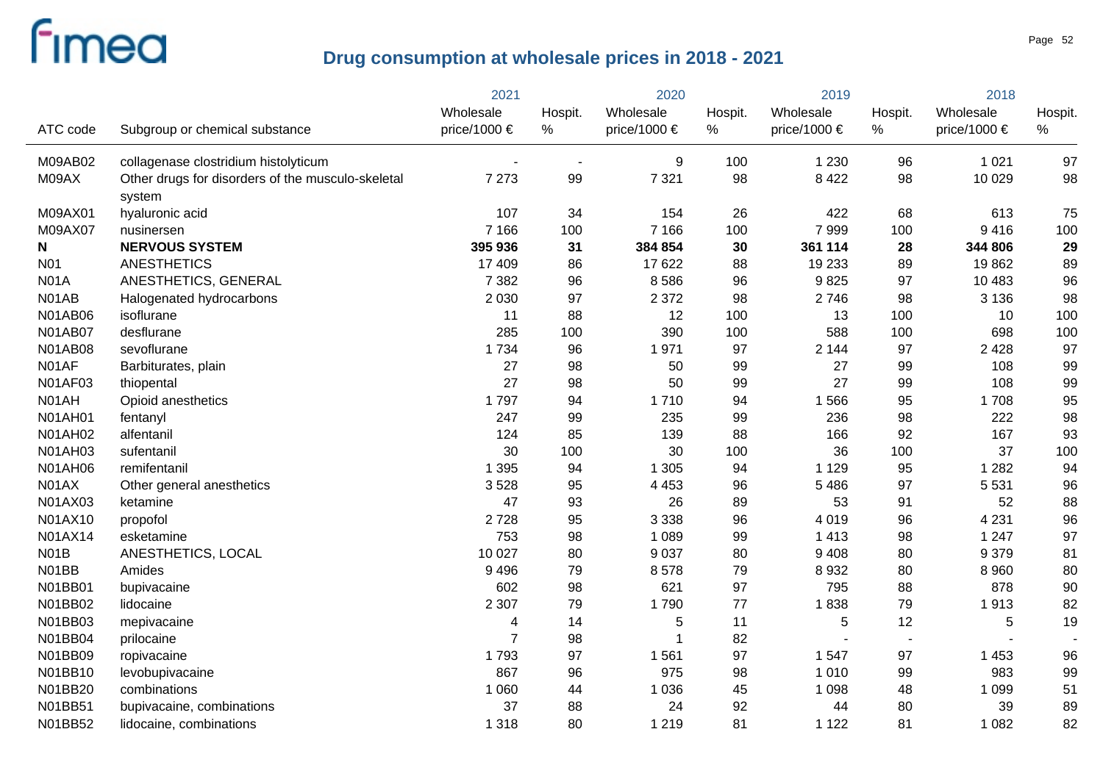|                |                                                             | 2021           |         | 2020         |         | 2019         |                | 2018             |         |
|----------------|-------------------------------------------------------------|----------------|---------|--------------|---------|--------------|----------------|------------------|---------|
|                |                                                             | Wholesale      | Hospit. | Wholesale    | Hospit. | Wholesale    | Hospit.        | Wholesale        | Hospit. |
| ATC code       | Subgroup or chemical substance                              | price/1000 €   | $\%$    | price/1000 € | %       | price/1000 € | $\%$           | price/1000 $\in$ | %       |
| M09AB02        | collagenase clostridium histolyticum                        |                |         | 9            | 100     | 1 2 3 0      | 96             | 1 0 2 1          | 97      |
| M09AX          | Other drugs for disorders of the musculo-skeletal<br>system | 7 2 7 3        | 99      | 7 3 2 1      | 98      | 8 4 2 2      | 98             | 10 0 29          | 98      |
| M09AX01        | hyaluronic acid                                             | 107            | 34      | 154          | 26      | 422          | 68             | 613              | 75      |
| M09AX07        | nusinersen                                                  | 7 1 6 6        | 100     | 7 1 6 6      | 100     | 7999         | 100            | 9416             | 100     |
| N              | <b>NERVOUS SYSTEM</b>                                       | 395 936        | 31      | 384 854      | 30      | 361 114      | 28             | 344 806          | 29      |
| <b>N01</b>     | <b>ANESTHETICS</b>                                          | 17 409         | 86      | 17 622       | 88      | 19 233       | 89             | 19862            | 89      |
| <b>N01A</b>    | ANESTHETICS, GENERAL                                        | 7 3 8 2        | 96      | 8586         | 96      | 9825         | 97             | 10 483           | 96      |
| N01AB          | Halogenated hydrocarbons                                    | 2 0 3 0        | 97      | 2 3 7 2      | 98      | 2746         | 98             | 3 1 3 6          | 98      |
| <b>N01AB06</b> | isoflurane                                                  | 11             | 88      | 12           | 100     | 13           | 100            | 10               | 100     |
| <b>N01AB07</b> | desflurane                                                  | 285            | 100     | 390          | 100     | 588          | 100            | 698              | 100     |
| <b>N01AB08</b> | sevoflurane                                                 | 1 7 3 4        | 96      | 1971         | 97      | 2 1 4 4      | 97             | 2 4 2 8          | 97      |
| N01AF          | Barbiturates, plain                                         | 27             | 98      | 50           | 99      | 27           | 99             | 108              | 99      |
| <b>N01AF03</b> | thiopental                                                  | 27             | 98      | 50           | 99      | 27           | 99             | 108              | 99      |
| N01AH          | Opioid anesthetics                                          | 1797           | 94      | 1710         | 94      | 1566         | 95             | 1708             | 95      |
| <b>N01AH01</b> | fentanyl                                                    | 247            | 99      | 235          | 99      | 236          | 98             | 222              | 98      |
| <b>N01AH02</b> | alfentanil                                                  | 124            | 85      | 139          | 88      | 166          | 92             | 167              | 93      |
| <b>N01AH03</b> | sufentanil                                                  | 30             | 100     | 30           | 100     | 36           | 100            | 37               | 100     |
| <b>N01AH06</b> | remifentanil                                                | 1 3 9 5        | 94      | 1 3 0 5      | 94      | 1 1 2 9      | 95             | 1 2 8 2          | 94      |
| N01AX          | Other general anesthetics                                   | 3528           | 95      | 4 4 5 3      | 96      | 5 4 8 6      | 97             | 5 5 3 1          | 96      |
| N01AX03        | ketamine                                                    | 47             | 93      | 26           | 89      | 53           | 91             | 52               | 88      |
| N01AX10        | propofol                                                    | 2728           | 95      | 3 3 3 8      | 96      | 4 0 1 9      | 96             | 4 2 3 1          | 96      |
| N01AX14        | esketamine                                                  | 753            | 98      | 1 0 8 9      | 99      | 1 4 1 3      | 98             | 1 2 4 7          | 97      |
| N01B           | ANESTHETICS, LOCAL                                          | 10 0 27        | 80      | 9 0 3 7      | 80      | 9 4 0 8      | 80             | 9 3 7 9          | 81      |
| N01BB          | Amides                                                      | 9 4 9 6        | 79      | 8578         | 79      | 8 9 3 2      | 80             | 8 9 6 0          | 80      |
| N01BB01        | bupivacaine                                                 | 602            | 98      | 621          | 97      | 795          | 88             | 878              | 90      |
| N01BB02        | lidocaine                                                   | 2 3 0 7        | 79      | 1790         | 77      | 1838         | 79             | 1913             | 82      |
| N01BB03        | mepivacaine                                                 | 4              | 14      | 5            | 11      | $\mathbf 5$  | 12             | 5                | 19      |
| N01BB04        | prilocaine                                                  | $\overline{7}$ | 98      | 1            | 82      |              | $\overline{a}$ |                  |         |
| N01BB09        | ropivacaine                                                 | 1793           | 97      | 1561         | 97      | 1 5 4 7      | 97             | 1 4 5 3          | 96      |
| N01BB10        | levobupivacaine                                             | 867            | 96      | 975          | 98      | 1 0 1 0      | 99             | 983              | 99      |
| N01BB20        | combinations                                                | 1 0 6 0        | 44      | 1 0 3 6      | 45      | 1 0 9 8      | 48             | 1 0 9 9          | 51      |
| N01BB51        | bupivacaine, combinations                                   | 37             | 88      | 24           | 92      | 44           | 80             | 39               | 89      |
| N01BB52        | lidocaine, combinations                                     | 1 3 1 8        | 80      | 1 2 1 9      | 81      | 1 1 2 2      | 81             | 1 0 8 2          | 82      |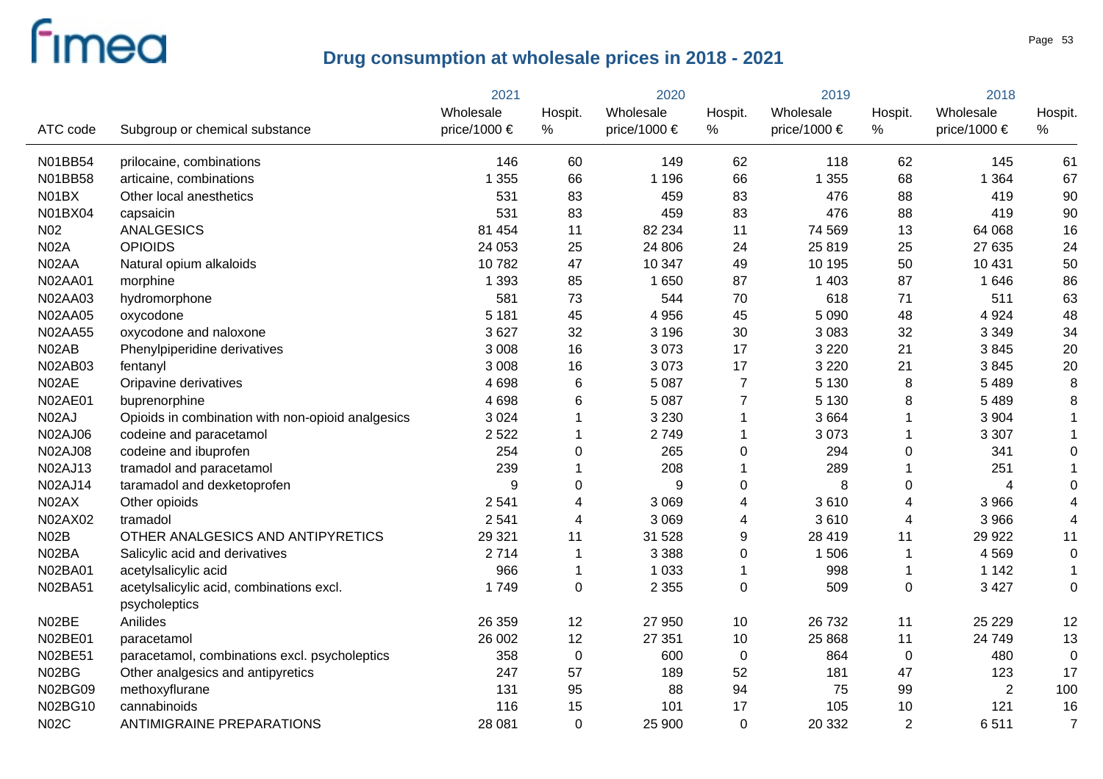|                 |                                                   | 2021         |             | 2020         |                  | 2019         |                | 2018             |                |
|-----------------|---------------------------------------------------|--------------|-------------|--------------|------------------|--------------|----------------|------------------|----------------|
|                 |                                                   | Wholesale    | Hospit.     | Wholesale    | Hospit.          | Wholesale    | Hospit.        | Wholesale        | Hospit.        |
| ATC code        | Subgroup or chemical substance                    | price/1000 € | %           | price/1000 € | %                | price/1000 € | $\%$           | price/1000 $\in$ | $\%$           |
| N01BB54         | prilocaine, combinations                          | 146          | 60          | 149          | 62               | 118          | 62             | 145              | 61             |
| N01BB58         | articaine, combinations                           | 1 3 5 5      | 66          | 1 1 9 6      | 66               | 1 3 5 5      | 68             | 1 3 6 4          | 67             |
| N01BX           | Other local anesthetics                           | 531          | 83          | 459          | 83               | 476          | 88             | 419              | 90             |
| N01BX04         | capsaicin                                         | 531          | 83          | 459          | 83               | 476          | 88             | 419              | 90             |
| N <sub>02</sub> | <b>ANALGESICS</b>                                 | 81 454       | 11          | 82 234       | 11               | 74 569       | 13             | 64 068           | 16             |
| <b>N02A</b>     | <b>OPIOIDS</b>                                    | 24 053       | 25          | 24 806       | 24               | 25 819       | 25             | 27 635           | 24             |
| N02AA           | Natural opium alkaloids                           | 10782        | 47          | 10 347       | 49               | 10 195       | 50             | 10 4 31          | 50             |
| N02AA01         | morphine                                          | 1 3 9 3      | 85          | 1 6 5 0      | 87               | 1 4 0 3      | 87             | 1 6 4 6          | 86             |
| <b>N02AA03</b>  | hydromorphone                                     | 581          | 73          | 544          | 70               | 618          | 71             | 511              | 63             |
| <b>N02AA05</b>  | oxycodone                                         | 5 1 8 1      | 45          | 4 9 5 6      | 45               | 5 0 9 0      | 48             | 4 9 2 4          | 48             |
| N02AA55         | oxycodone and naloxone                            | 3627         | 32          | 3 1 9 6      | 30               | 3 0 8 3      | 32             | 3 3 4 9          | 34             |
| N02AB           | Phenylpiperidine derivatives                      | 3 0 0 8      | 16          | 3073         | 17               | 3 2 2 0      | 21             | 3845             | 20             |
| N02AB03         | fentanyl                                          | 3 0 0 8      | 16          | 3073         | 17               | 3 2 2 0      | 21             | 3845             | 20             |
| N02AE           | Oripavine derivatives                             | 4698         | 6           | 5 0 8 7      | $\overline{7}$   | 5 1 3 0      | $\, 8$         | 5 4 8 9          | 8              |
| <b>N02AE01</b>  | buprenorphine                                     | 4698         | 6           | 5 0 8 7      | $\overline{7}$   | 5 1 3 0      | 8              | 5 4 8 9          | 8              |
| N02AJ           | Opioids in combination with non-opioid analgesics | 3 0 2 4      | 1           | 3 2 3 0      | 1                | 3664         | 1              | 3 9 0 4          | $\mathbf{1}$   |
| <b>N02AJ06</b>  | codeine and paracetamol                           | 2 5 2 2      |             | 2749         | 1                | 3073         | 1              | 3 3 0 7          | $\mathbf 1$    |
| <b>N02AJ08</b>  | codeine and ibuprofen                             | 254          | 0           | 265          | $\mathbf 0$      | 294          | $\mathbf 0$    | 341              | $\mathbf 0$    |
| N02AJ13         | tramadol and paracetamol                          | 239          |             | 208          | 1                | 289          | 1              | 251              |                |
| N02AJ14         | taramadol and dexketoprofen                       | 9            | 0           | 9            | $\boldsymbol{0}$ | 8            | $\pmb{0}$      | 4                | 0              |
| N02AX           | Other opioids                                     | 2 5 4 1      | 4           | 3 0 6 9      | 4                | 3610         | 4              | 3 9 6 6          | 4              |
| N02AX02         | tramadol                                          | 2 5 4 1      | 4           | 3 0 6 9      | 4                | 3610         | 4              | 3 9 6 6          | 4              |
| <b>N02B</b>     | OTHER ANALGESICS AND ANTIPYRETICS                 | 29 3 21      | 11          | 31 528       | $\mathsf g$      | 28 4 19      | 11             | 29 9 22          | 11             |
| N02BA           | Salicylic acid and derivatives                    | 2714         | 1           | 3 3 8 8      | $\pmb{0}$        | 1 506        | $\mathbf 1$    | 4 5 6 9          | $\mathbf 0$    |
| N02BA01         | acetylsalicylic acid                              | 966          | 1           | 1 0 3 3      | 1                | 998          | $\mathbf 1$    | 1 1 4 2          | $\mathbf 1$    |
| N02BA51         | acetylsalicylic acid, combinations excl.          | 1749         | 0           | 2 3 5 5      | $\pmb{0}$        | 509          | $\pmb{0}$      | 3 4 2 7          | $\overline{0}$ |
|                 | psycholeptics                                     |              |             |              |                  |              |                |                  |                |
| N02BE           | Anilides                                          | 26 359       | 12          | 27 950       | 10               | 26 732       | 11             | 25 2 29          | 12             |
| N02BE01         | paracetamol                                       | 26 002       | 12          | 27 351       | 10               | 25 8 68      | 11             | 24 749           | 13             |
| N02BE51         | paracetamol, combinations excl. psycholeptics     | 358          | $\pmb{0}$   | 600          | $\pmb{0}$        | 864          | $\mathbf 0$    | 480              | $\mathbf 0$    |
| N02BG           | Other analgesics and antipyretics                 | 247          | 57          | 189          | 52               | 181          | 47             | 123              | 17             |
| N02BG09         | methoxyflurane                                    | 131          | 95          | 88           | 94               | 75           | 99             | $\overline{2}$   | 100            |
| N02BG10         | cannabinoids                                      | 116          | 15          | 101          | 17               | 105          | 10             | 121              | 16             |
| <b>N02C</b>     | <b>ANTIMIGRAINE PREPARATIONS</b>                  | 28 081       | $\mathbf 0$ | 25 900       | $\mathbf 0$      | 20 332       | $\overline{2}$ | 6511             | $\overline{7}$ |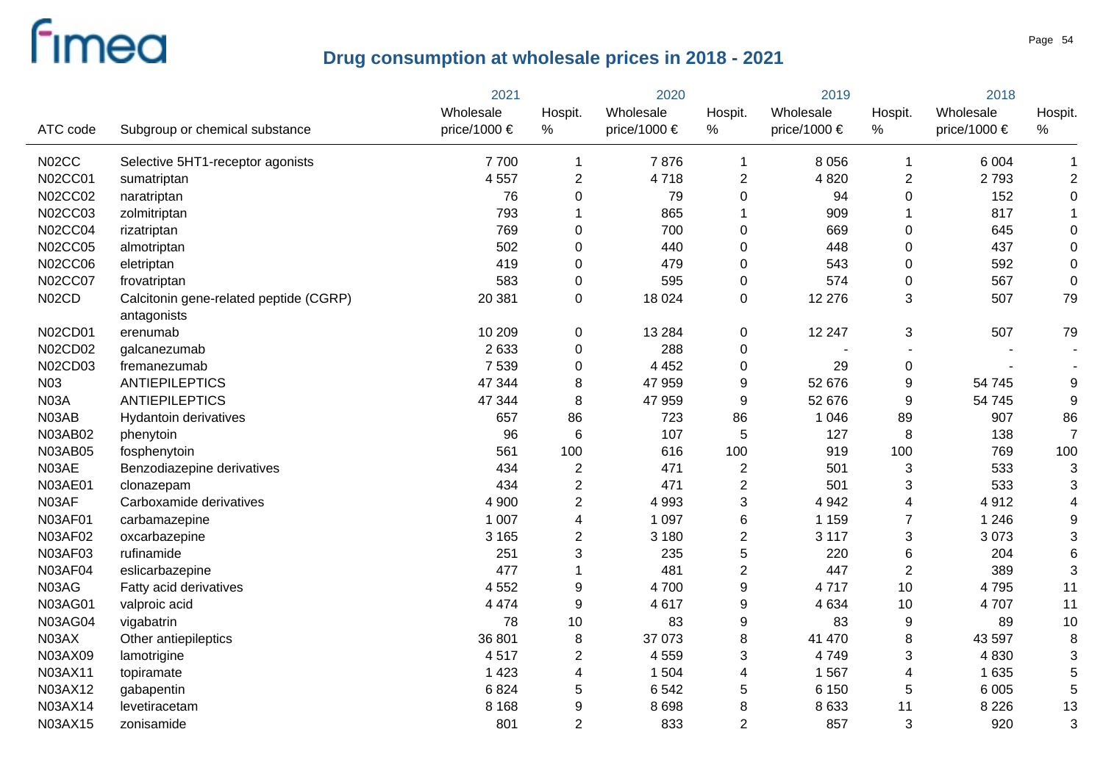|                |                                                       | 2021         | 2020           |              | 2019           |                  | 2018                     |                  |                         |
|----------------|-------------------------------------------------------|--------------|----------------|--------------|----------------|------------------|--------------------------|------------------|-------------------------|
|                |                                                       | Wholesale    | Hospit.        | Wholesale    | Hospit.        | Wholesale        | Hospit.                  | Wholesale        | Hospit.                 |
| ATC code       | Subgroup or chemical substance                        | price/1000 € | $\%$           | price/1000 € | %              | price/1000 $\in$ | $\%$                     | price/1000 $\in$ | %                       |
| N02CC          | Selective 5HT1-receptor agonists                      | 7700         | $\mathbf 1$    | 7876         | 1              | 8 0 5 6          | -1                       | 6 0 0 4          | 1                       |
| <b>N02CC01</b> | sumatriptan                                           | 4 5 5 7      | $\overline{2}$ | 4718         | $\overline{2}$ | 4 8 20           | $\boldsymbol{2}$         | 2793             | $\overline{\mathbf{c}}$ |
| N02CC02        | naratriptan                                           | 76           | 0              | 79           | 0              | 94               | 0                        | 152              | $\mathbf 0$             |
| N02CC03        | zolmitriptan                                          | 793          |                | 865          | 1              | 909              | -1                       | 817              |                         |
| <b>N02CC04</b> | rizatriptan                                           | 769          | 0              | 700          | $\mathbf 0$    | 669              | 0                        | 645              | 0                       |
| <b>N02CC05</b> | almotriptan                                           | 502          | 0              | 440          | 0              | 448              | 0                        | 437              | $\mathbf 0$             |
| <b>N02CC06</b> | eletriptan                                            | 419          | 0              | 479          | 0              | 543              | 0                        | 592              | $\mathbf 0$             |
| <b>N02CC07</b> | frovatriptan                                          | 583          | $\mathbf 0$    | 595          | 0              | 574              | $\mathbf 0$              | 567              | $\mathbf 0$             |
| N02CD          | Calcitonin gene-related peptide (CGRP)<br>antagonists | 20 381       | 0              | 18 0 24      | $\mathbf 0$    | 12 276           | 3                        | 507              | 79                      |
| N02CD01        | erenumab                                              | 10 209       | 0              | 13 2 84      | 0              | 12 247           | 3                        | 507              | 79                      |
| N02CD02        | galcanezumab                                          | 2 6 3 3      | $\mathbf 0$    | 288          | 0              |                  |                          |                  |                         |
| N02CD03        | fremanezumab                                          | 7 5 3 9      | $\mathbf 0$    | 4 4 5 2      | 0              | 29               | 0                        |                  |                         |
| N03            | <b>ANTIEPILEPTICS</b>                                 | 47 344       | 8              | 47 959       | 9              | 52 676           | 9                        | 54 745           | 9                       |
| <b>N03A</b>    | <b>ANTIEPILEPTICS</b>                                 | 47 344       | 8              | 47 959       | 9              | 52 676           | 9                        | 54 745           | 9                       |
| N03AB          | Hydantoin derivatives                                 | 657          | 86             | 723          | 86             | 1 0 4 6          | 89                       | 907              | 86                      |
| N03AB02        | phenytoin                                             | 96           | 6              | 107          | 5              | 127              | 8                        | 138              | $\overline{7}$          |
| <b>N03AB05</b> | fosphenytoin                                          | 561          | 100            | 616          | 100            | 919              | 100                      | 769              | 100                     |
| N03AE          | Benzodiazepine derivatives                            | 434          | $\overline{2}$ | 471          | $\overline{2}$ | 501              | 3                        | 533              | 3                       |
| <b>N03AE01</b> | clonazepam                                            | 434          | $\overline{2}$ | 471          | $\overline{2}$ | 501              | 3                        | 533              | 3                       |
| N03AF          | Carboxamide derivatives                               | 4 9 0 0      | $\overline{2}$ | 4 9 9 3      | 3              | 4 9 4 2          | $\overline{\mathbf{4}}$  | 4912             | 4                       |
| N03AF01        | carbamazepine                                         | 1 0 0 7      | 4              | 1 0 9 7      | 6              | 1 1 5 9          | $\overline{7}$           | 1 2 4 6          | 9                       |
| N03AF02        | oxcarbazepine                                         | 3 1 6 5      | $\overline{2}$ | 3 1 8 0      | $\overline{2}$ | 3 1 1 7          | $\sqrt{3}$               | 3073             | 3                       |
| <b>N03AF03</b> | rufinamide                                            | 251          | 3              | 235          | 5              | 220              | 6                        | 204              | 6                       |
| <b>N03AF04</b> | eslicarbazepine                                       | 477          |                | 481          | $\overline{2}$ | 447              | $\overline{2}$           | 389              | 3                       |
| N03AG          | Fatty acid derivatives                                | 4 5 5 2      | 9              | 4700         | 9              | 4717             | 10                       | 4795             | 11                      |
| N03AG01        | valproic acid                                         | 4 4 7 4      | $\mathsf g$    | 4617         | 9              | 4 6 3 4          | 10                       | 4707             | 11                      |
| <b>N03AG04</b> | vigabatrin                                            | 78           | 10             | 83           | 9              | 83               | $9\,$                    | 89               | 10                      |
| N03AX          | Other antiepileptics                                  | 36 801       | 8              | 37 073       | 8              | 41 470           | 8                        | 43 597           | 8                       |
| N03AX09        | lamotrigine                                           | 4517         | $\overline{2}$ | 4 5 5 9      | 3              | 4749             | $\sqrt{3}$               | 4 8 3 0          | 3                       |
| N03AX11        | topiramate                                            | 1 4 2 3      | 4              | 1 504        | 4              | 1 5 6 7          | $\overline{\mathcal{A}}$ | 1 6 3 5          | 5                       |
| N03AX12        | gabapentin                                            | 6824         | 5              | 6542         | 5              | 6 1 5 0          | 5                        | 6 0 0 5          | 5                       |
| N03AX14        | levetiracetam                                         | 8 1 6 8      | 9              | 8698         | 8              | 8 6 3 3          | 11                       | 8 2 2 6          | 13                      |
| N03AX15        | zonisamide                                            | 801          | $\overline{2}$ | 833          | $\overline{2}$ | 857              | 3                        | 920              | 3                       |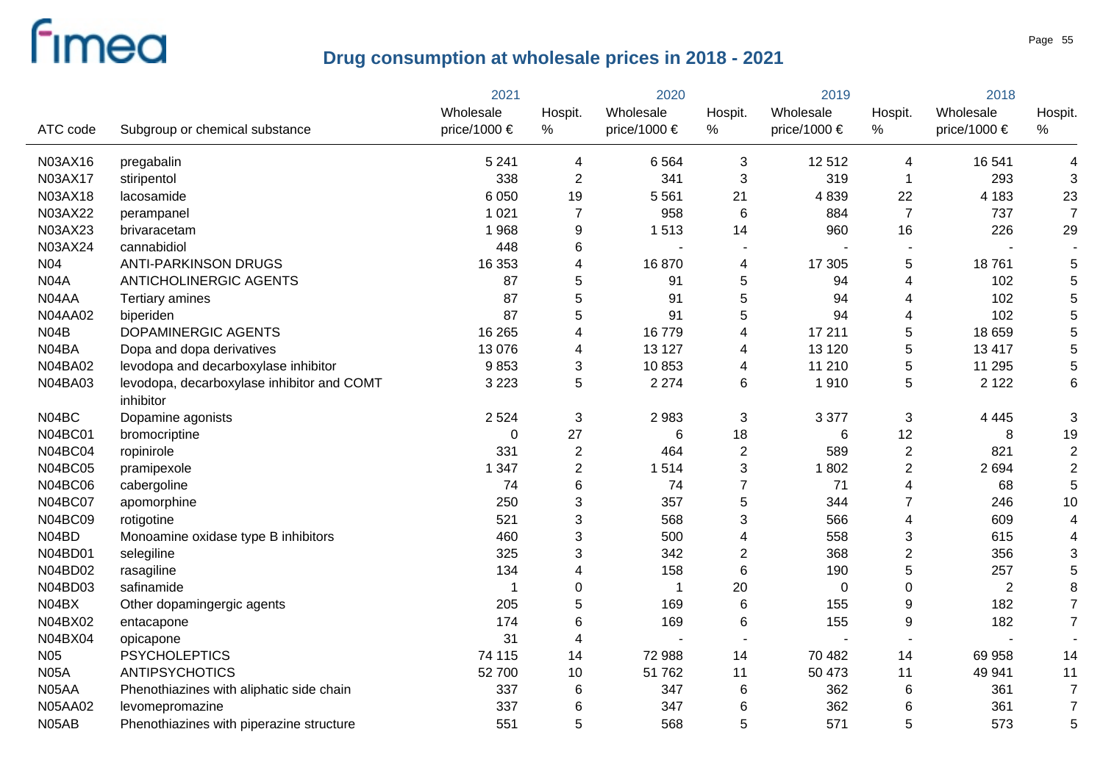|                 |                                                         | 2021         | 2020                      |                          | 2019           |              | 2018                    |                  |                |
|-----------------|---------------------------------------------------------|--------------|---------------------------|--------------------------|----------------|--------------|-------------------------|------------------|----------------|
|                 |                                                         | Wholesale    | Hospit.                   | Wholesale                | Hospit.        | Wholesale    | Hospit.                 | Wholesale        | Hospit.        |
| ATC code        | Subgroup or chemical substance                          | price/1000 € | $\%$                      | price/1000 €             | %              | price/1000 € | $\%$                    | price/1000 $\in$ | ℅              |
| N03AX16         | pregabalin                                              | 5 2 4 1      | 4                         | 6564                     | 3              | 12512        | 4                       | 16 541           | 4              |
| N03AX17         | stiripentol                                             | 338          | $\boldsymbol{2}$          | 341                      | 3              | 319          | -1                      | 293              | 3              |
| N03AX18         | lacosamide                                              | 6 0 5 0      | 19                        | 5 5 6 1                  | 21             | 4839         | 22                      | 4 1 8 3          | 23             |
| N03AX22         | perampanel                                              | 1 0 2 1      | $\overline{7}$            | 958                      | 6              | 884          | $\overline{7}$          | 737              | $\overline{7}$ |
| N03AX23         | brivaracetam                                            | 1968         | 9                         | 1513                     | 14             | 960          | 16                      | 226              | 29             |
| N03AX24         | cannabidiol                                             | 448          | 6                         | $\overline{\phantom{a}}$ |                |              |                         |                  |                |
| N <sub>04</sub> | <b>ANTI-PARKINSON DRUGS</b>                             | 16 353       | 4                         | 16870                    | 4              | 17 305       | 5                       | 18761            | 5              |
| <b>N04A</b>     | <b>ANTICHOLINERGIC AGENTS</b>                           | 87           | 5                         | 91                       | 5              | 94           | 4                       | 102              | 5              |
| N04AA           | Tertiary amines                                         | 87           | 5                         | 91                       | 5              | 94           | 4                       | 102              | 5              |
| <b>N04AA02</b>  | biperiden                                               | 87           | 5                         | 91                       | 5              | 94           | 4                       | 102              | 5              |
| N04B            | DOPAMINERGIC AGENTS                                     | 16 265       | 4                         | 16779                    | 4              | 17 211       | 5                       | 18 659           | 5              |
| N04BA           | Dopa and dopa derivatives                               | 13 0 76      | 4                         | 13 127                   | 4              | 13 1 20      | 5                       | 13 4 17          | 5              |
| N04BA02         | levodopa and decarboxylase inhibitor                    | 9853         | 3                         | 10853                    | 4              | 11 210       | 5                       | 11 295           | 5              |
| <b>N04BA03</b>  | levodopa, decarboxylase inhibitor and COMT<br>inhibitor | 3 2 2 3      | 5                         | 2 2 7 4                  | 6              | 1910         | 5                       | 2 1 2 2          | 6              |
| N04BC           | Dopamine agonists                                       | 2 5 2 4      | $\ensuremath{\mathsf{3}}$ | 2983                     | 3              | 3 3 7 7      | 3                       | 4 4 4 5          | 3              |
| <b>N04BC01</b>  | bromocriptine                                           | $\mathbf{0}$ | 27                        | 6                        | 18             | 6            | 12                      | 8                | 19             |
| <b>N04BC04</b>  | ropinirole                                              | 331          | $\overline{2}$            | 464                      | $\overline{2}$ | 589          | $\overline{2}$          | 821              | $\overline{2}$ |
| <b>N04BC05</b>  | pramipexole                                             | 1 3 4 7      | $\overline{2}$            | 1514                     | 3              | 1802         | $\overline{2}$          | 2694             | $\overline{2}$ |
| <b>N04BC06</b>  | cabergoline                                             | 74           | 6                         | 74                       | $\overline{7}$ | 71           | $\overline{\mathbf{4}}$ | 68               | 5              |
| <b>N04BC07</b>  | apomorphine                                             | 250          | 3                         | 357                      | 5              | 344          | $\overline{7}$          | 246              | 10             |
| <b>N04BC09</b>  | rotigotine                                              | 521          | 3                         | 568                      | 3              | 566          | $\overline{\mathbf{4}}$ | 609              | 4              |
| N04BD           | Monoamine oxidase type B inhibitors                     | 460          | 3                         | 500                      | 4              | 558          | 3                       | 615              | 4              |
| N04BD01         | selegiline                                              | 325          | 3                         | 342                      | $\overline{2}$ | 368          | $\overline{2}$          | 356              | 3              |
| N04BD02         | rasagiline                                              | 134          | 4                         | 158                      | 6              | 190          | 5                       | 257              | 5              |
| N04BD03         | safinamide                                              | -1           | 0                         | $\mathbf 1$              | 20             | $\mathbf 0$  | $\pmb{0}$               | 2                | 8              |
| N04BX           | Other dopamingergic agents                              | 205          | 5                         | 169                      | $6\phantom{1}$ | 155          | 9                       | 182              | $\overline{7}$ |
| N04BX02         | entacapone                                              | 174          | 6                         | 169                      | 6              | 155          | $\boldsymbol{9}$        | 182              | $\overline{7}$ |
| N04BX04         | opicapone                                               | 31           | 4                         | $\overline{\phantom{0}}$ |                |              |                         |                  |                |
| N <sub>05</sub> | <b>PSYCHOLEPTICS</b>                                    | 74 115       | 14                        | 72 988                   | 14             | 70 482       | 14                      | 69 958           | 14             |
| <b>N05A</b>     | <b>ANTIPSYCHOTICS</b>                                   | 52 700       | 10                        | 51 762                   | 11             | 50 473       | 11                      | 49 941           | 11             |
| N05AA           | Phenothiazines with aliphatic side chain                | 337          | 6                         | 347                      | 6              | 362          | 6                       | 361              | $\overline{7}$ |
| <b>N05AA02</b>  | levomepromazine                                         | 337          | 6                         | 347                      | 6              | 362          | 6                       | 361              | $\overline{7}$ |
| N05AB           | Phenothiazines with piperazine structure                | 551          | 5                         | 568                      | 5              | 571          | 5                       | 573              | 5              |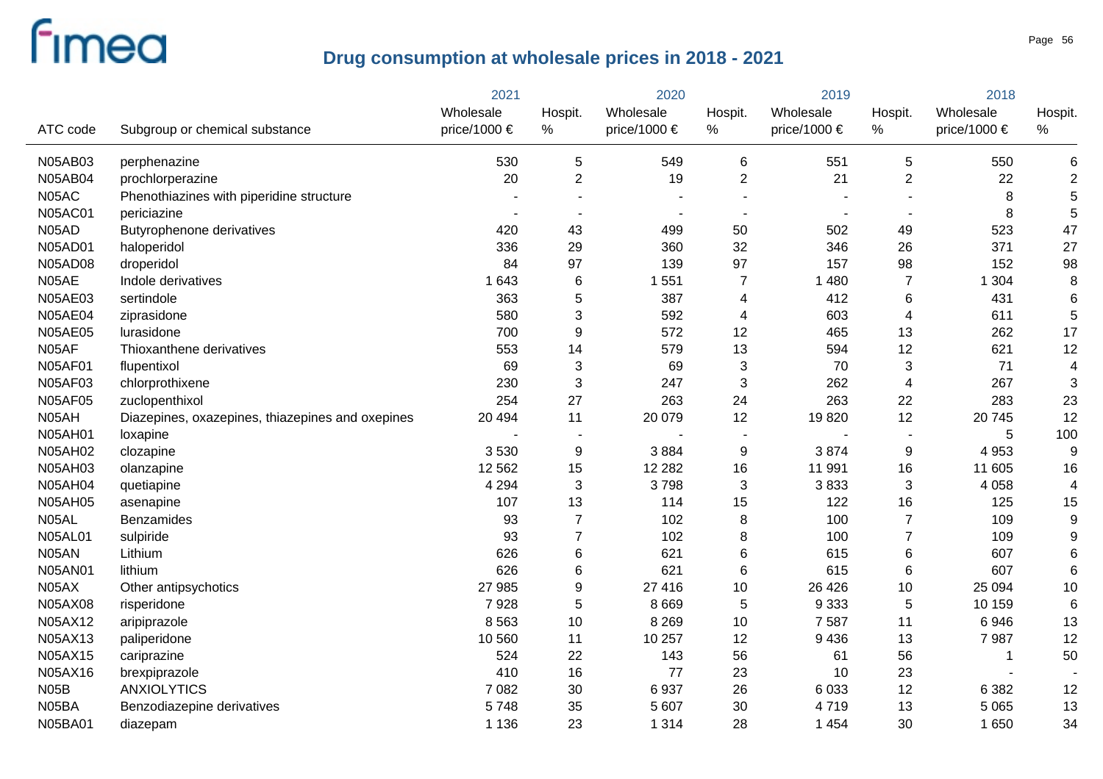|                |                                                  | 2021         |                 | 2020                  |                | 2019             |                | 2018         |                |
|----------------|--------------------------------------------------|--------------|-----------------|-----------------------|----------------|------------------|----------------|--------------|----------------|
|                |                                                  | Wholesale    | Hospit.         | Wholesale             | Hospit.        | Wholesale        | Hospit.        | Wholesale    | Hospit.        |
| ATC code       | Subgroup or chemical substance                   | price/1000 € | %               | price/1000 $\epsilon$ | %              | price/1000 $\in$ | $\%$           | price/1000 € | %              |
| <b>N05AB03</b> | perphenazine                                     | 530          | 5               | 549                   | 6              | 551              | $\overline{5}$ | 550          | 6              |
| <b>N05AB04</b> | prochlorperazine                                 | 20           | $\overline{2}$  | 19                    | $\overline{2}$ | 21               | $\overline{2}$ | 22           | $\overline{2}$ |
| N05AC          | Phenothiazines with piperidine structure         |              |                 |                       |                |                  |                | 8            | 5              |
| <b>N05AC01</b> | periciazine                                      |              |                 |                       |                |                  |                | 8            | 5              |
| N05AD          | <b>Butyrophenone derivatives</b>                 | 420          | 43              | 499                   | 50             | 502              | 49             | 523          | 47             |
| N05AD01        | haloperidol                                      | 336          | 29              | 360                   | 32             | 346              | 26             | 371          | 27             |
| <b>N05AD08</b> | droperidol                                       | 84           | 97              | 139                   | 97             | 157              | 98             | 152          | 98             |
| N05AE          | Indole derivatives                               | 1 6 4 3      | $6\phantom{1}6$ | 1 5 5 1               | $\overline{7}$ | 1 4 8 0          | $\overline{7}$ | 1 3 0 4      | 8              |
| N05AE03        | sertindole                                       | 363          | 5               | 387                   | $\overline{4}$ | 412              | 6              | 431          | 6              |
| <b>N05AE04</b> | ziprasidone                                      | 580          | 3               | 592                   | 4              | 603              | $\overline{4}$ | 611          | 5              |
| <b>N05AE05</b> | lurasidone                                       | 700          | 9               | 572                   | 12             | 465              | 13             | 262          | 17             |
| N05AF          | Thioxanthene derivatives                         | 553          | 14              | 579                   | 13             | 594              | 12             | 621          | 12             |
| <b>N05AF01</b> | flupentixol                                      | 69           | 3               | 69                    | $\sqrt{3}$     | 70               | 3              | 71           | 4              |
| <b>N05AF03</b> | chlorprothixene                                  | 230          | 3               | 247                   | 3              | 262              | $\overline{4}$ | 267          | 3              |
| <b>N05AF05</b> | zuclopenthixol                                   | 254          | 27              | 263                   | 24             | 263              | 22             | 283          | 23             |
| N05AH          | Diazepines, oxazepines, thiazepines and oxepines | 20 4 94      | 11              | 20 079                | 12             | 19820            | 12             | 20745        | 12             |
| N05AH01        | loxapine                                         |              | $\blacksquare$  |                       |                |                  |                | 5            | 100            |
| <b>N05AH02</b> | clozapine                                        | 3530         | 9               | 3884                  | 9              | 3874             | 9              | 4 9 5 3      | 9              |
| N05AH03        | olanzapine                                       | 12 5 62      | 15              | 12 2 8 2              | 16             | 11 991           | 16             | 11 605       | 16             |
| <b>N05AH04</b> | quetiapine                                       | 4 2 9 4      | 3               | 3798                  | $\mathbf{3}$   | 3833             | 3              | 4 0 5 8      | 4              |
| <b>N05AH05</b> | asenapine                                        | 107          | 13              | 114                   | 15             | 122              | 16             | 125          | 15             |
| N05AL          | <b>Benzamides</b>                                | 93           | $\overline{7}$  | 102                   | 8              | 100              | $\overline{7}$ | 109          | 9              |
| <b>N05AL01</b> | sulpiride                                        | 93           | $\overline{7}$  | 102                   | $\, 8$         | 100              | $\overline{7}$ | 109          | 9              |
| N05AN          | Lithium                                          | 626          | 6               | 621                   | $\,6\,$        | 615              | $\,6$          | 607          | 6              |
| N05AN01        | lithium                                          | 626          | 6               | 621                   | 6              | 615              | $\,6$          | 607          | 6              |
| N05AX          | Other antipsychotics                             | 27 985       | 9               | 27 416                | 10             | 26 4 26          | 10             | 25 094       | 10             |
| N05AX08        | risperidone                                      | 7928         | 5               | 8 6 6 9               | $\,$ 5 $\,$    | 9 3 3 3          | $\mathbf 5$    | 10 159       | 6              |
| N05AX12        | aripiprazole                                     | 8 5 6 3      | 10              | 8 2 6 9               | 10             | 7 5 8 7          | 11             | 6946         | 13             |
| N05AX13        | paliperidone                                     | 10 560       | 11              | 10 257                | 12             | 9436             | 13             | 7987         | 12             |
| N05AX15        | cariprazine                                      | 524          | 22              | 143                   | 56             | 61               | 56             | 1            | 50             |
| N05AX16        | brexpiprazole                                    | 410          | 16              | 77                    | 23             | 10               | 23             |              |                |
| <b>N05B</b>    | <b>ANXIOLYTICS</b>                               | 7 0 8 2      | 30              | 6937                  | 26             | 6 0 3 3          | 12             | 6 3 8 2      | 12             |
| N05BA          | Benzodiazepine derivatives                       | 5748         | 35              | 5 607                 | 30             | 4719             | 13             | 5 0 6 5      | 13             |
| N05BA01        | diazepam                                         | 1 1 3 6      | 23              | 1 3 1 4               | 28             | 1 4 5 4          | 30             | 1 650        | 34             |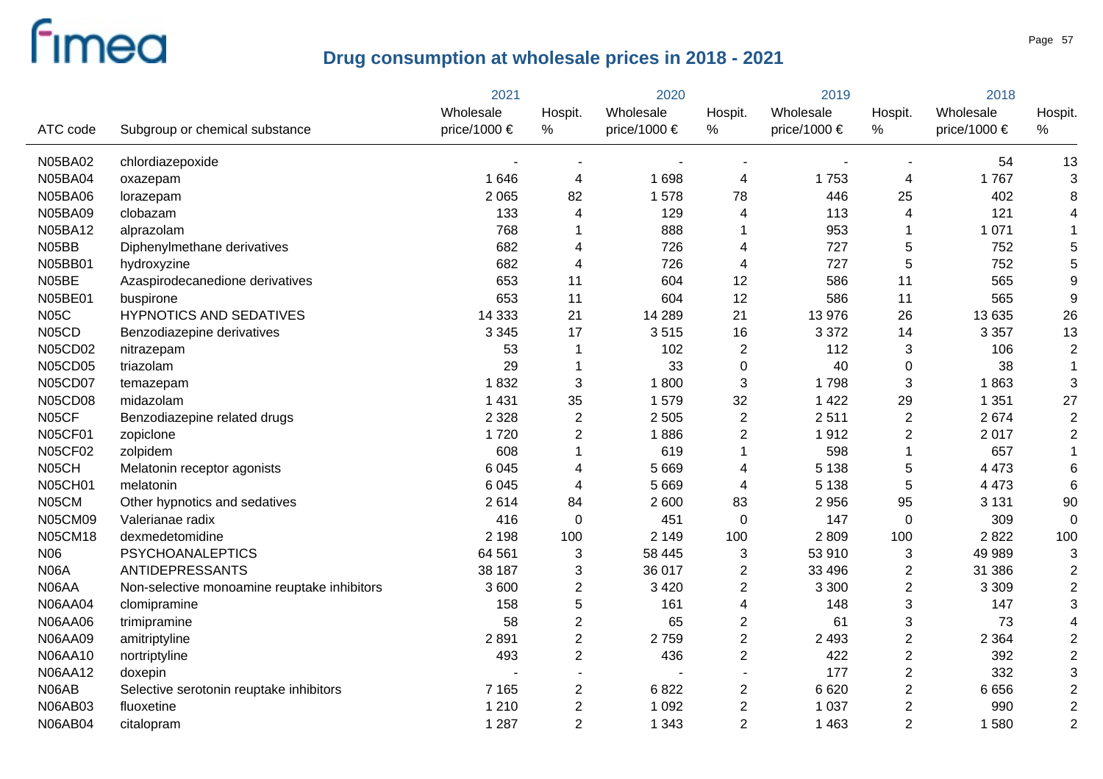|                |                                             | 2021         |                | 2020                  |                         | 2019             |                           | 2018         |                |
|----------------|---------------------------------------------|--------------|----------------|-----------------------|-------------------------|------------------|---------------------------|--------------|----------------|
|                |                                             | Wholesale    | Hospit.        | Wholesale             | Hospit.                 | Wholesale        | Hospit.                   | Wholesale    | Hospit.        |
| ATC code       | Subgroup or chemical substance              | price/1000 € | %              | price/1000 $\epsilon$ | %                       | price/1000 $\in$ | %                         | price/1000 € | $\%$           |
| N05BA02        | chlordiazepoxide                            |              |                |                       |                         |                  |                           | 54           | 13             |
| <b>N05BA04</b> | oxazepam                                    | 1 6 4 6      | 4              | 1698                  | $\overline{4}$          | 1753             | $\overline{4}$            | 1767         | 3              |
| <b>N05BA06</b> | lorazepam                                   | 2 0 6 5      | 82             | 1578                  | 78                      | 446              | 25                        | 402          | 8              |
| N05BA09        | clobazam                                    | 133          | 4              | 129                   | 4                       | 113              | $\overline{4}$            | 121          |                |
| N05BA12        | alprazolam                                  | 768          | 1              | 888                   | 1                       | 953              | $\mathbf 1$               | 1 0 7 1      |                |
| N05BB          | Diphenylmethane derivatives                 | 682          | 4              | 726                   | 4                       | 727              | $\mathbf 5$               | 752          | 5              |
| N05BB01        | hydroxyzine                                 | 682          | 4              | 726                   | 4                       | 727              | $\sqrt{5}$                | 752          | 5              |
| N05BE          | Azaspirodecanedione derivatives             | 653          | 11             | 604                   | 12                      | 586              | 11                        | 565          | 9              |
| N05BE01        | buspirone                                   | 653          | 11             | 604                   | 12                      | 586              | 11                        | 565          | 9              |
| <b>N05C</b>    | <b>HYPNOTICS AND SEDATIVES</b>              | 14 3 33      | 21             | 14 289                | 21                      | 13 976           | 26                        | 13 635       | 26             |
| N05CD          | Benzodiazepine derivatives                  | 3 3 4 5      | 17             | 3515                  | 16                      | 3 3 7 2          | 14                        | 3 3 5 7      | 13             |
| <b>N05CD02</b> | nitrazepam                                  | 53           | 1              | 102                   | $\overline{2}$          | 112              | 3                         | 106          | $\overline{2}$ |
| <b>N05CD05</b> | triazolam                                   | 29           | 1              | 33                    | $\pmb{0}$               | 40               | $\mathbf 0$               | 38           | $\mathbf{1}$   |
| <b>N05CD07</b> | temazepam                                   | 1832         | 3              | 1800                  | $\mathbf{3}$            | 1798             | $\sqrt{3}$                | 1863         | 3              |
| <b>N05CD08</b> | midazolam                                   | 1 4 3 1      | 35             | 1579                  | 32                      | 1 4 2 2          | 29                        | 1 3 5 1      | 27             |
| N05CF          | Benzodiazepine related drugs                | 2 3 2 8      | $\overline{2}$ | 2 5 0 5               | $\boldsymbol{2}$        | 2511             | $\mathbf{2}$              | 2674         | $\sqrt{2}$     |
| <b>N05CF01</b> | zopiclone                                   | 1720         | $\overline{2}$ | 1886                  | $\overline{2}$          | 1912             | $\overline{2}$            | 2017         | $\overline{c}$ |
| <b>N05CF02</b> | zolpidem                                    | 608          | $\mathbf{1}$   | 619                   | $\mathbf 1$             | 598              | $\mathbf{1}$              | 657          |                |
| N05CH          | Melatonin receptor agonists                 | 6 0 4 5      | 4              | 5 6 6 9               | $\overline{4}$          | 5 1 3 8          | 5                         | 4 4 7 3      | 6              |
| <b>N05CH01</b> | melatonin                                   | 6 0 4 5      | 4              | 5 6 6 9               | 4                       | 5 1 3 8          | $\sqrt{5}$                | 4 4 7 3      | 6              |
| N05CM          | Other hypnotics and sedatives               | 2614         | 84             | 2 600                 | 83                      | 2 9 5 6          | 95                        | 3 1 3 1      | 90             |
| <b>N05CM09</b> | Valerianae radix                            | 416          | $\pmb{0}$      | 451                   | 0                       | 147              | $\mathbf 0$               | 309          | $\Omega$       |
| <b>N05CM18</b> | dexmedetomidine                             | 2 1 9 8      | 100            | 2 1 4 9               | 100                     | 2809             | 100                       | 2822         | 100            |
| N06            | <b>PSYCHOANALEPTICS</b>                     | 64 561       | 3              | 58 445                | $\sqrt{3}$              | 53 910           | 3                         | 49 989       | 3              |
| <b>N06A</b>    | ANTIDEPRESSANTS                             | 38 187       | 3              | 36 017                | $\overline{\mathbf{c}}$ | 33 496           | $\overline{c}$            | 31 386       | $\overline{2}$ |
| N06AA          | Non-selective monoamine reuptake inhibitors | 3 600        | $\overline{c}$ | 3 4 2 0               | $\overline{2}$          | 3 3 0 0          | $\mathbf{2}$              | 3 3 0 9      | $\overline{2}$ |
| <b>N06AA04</b> | clomipramine                                | 158          | 5              | 161                   | 4                       | 148              | $\sqrt{3}$                | 147          | 3              |
| <b>N06AA06</b> | trimipramine                                | 58           | $\overline{2}$ | 65                    | $\overline{\mathbf{c}}$ | 61               | $\ensuremath{\mathsf{3}}$ | 73           |                |
| N06AA09        | amitriptyline                               | 2891         | $\overline{2}$ | 2759                  | $\overline{2}$          | 2 4 9 3          | $\overline{2}$            | 2 3 6 4      | $\overline{2}$ |
| <b>N06AA10</b> | nortriptyline                               | 493          | $\overline{2}$ | 436                   | $\overline{2}$          | 422              | $\overline{2}$            | 392          | $\overline{2}$ |
| N06AA12        | doxepin                                     |              |                |                       |                         | 177              | $\overline{2}$            | 332          | 3              |
| N06AB          | Selective serotonin reuptake inhibitors     | 7 1 6 5      | $\overline{2}$ | 6822                  | $\overline{2}$          | 6620             | $\overline{2}$            | 6656         | $\overline{2}$ |
| <b>N06AB03</b> | fluoxetine                                  | 1 2 1 0      | $\overline{2}$ | 1 0 9 2               | $\overline{2}$          | 1 0 3 7          | $\overline{2}$            | 990          | $\overline{2}$ |
| <b>N06AB04</b> | citalopram                                  | 1 2 8 7      | $\overline{2}$ | 1 3 4 3               | $\overline{2}$          | 1 4 6 3          | $\overline{2}$            | 1580         | $\overline{2}$ |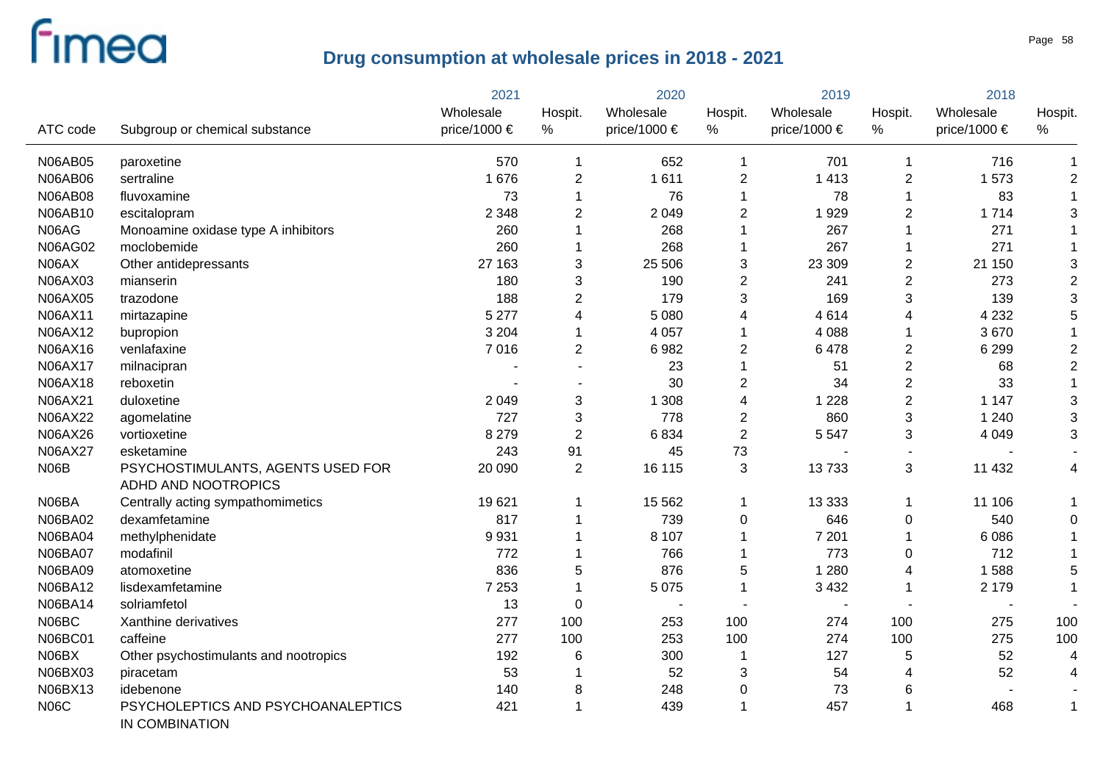|                |                                                          | 2021         | 2020           |                  | 2019           |              | 2018                      |              |                           |
|----------------|----------------------------------------------------------|--------------|----------------|------------------|----------------|--------------|---------------------------|--------------|---------------------------|
|                |                                                          | Wholesale    | Hospit.        | Wholesale        | Hospit.        | Wholesale    | Hospit.                   | Wholesale    | Hospit.                   |
| ATC code       | Subgroup or chemical substance                           | price/1000 € | %              | price/1000 $\in$ | %              | price/1000 € | %                         | price/1000 € | $\%$                      |
| <b>N06AB05</b> | paroxetine                                               | 570          | $\mathbf 1$    | 652              | $\mathbf 1$    | 701          | $\mathbf 1$               | 716          | 1                         |
| <b>N06AB06</b> | sertraline                                               | 1676         | $\overline{2}$ | 1611             | $\overline{2}$ | 1 4 1 3      | $\overline{c}$            | 1573         | $\overline{c}$            |
| <b>N06AB08</b> | fluvoxamine                                              | 73           | 1              | 76               | 1              | 78           | $\mathbf 1$               | 83           | $\mathbf 1$               |
| N06AB10        | escitalopram                                             | 2 3 4 8      | 2              | 2 0 4 9          | $\overline{c}$ | 1929         | $\overline{c}$            | 1714         | 3                         |
| N06AG          | Monoamine oxidase type A inhibitors                      | 260          | 1              | 268              |                | 267          | $\mathbf 1$               | 271          |                           |
| <b>N06AG02</b> | moclobemide                                              | 260          | 1              | 268              | 1              | 267          | $\mathbf 1$               | 271          |                           |
| N06AX          | Other antidepressants                                    | 27 163       | 3              | 25 506           | $\sqrt{3}$     | 23 309       | $\overline{2}$            | 21 150       | 3                         |
| N06AX03        | mianserin                                                | 180          | 3              | 190              | $\overline{2}$ | 241          | $\overline{2}$            | 273          | $\overline{2}$            |
| N06AX05        | trazodone                                                | 188          | $\overline{2}$ | 179              | 3              | 169          | 3                         | 139          | 3                         |
| N06AX11        | mirtazapine                                              | 5 2 7 7      | 4              | 5 0 8 0          | 4              | 4614         | $\overline{4}$            | 4 2 3 2      | 5                         |
| N06AX12        | bupropion                                                | 3 2 0 4      | 1              | 4 0 5 7          | $\mathbf 1$    | 4 0 8 8      | $\mathbf 1$               | 3670         |                           |
| N06AX16        | venlafaxine                                              | 7016         | $\overline{2}$ | 6982             | $\overline{2}$ | 6478         | $\overline{2}$            | 6 2 9 9      | $\mathbf 2$               |
| N06AX17        | milnacipran                                              |              |                | 23               |                | 51           | $\boldsymbol{2}$          | 68           | $\mathbf 2$               |
| N06AX18        | reboxetin                                                |              |                | 30               | $\overline{2}$ | 34           | $\mathbf 2$               | 33           | $\mathbf{1}$              |
| N06AX21        | duloxetine                                               | 2 0 4 9      | 3              | 1 3 0 8          | 4              | 1 2 2 8      | $\overline{2}$            | 1 1 4 7      | $\ensuremath{\mathsf{3}}$ |
| N06AX22        | agomelatine                                              | 727          | 3              | 778              | $\overline{2}$ | 860          | $\ensuremath{\mathsf{3}}$ | 1 2 4 0      | 3                         |
| N06AX26        | vortioxetine                                             | 8 2 7 9      | $\overline{2}$ | 6834             | $\sqrt{2}$     | 5 5 4 7      | 3                         | 4 0 4 9      | 3                         |
| N06AX27        | esketamine                                               | 243          | 91             | 45               | 73             |              |                           |              |                           |
| N06B           | PSYCHOSTIMULANTS, AGENTS USED FOR<br>ADHD AND NOOTROPICS | 20 090       | $\overline{2}$ | 16 115           | $\mathbf{3}$   | 13733        | 3                         | 11 432       | 4                         |
| N06BA          | Centrally acting sympathomimetics                        | 19621        | 1              | 15 5 6 2         | 1              | 13 3 3 3     | $\mathbf 1$               | 11 106       |                           |
| N06BA02        | dexamfetamine                                            | 817          | 1              | 739              | $\mathbf 0$    | 646          | $\boldsymbol{0}$          | 540          | 0                         |
| <b>N06BA04</b> | methylphenidate                                          | 9931         | 1              | 8 1 0 7          | $\mathbf 1$    | 7 2 0 1      | $\mathbf 1$               | 6086         |                           |
| <b>N06BA07</b> | modafinil                                                | 772          | 1              | 766              | 1              | 773          | 0                         | 712          |                           |
| N06BA09        | atomoxetine                                              | 836          | 5              | 876              | 5              | 1 2 8 0      | $\overline{\mathbf{4}}$   | 1588         | 5                         |
| N06BA12        | lisdexamfetamine                                         | 7 2 5 3      | 1              | 5 0 7 5          | $\mathbf{1}$   | 3 4 3 2      | $\mathbf{1}$              | 2 1 7 9      |                           |
| N06BA14        | solriamfetol                                             | 13           | 0              |                  |                |              |                           |              |                           |
| N06BC          | Xanthine derivatives                                     | 277          | 100            | 253              | 100            | 274          | 100                       | 275          | 100                       |
| <b>N06BC01</b> | caffeine                                                 | 277          | 100            | 253              | 100            | 274          | 100                       | 275          | 100                       |
| N06BX          | Other psychostimulants and nootropics                    | 192          | 6              | 300              | -1             | 127          | 5                         | 52           | 4                         |
| N06BX03        | piracetam                                                | 53           | 1              | 52               | $\mathbf{3}$   | 54           | 4                         | 52           | 4                         |
| N06BX13        | idebenone                                                | 140          | 8              | 248              | $\pmb{0}$      | 73           | 6                         |              |                           |
| <b>N06C</b>    | PSYCHOLEPTICS AND PSYCHOANALEPTICS<br>IN COMBINATION     | 421          | 1              | 439              |                | 457          | $\mathbf{1}$              | 468          | 1                         |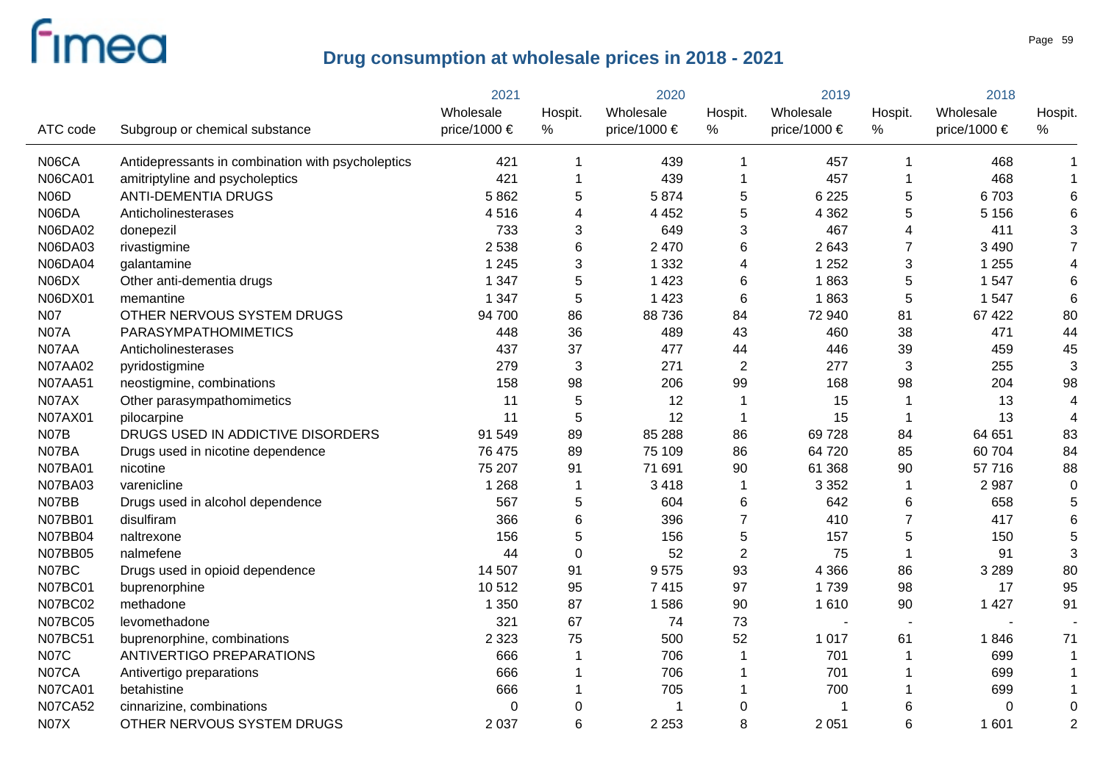|                |                                                   | 2021         |             | 2020         |                | 2019         |                | 2018         |                 |  |
|----------------|---------------------------------------------------|--------------|-------------|--------------|----------------|--------------|----------------|--------------|-----------------|--|
|                |                                                   | Wholesale    | Hospit.     | Wholesale    | Hospit.        | Wholesale    | Hospit.        | Wholesale    | Hospit.         |  |
| ATC code       | Subgroup or chemical substance                    | price/1000 € | $\%$        | price/1000 € | %              | price/1000 € | $\%$           | price/1000 € | ℅               |  |
| N06CA          | Antidepressants in combination with psycholeptics | 421          | 1           | 439          | 1              | 457          | -1             | 468          |                 |  |
| <b>N06CA01</b> | amitriptyline and psycholeptics                   | 421          | 1           | 439          | 1              | 457          | -1             | 468          |                 |  |
| <b>N06D</b>    | <b>ANTI-DEMENTIA DRUGS</b>                        | 5862         | 5           | 5874         | 5              | 6 2 2 5      | 5              | 6703         | 6               |  |
| N06DA          | Anticholinesterases                               | 4516         | 4           | 4 4 5 2      | 5              | 4 3 6 2      | 5              | 5 1 5 6      | 6               |  |
| N06DA02        | donepezil                                         | 733          | 3           | 649          | 3              | 467          | 4              | 411          | 3               |  |
| N06DA03        | rivastigmine                                      | 2 5 3 8      | 6           | 2 4 7 0      | 6              | 2643         | 7              | 3 4 9 0      | $\overline{7}$  |  |
| <b>N06DA04</b> | galantamine                                       | 1 2 4 5      | 3           | 1 3 3 2      | 4              | 1 2 5 2      | 3              | 1 2 5 5      | 4               |  |
| N06DX          | Other anti-dementia drugs                         | 1 3 4 7      | 5           | 1 4 2 3      | $6\phantom{1}$ | 1863         | 5              | 1 5 4 7      | $6\phantom{1}6$ |  |
| N06DX01        | memantine                                         | 1 3 4 7      | 5           | 1 4 2 3      | $6\phantom{1}$ | 1863         | 5              | 1 5 4 7      | $6\phantom{1}6$ |  |
| <b>N07</b>     | OTHER NERVOUS SYSTEM DRUGS                        | 94 700       | 86          | 88736        | 84             | 72 940       | 81             | 67 422       | 80              |  |
| <b>N07A</b>    | PARASYMPATHOMIMETICS                              | 448          | 36          | 489          | 43             | 460          | 38             | 471          | 44              |  |
| N07AA          | Anticholinesterases                               | 437          | 37          | 477          | 44             | 446          | 39             | 459          | 45              |  |
| <b>N07AA02</b> | pyridostigmine                                    | 279          | 3           | 271          | $\overline{2}$ | 277          | 3              | 255          | 3               |  |
| <b>N07AA51</b> | neostigmine, combinations                         | 158          | 98          | 206          | 99             | 168          | 98             | 204          | 98              |  |
| N07AX          | Other parasympathomimetics                        | 11           | 5           | 12           | 1              | 15           | -1             | 13           | $\overline{4}$  |  |
| N07AX01        | pilocarpine                                       | 11           | 5           | 12           | 1              | 15           | -1             | 13           | $\overline{4}$  |  |
| N07B           | DRUGS USED IN ADDICTIVE DISORDERS                 | 91 549       | 89          | 85 288       | 86             | 69728        | 84             | 64 651       | 83              |  |
| N07BA          | Drugs used in nicotine dependence                 | 76 475       | 89          | 75 109       | 86             | 64 720       | 85             | 60 704       | 84              |  |
| <b>N07BA01</b> | nicotine                                          | 75 207       | 91          | 71 691       | 90             | 61 368       | 90             | 57716        | 88              |  |
| <b>N07BA03</b> | varenicline                                       | 1 2 6 8      | 1           | 3418         | 1              | 3 3 5 2      | $\overline{1}$ | 2987         | $\mathbf 0$     |  |
| N07BB          | Drugs used in alcohol dependence                  | 567          | 5           | 604          | 6              | 642          | 6              | 658          | 5               |  |
| N07BB01        | disulfiram                                        | 366          | 6           | 396          | $\overline{7}$ | 410          | $\overline{7}$ | 417          | 6               |  |
| N07BB04        | naltrexone                                        | 156          | 5           | 156          | 5              | 157          | 5              | 150          | 5               |  |
| N07BB05        | nalmefene                                         | 44           | $\mathbf 0$ | 52           | $\overline{2}$ | 75           | $\overline{1}$ | 91           | 3               |  |
| N07BC          | Drugs used in opioid dependence                   | 14 507       | 91          | 9575         | 93             | 4 3 6 6      | 86             | 3 2 8 9      | 80              |  |
| <b>N07BC01</b> | buprenorphine                                     | 10512        | 95          | 7415         | 97             | 1739         | 98             | 17           | 95              |  |
| <b>N07BC02</b> | methadone                                         | 1 3 5 0      | 87          | 1586         | 90             | 1610         | 90             | 1 4 2 7      | 91              |  |
| <b>N07BC05</b> | levomethadone                                     | 321          | 67          | 74           | 73             |              |                |              |                 |  |
| <b>N07BC51</b> | buprenorphine, combinations                       | 2 3 2 3      | 75          | 500          | 52             | 1 0 1 7      | 61             | 1846         | 71              |  |
| <b>N07C</b>    | ANTIVERTIGO PREPARATIONS                          | 666          |             | 706          | 1              | 701          | -1             | 699          |                 |  |
| N07CA          | Antivertigo preparations                          | 666          |             | 706          | 1              | 701          | -1             | 699          |                 |  |
| <b>N07CA01</b> | betahistine                                       | 666          |             | 705          |                | 700          | -1             | 699          |                 |  |
| <b>N07CA52</b> | cinnarizine, combinations                         | 0            | $\pmb{0}$   |              | 0              |              | 6              | 0            | 0               |  |
| <b>N07X</b>    | OTHER NERVOUS SYSTEM DRUGS                        | 2 0 3 7      | 6           | 2 2 5 3      | 8              | 2 0 5 1      | 6              | 1 601        | $\overline{2}$  |  |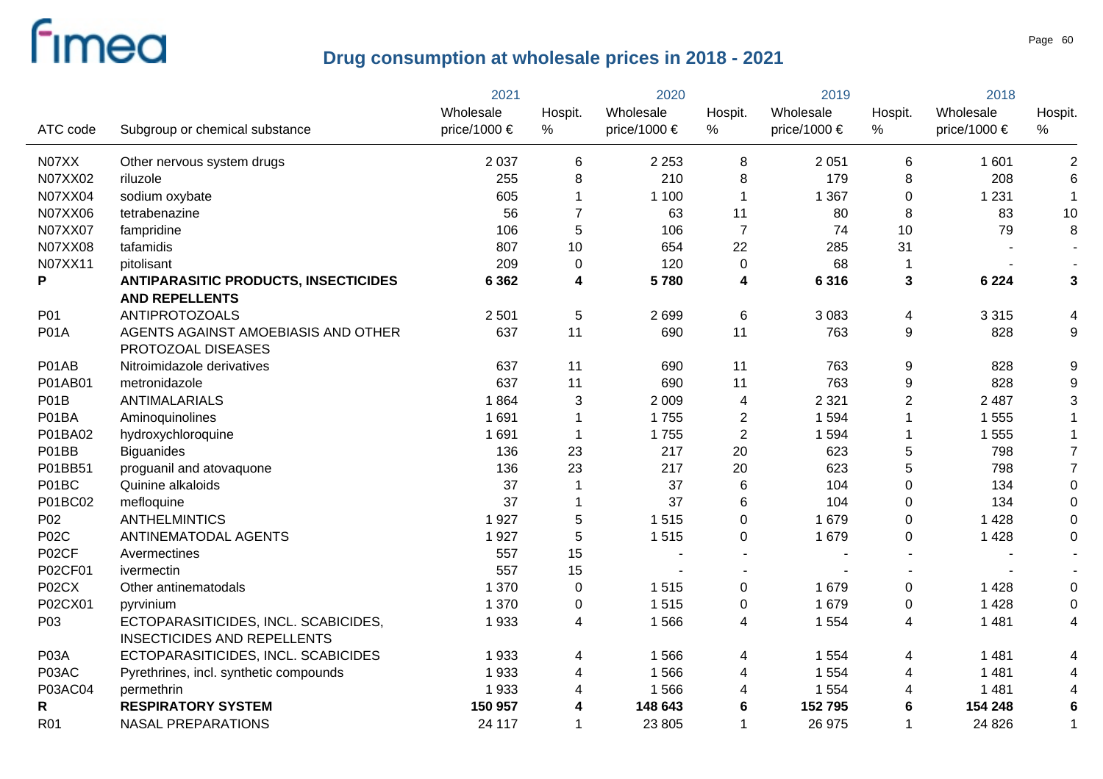|                |                                             | 2021         | 2020                    |              | 2019           |                  | 2018             |                  |                  |
|----------------|---------------------------------------------|--------------|-------------------------|--------------|----------------|------------------|------------------|------------------|------------------|
|                |                                             | Wholesale    | Hospit.                 | Wholesale    | Hospit.        | Wholesale        | Hospit.          | Wholesale        | Hospit.          |
| ATC code       | Subgroup or chemical substance              | price/1000 € | %                       | price/1000 € | %              | price/1000 $\in$ | $\%$             | price/1000 $\in$ | %                |
| N07XX          | Other nervous system drugs                  | 2 0 3 7      | 6                       | 2 2 5 3      | 8              | 2 0 5 1          | 6                | 1 601            | $\overline{2}$   |
| N07XX02        | riluzole                                    | 255          | 8                       | 210          | 8              | 179              | 8                | 208              | $6\phantom{1}6$  |
| N07XX04        | sodium oxybate                              | 605          |                         | 1 1 0 0      | $\mathbf{1}$   | 1 3 6 7          | $\mathbf 0$      | 1 2 3 1          | $\mathbf{1}$     |
| N07XX06        | tetrabenazine                               | 56           | 7                       | 63           | 11             | 80               | 8                | 83               | 10               |
| N07XX07        | fampridine                                  | 106          | 5                       | 106          | $\overline{7}$ | 74               | 10               | 79               | 8                |
| <b>N07XX08</b> | tafamidis                                   | 807          | 10                      | 654          | 22             | 285              | 31               |                  | $\blacksquare$   |
| N07XX11        | pitolisant                                  | 209          | $\mathbf 0$             | 120          | $\mathbf 0$    | 68               | $\overline{1}$   |                  | $\blacksquare$   |
| P              | <b>ANTIPARASITIC PRODUCTS, INSECTICIDES</b> | 6 3 6 2      | $\overline{\mathbf{4}}$ | 5780         | 4              | 6316             | $\mathbf{3}$     | 6 2 2 4          | 3                |
|                | <b>AND REPELLENTS</b>                       |              |                         |              |                |                  |                  |                  |                  |
| P01            | <b>ANTIPROTOZOALS</b>                       | 2 5 0 1      | 5                       | 2699         | 6              | 3 0 8 3          | 4                | 3 3 1 5          | 4                |
| <b>P01A</b>    | AGENTS AGAINST AMOEBIASIS AND OTHER         | 637          | 11                      | 690          | 11             | 763              | 9                | 828              | 9                |
|                | PROTOZOAL DISEASES                          |              |                         |              |                |                  |                  |                  |                  |
| P01AB          | Nitroimidazole derivatives                  | 637          | 11                      | 690          | 11             | 763              | $\boldsymbol{9}$ | 828              | 9                |
| P01AB01        | metronidazole                               | 637          | 11                      | 690          | 11             | 763              | $\boldsymbol{9}$ | 828              | $\boldsymbol{9}$ |
| P01B           | ANTIMALARIALS                               | 1864         | 3                       | 2 0 0 9      | 4              | 2 3 2 1          | $\overline{2}$   | 2 4 8 7          | 3                |
| P01BA          | Aminoquinolines                             | 1 6 9 1      |                         | 1755         | $\overline{c}$ | 1 5 9 4          | $\mathbf{1}$     | 1 555            |                  |
| P01BA02        | hydroxychloroquine                          | 1 6 9 1      | 1                       | 1755         | $\overline{c}$ | 1 5 9 4          | 1                | 1 555            | 1                |
| P01BB          | <b>Biguanides</b>                           | 136          | 23                      | 217          | 20             | 623              | 5                | 798              | $\overline{7}$   |
| P01BB51        | proguanil and atovaquone                    | 136          | 23                      | 217          | 20             | 623              | 5                | 798              | $\overline{7}$   |
| P01BC          | Quinine alkaloids                           | 37           | 1                       | 37           | $\,6\,$        | 104              | $\boldsymbol{0}$ | 134              | $\mathbf 0$      |
| P01BC02        | mefloquine                                  | 37           |                         | 37           | 6              | 104              | $\pmb{0}$        | 134              | $\mathbf 0$      |
| P02            | <b>ANTHELMINTICS</b>                        | 1927         | 5                       | 1515         | 0              | 1 679            | $\pmb{0}$        | 1 4 2 8          | $\mathbf 0$      |
| <b>P02C</b>    | ANTINEMATODAL AGENTS                        | 1927         | 5                       | 1515         | 0              | 1 679            | $\mathbf 0$      | 1 4 2 8          | $\mathbf 0$      |
| P02CF          | Avermectines                                | 557          | 15                      |              |                |                  |                  |                  |                  |
| P02CF01        | ivermectin                                  | 557          | 15                      |              |                |                  |                  |                  |                  |
| P02CX          | Other antinematodals                        | 1 370        | $\pmb{0}$               | 1515         | 0              | 1 679            | $\pmb{0}$        | 1 4 2 8          | $\mathbf 0$      |
| P02CX01        | pyrvinium                                   | 1 370        | $\boldsymbol{0}$        | 1515         | $\pmb{0}$      | 1 679            | $\pmb{0}$        | 1 4 2 8          | $\mathbf 0$      |
| P03            | ECTOPARASITICIDES, INCL. SCABICIDES,        | 1933         | 4                       | 1566         | 4              | 1 5 5 4          | 4                | 1 4 8 1          | 4                |
|                | <b>INSECTICIDES AND REPELLENTS</b>          |              |                         |              |                |                  |                  |                  |                  |
| P03A           | ECTOPARASITICIDES, INCL. SCABICIDES         | 1933         | 4                       | 1566         | 4              | 1 5 5 4          | 4                | 1 4 8 1          | 4                |
| P03AC          | Pyrethrines, incl. synthetic compounds      | 1933         | 4                       | 1566         | 4              | 1 5 5 4          | 4                | 1 4 8 1          | 4                |
| P03AC04        | permethrin                                  | 1933         | 4                       | 1566         | 4              | 1 5 5 4          | 4                | 1 4 8 1          | 4                |
| R              | <b>RESPIRATORY SYSTEM</b>                   | 150 957      | 4                       | 148 643      | 6              | 152 795          | 6                | 154 248          | 6                |
| R01            | <b>NASAL PREPARATIONS</b>                   | 24 117       | 1                       | 23 805       | 1              | 26 975           | $\overline{1}$   | 24 8 26          | 1                |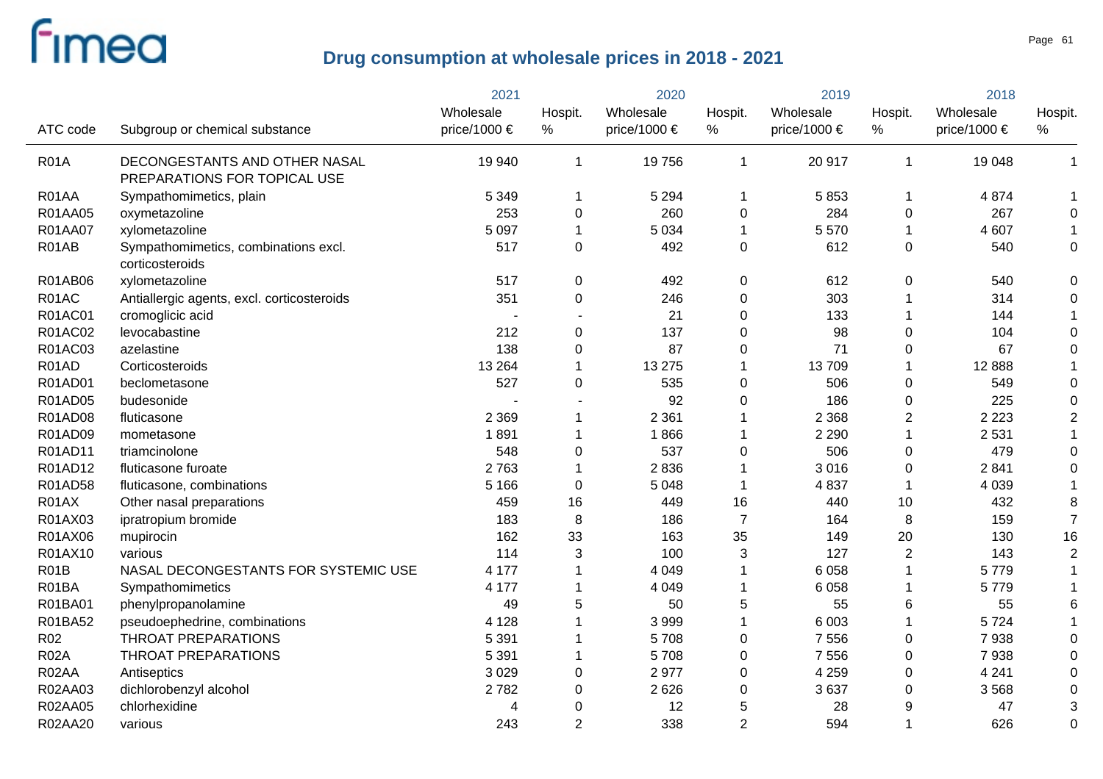$\overline{a}$ 

|                 |                                            | 2021         |                | 2020         |                | 2019         |                | 2018         |                |
|-----------------|--------------------------------------------|--------------|----------------|--------------|----------------|--------------|----------------|--------------|----------------|
|                 |                                            | Wholesale    | Hospit.        | Wholesale    | Hospit.        | Wholesale    | Hospit.        | Wholesale    | Hospit.        |
| ATC code        | Subgroup or chemical substance             | price/1000 € | $\%$           | price/1000 € | $\%$           | price/1000 € | %              | price/1000 € | $\%$           |
| <b>R01A</b>     | DECONGESTANTS AND OTHER NASAL              | 19 940       | 1              | 19756        | -1             | 20 917       | 1              | 19 048       | 1              |
|                 | PREPARATIONS FOR TOPICAL USE               |              |                |              |                |              |                |              |                |
| R01AA           | Sympathomimetics, plain                    | 5 3 4 9      |                | 5 2 9 4      | -1             | 5853         | 1              | 4 8 7 4      |                |
| R01AA05         | oxymetazoline                              | 253          | $\mathbf 0$    | 260          | 0              | 284          | 0              | 267          | 0              |
| R01AA07         | xylometazoline                             | 5 0 9 7      |                | 5 0 3 4      | -1             | 5 5 7 0      | 1              | 4 607        |                |
| R01AB           | Sympathomimetics, combinations excl.       | 517          | $\mathbf 0$    | 492          | 0              | 612          | 0              | 540          | 0              |
|                 | corticosteroids                            |              |                |              |                |              |                |              |                |
| R01AB06         | xylometazoline                             | 517          | 0              | 492          | 0              | 612          | $\pmb{0}$      | 540          | 0              |
| R01AC           | Antiallergic agents, excl. corticosteroids | 351          | $\mathbf 0$    | 246          | $\mathbf 0$    | 303          |                | 314          | 0              |
| R01AC01         | cromoglicic acid                           |              |                | 21           | $\Omega$       | 133          |                | 144          |                |
| R01AC02         | levocabastine                              | 212          | 0              | 137          | $\Omega$       | 98           | 0              | 104          | 0              |
| R01AC03         | azelastine                                 | 138          | 0              | 87           | $\Omega$       | 71           | 0              | 67           | 0              |
| R01AD           | Corticosteroids                            | 13 2 64      |                | 13 275       |                | 13709        | 1              | 12 8 88      |                |
| R01AD01         | beclometasone                              | 527          | $\mathbf 0$    | 535          | 0              | 506          | 0              | 549          | 0              |
| R01AD05         | budesonide                                 |              |                | 92           | $\Omega$       | 186          | 0              | 225          | 0              |
| R01AD08         | fluticasone                                | 2 3 6 9      |                | 2 3 6 1      |                | 2 3 6 8      | $\overline{2}$ | 2 2 2 3      | 2              |
| R01AD09         | mometasone                                 | 1891         |                | 1866         |                | 2 2 9 0      | 1              | 2 5 3 1      |                |
| R01AD11         | triamcinolone                              | 548          | $\mathbf 0$    | 537          | 0              | 506          | 0              | 479          | $\Omega$       |
| R01AD12         | fluticasone furoate                        | 2763         |                | 2836         | 1              | 3016         | 0              | 2841         |                |
| R01AD58         | fluticasone, combinations                  | 5 1 6 6      | $\mathbf 0$    | 5 0 4 8      | -1             | 4837         | 1              | 4 0 3 9      |                |
| R01AX           | Other nasal preparations                   | 459          | 16             | 449          | 16             | 440          | 10             | 432          | 8              |
| R01AX03         | ipratropium bromide                        | 183          | 8              | 186          | $\overline{7}$ | 164          | 8              | 159          | $\overline{7}$ |
| R01AX06         | mupirocin                                  | 162          | 33             | 163          | 35             | 149          | 20             | 130          | 16             |
| R01AX10         | various                                    | 114          | 3              | 100          | 3              | 127          | $\overline{2}$ | 143          | $\overline{2}$ |
| <b>R01B</b>     | NASAL DECONGESTANTS FOR SYSTEMIC USE       | 4 1 7 7      |                | 4 0 4 9      | -1             | 6 0 5 8      | 1              | 5779         |                |
| R01BA           | Sympathomimetics                           | 4 177        |                | 4 0 4 9      | -1             | 6 0 5 8      | 1              | 5779         |                |
| R01BA01         | phenylpropanolamine                        | 49           | 5              | 50           | 5              | 55           | 6              | 55           |                |
| R01BA52         | pseudoephedrine, combinations              | 4 1 2 8      |                | 3999         | -1             | 6 0 0 3      | 1              | 5724         |                |
| R <sub>02</sub> | <b>THROAT PREPARATIONS</b>                 | 5 3 9 1      |                | 5708         | $\pmb{0}$      | 7 5 5 6      | 0              | 7938         |                |
| <b>R02A</b>     | <b>THROAT PREPARATIONS</b>                 | 5 3 9 1      |                | 5708         | $\pmb{0}$      | 7 5 5 6      | 0              | 7938         |                |
| R02AA           | Antiseptics                                | 3 0 2 9      | $\pmb{0}$      | 2977         | $\pmb{0}$      | 4 2 5 9      | 0              | 4 2 4 1      |                |
| R02AA03         | dichlorobenzyl alcohol                     | 2782         | 0              | 2626         | 0              | 3637         | 0              | 3568         | 0              |
| R02AA05         | chlorhexidine                              |              | 0              | 12           | 5              | 28           | 9              | 47           |                |
| R02AA20         | various                                    | 243          | $\overline{2}$ | 338          | $\overline{2}$ | 594          | 1              | 626          | $\Omega$       |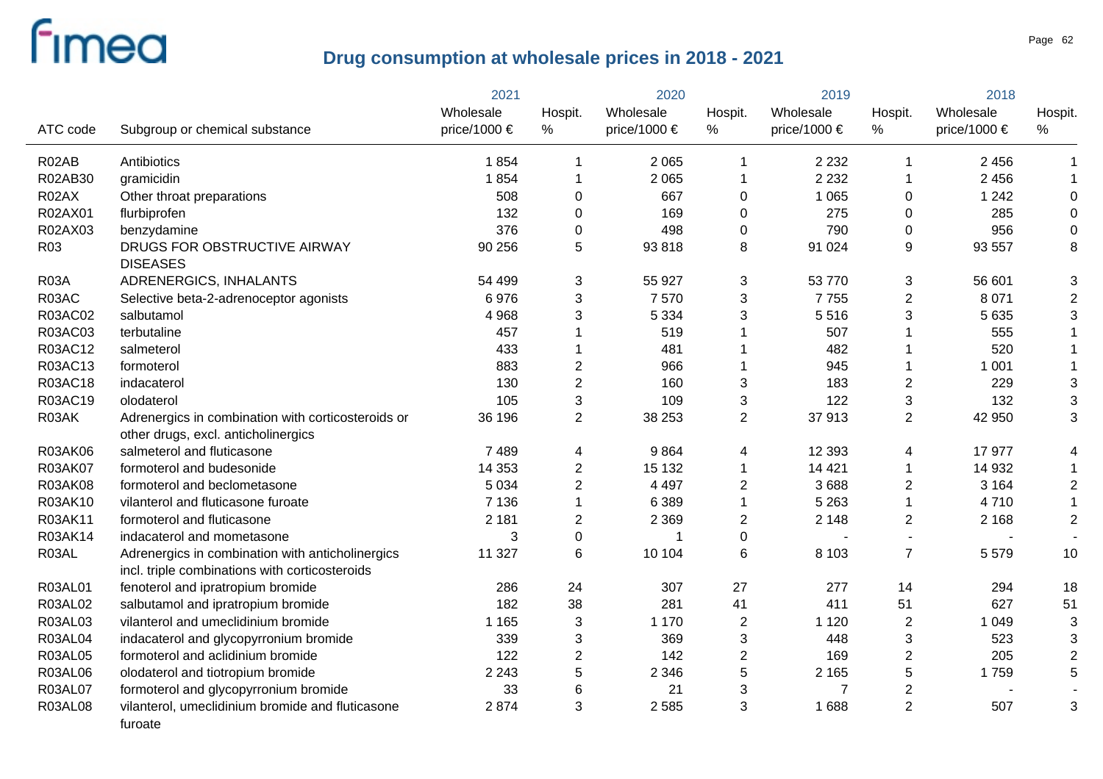|                 |                                                                                                    | 2021         |                         | 2020             |                | 2019         |                  | 2018         |                |
|-----------------|----------------------------------------------------------------------------------------------------|--------------|-------------------------|------------------|----------------|--------------|------------------|--------------|----------------|
|                 |                                                                                                    | Wholesale    | Hospit.                 | Wholesale        | Hospit.        | Wholesale    | Hospit.          | Wholesale    | Hospit.        |
| ATC code        | Subgroup or chemical substance                                                                     | price/1000 € | %                       | price/1000 $\in$ | %              | price/1000 € | $\%$             | price/1000 € | %              |
| R02AB           | Antibiotics                                                                                        | 1854         | 1                       | 2 0 6 5          | 1              | 2 2 3 2      | -1               | 2 4 5 6      | 1              |
| R02AB30         | gramicidin                                                                                         | 1854         | 1                       | 2 0 6 5          | 1              | 2 2 3 2      | $\overline{1}$   | 2 4 5 6      | 1              |
| R02AX           | Other throat preparations                                                                          | 508          | 0                       | 667              | 0              | 1 0 6 5      | 0                | 1 2 4 2      | 0              |
| R02AX01         | flurbiprofen                                                                                       | 132          | 0                       | 169              | 0              | 275          | 0                | 285          | $\mathbf 0$    |
| R02AX03         | benzydamine                                                                                        | 376          | $\mathbf 0$             | 498              | 0              | 790          | 0                | 956          | $\mathbf 0$    |
| R <sub>03</sub> | DRUGS FOR OBSTRUCTIVE AIRWAY<br><b>DISEASES</b>                                                    | 90 256       | 5                       | 93818            | 8              | 91 0 24      | 9                | 93 557       | 8              |
| <b>R03A</b>     | ADRENERGICS, INHALANTS                                                                             | 54 499       | 3                       | 55 927           | 3              | 53 770       | $\mathbf{3}$     | 56 601       | 3              |
| R03AC           | Selective beta-2-adrenoceptor agonists                                                             | 6976         | 3                       | 7570             | 3              | 7755         | $\overline{2}$   | 8 0 7 1      | $\overline{2}$ |
| R03AC02         | salbutamol                                                                                         | 4 9 6 8      | 3                       | 5 3 3 4          | 3              | 5516         | 3                | 5 6 3 5      | 3              |
| R03AC03         | terbutaline                                                                                        | 457          |                         | 519              | 1              | 507          | -1               | 555          |                |
| R03AC12         | salmeterol                                                                                         | 433          |                         | 481              | 1              | 482          | -1               | 520          |                |
| R03AC13         | formoterol                                                                                         | 883          | $\boldsymbol{2}$        | 966              | 1              | 945          | -1               | 1 0 0 1      |                |
| R03AC18         | indacaterol                                                                                        | 130          | $\overline{\mathbf{c}}$ | 160              | 3              | 183          | $\overline{2}$   | 229          | 3              |
| R03AC19         | olodaterol                                                                                         | 105          | 3                       | 109              | 3              | 122          | 3                | 132          | 3              |
| R03AK           | Adrenergics in combination with corticosteroids or<br>other drugs, excl. anticholinergics          | 36 196       | $\overline{2}$          | 38 253           | $\overline{2}$ | 37913        | $\overline{2}$   | 42 950       | 3              |
| <b>R03AK06</b>  | salmeterol and fluticasone                                                                         | 7 4 8 9      | 4                       | 9864             | 4              | 12 3 93      | 4                | 17 977       | 4              |
| R03AK07         | formoterol and budesonide                                                                          | 14 3 53      | 2                       | 15 132           | 1              | 14 4 21      | 1                | 14 932       |                |
| R03AK08         | formoterol and beclometasone                                                                       | 5 0 3 4      | 2                       | 4 4 9 7          | 2              | 3688         | $\overline{c}$   | 3 1 6 4      | $\overline{c}$ |
| R03AK10         | vilanterol and fluticasone furoate                                                                 | 7 1 3 6      |                         | 6 3 8 9          | $\mathbf{1}$   | 5 2 6 3      | 1                | 4710         | 1              |
| R03AK11         | formoterol and fluticasone                                                                         | 2 1 8 1      | 2                       | 2 3 6 9          | 2              | 2 1 4 8      | $\overline{2}$   | 2 1 6 8      | $\overline{2}$ |
| R03AK14         | indacaterol and mometasone                                                                         | 3            | $\overline{0}$          |                  | $\mathbf 0$    |              | $\sim$           |              |                |
| R03AL           | Adrenergics in combination with anticholinergics<br>incl. triple combinations with corticosteroids | 11 327       | 6                       | 10 104           | 6              | 8 1 0 3      | $\overline{7}$   | 5579         | 10             |
| R03AL01         | fenoterol and ipratropium bromide                                                                  | 286          | 24                      | 307              | 27             | 277          | 14               | 294          | 18             |
| R03AL02         | salbutamol and ipratropium bromide                                                                 | 182          | 38                      | 281              | 41             | 411          | 51               | 627          | 51             |
| R03AL03         | vilanterol and umeclidinium bromide                                                                | 1 1 6 5      | 3                       | 1 1 7 0          | $\overline{c}$ | 1 1 2 0      | $\boldsymbol{2}$ | 1 0 4 9      | 3              |
| <b>R03AL04</b>  | indacaterol and glycopyrronium bromide                                                             | 339          | 3                       | 369              | 3              | 448          | 3                | 523          | 3              |
| <b>R03AL05</b>  | formoterol and aclidinium bromide                                                                  | 122          | $\overline{2}$          | 142              | $\overline{c}$ | 169          | $\overline{2}$   | 205          | $\overline{c}$ |
| <b>R03AL06</b>  | olodaterol and tiotropium bromide                                                                  | 2 2 4 3      | 5                       | 2 3 4 6          | 5              | 2 1 6 5      | $\mathbf 5$      | 1759         | 5              |
| R03AL07         | formoterol and glycopyrronium bromide                                                              | 33           | 6                       | 21               | 3              | 7            | $\overline{c}$   |              |                |
| <b>R03AL08</b>  | vilanterol, umeclidinium bromide and fluticasone<br>furoate                                        | 2874         | 3                       | 2 5 8 5          | 3              | 1688         | 2                | 507          | 3              |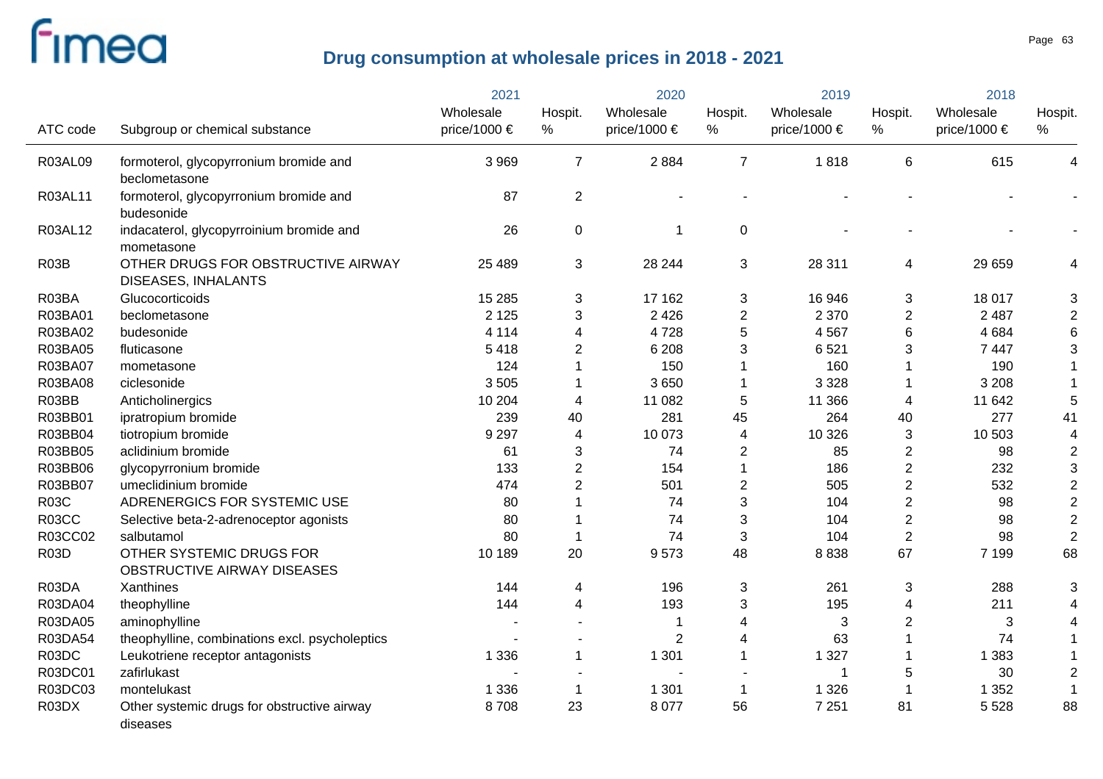|             |                                                                  | 2021         | 2020           |                       | 2019           |              | 2018             |              |                         |
|-------------|------------------------------------------------------------------|--------------|----------------|-----------------------|----------------|--------------|------------------|--------------|-------------------------|
|             |                                                                  | Wholesale    | Hospit.        | Wholesale             | Hospit.        | Wholesale    | Hospit.          | Wholesale    | Hospit.                 |
| ATC code    | Subgroup or chemical substance                                   | price/1000 € | %              | price/1000 $\epsilon$ | %              | price/1000 € | %                | price/1000 € | %                       |
| R03AL09     | formoterol, glycopyrronium bromide and                           | 3 9 6 9      | $\overline{7}$ | 2884                  | $\overline{7}$ | 1818         | 6                | 615          | 4                       |
|             | beclometasone                                                    |              |                |                       |                |              |                  |              |                         |
| R03AL11     | formoterol, glycopyrronium bromide and<br>budesonide             | 87           | $\overline{c}$ |                       |                |              |                  |              |                         |
| R03AL12     | indacaterol, glycopyrroinium bromide and<br>mometasone           | 26           | 0              | -1                    | 0              |              |                  |              |                         |
| <b>R03B</b> | OTHER DRUGS FOR OBSTRUCTIVE AIRWAY<br><b>DISEASES, INHALANTS</b> | 25 4 89      | 3              | 28 244                | 3              | 28 311       | 4                | 29 659       | 4                       |
| R03BA       | Glucocorticoids                                                  | 15 2 85      | 3              | 17 162                | 3              | 16 946       | 3                | 18 017       | 3                       |
| R03BA01     | beclometasone                                                    | 2 1 2 5      | 3              | 2 4 2 6               | $\overline{2}$ | 2 3 7 0      | $\overline{2}$   | 2 4 8 7      | $\overline{2}$          |
| R03BA02     | budesonide                                                       | 4 1 1 4      | 4              | 4728                  | 5              | 4 5 6 7      | 6                | 4 6 8 4      | 6                       |
| R03BA05     | fluticasone                                                      | 5418         | 2              | 6 2 0 8               | 3              | 6521         | 3                | 7 4 4 7      | 3                       |
| R03BA07     | mometasone                                                       | 124          | 1              | 150                   |                | 160          | -1               | 190          | $\mathbf 1$             |
| R03BA08     | ciclesonide                                                      | 3505         |                | 3650                  | $\mathbf 1$    | 3 3 2 8      | -1               | 3 2 0 8      |                         |
| R03BB       | Anticholinergics                                                 | 10 204       | 4              | 11 082                | 5              | 11 366       | 4                | 11 642       | 5                       |
| R03BB01     | ipratropium bromide                                              | 239          | 40             | 281                   | 45             | 264          | 40               | 277          | 41                      |
| R03BB04     | tiotropium bromide                                               | 9 2 9 7      | 4              | 10 073                | 4              | 10 3 26      | 3                | 10 503       | $\overline{\mathbf{4}}$ |
| R03BB05     | aclidinium bromide                                               | 61           | 3              | 74                    | $\overline{2}$ | 85           | $\boldsymbol{2}$ | 98           | $\overline{2}$          |
| R03BB06     | glycopyrronium bromide                                           | 133          | $\mathbf{2}$   | 154                   |                | 186          | $\boldsymbol{2}$ | 232          | $\sqrt{3}$              |
| R03BB07     | umeclidinium bromide                                             | 474          | 2              | 501                   | $\overline{2}$ | 505          | $\mathbf 2$      | 532          | $\boldsymbol{2}$        |
| <b>R03C</b> | ADRENERGICS FOR SYSTEMIC USE                                     | 80           |                | 74                    | 3              | 104          | $\overline{2}$   | 98           | $\overline{2}$          |
| R03CC       | Selective beta-2-adrenoceptor agonists                           | 80           |                | 74                    | 3              | 104          | $\boldsymbol{2}$ | 98           | $\sqrt{2}$              |
| R03CC02     | salbutamol                                                       | 80           | 1              | 74                    | 3              | 104          | $\overline{2}$   | 98           | $\overline{2}$          |
| <b>R03D</b> | OTHER SYSTEMIC DRUGS FOR                                         | 10 189       | 20             | 9573                  | 48             | 8838         | 67               | 7 1 9 9      | 68                      |
|             | OBSTRUCTIVE AIRWAY DISEASES                                      |              |                |                       |                |              |                  |              |                         |
| R03DA       | Xanthines                                                        | 144          | 4              | 196                   | 3              | 261          | 3                | 288          | 3                       |
| R03DA04     | theophylline                                                     | 144          | 4              | 193                   | 3              | 195          | 4                | 211          | 4                       |
| R03DA05     | aminophylline                                                    |              |                |                       | 4              | 3            | $\overline{2}$   | 3            | 4                       |
| R03DA54     | theophylline, combinations excl. psycholeptics                   |              |                | $\overline{2}$        | $\overline{4}$ | 63           | $\mathbf{1}$     | 74           |                         |
| R03DC       | Leukotriene receptor antagonists                                 | 1 3 3 6      | $\mathbf 1$    | 1 3 0 1               | 1              | 1 3 2 7      | 1                | 1 3 8 3      |                         |
| R03DC01     | zafirlukast                                                      |              |                |                       |                | 1            | 5                | 30           | $\mathbf 2$             |
| R03DC03     | montelukast                                                      | 1 3 3 6      | 1              | 1 3 0 1               | $\mathbf 1$    | 1 3 2 6      | $\mathbf 1$      | 1 3 5 2      | -1                      |
| R03DX       | Other systemic drugs for obstructive airway<br>diseases          | 8708         | 23             | 8 0 7 7               | 56             | 7 2 5 1      | 81               | 5 5 28       | 88                      |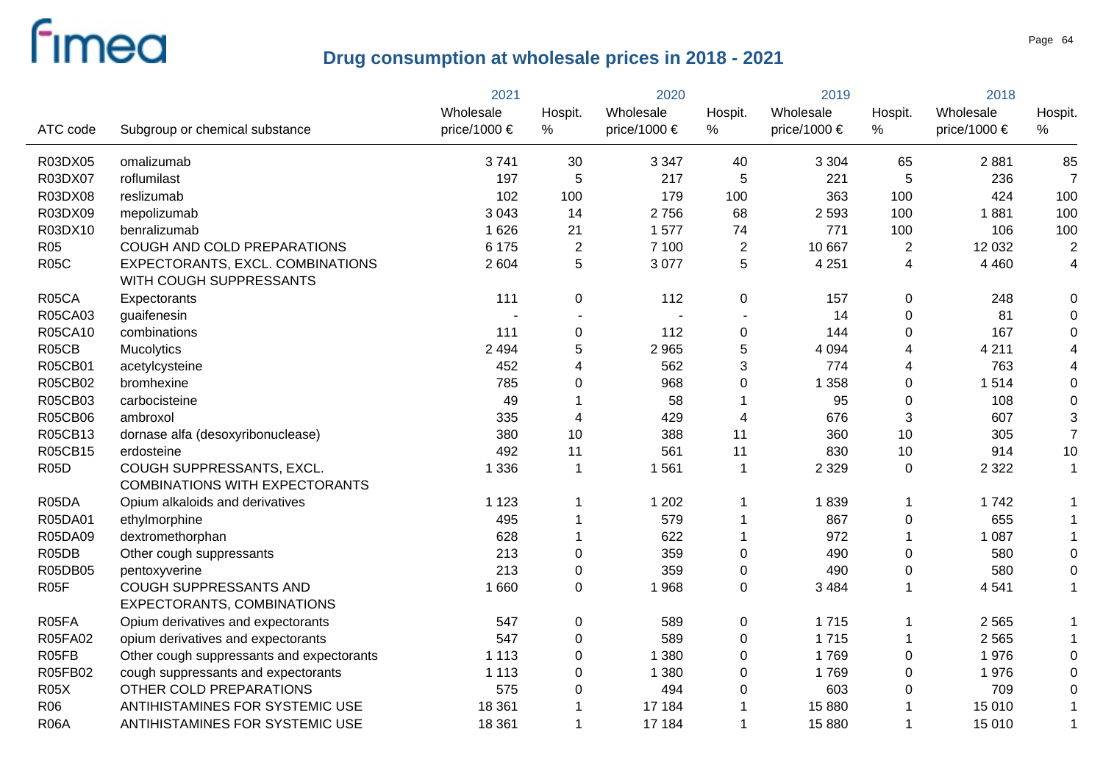|                   |                                                                    | 2021         |                | 2020                  |                | 2019             |                | 2018         |                         |
|-------------------|--------------------------------------------------------------------|--------------|----------------|-----------------------|----------------|------------------|----------------|--------------|-------------------------|
|                   |                                                                    | Wholesale    | Hospit.        | Wholesale             | Hospit.        | Wholesale        | Hospit.        | Wholesale    | Hospit.                 |
| ATC code          | Subgroup or chemical substance                                     | price/1000 € | %              | price/1000 $\epsilon$ | %              | price/1000 $\in$ | %              | price/1000 € | %                       |
| R03DX05           | omalizumab                                                         | 3741         | 30             | 3 3 4 7               | 40             | 3 3 0 4          | 65             | 2881         | 85                      |
| R03DX07           | roflumilast                                                        | 197          | 5              | 217                   | 5              | 221              | 5              | 236          | $\overline{7}$          |
| R03DX08           | reslizumab                                                         | 102          | 100            | 179                   | 100            | 363              | 100            | 424          | 100                     |
| R03DX09           | mepolizumab                                                        | 3 0 4 3      | 14             | 2756                  | 68             | 2 5 9 3          | 100            | 1881         | 100                     |
| R03DX10           | benralizumab                                                       | 1 6 2 6      | 21             | 1577                  | 74             | 771              | 100            | 106          | 100                     |
| R <sub>05</sub>   | COUGH AND COLD PREPARATIONS                                        | 6 1 7 5      | $\overline{2}$ | 7 100                 | $\overline{2}$ | 10 667           | $\overline{2}$ | 12 0 32      | $\overline{2}$          |
| <b>R05C</b>       | EXPECTORANTS, EXCL. COMBINATIONS<br>WITH COUGH SUPPRESSANTS        | 2 604        | 5              | 3 0 7 7               | 5              | 4 2 5 1          | $\overline{4}$ | 4 4 6 0      | $\overline{\mathbf{4}}$ |
| R05CA             | Expectorants                                                       | 111          | 0              | 112                   | 0              | 157              | $\mathbf 0$    | 248          | 0                       |
| R05CA03           | guaifenesin                                                        |              | $\sim$         | $\blacksquare$        |                | 14               | $\mathbf 0$    | 81           | 0                       |
| R05CA10           | combinations                                                       | 111          | 0              | 112                   | 0              | 144              | $\mathbf 0$    | 167          | $\Omega$                |
| R05CB             | Mucolytics                                                         | 2 4 9 4      | 5              | 2 9 6 5               | 5              | 4 0 9 4          | $\overline{4}$ | 4 2 1 1      |                         |
| R05CB01           | acetylcysteine                                                     | 452          | 4              | 562                   | 3              | 774              | 4              | 763          |                         |
| R05CB02           | bromhexine                                                         | 785          | 0              | 968                   | $\mathbf 0$    | 1 3 5 8          | $\mathbf 0$    | 1514         | 0                       |
| R05CB03           | carbocisteine                                                      | 49           | 1              | 58                    |                | 95               | $\pmb{0}$      | 108          | 0                       |
| <b>R05CB06</b>    | ambroxol                                                           | 335          | $\overline{4}$ | 429                   | $\overline{4}$ | 676              | $\sqrt{3}$     | 607          | 3                       |
| R05CB13           | dornase alfa (desoxyribonuclease)                                  | 380          | 10             | 388                   | 11             | 360              | 10             | 305          | $\overline{7}$          |
| R05CB15           | erdosteine                                                         | 492          | 11             | 561                   | 11             | 830              | 10             | 914          | 10                      |
| <b>R05D</b>       | COUGH SUPPRESSANTS, EXCL.<br><b>COMBINATIONS WITH EXPECTORANTS</b> | 1 3 3 6      | $\mathbf{1}$   | 1561                  | $\mathbf{1}$   | 2 3 2 9          | $\mathbf 0$    | 2 3 2 2      | $\mathbf{1}$            |
| R05DA             | Opium alkaloids and derivatives                                    | 1 1 2 3      | $\mathbf 1$    | 1 2 0 2               | 1              | 1839             | $\mathbf 1$    | 1742         |                         |
| R05DA01           | ethylmorphine                                                      | 495          | $\mathbf 1$    | 579                   | 1              | 867              | $\mathbf 0$    | 655          |                         |
| R05DA09           | dextromethorphan                                                   | 628          | $\mathbf 1$    | 622                   | $\mathbf 1$    | 972              | $\mathbf{1}$   | 1 0 8 7      |                         |
| R05DB             | Other cough suppressants                                           | 213          | 0              | 359                   | $\pmb{0}$      | 490              | $\mathbf 0$    | 580          | $\Omega$                |
| R05DB05           | pentoxyverine                                                      | 213          | 0              | 359                   | $\pmb{0}$      | 490              | $\mathbf 0$    | 580          | 0                       |
| R <sub>05</sub> F | COUGH SUPPRESSANTS AND<br><b>EXPECTORANTS, COMBINATIONS</b>        | 1 6 6 0      | $\mathbf 0$    | 1968                  | $\mathbf 0$    | 3 4 8 4          | $\mathbf{1}$   | 4541         |                         |
| R05FA             | Opium derivatives and expectorants                                 | 547          | 0              | 589                   | $\pmb{0}$      | 1715             | -1             | 2 5 6 5      |                         |
| R05FA02           | opium derivatives and expectorants                                 | 547          | 0              | 589                   | $\pmb{0}$      | 1715             | $\mathbf 1$    | 2 5 6 5      |                         |
| R05FB             | Other cough suppressants and expectorants                          | 1 1 1 3      | 0              | 1 3 8 0               | $\pmb{0}$      | 1769             | $\mathbf 0$    | 1976         | $\Omega$                |
| R05FB02           | cough suppressants and expectorants                                | 1 1 1 3      | 0              | 1 3 8 0               | $\mathbf 0$    | 1769             | $\mathbf 0$    | 1976         | $\Omega$                |
| <b>R05X</b>       | OTHER COLD PREPARATIONS                                            | 575          | 0              | 494                   | 0              | 603              | $\mathbf 0$    | 709          | $\Omega$                |
| R06               | ANTIHISTAMINES FOR SYSTEMIC USE                                    | 18 3 61      | 1              | 17 184                |                | 15 880           |                | 15 010       |                         |
| <b>R06A</b>       | ANTIHISTAMINES FOR SYSTEMIC USE                                    | 18 3 61      | $\mathbf 1$    | 17 184                | 1              | 15 880           | $\mathbf{1}$   | 15 010       | $\mathbf{1}$            |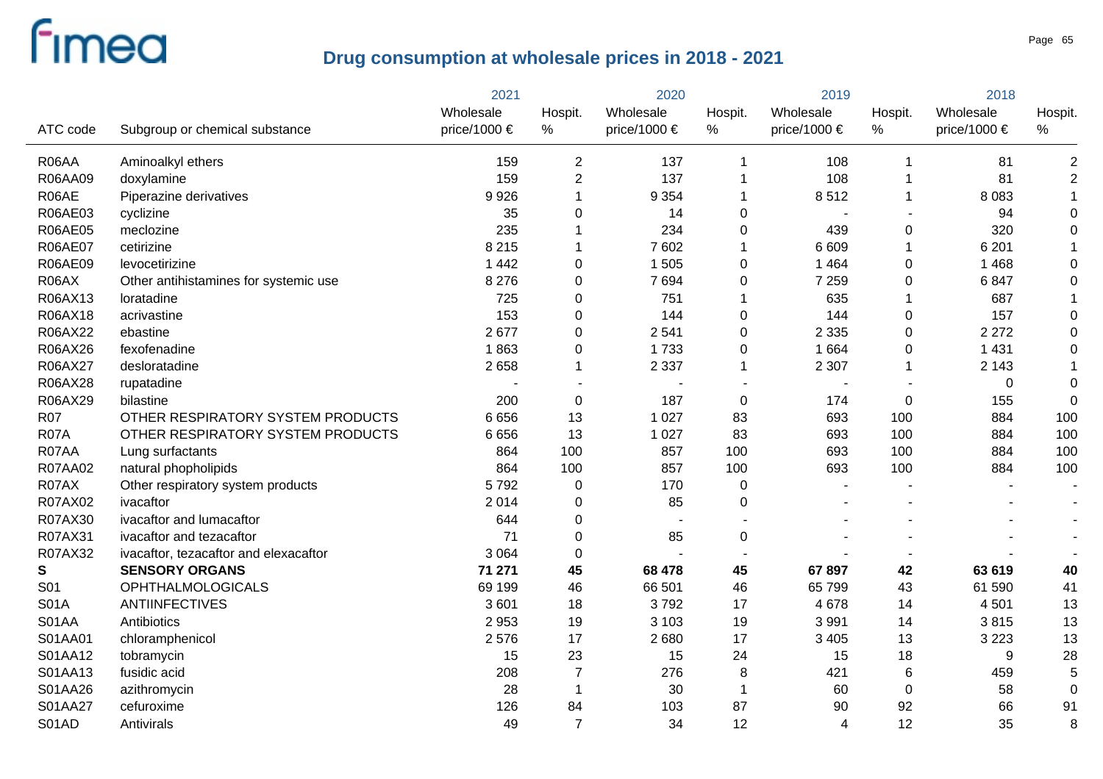|                |                                       | 2021         |                | 2020                     |             | 2019           |                  | 2018         |                  |
|----------------|---------------------------------------|--------------|----------------|--------------------------|-------------|----------------|------------------|--------------|------------------|
|                |                                       | Wholesale    | Hospit.        | Wholesale                | Hospit.     | Wholesale      | Hospit.          | Wholesale    | Hospit.          |
| ATC code       | Subgroup or chemical substance        | price/1000 € | $\%$           | price/1000 $\epsilon$    | %           | price/1000 €   | $\%$             | price/1000 € | $\%$             |
| R06AA          | Aminoalkyl ethers                     | 159          | 2              | 137                      | 1           | 108            | -1               | 81           | $\overline{2}$   |
| R06AA09        | doxylamine                            | 159          | $\overline{2}$ | 137                      |             | 108            | -1               | 81           | $\mathbf 2$      |
| R06AE          | Piperazine derivatives                | 9926         | 1              | 9 3 5 4                  | 1           | 8512           | -1               | 8 0 8 3      | 1                |
| R06AE03        | cyclizine                             | 35           | 0              | 14                       | 0           |                |                  | 94           | $\mathbf 0$      |
| R06AE05        | meclozine                             | 235          |                | 234                      | $\mathbf 0$ | 439            | $\mathsf 0$      | 320          | $\boldsymbol{0}$ |
| <b>R06AE07</b> | cetirizine                            | 8 2 1 5      | 1              | 7602                     | 1           | 6 6 0 9        | $\overline{1}$   | 6 2 0 1      | $\mathbf 1$      |
| R06AE09        | levocetirizine                        | 1 4 4 2      | 0              | 1 5 0 5                  | 0           | 1 4 6 4        | $\mathbf 0$      | 1 4 6 8      | $\pmb{0}$        |
| R06AX          | Other antihistamines for systemic use | 8 2 7 6      | 0              | 7694                     | 0           | 7 2 5 9        | $\boldsymbol{0}$ | 6847         | $\boldsymbol{0}$ |
| R06AX13        | loratadine                            | 725          | 0              | 751                      | 1           | 635            | $\overline{1}$   | 687          |                  |
| R06AX18        | acrivastine                           | 153          | 0              | 144                      | 0           | 144            | $\boldsymbol{0}$ | 157          | $\pmb{0}$        |
| R06AX22        | ebastine                              | 2677         | 0              | 2541                     | 0           | 2 3 3 5        | $\mathsf 0$      | 2 2 7 2      | $\boldsymbol{0}$ |
| R06AX26        | fexofenadine                          | 1863         | 0              | 1733                     | 0           | 1 6 6 4        | $\boldsymbol{0}$ | 1 4 3 1      | $\pmb{0}$        |
| R06AX27        | desloratadine                         | 2658         | 1              | 2 3 3 7                  | 1           | 2 3 0 7        | $\overline{1}$   | 2 1 4 3      |                  |
| R06AX28        | rupatadine                            |              |                |                          |             |                |                  | 0            | $\boldsymbol{0}$ |
| R06AX29        | bilastine                             | 200          | 0              | 187                      | $\pmb{0}$   | 174            | $\boldsymbol{0}$ | 155          | $\boldsymbol{0}$ |
| <b>R07</b>     | OTHER RESPIRATORY SYSTEM PRODUCTS     | 6656         | 13             | 1 0 2 7                  | 83          | 693            | 100              | 884          | 100              |
| <b>R07A</b>    | OTHER RESPIRATORY SYSTEM PRODUCTS     | 6656         | 13             | 1 0 2 7                  | 83          | 693            | 100              | 884          | 100              |
| R07AA          | Lung surfactants                      | 864          | 100            | 857                      | 100         | 693            | 100              | 884          | 100              |
| R07AA02        | natural phopholipids                  | 864          | 100            | 857                      | 100         | 693            | 100              | 884          | 100              |
| R07AX          | Other respiratory system products     | 5792         | $\pmb{0}$      | 170                      | $\pmb{0}$   |                |                  |              |                  |
| R07AX02        | ivacaftor                             | 2014         | 0              | 85                       | 0           |                |                  |              |                  |
| R07AX30        | ivacaftor and lumacaftor              | 644          | 0              | $\overline{\phantom{a}}$ |             |                |                  |              |                  |
| R07AX31        | ivacaftor and tezacaftor              | 71           | 0              | 85                       | 0           |                |                  |              |                  |
| R07AX32        | ivacaftor, tezacaftor and elexacaftor | 3 0 6 4      | 0              |                          |             |                |                  |              |                  |
| S              | <b>SENSORY ORGANS</b>                 | 71 271       | 45             | 68 478                   | 45          | 67 897         | 42               | 63 619       | 40               |
| S01            | <b>OPHTHALMOLOGICALS</b>              | 69 199       | 46             | 66 501                   | 46          | 65 799         | 43               | 61 590       | 41               |
| <b>S01A</b>    | <b>ANTIINFECTIVES</b>                 | 3601         | 18             | 3792                     | 17          | 4 6 7 8        | 14               | 4501         | 13               |
| S01AA          | Antibiotics                           | 2 9 5 3      | 19             | 3 1 0 3                  | 19          | 3 9 9 1        | 14               | 3815         | 13               |
| S01AA01        | chloramphenicol                       | 2576         | 17             | 2680                     | 17          | 3 4 0 5        | 13               | 3 2 2 3      | 13               |
| S01AA12        | tobramycin                            | 15           | 23             | 15                       | 24          | 15             | 18               | 9            | 28               |
| S01AA13        | fusidic acid                          | 208          | $\overline{7}$ | 276                      | $\bf 8$     | 421            | 6                | 459          | 5                |
| S01AA26        | azithromycin                          | 28           | $\mathbf 1$    | 30                       | -1          | 60             | $\pmb{0}$        | 58           | $\overline{0}$   |
| S01AA27        | cefuroxime                            | 126          | 84             | 103                      | 87          | 90             | 92               | 66           | 91               |
| S01AD          | Antivirals                            | 49           | $\overline{7}$ | 34                       | 12          | $\overline{4}$ | 12               | 35           | 8                |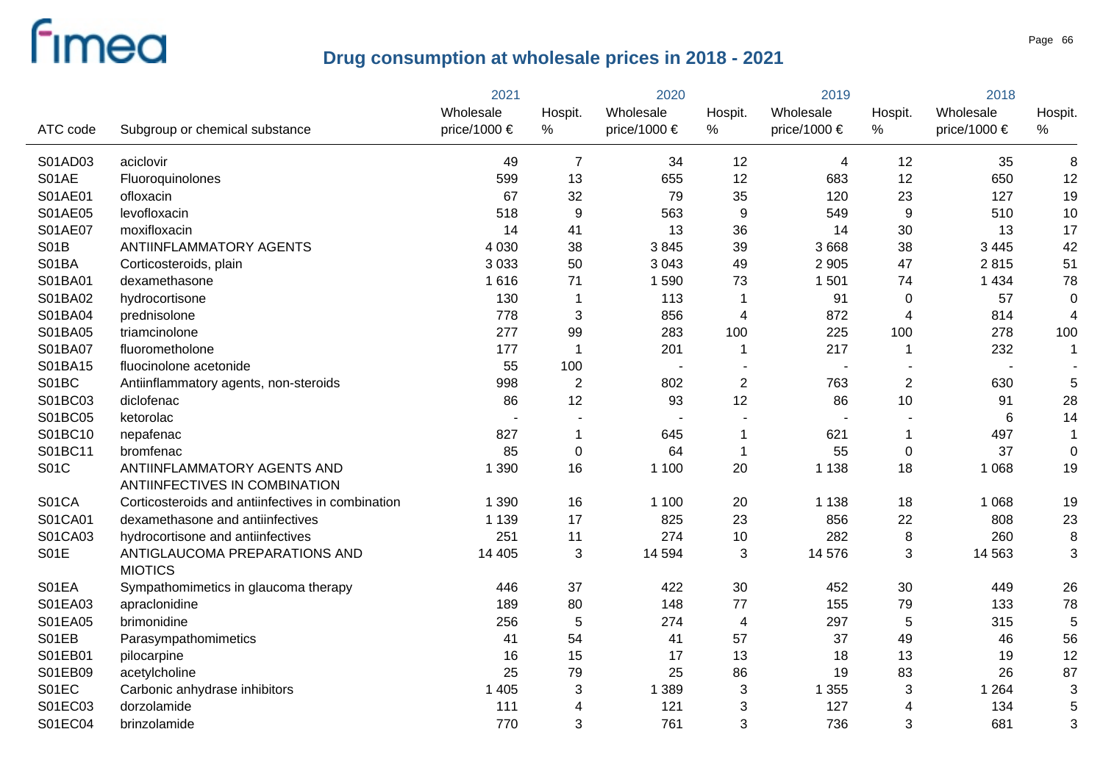|             |                                                              | 2021         | 2020           |                | 2019                      |                  | 2018                    |                  |                         |
|-------------|--------------------------------------------------------------|--------------|----------------|----------------|---------------------------|------------------|-------------------------|------------------|-------------------------|
|             |                                                              | Wholesale    | Hospit.        | Wholesale      | Hospit.                   | Wholesale        | Hospit.                 | Wholesale        | Hospit.                 |
| ATC code    | Subgroup or chemical substance                               | price/1000 € | $\%$           | price/1000 €   | %                         | price/1000 $\in$ | $\%$                    | price/1000 $\in$ | %                       |
| S01AD03     | aciclovir                                                    | 49           | $\overline{7}$ | 34             | 12                        | 4                | 12                      | 35               | 8                       |
| S01AE       | Fluoroquinolones                                             | 599          | 13             | 655            | 12                        | 683              | 12                      | 650              | 12                      |
| S01AE01     | ofloxacin                                                    | 67           | 32             | 79             | 35                        | 120              | 23                      | 127              | 19                      |
| S01AE05     | levofloxacin                                                 | 518          | 9              | 563            | 9                         | 549              | 9                       | 510              | 10                      |
| S01AE07     | moxifloxacin                                                 | 14           | 41             | 13             | 36                        | 14               | 30                      | 13               | 17                      |
| <b>S01B</b> | ANTIINFLAMMATORY AGENTS                                      | 4 0 3 0      | 38             | 3845           | 39                        | 3 6 6 8          | 38                      | 3 4 4 5          | 42                      |
| S01BA       | Corticosteroids, plain                                       | 3 0 3 3      | 50             | 3 0 4 3        | 49                        | 2 9 0 5          | 47                      | 2815             | 51                      |
| S01BA01     | dexamethasone                                                | 1616         | 71             | 1590           | 73                        | 1 501            | 74                      | 1 4 3 4          | 78                      |
| S01BA02     | hydrocortisone                                               | 130          | 1              | 113            | $\mathbf 1$               | 91               | $\mathbf 0$             | 57               | $\mathbf 0$             |
| S01BA04     | prednisolone                                                 | 778          | 3              | 856            | 4                         | 872              | $\overline{4}$          | 814              | $\overline{\mathbf{4}}$ |
| S01BA05     | triamcinolone                                                | 277          | 99             | 283            | 100                       | 225              | 100                     | 278              | 100                     |
| S01BA07     | fluorometholone                                              | 177          | 1              | 201            | 1                         | 217              | 1                       | 232              | 1                       |
| S01BA15     | fluocinolone acetonide                                       | 55           | 100            | $\blacksquare$ |                           |                  |                         |                  |                         |
| S01BC       | Antiinflammatory agents, non-steroids                        | 998          | $\overline{2}$ | 802            | $\overline{2}$            | 763              | $\overline{2}$          | 630              | 5                       |
| S01BC03     | diclofenac                                                   | 86           | 12             | 93             | 12                        | 86               | 10                      | 91               | 28                      |
| S01BC05     | ketorolac                                                    |              |                |                |                           |                  |                         | 6                | 14                      |
| S01BC10     | nepafenac                                                    | 827          | 1              | 645            | 1                         | 621              | $\mathbf{1}$            | 497              | $\mathbf{1}$            |
| S01BC11     | bromfenac                                                    | 85           | $\mathbf 0$    | 64             | $\mathbf{1}$              | 55               | $\boldsymbol{0}$        | 37               | $\mathbf 0$             |
| <b>S01C</b> | ANTIINFLAMMATORY AGENTS AND<br>ANTIINFECTIVES IN COMBINATION | 1 3 9 0      | 16             | 1 1 0 0        | 20                        | 1 1 3 8          | 18                      | 1 0 6 8          | 19                      |
| S01CA       | Corticosteroids and antiinfectives in combination            | 1 3 9 0      | 16             | 1 1 0 0        | 20                        | 1 1 3 8          | 18                      | 1 0 6 8          | 19                      |
| S01CA01     | dexamethasone and antiinfectives                             | 1 1 3 9      | 17             | 825            | 23                        | 856              | 22                      | 808              | 23                      |
| S01CA03     | hydrocortisone and antiinfectives                            | 251          | 11             | 274            | 10                        | 282              | $\, 8$                  | 260              | 8                       |
| <b>S01E</b> | ANTIGLAUCOMA PREPARATIONS AND                                | 14 4 05      | 3              | 14 5 94        | 3                         | 14 576           | 3                       | 14 5 63          | 3                       |
|             | <b>MIOTICS</b>                                               |              |                |                |                           |                  |                         |                  |                         |
| S01EA       | Sympathomimetics in glaucoma therapy                         | 446          | 37             | 422            | 30                        | 452              | 30                      | 449              | 26                      |
| S01EA03     | apraclonidine                                                | 189          | 80             | 148            | 77                        | 155              | 79                      | 133              | 78                      |
| S01EA05     | brimonidine                                                  | 256          | 5              | 274            | $\overline{4}$            | 297              | $\sqrt{5}$              | 315              | 5                       |
| S01EB       | Parasympathomimetics                                         | 41           | 54             | 41             | 57                        | 37               | 49                      | 46               | 56                      |
| S01EB01     | pilocarpine                                                  | 16           | 15             | 17             | 13                        | 18               | 13                      | 19               | 12                      |
| S01EB09     | acetylcholine                                                | 25           | 79             | 25             | 86                        | 19               | 83                      | 26               | 87                      |
| S01EC       | Carbonic anhydrase inhibitors                                | 1 4 0 5      | 3              | 1 3 8 9        | $\ensuremath{\mathsf{3}}$ | 1 3 5 5          | $\sqrt{3}$              | 1 2 6 4          | 3                       |
| S01EC03     | dorzolamide                                                  | 111          | 4              | 121            | 3                         | 127              | $\overline{\mathbf{4}}$ | 134              | 5                       |
| S01EC04     | brinzolamide                                                 | 770          | 3              | 761            | 3                         | 736              | 3                       | 681              | 3                       |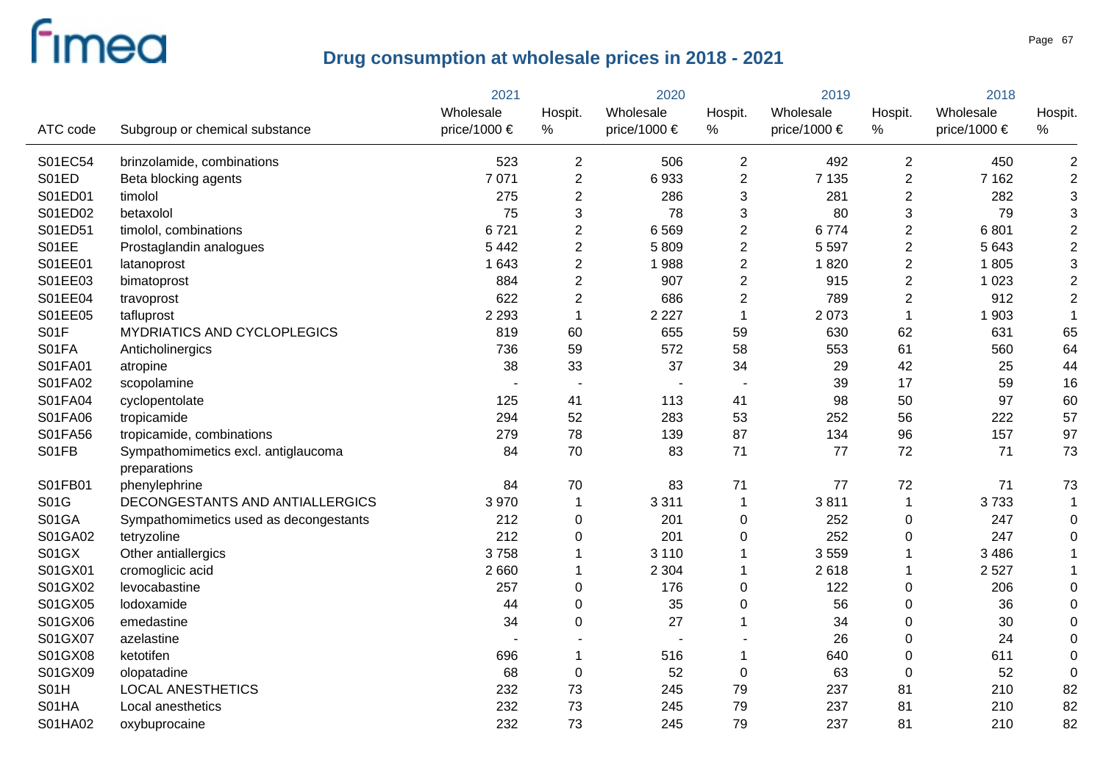|          |                                        | 2021         |                          | 2020                     |                | 2019             |                  | 2018             |                |
|----------|----------------------------------------|--------------|--------------------------|--------------------------|----------------|------------------|------------------|------------------|----------------|
|          |                                        | Wholesale    | Hospit.                  | Wholesale                | Hospit.        | Wholesale        | Hospit.          | Wholesale        | Hospit.        |
| ATC code | Subgroup or chemical substance         | price/1000 € | $\%$                     | price/1000 €             | %              | price/1000 $\in$ | $\%$             | price/1000 $\in$ | %              |
| S01EC54  | brinzolamide, combinations             | 523          | $\overline{2}$           | 506                      | 2              | 492              | 2                | 450              | $\overline{2}$ |
| S01ED    | Beta blocking agents                   | 7 0 7 1      | $\boldsymbol{2}$         | 6933                     | $\overline{2}$ | 7 1 3 5          | $\overline{2}$   | 7 1 6 2          | $\overline{2}$ |
| S01ED01  | timolol                                | 275          | $\overline{2}$           | 286                      | 3              | 281              | $\overline{2}$   | 282              | 3              |
| S01ED02  | betaxolol                              | 75           | 3                        | 78                       | 3              | 80               | 3                | 79               | 3              |
| S01ED51  | timolol, combinations                  | 6721         | $\overline{2}$           | 6569                     | $\overline{2}$ | 6774             | $\boldsymbol{2}$ | 6801             | $\overline{c}$ |
| S01EE    | Prostaglandin analogues                | 5 4 4 2      | $\overline{2}$           | 5809                     | $\overline{2}$ | 5 5 9 7          | $\overline{2}$   | 5 6 4 3          | $\overline{2}$ |
| S01EE01  | latanoprost                            | 1 6 4 3      | $\overline{2}$           | 1988                     | $\overline{2}$ | 1820             | $\boldsymbol{2}$ | 1805             | 3              |
| S01EE03  | bimatoprost                            | 884          | $\overline{\mathbf{c}}$  | 907                      | $\overline{c}$ | 915              | $\overline{2}$   | 1 0 2 3          | $\overline{c}$ |
| S01EE04  | travoprost                             | 622          | $\overline{2}$           | 686                      | $\overline{2}$ | 789              | $\overline{2}$   | 912              | $\overline{2}$ |
| S01EE05  | tafluprost                             | 2 2 9 3      | 1                        | 2 2 2 7                  | $\mathbf 1$    | 2 0 7 3          | $\overline{1}$   | 1 903            | $\mathbf 1$    |
| S01F     | MYDRIATICS AND CYCLOPLEGICS            | 819          | 60                       | 655                      | 59             | 630              | 62               | 631              | 65             |
| S01FA    | Anticholinergics                       | 736          | 59                       | 572                      | 58             | 553              | 61               | 560              | 64             |
| S01FA01  | atropine                               | 38           | 33                       | 37                       | 34             | 29               | 42               | 25               | 44             |
| S01FA02  | scopolamine                            |              | $\overline{\phantom{a}}$ |                          |                | 39               | 17               | 59               | 16             |
| S01FA04  | cyclopentolate                         | 125          | 41                       | 113                      | 41             | 98               | 50               | 97               | 60             |
| S01FA06  | tropicamide                            | 294          | 52                       | 283                      | 53             | 252              | 56               | 222              | 57             |
| S01FA56  | tropicamide, combinations              | 279          | 78                       | 139                      | 87             | 134              | 96               | 157              | 97             |
| S01FB    | Sympathomimetics excl. antiglaucoma    | 84           | 70                       | 83                       | 71             | 77               | 72               | 71               | 73             |
|          | preparations                           |              |                          |                          |                |                  |                  |                  |                |
| S01FB01  | phenylephrine                          | 84           | 70                       | 83                       | 71             | 77               | 72               | 71               | 73             |
| S01G     | DECONGESTANTS AND ANTIALLERGICS        | 3970         | $\mathbf 1$              | 3 3 1 1                  | $\mathbf 1$    | 3811             | $\mathbf 1$      | 3733             | $\mathbf{1}$   |
| S01GA    | Sympathomimetics used as decongestants | 212          | 0                        | 201                      | 0              | 252              | $\mathbf 0$      | 247              | 0              |
| S01GA02  | tetryzoline                            | 212          | 0                        | 201                      | 0              | 252              | 0                | 247              | 0              |
| S01GX    | Other antiallergics                    | 3758         |                          | 3 1 1 0                  | 1              | 3559             | 1                | 3 4 8 6          |                |
| S01GX01  | cromoglicic acid                       | 2 6 6 0      |                          | 2 3 0 4                  | 1              | 2618             | -1               | 2527             |                |
| S01GX02  | levocabastine                          | 257          | $\pmb{0}$                | 176                      | 0              | 122              | 0                | 206              | $\mathbf 0$    |
| S01GX05  | lodoxamide                             | 44           | $\mathbf 0$              | 35                       | 0              | 56               | $\pmb{0}$        | 36               | $\mathbf 0$    |
| S01GX06  | emedastine                             | 34           | $\mathbf 0$              | 27                       | 1              | 34               | $\pmb{0}$        | 30               | 0              |
| S01GX07  | azelastine                             |              |                          | $\overline{\phantom{a}}$ |                | 26               | $\pmb{0}$        | 24               | $\mathbf 0$    |
| S01GX08  | ketotifen                              | 696          |                          | 516                      | 1              | 640              | $\pmb{0}$        | 611              | $\mathbf 0$    |
| S01GX09  | olopatadine                            | 68           | $\pmb{0}$                | 52                       | $\pmb{0}$      | 63               | $\boldsymbol{0}$ | 52               | $\overline{0}$ |
| S01H     | <b>LOCAL ANESTHETICS</b>               | 232          | 73                       | 245                      | 79             | 237              | 81               | 210              | 82             |
| S01HA    | Local anesthetics                      | 232          | 73                       | 245                      | 79             | 237              | 81               | 210              | 82             |
| S01HA02  | oxybuprocaine                          | 232          | 73                       | 245                      | 79             | 237              | 81               | 210              | 82             |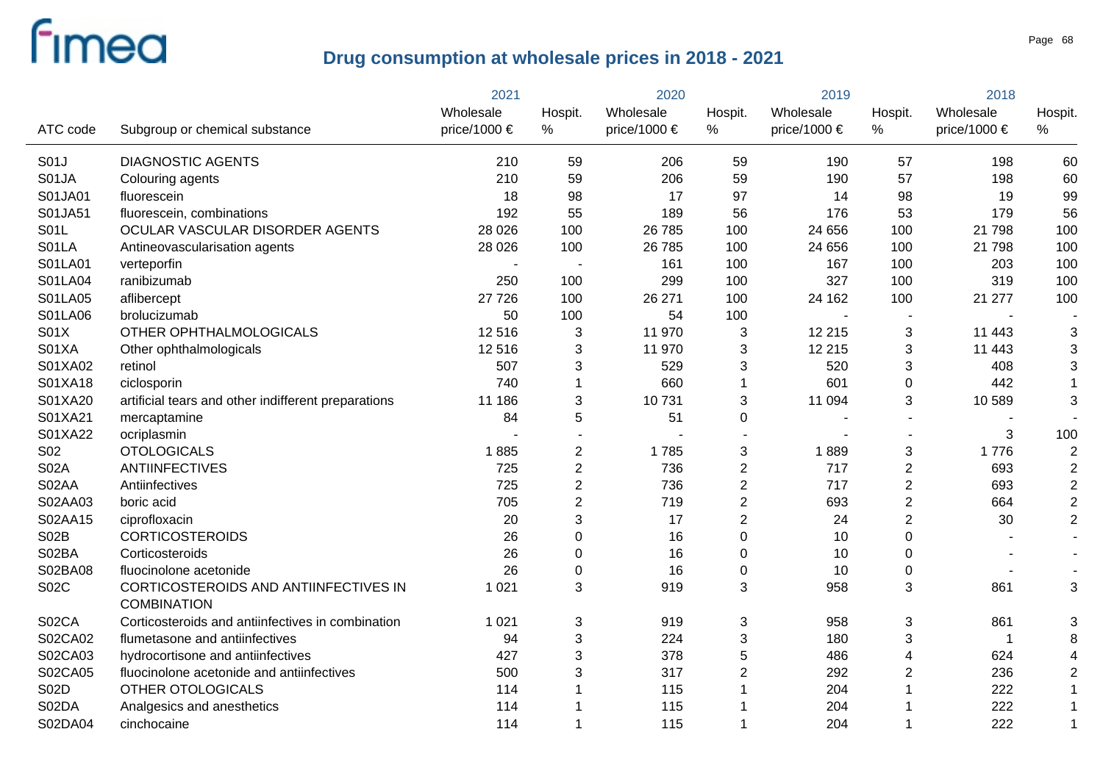|             |                                                             | 2021         |                           | 2020         |                         | 2019             |                         | 2018         |                         |
|-------------|-------------------------------------------------------------|--------------|---------------------------|--------------|-------------------------|------------------|-------------------------|--------------|-------------------------|
|             |                                                             | Wholesale    | Hospit.                   | Wholesale    | Hospit.                 | Wholesale        | Hospit.                 | Wholesale    | Hospit.                 |
| ATC code    | Subgroup or chemical substance                              | price/1000 € | $\%$                      | price/1000 € | $\%$                    | price/1000 $\in$ | %                       | price/1000 € | $\%$                    |
| S01J        | <b>DIAGNOSTIC AGENTS</b>                                    | 210          | 59                        | 206          | 59                      | 190              | 57                      | 198          | 60                      |
| S01JA       | Colouring agents                                            | 210          | 59                        | 206          | 59                      | 190              | 57                      | 198          | 60                      |
| S01JA01     | fluorescein                                                 | 18           | 98                        | 17           | 97                      | 14               | 98                      | 19           | 99                      |
| S01JA51     | fluorescein, combinations                                   | 192          | 55                        | 189          | 56                      | 176              | 53                      | 179          | 56                      |
| S01L        | OCULAR VASCULAR DISORDER AGENTS                             | 28 0 26      | 100                       | 26 785       | 100                     | 24 656           | 100                     | 21 798       | 100                     |
| S01LA       | Antineovascularisation agents                               | 28 0 26      | 100                       | 26 785       | 100                     | 24 656           | 100                     | 21 798       | 100                     |
| S01LA01     | verteporfin                                                 |              | $\overline{\phantom{a}}$  | 161          | 100                     | 167              | 100                     | 203          | 100                     |
| S01LA04     | ranibizumab                                                 | 250          | 100                       | 299          | 100                     | 327              | 100                     | 319          | 100                     |
| S01LA05     | aflibercept                                                 | 27 7 26      | 100                       | 26 271       | 100                     | 24 162           | 100                     | 21 277       | 100                     |
| S01LA06     | brolucizumab                                                | 50           | 100                       | 54           | 100                     |                  |                         |              |                         |
| S01X        | OTHER OPHTHALMOLOGICALS                                     | 12 5 16      | 3                         | 11 970       | 3                       | 12 215           | 3                       | 11 4 43      | 3                       |
| S01XA       | Other ophthalmologicals                                     | 12 5 16      | 3                         | 11 970       | 3                       | 12 215           | 3                       | 11 443       | 3                       |
| S01XA02     | retinol                                                     | 507          | 3                         | 529          | 3                       | 520              | 3                       | 408          | 3                       |
| S01XA18     | ciclosporin                                                 | 740          | 1                         | 660          | $\mathbf{1}$            | 601              | $\mathbf 0$             | 442          | $\mathbf 1$             |
| S01XA20     | artificial tears and other indifferent preparations         | 11 186       | 3                         | 10731        | 3                       | 11 094           | 3                       | 10 589       | 3                       |
| S01XA21     | mercaptamine                                                | 84           | 5                         | 51           | 0                       |                  |                         |              |                         |
| S01XA22     | ocriplasmin                                                 |              | $\overline{a}$            |              | $\overline{a}$          |                  |                         | 3            | 100                     |
| S02         | <b>OTOLOGICALS</b>                                          | 1885         | $\overline{c}$            | 1785         | 3                       | 1889             | $\sqrt{3}$              | 1776         | $\overline{2}$          |
| <b>S02A</b> | <b>ANTIINFECTIVES</b>                                       | 725          | $\overline{c}$            | 736          | $\overline{\mathbf{c}}$ | 717              | $\overline{c}$          | 693          | $\overline{c}$          |
| S02AA       | Antiinfectives                                              | 725          | $\overline{2}$            | 736          | $\overline{2}$          | 717              | $\sqrt{2}$              | 693          | $\overline{\mathbf{c}}$ |
| S02AA03     | boric acid                                                  | 705          | $\overline{2}$            | 719          | $\overline{2}$          | 693              | $\overline{2}$          | 664          | $\overline{\mathbf{c}}$ |
| S02AA15     | ciprofloxacin                                               | 20           | 3                         | 17           | $\overline{2}$          | 24               | $\overline{2}$          | 30           | $\overline{c}$          |
| <b>S02B</b> | <b>CORTICOSTEROIDS</b>                                      | 26           | $\mathbf 0$               | 16           | $\mathbf 0$             | 10               | $\mathbf 0$             |              |                         |
| S02BA       | Corticosteroids                                             | 26           | $\mathbf 0$               | 16           | $\mathbf 0$             | 10               | $\mathbf 0$             |              |                         |
| S02BA08     | fluocinolone acetonide                                      | 26           | $\mathbf 0$               | 16           | $\mathbf 0$             | 10               | 0                       |              |                         |
| <b>S02C</b> | CORTICOSTEROIDS AND ANTIINFECTIVES IN<br><b>COMBINATION</b> | 1 0 2 1      | 3                         | 919          | 3                       | 958              | 3                       | 861          | 3                       |
| S02CA       | Corticosteroids and antiinfectives in combination           | 1 0 2 1      | 3                         | 919          | 3                       | 958              | 3                       | 861          | 3                       |
| S02CA02     | flumetasone and antiinfectives                              | 94           | $\ensuremath{\mathsf{3}}$ | 224          | 3                       | 180              | $\sqrt{3}$              | $\mathbf{1}$ | 8                       |
| S02CA03     | hydrocortisone and antiinfectives                           | 427          | 3                         | 378          | 5                       | 486              | $\overline{\mathbf{4}}$ | 624          | 4                       |
| S02CA05     | fluocinolone acetonide and antiinfectives                   | 500          | 3                         | 317          | $\overline{2}$          | 292              | $\overline{2}$          | 236          | $\overline{2}$          |
| <b>S02D</b> | OTHER OTOLOGICALS                                           | 114          |                           | 115          | 1                       | 204              | $\overline{1}$          | 222          |                         |
| S02DA       | Analgesics and anesthetics                                  | 114          |                           | 115          | 1                       | 204              |                         | 222          |                         |
| S02DA04     | cinchocaine                                                 | 114          | 1                         | 115          | 1                       | 204              | $\overline{\mathbf{1}}$ | 222          | $\mathbf{1}$            |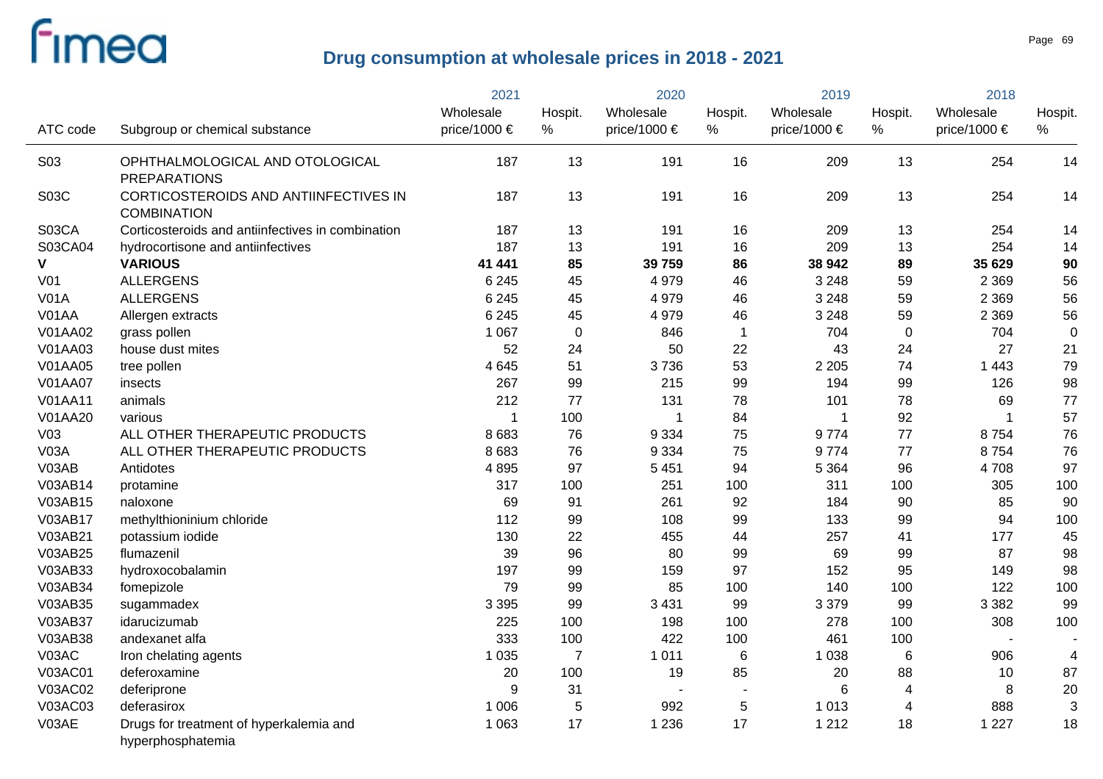|                 |                                                              | 2021         |                | 2020         |                | 2019         |                         | 2018         |         |
|-----------------|--------------------------------------------------------------|--------------|----------------|--------------|----------------|--------------|-------------------------|--------------|---------|
|                 |                                                              | Wholesale    | Hospit.        | Wholesale    | Hospit.        | Wholesale    | Hospit.                 | Wholesale    | Hospit. |
| ATC code        | Subgroup or chemical substance                               | price/1000 € | %              | price/1000 € | %              | price/1000 € | $\%$                    | price/1000 € | %       |
| <b>S03</b>      | OPHTHALMOLOGICAL AND OTOLOGICAL<br><b>PREPARATIONS</b>       | 187          | 13             | 191          | 16             | 209          | 13                      | 254          | 14      |
| S03C            | CORTICOSTEROIDS AND ANTIINFECTIVES IN<br><b>COMBINATION</b>  | 187          | 13             | 191          | 16             | 209          | 13                      | 254          | 14      |
| S03CA           | Corticosteroids and antiinfectives in combination            | 187          | 13             | 191          | 16             | 209          | 13                      | 254          | 14      |
| S03CA04         | hydrocortisone and antiinfectives                            | 187          | 13             | 191          | 16             | 209          | 13                      | 254          | 14      |
| V               | <b>VARIOUS</b>                                               | 41 441       | 85             | 39 759       | 86             | 38 942       | 89                      | 35 629       | 90      |
| V <sub>01</sub> | <b>ALLERGENS</b>                                             | 6 2 4 5      | 45             | 4979         | 46             | 3 2 4 8      | 59                      | 2 3 6 9      | 56      |
| <b>V01A</b>     | <b>ALLERGENS</b>                                             | 6 2 4 5      | 45             | 4979         | 46             | 3 2 4 8      | 59                      | 2 3 6 9      | 56      |
| V01AA           | Allergen extracts                                            | 6 2 4 5      | 45             | 4979         | 46             | 3 2 4 8      | 59                      | 2 3 6 9      | 56      |
| V01AA02         | grass pollen                                                 | 1 0 6 7      | 0              | 846          | $\overline{1}$ | 704          | $\mathbf 0$             | 704          | 0       |
| V01AA03         | house dust mites                                             | 52           | 24             | 50           | 22             | 43           | 24                      | 27           | 21      |
| V01AA05         | tree pollen                                                  | 4645         | 51             | 3736         | 53             | 2 2 0 5      | 74                      | 1 4 4 3      | 79      |
| <b>V01AA07</b>  | insects                                                      | 267          | 99             | 215          | 99             | 194          | 99                      | 126          | 98      |
| <b>V01AA11</b>  | animals                                                      | 212          | 77             | 131          | 78             | 101          | 78                      | 69           | 77      |
| V01AA20         | various                                                      | $\mathbf 1$  | 100            | $\mathbf 1$  | 84             | $\mathbf 1$  | 92                      |              | 57      |
| V <sub>03</sub> | ALL OTHER THERAPEUTIC PRODUCTS                               | 8 6 8 3      | 76             | 9 3 3 4      | 75             | 9774         | 77                      | 8754         | 76      |
| V03A            | ALL OTHER THERAPEUTIC PRODUCTS                               | 8 6 8 3      | 76             | 9 3 3 4      | 75             | 9774         | 77                      | 8754         | 76      |
| V03AB           | Antidotes                                                    | 4895         | 97             | 5 4 5 1      | 94             | 5 3 6 4      | 96                      | 4708         | 97      |
| V03AB14         | protamine                                                    | 317          | 100            | 251          | 100            | 311          | 100                     | 305          | 100     |
| V03AB15         | naloxone                                                     | 69           | 91             | 261          | 92             | 184          | 90                      | 85           | 90      |
| V03AB17         | methylthioninium chloride                                    | 112          | 99             | 108          | 99             | 133          | 99                      | 94           | 100     |
| V03AB21         | potassium iodide                                             | 130          | 22             | 455          | 44             | 257          | 41                      | 177          | 45      |
| V03AB25         | flumazenil                                                   | 39           | 96             | 80           | 99             | 69           | 99                      | 87           | 98      |
| V03AB33         | hydroxocobalamin                                             | 197          | 99             | 159          | 97             | 152          | 95                      | 149          | 98      |
| V03AB34         | fomepizole                                                   | 79           | 99             | 85           | 100            | 140          | 100                     | 122          | 100     |
| V03AB35         | sugammadex                                                   | 3 3 9 5      | 99             | 3 4 3 1      | 99             | 3 3 7 9      | 99                      | 3 3 8 2      | 99      |
| V03AB37         | idarucizumab                                                 | 225          | 100            | 198          | 100            | 278          | 100                     | 308          | 100     |
| V03AB38         | andexanet alfa                                               | 333          | 100            | 422          | 100            | 461          | 100                     |              |         |
| V03AC           | Iron chelating agents                                        | 1 0 3 5      | $\overline{7}$ | 1 0 1 1      | 6              | 1 0 38       | 6                       | 906          | 4       |
| <b>V03AC01</b>  | deferoxamine                                                 | 20           | 100            | 19           | 85             | 20           | 88                      | 10           | 87      |
| V03AC02         | deferiprone                                                  | 9            | 31             |              |                | 6            | $\overline{\mathbf{4}}$ | 8            | 20      |
| V03AC03         | deferasirox                                                  | 1 0 0 6      | 5              | 992          | $\sqrt{5}$     | 1 0 1 3      | $\overline{4}$          | 888          | 3       |
| V03AE           | Drugs for treatment of hyperkalemia and<br>hyperphosphatemia | 1 0 6 3      | 17             | 1 2 3 6      | 17             | 1 2 1 2      | 18                      | 1 2 2 7      | 18      |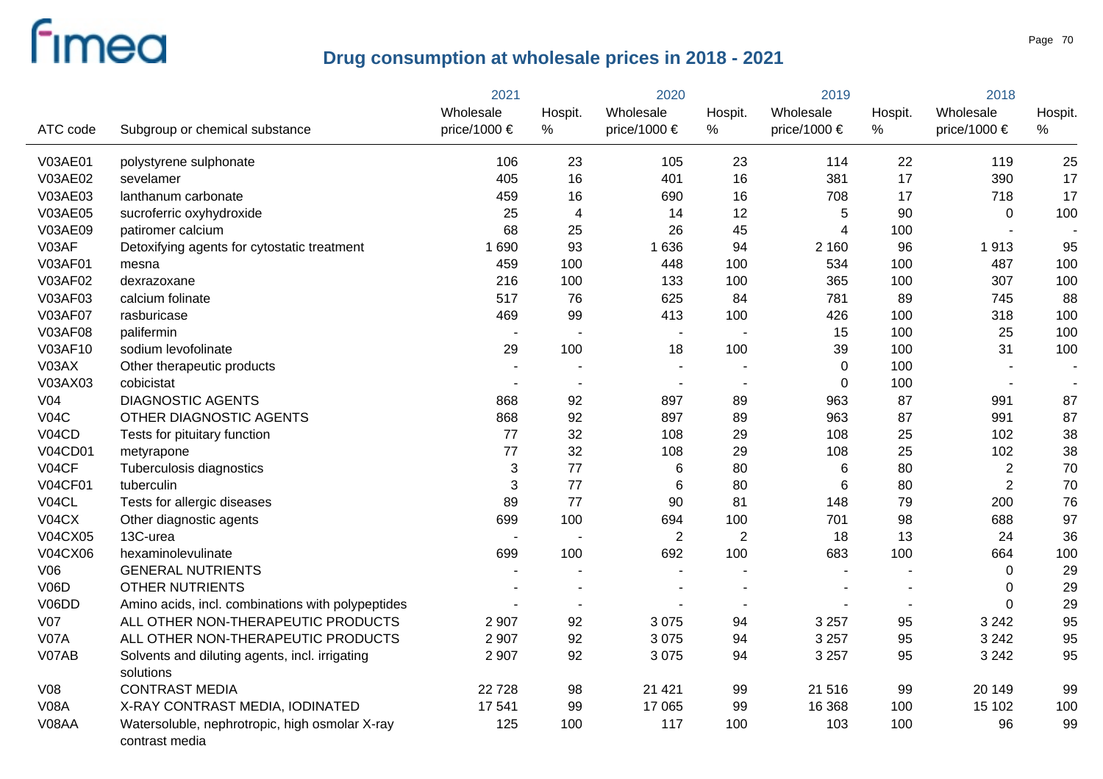|                 |                                                                  | 2021           |                          | 2020           |                | 2019                    |                | 2018                     |         |
|-----------------|------------------------------------------------------------------|----------------|--------------------------|----------------|----------------|-------------------------|----------------|--------------------------|---------|
|                 |                                                                  | Wholesale      | Hospit.                  | Wholesale      | Hospit.        | Wholesale               | Hospit.        | Wholesale                | Hospit. |
| ATC code        | Subgroup or chemical substance                                   | price/1000 €   | $\%$                     | price/1000 €   | $\%$           | price/1000 $\in$        | $\%$           | price/1000 €             | %       |
| <b>V03AE01</b>  | polystyrene sulphonate                                           | 106            | 23                       | 105            | 23             | 114                     | 22             | 119                      | 25      |
| V03AE02         | sevelamer                                                        | 405            | 16                       | 401            | 16             | 381                     | 17             | 390                      | 17      |
| V03AE03         | lanthanum carbonate                                              | 459            | 16                       | 690            | 16             | 708                     | 17             | 718                      | 17      |
| V03AE05         | sucroferric oxyhydroxide                                         | 25             | $\overline{4}$           | 14             | 12             | 5                       | 90             | $\mathbf 0$              | 100     |
| V03AE09         | patiromer calcium                                                | 68             | 25                       | 26             | 45             | $\overline{\mathbf{4}}$ | 100            | $\blacksquare$           |         |
| V03AF           | Detoxifying agents for cytostatic treatment                      | 1690           | 93                       | 1636           | 94             | 2 1 6 0                 | 96             | 1913                     | 95      |
| V03AF01         | mesna                                                            | 459            | 100                      | 448            | 100            | 534                     | 100            | 487                      | 100     |
| V03AF02         | dexrazoxane                                                      | 216            | 100                      | 133            | 100            | 365                     | 100            | 307                      | 100     |
| V03AF03         | calcium folinate                                                 | 517            | 76                       | 625            | 84             | 781                     | 89             | 745                      | 88      |
| <b>V03AF07</b>  | rasburicase                                                      | 469            | 99                       | 413            | 100            | 426                     | 100            | 318                      | 100     |
| V03AF08         | palifermin                                                       |                |                          |                |                | 15                      | 100            | 25                       | 100     |
| V03AF10         | sodium levofolinate                                              | 29             | 100                      | 18             | 100            | 39                      | 100            | 31                       | 100     |
| V03AX           | Other therapeutic products                                       |                |                          |                |                | $\overline{0}$          | 100            |                          |         |
| V03AX03         | cobicistat                                                       | $\overline{a}$ | $\overline{\phantom{a}}$ | $\blacksquare$ | $\overline{a}$ | $\overline{0}$          | 100            | $\overline{\phantom{a}}$ |         |
| V <sub>04</sub> | <b>DIAGNOSTIC AGENTS</b>                                         | 868            | 92                       | 897            | 89             | 963                     | 87             | 991                      | 87      |
| VO4C            | OTHER DIAGNOSTIC AGENTS                                          | 868            | 92                       | 897            | 89             | 963                     | 87             | 991                      | 87      |
| V04CD           | Tests for pituitary function                                     | 77             | 32                       | 108            | 29             | 108                     | 25             | 102                      | 38      |
| <b>V04CD01</b>  | metyrapone                                                       | 77             | 32                       | 108            | 29             | 108                     | 25             | 102                      | 38      |
| V04CF           | Tuberculosis diagnostics                                         | 3              | 77                       | $\,6$          | 80             | $\,6$                   | 80             | $\sqrt{2}$               | 70      |
| <b>V04CF01</b>  | tuberculin                                                       | 3              | 77                       | 6              | 80             | $\,6$                   | 80             | $\overline{2}$           | 70      |
| V04CL           | Tests for allergic diseases                                      | 89             | 77                       | 90             | 81             | 148                     | 79             | 200                      | 76      |
| VO4CX           | Other diagnostic agents                                          | 699            | 100                      | 694            | 100            | 701                     | 98             | 688                      | 97      |
| V04CX05         | 13C-urea                                                         |                |                          | $\mathbf{2}$   | $\overline{2}$ | 18                      | 13             | 24                       | 36      |
| V04CX06         | hexaminolevulinate                                               | 699            | 100                      | 692            | 100            | 683                     | 100            | 664                      | 100     |
| V06             | <b>GENERAL NUTRIENTS</b>                                         |                |                          |                |                |                         |                | $\Omega$                 | 29      |
| <b>V06D</b>     | <b>OTHER NUTRIENTS</b>                                           |                |                          |                |                |                         |                | 0                        | 29      |
| V06DD           | Amino acids, incl. combinations with polypeptides                |                |                          |                |                |                         | $\blacksquare$ | $\Omega$                 | 29      |
| V <sub>07</sub> | ALL OTHER NON-THERAPEUTIC PRODUCTS                               | 2 9 0 7        | 92                       | 3 0 7 5        | 94             | 3 2 5 7                 | 95             | 3 2 4 2                  | 95      |
| <b>V07A</b>     | ALL OTHER NON-THERAPEUTIC PRODUCTS                               | 2 9 0 7        | 92                       | 3075           | 94             | 3 2 5 7                 | 95             | 3 2 4 2                  | 95      |
| V07AB           | Solvents and diluting agents, incl. irrigating<br>solutions      | 2 9 0 7        | 92                       | 3075           | 94             | 3 2 5 7                 | 95             | 3 2 4 2                  | 95      |
| V08             | <b>CONTRAST MEDIA</b>                                            | 22 7 28        | 98                       | 21 4 21        | 99             | 21 516                  | 99             | 20 149                   | 99      |
| <b>V08A</b>     | X-RAY CONTRAST MEDIA, IODINATED                                  | 17 541         | 99                       | 17 065         | 99             | 16 368                  | 100            | 15 102                   | 100     |
| V08AA           | Watersoluble, nephrotropic, high osmolar X-ray<br>contrast media | 125            | 100                      | 117            | 100            | 103                     | 100            | 96                       | 99      |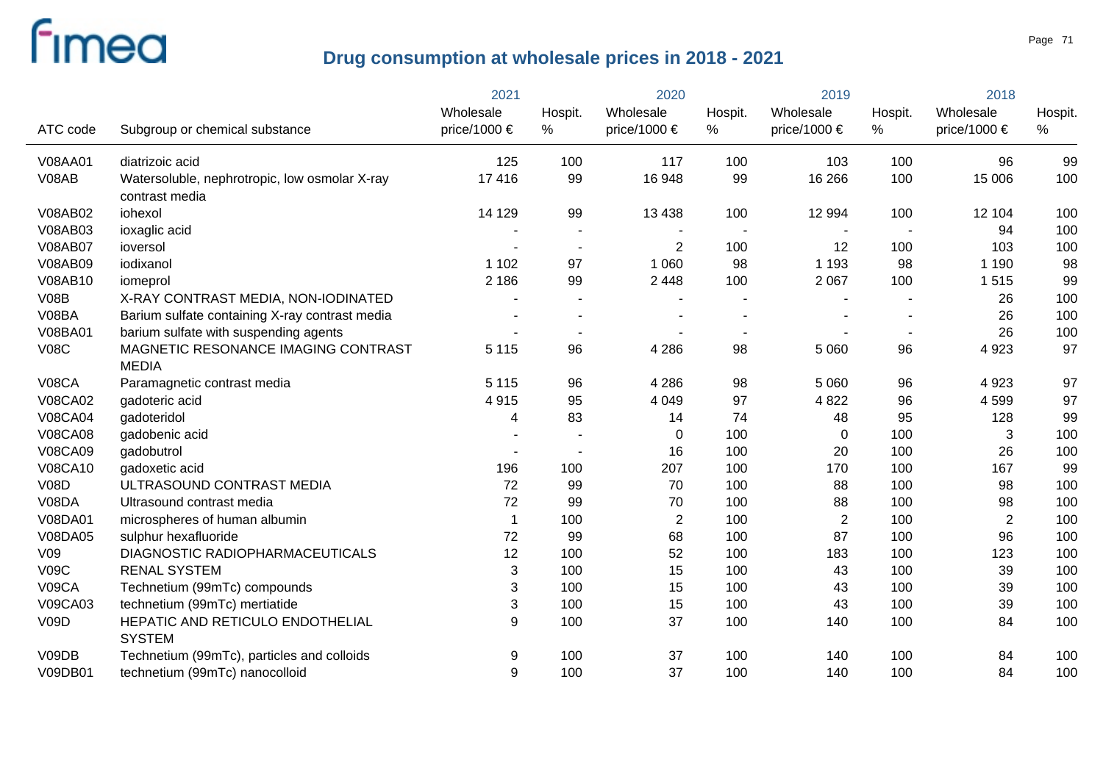|                |                                                                 | 2021                          |              | 2020                      |                | 2019                          |              | 2018                      |                 |
|----------------|-----------------------------------------------------------------|-------------------------------|--------------|---------------------------|----------------|-------------------------------|--------------|---------------------------|-----------------|
| ATC code       | Subgroup or chemical substance                                  | Wholesale<br>price/1000 $\in$ | Hospit.<br>% | Wholesale<br>price/1000 € | Hospit.<br>%   | Wholesale<br>price/1000 $\in$ | Hospit.<br>% | Wholesale<br>price/1000 € | Hospit.<br>$\%$ |
|                |                                                                 |                               |              |                           |                |                               |              |                           |                 |
| V08AA01        | diatrizoic acid                                                 | 125                           | 100          | 117                       | 100            | 103                           | 100          | 96                        | 99              |
| V08AB          | Watersoluble, nephrotropic, low osmolar X-ray<br>contrast media | 17416                         | 99           | 16 948                    | 99             | 16 26 6                       | 100          | 15 006                    | 100             |
| V08AB02        | iohexol                                                         | 14 129                        | 99           | 13 4 38                   | 100            | 12 994                        | 100          | 12 104                    | 100             |
| V08AB03        | ioxaglic acid                                                   |                               |              |                           |                |                               |              | 94                        | 100             |
| <b>V08AB07</b> | ioversol                                                        |                               |              | $\mathbf{2}$              | 100            | 12                            | 100          | 103                       | 100             |
| V08AB09        | iodixanol                                                       | 1 1 0 2                       | 97           | 1 0 6 0                   | 98             | 1 1 9 3                       | 98           | 1 1 9 0                   | 98              |
| V08AB10        | iomeprol                                                        | 2 1 8 6                       | 99           | 2 4 4 8                   | 100            | 2 0 6 7                       | 100          | 1515                      | 99              |
| V08B           | X-RAY CONTRAST MEDIA, NON-IODINATED                             |                               |              |                           |                |                               |              | 26                        | 100             |
| V08BA          | Barium sulfate containing X-ray contrast media                  |                               |              |                           | $\blacksquare$ |                               |              | 26                        | 100             |
| V08BA01        | barium sulfate with suspending agents                           |                               |              |                           | $\sim$         |                               |              | 26                        | 100             |
| <b>V08C</b>    | MAGNETIC RESONANCE IMAGING CONTRAST<br><b>MEDIA</b>             | 5 1 1 5                       | 96           | 4 2 8 6                   | 98             | 5 0 6 0                       | 96           | 4 9 23                    | 97              |
| <b>V08CA</b>   | Paramagnetic contrast media                                     | 5 1 1 5                       | 96           | 4 2 8 6                   | 98             | 5 0 6 0                       | 96           | 4 9 23                    | 97              |
| <b>V08CA02</b> | gadoteric acid                                                  | 4915                          | 95           | 4 0 4 9                   | 97             | 4 8 2 2                       | 96           | 4599                      | 97              |
| <b>V08CA04</b> | gadoteridol                                                     | 4                             | 83           | 14                        | 74             | 48                            | 95           | 128                       | 99              |
| <b>V08CA08</b> | gadobenic acid                                                  |                               |              | $\mathbf 0$               | 100            | $\mathbf 0$                   | 100          | 3                         | 100             |
| V08CA09        | gadobutrol                                                      |                               |              | 16                        | 100            | 20                            | 100          | 26                        | 100             |
| V08CA10        | gadoxetic acid                                                  | 196                           | 100          | 207                       | 100            | 170                           | 100          | 167                       | 99              |
| <b>V08D</b>    | ULTRASOUND CONTRAST MEDIA                                       | 72                            | 99           | 70                        | 100            | 88                            | 100          | 98                        | 100             |
| V08DA          | Ultrasound contrast media                                       | 72                            | 99           | 70                        | 100            | 88                            | 100          | 98                        | 100             |
| V08DA01        | microspheres of human albumin                                   | $\overline{1}$                | 100          | $\sqrt{2}$                | 100            | $\overline{2}$                | 100          | $\overline{2}$            | 100             |
| V08DA05        | sulphur hexafluoride                                            | 72                            | 99           | 68                        | 100            | 87                            | 100          | 96                        | 100             |
| V09            | DIAGNOSTIC RADIOPHARMACEUTICALS                                 | 12                            | 100          | 52                        | 100            | 183                           | 100          | 123                       | 100             |
| V09C           | <b>RENAL SYSTEM</b>                                             | 3                             | 100          | 15                        | 100            | 43                            | 100          | 39                        | 100             |
| V09CA          | Technetium (99mTc) compounds                                    | 3                             | 100          | 15                        | 100            | 43                            | 100          | 39                        | 100             |
| V09CA03        | technetium (99mTc) mertiatide                                   | 3                             | 100          | 15                        | 100            | 43                            | 100          | 39                        | 100             |
| V09D           | HEPATIC AND RETICULO ENDOTHELIAL<br><b>SYSTEM</b>               | 9                             | 100          | 37                        | 100            | 140                           | 100          | 84                        | 100             |
| V09DB          | Technetium (99mTc), particles and colloids                      | 9                             | 100          | 37                        | 100            | 140                           | 100          | 84                        | 100             |
| V09DB01        | technetium (99mTc) nanocolloid                                  | 9                             | 100          | 37                        | 100            | 140                           | 100          | 84                        | 100             |